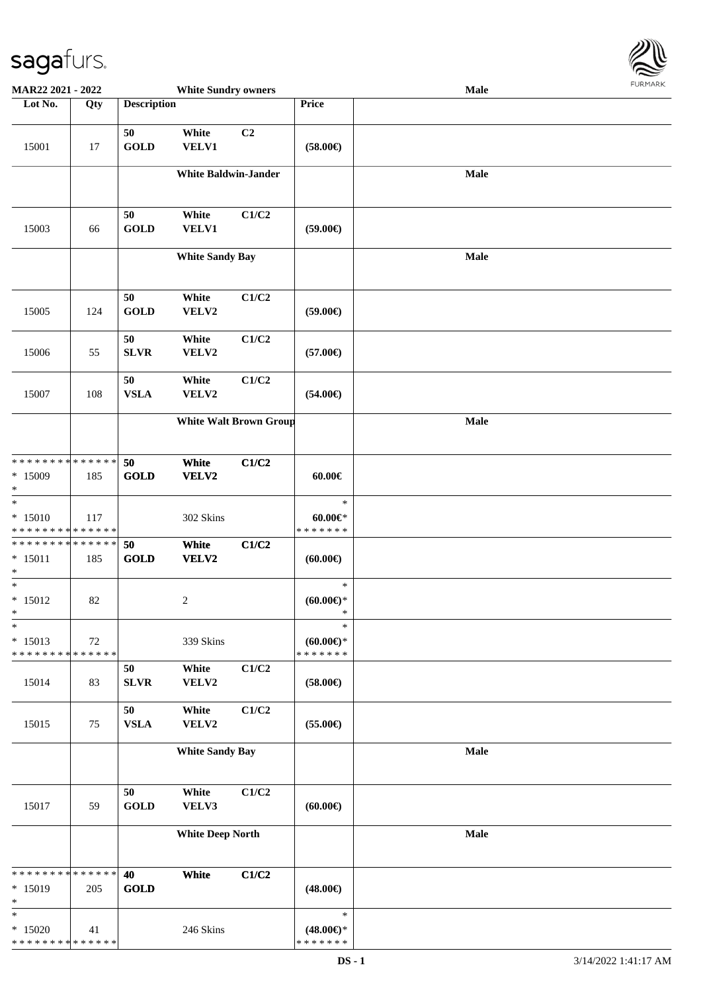

| MAR22 2021 - 2022                                  |     |                    | <b>White Sundry owners</b>  |                               |                                                | Male | <b>FUNITANN</b> |
|----------------------------------------------------|-----|--------------------|-----------------------------|-------------------------------|------------------------------------------------|------|-----------------|
| Lot No.                                            | Qty | <b>Description</b> |                             |                               | Price                                          |      |                 |
| 15001                                              | 17  | 50<br><b>GOLD</b>  | White<br>VELV1              | C2                            | $(58.00\epsilon)$                              |      |                 |
|                                                    |     |                    | <b>White Baldwin-Jander</b> |                               |                                                | Male |                 |
| 15003                                              | 66  | 50<br><b>GOLD</b>  | White<br>VELV1              | C1/C2                         | $(59.00\epsilon)$                              |      |                 |
|                                                    |     |                    | <b>White Sandy Bay</b>      |                               |                                                | Male |                 |
| 15005                                              | 124 | 50<br><b>GOLD</b>  | White<br>VELV2              | C1/C2                         | $(59.00\epsilon)$                              |      |                 |
| 15006                                              | 55  | 50<br><b>SLVR</b>  | White<br>VELV2              | C1/C2                         | $(57.00\epsilon)$                              |      |                 |
| 15007                                              | 108 | 50<br><b>VSLA</b>  | White<br>VELV2              | C1/C2                         | $(54.00\epsilon)$                              |      |                 |
|                                                    |     |                    |                             | <b>White Walt Brown Group</b> |                                                | Male |                 |
| ******** <mark>******</mark><br>$*15009$<br>$\ast$ | 185 | 50<br><b>GOLD</b>  | White<br>VELV2              | C1/C2                         | $60.00 \in$                                    |      |                 |
| $\ast$<br>$* 15010$<br>* * * * * * * * * * * * * * | 117 |                    | 302 Skins                   |                               | $\ast$<br>$60.00 \in$<br>* * * * * * *         |      |                 |
| * * * * * * * * * * * * * *<br>$* 15011$<br>$\ast$ | 185 | 50<br><b>GOLD</b>  | White<br>VELV2              | C1/C2                         | (60.00)                                        |      |                 |
| $\overline{\phantom{a}^*}$<br>$* 15012$<br>$\ast$  | 82  |                    | $\boldsymbol{2}$            |                               | $\ast$<br>(60.00)                              |      |                 |
| $\ast$<br>$* 15013$<br>* * * * * * * * * * * * * * | 72  |                    | 339 Skins                   |                               | $\ast$<br>$(60.00 \in )$ *<br>* * * * * * *    |      |                 |
| 15014                                              | 83  | 50<br>${\bf SLVR}$ | White<br>VELV2              | C1/C2                         | $(58.00\epsilon)$                              |      |                 |
| 15015                                              | 75  | 50<br><b>VSLA</b>  | White<br>VELV2              | C1/C2                         | $(55.00\epsilon)$                              |      |                 |
|                                                    |     |                    | <b>White Sandy Bay</b>      |                               |                                                | Male |                 |
| 15017                                              | 59  | 50<br><b>GOLD</b>  | White<br>VELV3              | C1/C2                         | $(60.00\epsilon)$                              |      |                 |
|                                                    |     |                    | <b>White Deep North</b>     |                               |                                                | Male |                 |
| * * * * * * * * * * * * * *<br>$* 15019$<br>$\ast$ | 205 | 40<br><b>GOLD</b>  | White                       | C1/C2                         | $(48.00\epsilon)$                              |      |                 |
| $\ast$<br>$*15020$<br>* * * * * * * * * * * * * *  | 41  |                    | 246 Skins                   |                               | $\ast$<br>$(48.00\epsilon)$ *<br>* * * * * * * |      |                 |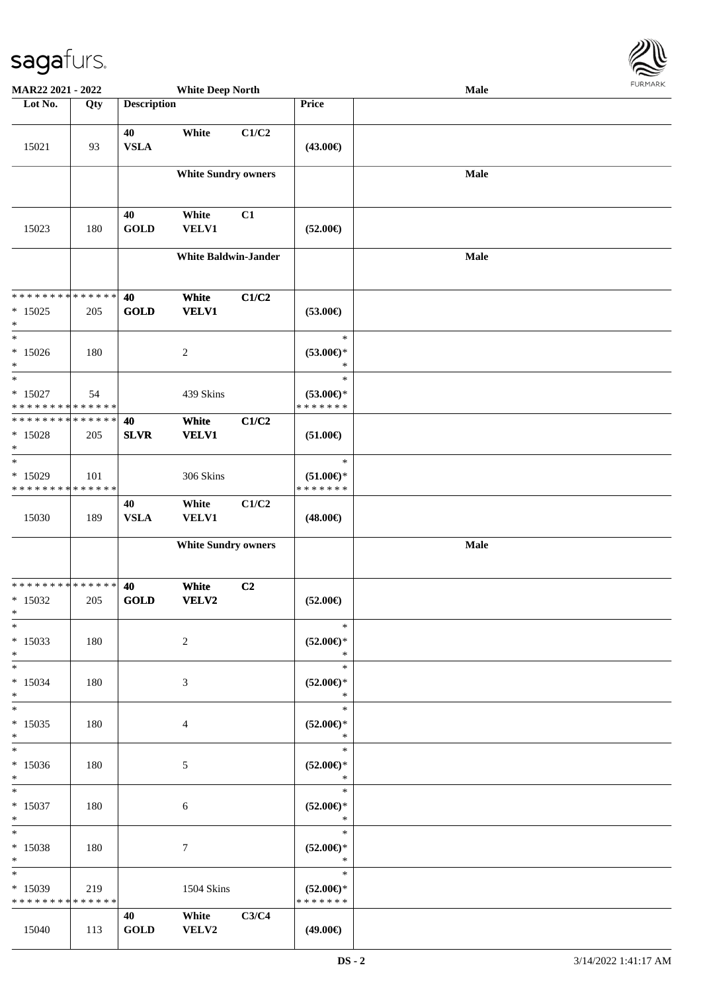

| MAR22 2021 - 2022                                  |     |                    | <b>White Deep North</b>     |       |                                                | <b>Male</b> |  |
|----------------------------------------------------|-----|--------------------|-----------------------------|-------|------------------------------------------------|-------------|--|
| Lot No.                                            | Qty | <b>Description</b> |                             |       | Price                                          |             |  |
| 15021                                              | 93  | 40<br><b>VSLA</b>  | White                       | C1/C2 | $(43.00\epsilon)$                              |             |  |
|                                                    |     |                    | <b>White Sundry owners</b>  |       |                                                | <b>Male</b> |  |
| 15023                                              | 180 | 40<br><b>GOLD</b>  | White<br><b>VELV1</b>       | C1    | $(52.00\epsilon)$                              |             |  |
|                                                    |     |                    | <b>White Baldwin-Jander</b> |       |                                                | Male        |  |
| * * * * * * * * * * * * * *<br>$*15025$<br>$\ast$  | 205 | 40<br><b>GOLD</b>  | White<br><b>VELV1</b>       | C1/C2 | $(53.00\epsilon)$                              |             |  |
| $\ast$<br>$*15026$<br>$\ast$                       | 180 |                    | $\overline{c}$              |       | $\ast$<br>$(53.00\epsilon)$ *<br>$\ast$        |             |  |
| $\ast$<br>$* 15027$<br>* * * * * * * * * * * * * * | 54  |                    | 439 Skins                   |       | $\ast$<br>$(53.00\epsilon)$ *<br>* * * * * * * |             |  |
| * * * * * * * * * * * * * *<br>$* 15028$<br>$\ast$ | 205 | 40<br><b>SLVR</b>  | White<br><b>VELV1</b>       | C1/C2 | $(51.00\epsilon)$                              |             |  |
| $\ast$<br>$*15029$<br>* * * * * * * * * * * * * *  | 101 |                    | 306 Skins                   |       | $\ast$<br>$(51.00\epsilon)$ *<br>* * * * * * * |             |  |
| 15030                                              | 189 | 40<br><b>VSLA</b>  | White<br>VELV1              | C1/C2 | $(48.00\epsilon)$                              |             |  |
|                                                    |     |                    | <b>White Sundry owners</b>  |       |                                                | Male        |  |
| * * * * * * * * * * * * * *<br>$*15032$<br>$\ast$  | 205 | 40<br><b>GOLD</b>  | White<br>VELV2              | C2    | $(52.00\epsilon)$                              |             |  |
| $*$<br>$*15033$<br>$*$                             | 180 |                    | 2                           |       | $\ast$<br>$(52.00ε)$ *<br>$\ast$               |             |  |
| $*$<br>$* 15034$<br>$*$                            | 180 |                    | 3                           |       | $\ast$<br>$(52.00\epsilon)$ *<br>$\ast$        |             |  |
| $*$<br>$* 15035$<br>$*$                            | 180 |                    | 4                           |       | $\ast$<br>$(52.00\epsilon)$ *<br>$\ast$        |             |  |
| $*$<br>$*15036$<br>$*$                             | 180 |                    | 5                           |       | $\ast$<br>$(52.00\epsilon)$ *<br>$\ast$        |             |  |
| $*$<br>$* 15037$<br>$*$                            | 180 |                    | 6                           |       | $\ast$<br>$(52.00\epsilon)$ *<br>$\ast$        |             |  |
| $*$<br>* 15038<br>$*$                              | 180 |                    | $\tau$                      |       | $\ast$<br>$(52.00\epsilon)$ *<br>$\ast$        |             |  |
| $*$<br>$*15039$<br>* * * * * * * * * * * * * *     | 219 |                    | 1504 Skins                  |       | $\ast$<br>$(52.00\epsilon)$ *<br>* * * * * * * |             |  |
| 15040                                              | 113 | 40<br><b>GOLD</b>  | White<br>VELV2              | C3/C4 | $(49.00\epsilon)$                              |             |  |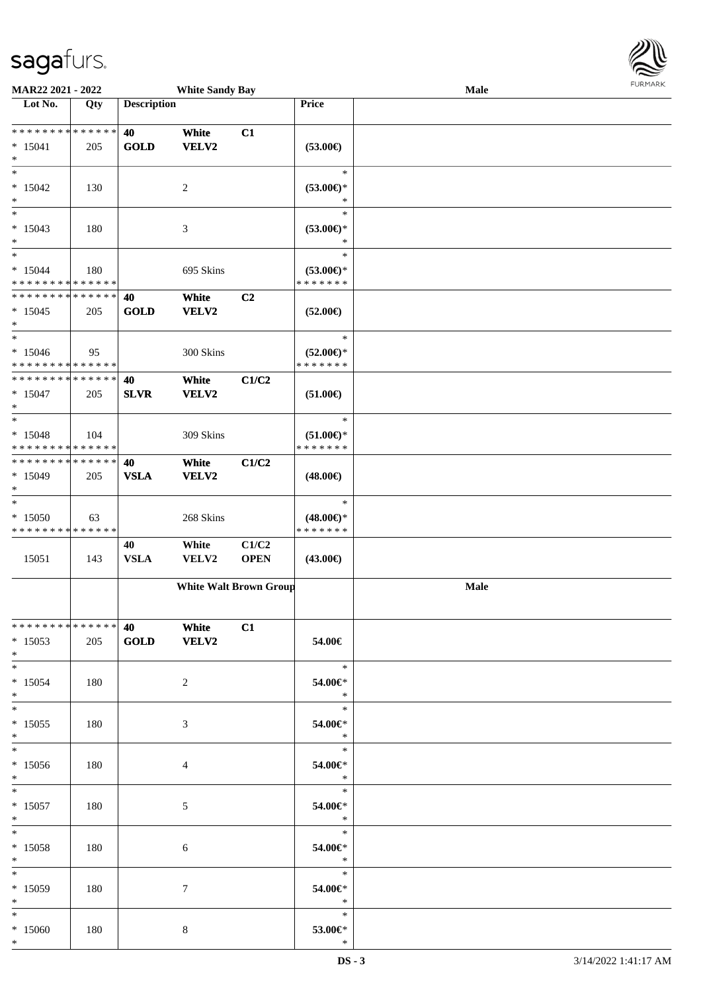

| MAR22 2021 - 2022                                                      |     |                    | <b>White Sandy Bay</b>     |                               |                                                | Male | <b>LOKITAKV</b> |
|------------------------------------------------------------------------|-----|--------------------|----------------------------|-------------------------------|------------------------------------------------|------|-----------------|
| Lot No.                                                                | Qty | <b>Description</b> |                            |                               | Price                                          |      |                 |
| * * * * * * * * * * * * * *<br>$* 15041$<br>$\ast$                     | 205 | 40<br><b>GOLD</b>  | White<br><b>VELV2</b>      | C1                            | $(53.00\epsilon)$                              |      |                 |
| $\ast$<br>$*15042$<br>$\ast$                                           | 130 |                    | 2                          |                               | $\ast$<br>$(53.00\epsilon)$ *<br>$\ast$        |      |                 |
| $\ast$<br>$*15043$<br>$\ast$                                           | 180 |                    | $\mathfrak{Z}$             |                               | $\ast$<br>$(53.00\epsilon)$ *<br>$\ast$        |      |                 |
| $\overline{\phantom{a}^*}$<br>$* 15044$<br>* * * * * * * * * * * * * * | 180 |                    | 695 Skins                  |                               | $\ast$<br>$(53.00\epsilon)$ *<br>* * * * * * * |      |                 |
| * * * * * * * * * * * * * *<br>$*15045$<br>$*$                         | 205 | 40<br><b>GOLD</b>  | White<br>VELV2             | C <sub>2</sub>                | $(52.00\epsilon)$                              |      |                 |
| $\ast$<br>$*15046$<br>* * * * * * * * * * * * * *                      | 95  |                    | 300 Skins                  |                               | $\ast$<br>$(52.00\epsilon)$ *<br>* * * * * * * |      |                 |
| * * * * * * * * * * * * * *<br>$*15047$<br>$\ast$                      | 205 | 40<br><b>SLVR</b>  | White<br>VELV2             | C1/C2                         | $(51.00\epsilon)$                              |      |                 |
| $\ast$<br>$* 15048$<br>* * * * * * * * * * * * * *                     | 104 |                    | 309 Skins                  |                               | $\ast$<br>$(51.00\epsilon)$ *<br>* * * * * * * |      |                 |
| * * * * * * * * * * * * * *<br>$*15049$<br>$\ast$                      | 205 | 40<br><b>VSLA</b>  | White<br>VELV2             | C1/C2                         | $(48.00\epsilon)$                              |      |                 |
| $\ast$<br>$*15050$<br>* * * * * * * * * * * * * *                      | 63  |                    | 268 Skins                  |                               | $\ast$<br>$(48.00\epsilon)$ *<br>* * * * * * * |      |                 |
| 15051                                                                  | 143 | 40<br><b>VSLA</b>  | White<br>VELV2             | C1/C2<br><b>OPEN</b>          | $(43.00\epsilon)$                              |      |                 |
|                                                                        |     |                    |                            | <b>White Walt Brown Group</b> |                                                | Male |                 |
| **************<br>$*15053$<br>$*$                                      | 205 | <b>40</b>          | <b>White</b><br>GOLD VELV2 | C1                            | 54.00€                                         |      |                 |
| $*$<br>$* 15054$<br>$*$                                                | 180 |                    | $\overline{2}$             |                               | $\ast$<br>54.00€*<br>$\ast$                    |      |                 |
| $*$ $*$<br>$*15055$<br>$*$                                             | 180 |                    | 3                          |                               | $\ast$<br>54.00€*<br>$\ast$                    |      |                 |
| $*$ $-$<br>$*15056$<br>$*$                                             | 180 |                    | 4                          |                               | $\ast$<br>54.00€*<br>$*$                       |      |                 |
| $*$ $*$<br>$* 15057$<br>$*$ $-$                                        | 180 |                    | 5                          |                               | $\ast$<br>54.00€*<br>$\ast$                    |      |                 |
| $*$ $*$<br>$* 15058$<br>$*$ $*$                                        | 180 |                    | 6                          |                               | $\ast$<br>54.00€*<br>$\ast$                    |      |                 |
| $*$ $\overline{\phantom{1}}$<br>$*15059$<br>$*$ $-$                    | 180 |                    | 7                          |                               | 54.00€*<br>$\ast$                              |      |                 |
| $\ast$<br>$*15060$<br>$*$                                              | 180 |                    | 8                          |                               | $\ast$<br>53.00€*<br>$\ast$                    |      |                 |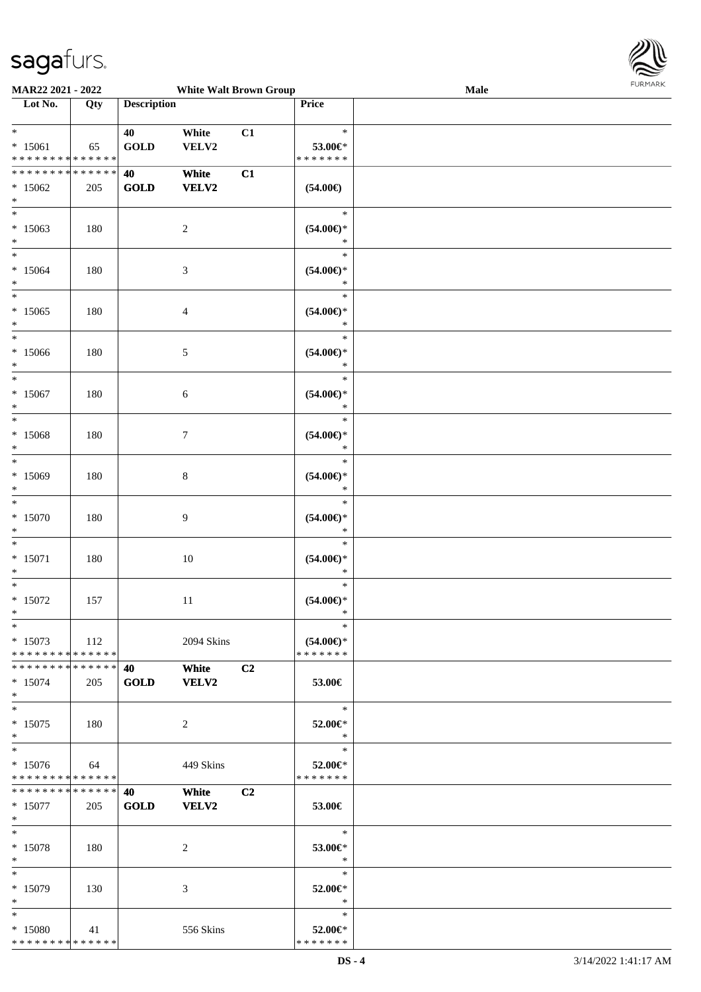

| MAR22 2021 - 2022                                 |     |                    | <b>White Walt Brown Group</b> |    |                                                | <b>FURPIARA</b><br>Male |
|---------------------------------------------------|-----|--------------------|-------------------------------|----|------------------------------------------------|-------------------------|
| Lot No.                                           | Qty | <b>Description</b> |                               |    | Price                                          |                         |
| $*$<br>$* 15061$<br>* * * * * * * * * * * * * *   | 65  | 40<br><b>GOLD</b>  | White<br>VELV2                | C1 | $\ast$<br>53.00€*<br>* * * * * * *             |                         |
| * * * * * * * * * * * * * *<br>$*15062$<br>$\ast$ | 205 | 40<br><b>GOLD</b>  | White<br>VELV2                | C1 | $(54.00\epsilon)$                              |                         |
| $\ast$<br>$*15063$<br>$\ast$                      | 180 |                    | $\overline{c}$                |    | $\ast$<br>$(54.00\epsilon)$ *<br>$\ast$        |                         |
| $\overline{\phantom{0}}$<br>$*15064$<br>$\ast$    | 180 |                    | 3                             |    | $\ast$<br>$(54.00\epsilon)$ *<br>$\ast$        |                         |
| $_{\ast}^{-}$<br>$*15065$<br>$\ast$               | 180 |                    | 4                             |    | $\ast$<br>$(54.00ε)$ *<br>$\ast$               |                         |
| $\overline{\ast}$<br>$*15066$<br>$\ast$           | 180 |                    | 5                             |    | $\ast$<br>$(54.00\epsilon)$ *<br>$\ast$        |                         |
| $\ast$<br>$*15067$<br>$\ast$                      | 180 |                    | 6                             |    | $\ast$<br>$(54.00\epsilon)$ *<br>$\ast$        |                         |
| $\overline{\phantom{1}}$<br>$*15068$<br>$\ast$    | 180 |                    | $\tau$                        |    | $\ast$<br>$(54.00\epsilon)$ *<br>$\ast$        |                         |
| $\overline{\phantom{a}^*}$<br>$*15069$<br>$\ast$  | 180 |                    | 8                             |    | $\ast$<br>$(54.00\epsilon)$ *<br>$\ast$        |                         |
| $\ast$<br>$*15070$<br>$\ast$                      | 180 |                    | 9                             |    | $\ast$<br>$(54.00\epsilon)$ *<br>$\ast$        |                         |
| $\ast$<br>$* 15071$<br>$\ast$                     | 180 |                    | 10                            |    | $\ast$<br>$(54.00\epsilon)$ *<br>$\ast$        |                         |
| $\ast$<br>$*15072$<br>$\star$                     | 157 |                    | 11                            |    | $\ast$<br>$(54.00ε)$ *<br>$\mathbf{k}$         |                         |
| $*$<br>$*15073$<br>* * * * * * * * * * * * * * *  | 112 |                    | 2094 Skins                    |    | $\ast$<br>$(54.00\epsilon)$ *<br>* * * * * * * |                         |
| * * * * * * * * * * * * * * *<br>$*15074$<br>$*$  | 205 | 40<br><b>GOLD</b>  | White<br><b>VELV2</b>         | C2 | 53.00€                                         |                         |
| $*$<br>$*15075$<br>$\ast$                         | 180 |                    | $\overline{2}$                |    | $\ast$<br>52.00€*<br>$\ast$                    |                         |
| $*$<br>$* 15076$<br>* * * * * * * * * * * * * *   | 64  |                    | 449 Skins                     |    | $\ast$<br>52.00€*<br>* * * * * * *             |                         |
| * * * * * * * * * * * * * * *<br>$*15077$<br>$*$  | 205 | 40<br><b>GOLD</b>  | White<br><b>VELV2</b>         | C2 | 53.00€                                         |                         |
| $*$<br>$* 15078$<br>$*$                           | 180 |                    | 2                             |    | $\ast$<br>53.00€*<br>$\ast$                    |                         |
| $*$<br>$* 15079$<br>$*$                           | 130 |                    | 3                             |    | $\ast$<br>52.00€*<br>$\ast$                    |                         |
| $\ast$<br>* 15080<br>**************               | 41  |                    | 556 Skins                     |    | $\ast$<br>52.00€*<br>* * * * * * *             |                         |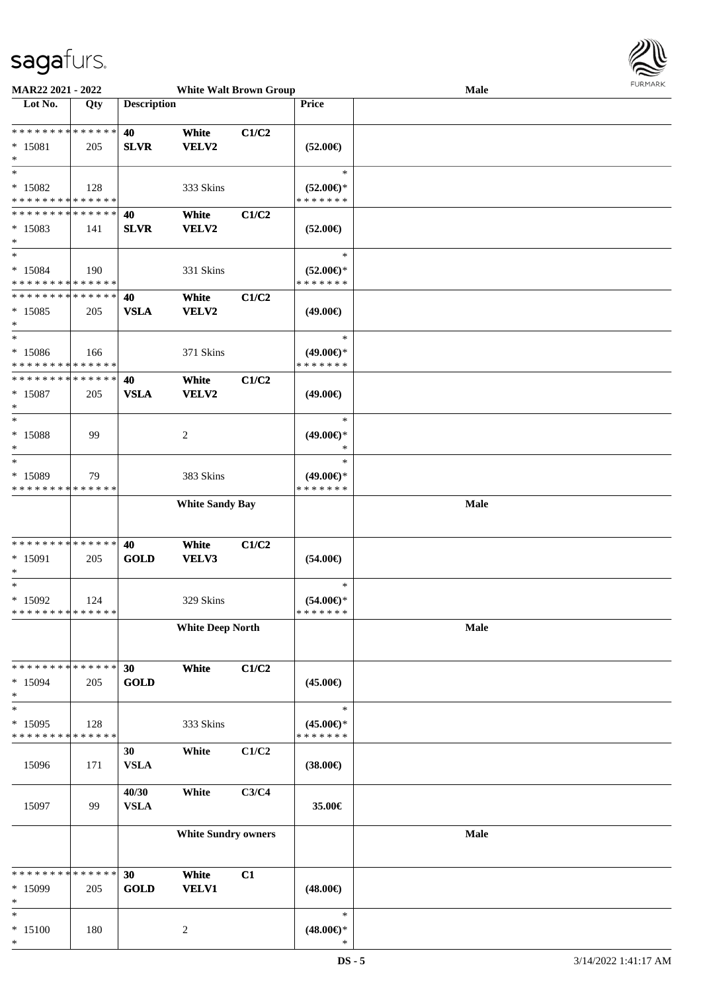

| MAR22 2021 - 2022                                  |                    |                      | <b>White Walt Brown Group</b> |       |                                                | <b>Male</b> | <b>FURMARK</b> |
|----------------------------------------------------|--------------------|----------------------|-------------------------------|-------|------------------------------------------------|-------------|----------------|
| $\overline{\phantom{1}}$ Lot No.                   | Qty                | <b>Description</b>   |                               |       | Price                                          |             |                |
| ******** <mark>******</mark><br>* 15081<br>$\ast$  | 205                | 40<br><b>SLVR</b>    | White<br>VELV2                | C1/C2 | $(52.00\epsilon)$                              |             |                |
| $\ast$<br>$*15082$<br>* * * * * * * * * * * * * *  | 128                |                      | 333 Skins                     |       | $\ast$<br>$(52.00\epsilon)$ *<br>* * * * * * * |             |                |
| * * * * * * * * * * * * * *<br>$*15083$<br>$\ast$  | 141                | 40<br><b>SLVR</b>    | White<br>VELV2                | C1/C2 | $(52.00\epsilon)$                              |             |                |
| $\ast$<br>$* 15084$<br>* * * * * * * * * * * * * * | 190                |                      | 331 Skins                     |       | $\ast$<br>$(52.00\epsilon)$ *<br>* * * * * * * |             |                |
| * * * * * * * * * * * * * *<br>$*15085$<br>$\ast$  | 205                | 40<br><b>VSLA</b>    | White<br><b>VELV2</b>         | C1/C2 | $(49.00\epsilon)$                              |             |                |
| $\ast$<br>$* 15086$<br>* * * * * * * * * * * * * * | 166                |                      | 371 Skins                     |       | $\ast$<br>$(49.00\epsilon)$ *<br>* * * * * * * |             |                |
| * * * * * * * * * * * * * *<br>$* 15087$<br>$\ast$ | 205                | 40<br><b>VSLA</b>    | White<br>VELV2                | C1/C2 | $(49.00\epsilon)$                              |             |                |
| $\ast$<br>$* 15088$<br>$\ast$                      | 99                 |                      | 2                             |       | $\ast$<br>$(49.00\epsilon)$ *<br>$\ast$        |             |                |
| $\ast$<br>* 15089<br>* * * * * * * * * * * * * *   | 79                 |                      | 383 Skins                     |       | $\ast$<br>$(49.00\epsilon)$ *<br>* * * * * * * |             |                |
|                                                    |                    |                      | <b>White Sandy Bay</b>        |       |                                                | <b>Male</b> |                |
| ******** <mark>******</mark><br>* 15091<br>$\ast$  | 205                | 40<br><b>GOLD</b>    | White<br>VELV3                | C1/C2 | $(54.00\epsilon)$                              |             |                |
| $\ast$<br>$*15092$<br>* * * * * * * * * * * * * *  | 124                |                      | 329 Skins                     |       | $\ast$<br>$(54.00\epsilon)$ *<br>* * * * * * * |             |                |
|                                                    |                    |                      | <b>White Deep North</b>       |       |                                                | Male        |                |
| * * * * * * * * * * * * * *<br>$*15094$<br>$\ast$  | 205                | 30<br><b>GOLD</b>    | White                         | C1/C2 | $(45.00\epsilon)$                              |             |                |
| $\ast$<br>$*15095$<br>* * * * * * * *              | 128<br>* * * * * * |                      | 333 Skins                     |       | $\ast$<br>$(45.00\epsilon)$ *<br>* * * * * * * |             |                |
| 15096                                              | 171                | 30<br><b>VSLA</b>    | White                         | C1/C2 | $(38.00\epsilon)$                              |             |                |
| 15097                                              | 99                 | 40/30<br><b>VSLA</b> | White                         | C3/C4 | 35.00€                                         |             |                |
|                                                    |                    |                      | <b>White Sundry owners</b>    |       |                                                | Male        |                |
| * * * * * * * * * * * * * *<br>* 15099<br>$\ast$   | 205                | 30<br><b>GOLD</b>    | White<br><b>VELV1</b>         | C1    | $(48.00\epsilon)$                              |             |                |
| $\ast$<br>$*15100$<br>$\ast$                       | 180                |                      | $\boldsymbol{2}$              |       | $\ast$<br>$(48.00\epsilon)$ *<br>$\ast$        |             |                |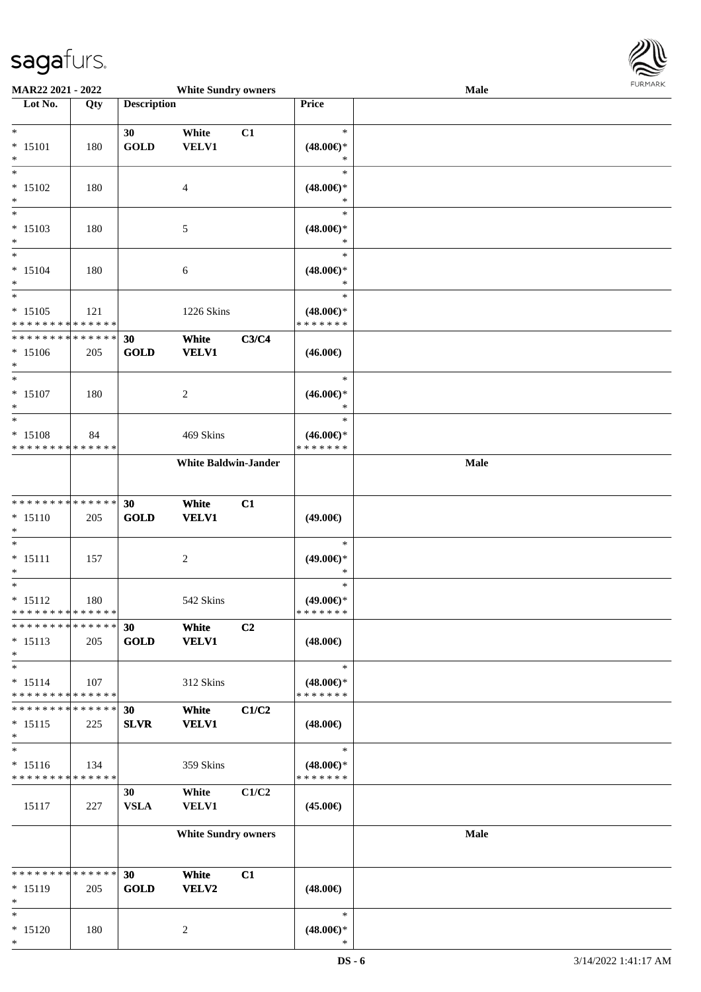

| MAR22 2021 - 2022                                   |                   |                    | <b>White Sundry owners</b>  |       |                                                | <b>Male</b> |  |
|-----------------------------------------------------|-------------------|--------------------|-----------------------------|-------|------------------------------------------------|-------------|--|
| Lot No.                                             | $\overline{Q}$ ty | <b>Description</b> |                             |       | Price                                          |             |  |
| $*$<br>$* 15101$<br>$\ast$                          | 180               | 30<br><b>GOLD</b>  | White<br>VELV1              | C1    | $\ast$<br>$(48.00\epsilon)$ *<br>∗             |             |  |
| $*$<br>$* 15102$<br>$\ast$                          | 180               |                    | 4                           |       | $\ast$<br>$(48.00\epsilon)$ *<br>∗             |             |  |
| $\overline{\phantom{0}}$<br>$* 15103$<br>$\ast$     | 180               |                    | 5                           |       | $\ast$<br>$(48.00\epsilon)$ *<br>*             |             |  |
| $*$<br>$* 15104$<br>$\ast$                          | 180               |                    | 6                           |       | $\ast$<br>$(48.00\epsilon)$ *<br>$\ast$        |             |  |
| $\ast$<br>$* 15105$<br>******** <mark>******</mark> | 121               |                    | 1226 Skins                  |       | $\ast$<br>$(48.00\epsilon)$ *<br>* * * * * * * |             |  |
| * * * * * * * * * * * * * *<br>$* 15106$<br>$\ast$  | 205               | 30<br><b>GOLD</b>  | White<br><b>VELV1</b>       | C3/C4 | $(46.00\epsilon)$                              |             |  |
| $\ast$<br>$* 15107$<br>$\ast$                       | 180               |                    | 2                           |       | $\ast$<br>$(46.00\epsilon)$ *<br>$\ast$        |             |  |
| $\ast$<br>$* 15108$<br>* * * * * * * * * * * * * *  | 84                |                    | 469 Skins                   |       | $\ast$<br>$(46.00\epsilon)$ *<br>* * * * * * * |             |  |
|                                                     |                   |                    | <b>White Baldwin-Jander</b> |       |                                                | Male        |  |
| * * * * * * * * * * * * * *<br>$* 15110$<br>$\ast$  | 205               | 30<br><b>GOLD</b>  | White<br><b>VELV1</b>       | C1    | $(49.00\epsilon)$                              |             |  |
| $\ast$<br>$* 15111$<br>$\ast$                       | 157               |                    | $\overline{c}$              |       | $\ast$<br>$(49.00\epsilon)$ *<br>*             |             |  |
| $\ast$<br>$* 15112$<br>* * * * * * * * * * * * * *  | 180               |                    | 542 Skins                   |       | $\ast$<br>$(49.00\epsilon)$ *<br>* * * * * * * |             |  |
| * * * * * * * * * * * * * *<br>$* 15113$<br>$\ast$  | 205               | 30<br><b>GOLD</b>  | White<br><b>VELV1</b>       | C2    | $(48.00\epsilon)$                              |             |  |
| $\ast$<br>$* 15114$<br>* * * * * * * * * * * * * *  | 107               |                    | 312 Skins                   |       | $\ast$<br>$(48.00\epsilon)$ *<br>* * * * * * * |             |  |
| * * * * * * * * * * * * * *<br>$* 15115$<br>$\ast$  | 225               | 30<br><b>SLVR</b>  | White<br><b>VELV1</b>       | C1/C2 | $(48.00\epsilon)$                              |             |  |
| $\ast$<br>$* 15116$<br>* * * * * * * * * * * * * *  | 134               |                    | 359 Skins                   |       | $\ast$<br>$(48.00\epsilon)$ *<br>* * * * * * * |             |  |
| 15117                                               | 227               | 30<br><b>VSLA</b>  | White<br><b>VELV1</b>       | C1/C2 | $(45.00\epsilon)$                              |             |  |
|                                                     |                   |                    | <b>White Sundry owners</b>  |       |                                                | Male        |  |
| * * * * * * * * * * * * * *<br>* 15119<br>$\ast$    | 205               | 30<br><b>GOLD</b>  | White<br>VELV2              | C1    | $(48.00\epsilon)$                              |             |  |
| $*$<br>$* 15120$<br>$\ast$                          | 180               |                    | $\overline{c}$              |       | $\ast$<br>$(48.00\epsilon)$ *<br>$\ast$        |             |  |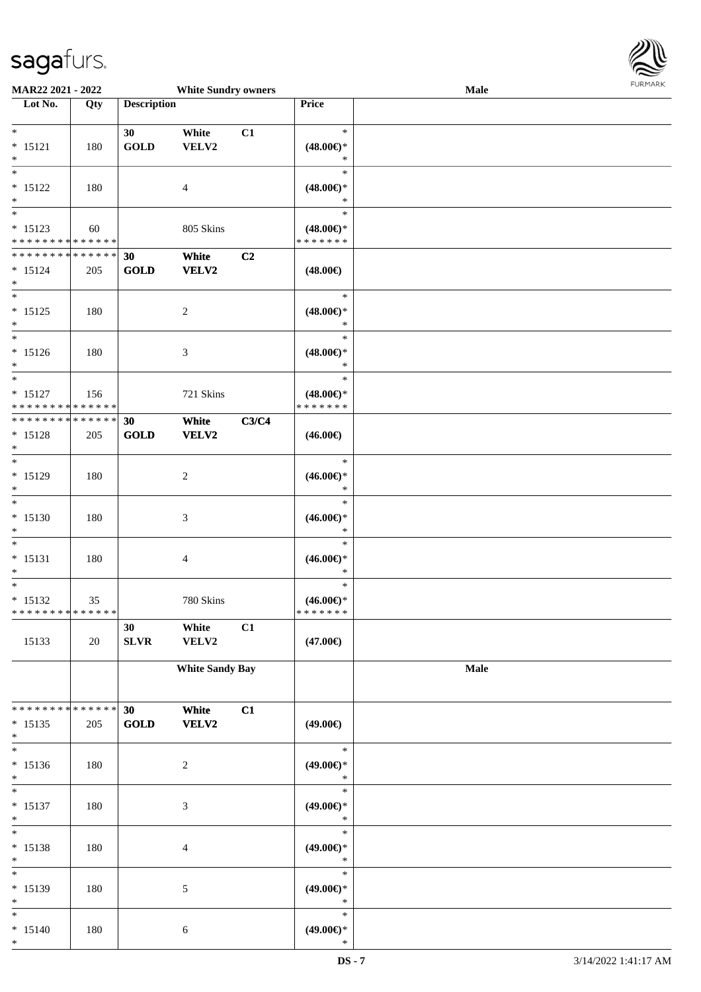

| MAR22 2021 - 2022                        |     |                    | <b>White Sundry owners</b>  |                |                                      | Male |  |
|------------------------------------------|-----|--------------------|-----------------------------|----------------|--------------------------------------|------|--|
| Lot No.                                  | Qty | <b>Description</b> |                             |                | Price                                |      |  |
|                                          |     |                    |                             |                |                                      |      |  |
| $*$                                      |     | 30                 | White                       | C1             | $\ast$                               |      |  |
| $* 15121$                                | 180 | <b>GOLD</b>        | VELV2                       |                | $(48.00\epsilon)$ *                  |      |  |
| $\ast$<br>$\overline{\ast}$              |     |                    |                             |                | $\ast$<br>$\ast$                     |      |  |
|                                          |     |                    |                             |                |                                      |      |  |
| $* 15122$<br>$\ast$                      | 180 |                    | 4                           |                | $(48.00\epsilon)$ *<br>$\ast$        |      |  |
| $\overline{\ast}$                        |     |                    |                             |                | $\ast$                               |      |  |
|                                          |     |                    |                             |                |                                      |      |  |
| $* 15123$<br>* * * * * * * * * * * * * * | 60  |                    | 805 Skins                   |                | $(48.00\epsilon)$ *<br>* * * * * * * |      |  |
| * * * * * * * * * * * * * *              |     | 30                 | White                       | C <sub>2</sub> |                                      |      |  |
| $* 15124$                                | 205 | GOLD               | <b>VELV2</b>                |                | $(48.00\epsilon)$                    |      |  |
| $*$                                      |     |                    |                             |                |                                      |      |  |
| $\overline{\ast}$                        |     |                    |                             |                | $\ast$                               |      |  |
| $* 15125$                                | 180 |                    | $\boldsymbol{2}$            |                | $(48.00\epsilon)$ *                  |      |  |
| $*$                                      |     |                    |                             |                | $\ast$                               |      |  |
| $\overline{\ast}$                        |     |                    |                             |                | $\ast$                               |      |  |
| $* 15126$                                | 180 |                    | 3                           |                | $(48.00\epsilon)$ *                  |      |  |
| $*$                                      |     |                    |                             |                | $\ast$                               |      |  |
| $*$                                      |     |                    |                             |                | $\ast$                               |      |  |
| $* 15127$                                | 156 |                    | 721 Skins                   |                | $(48.00\epsilon)$ *                  |      |  |
| * * * * * * * * * * * * * *              |     |                    |                             |                | * * * * * * *                        |      |  |
| * * * * * * * * * * * * * *              |     | 30                 | White                       | C3/C4          |                                      |      |  |
| $* 15128$                                | 205 | <b>GOLD</b>        | <b>VELV2</b>                |                | $(46.00\epsilon)$                    |      |  |
| $\ast$                                   |     |                    |                             |                |                                      |      |  |
| $*$                                      |     |                    |                             |                | $\ast$                               |      |  |
| * 15129                                  | 180 |                    | $\overline{c}$              |                | $(46.00\mathnormal{\infty})^*$       |      |  |
| $*$                                      |     |                    |                             |                | $\ast$                               |      |  |
| $\overline{\ast}$                        |     |                    |                             |                | $\ast$                               |      |  |
| $* 15130$                                | 180 |                    | $\ensuremath{\mathfrak{Z}}$ |                | $(46.00\epsilon)$ *                  |      |  |
| $*$                                      |     |                    |                             |                | $\ast$                               |      |  |
| $*$                                      |     |                    |                             |                | $\ast$                               |      |  |
| $* 15131$                                | 180 |                    | 4                           |                | $(46.00\epsilon)$ *                  |      |  |
| $*$                                      |     |                    |                             |                | $\ast$                               |      |  |
| $*$                                      |     |                    |                             |                | $\ast$                               |      |  |
| $* 15132$                                | 35  |                    | 780 Skins                   |                | $(46.00ε)$ *                         |      |  |
| * * * * * * * * * * * * * * *            |     |                    |                             |                | *******                              |      |  |
|                                          |     | 30                 | White                       | C1             |                                      |      |  |
| 15133                                    | 20  | SLVR               | VELV2                       |                | $(47.00\epsilon)$                    |      |  |
|                                          |     |                    |                             |                |                                      |      |  |
|                                          |     |                    | <b>White Sandy Bay</b>      |                |                                      | Male |  |
|                                          |     |                    |                             |                |                                      |      |  |
| * * * * * * * * * * * * * * *            |     | 30                 | White                       | C1             |                                      |      |  |
| $* 15135$                                | 205 | GOLD               | <b>VELV2</b>                |                | $(49.00\epsilon)$                    |      |  |
| $*$                                      |     |                    |                             |                |                                      |      |  |
| $*$                                      |     |                    |                             |                | $\ast$                               |      |  |
| $* 15136$                                | 180 |                    | $\boldsymbol{2}$            |                | $(49.00\epsilon)$ *                  |      |  |
| $*$                                      |     |                    |                             |                | $\ast$                               |      |  |
| $*$                                      |     |                    |                             |                | $\ast$                               |      |  |
| $* 15137$                                | 180 |                    | $\ensuremath{\mathfrak{Z}}$ |                | $(49.00\epsilon)$ *                  |      |  |
| $*$                                      |     |                    |                             |                | $\ast$                               |      |  |
| $*$                                      |     |                    |                             |                | $\ast$                               |      |  |
| * 15138                                  | 180 |                    | 4                           |                | $(49.00\epsilon)$ *                  |      |  |
| $*$                                      |     |                    |                             |                | $\ast$                               |      |  |
| $\ast$                                   |     |                    |                             |                | $\ast$                               |      |  |
| * 15139                                  | 180 |                    | 5                           |                | $(49.00\epsilon)$ *                  |      |  |
| $*$                                      |     |                    |                             |                | $\ast$                               |      |  |
| $*$                                      |     |                    |                             |                | $\ast$                               |      |  |
| $* 15140$                                | 180 |                    | 6                           |                | $(49.00\epsilon)$ *                  |      |  |
| $*$                                      |     |                    |                             |                | $\ast$                               |      |  |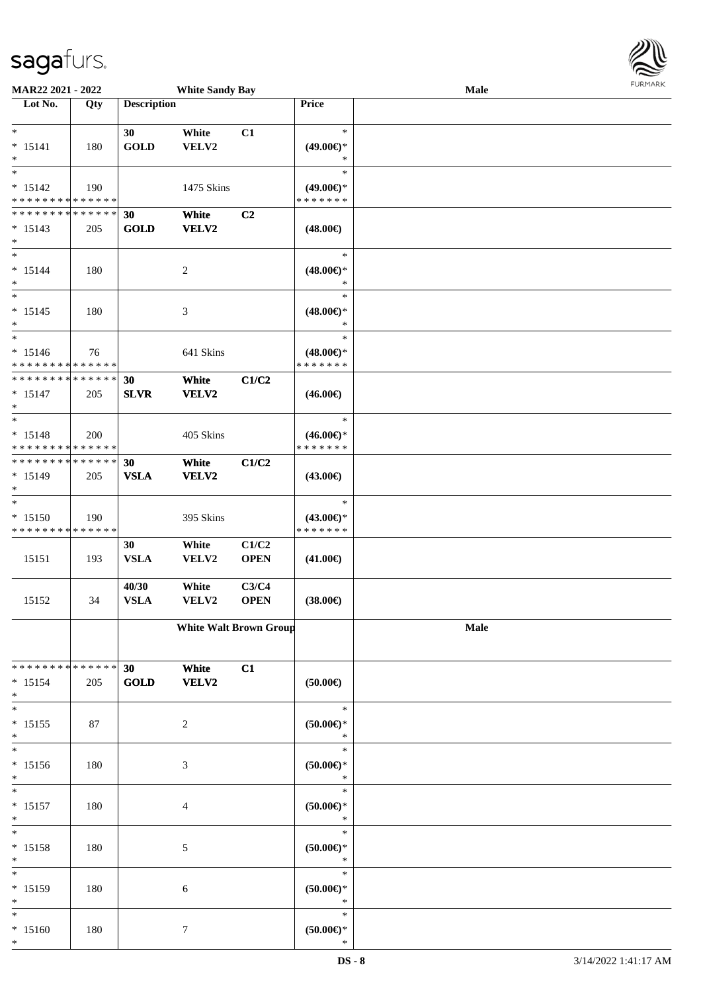

| <b>MAR22 2021 - 2022</b>      |     |                    | <b>White Sandy Bay</b>        |                |                     | <b>Male</b> |  |
|-------------------------------|-----|--------------------|-------------------------------|----------------|---------------------|-------------|--|
| Lot No.                       | Qty | <b>Description</b> |                               |                | <b>Price</b>        |             |  |
|                               |     |                    |                               |                |                     |             |  |
| $\ast$                        |     | 30                 | White                         | C1             | $\ast$              |             |  |
| $* 15141$                     | 180 | <b>GOLD</b>        | VELV2                         |                | $(49.00ε)$ *        |             |  |
| $\ast$                        |     |                    |                               |                | ∗                   |             |  |
| $*$                           |     |                    |                               |                | $\ast$              |             |  |
|                               |     |                    |                               |                |                     |             |  |
| $* 15142$                     | 190 |                    | 1475 Skins                    |                | $(49.00\epsilon)$ * |             |  |
| * * * * * * * * * * * * * *   |     |                    |                               |                | * * * * * * *       |             |  |
| * * * * * * * * * * * * * *   |     | 30                 | White                         | C <sub>2</sub> |                     |             |  |
| $* 15143$                     | 205 | <b>GOLD</b>        | VELV2                         |                | $(48.00\epsilon)$   |             |  |
| $*$                           |     |                    |                               |                |                     |             |  |
| $*$                           |     |                    |                               |                | $\ast$              |             |  |
|                               |     |                    |                               |                |                     |             |  |
| $* 15144$                     | 180 |                    | $\overline{c}$                |                | $(48.00\epsilon)$ * |             |  |
| $*$                           |     |                    |                               |                | $\ast$              |             |  |
| $*$                           |     |                    |                               |                | $\ast$              |             |  |
| $* 15145$                     | 180 |                    | 3                             |                | $(48.00\epsilon)$ * |             |  |
| $*$                           |     |                    |                               |                | $\ast$              |             |  |
| $*$                           |     |                    |                               |                | $\ast$              |             |  |
|                               |     |                    |                               |                |                     |             |  |
| $* 15146$                     | 76  |                    | 641 Skins                     |                | $(48.00\epsilon)$ * |             |  |
| * * * * * * * * * * * * * *   |     |                    |                               |                | * * * * * * *       |             |  |
| * * * * * * * * * * * * * *   |     | 30                 | White                         | C1/C2          |                     |             |  |
| $* 15147$                     | 205 | <b>SLVR</b>        | VELV2                         |                | $(46.00\epsilon)$   |             |  |
| $*$                           |     |                    |                               |                |                     |             |  |
|                               |     |                    |                               |                | $\ast$              |             |  |
| $* 15148$                     | 200 |                    | 405 Skins                     |                | $(46.00\epsilon)$ * |             |  |
| * * * * * * * * * * * * * *   |     |                    |                               |                | * * * * * * *       |             |  |
|                               |     |                    |                               |                |                     |             |  |
| * * * * * * * * * * * * * *   |     | 30                 | White                         | C1/C2          |                     |             |  |
| $* 15149$                     | 205 | <b>VSLA</b>        | VELV2                         |                | $(43.00\epsilon)$   |             |  |
| $*$                           |     |                    |                               |                |                     |             |  |
| $*$                           |     |                    |                               |                | $\ast$              |             |  |
| $* 15150$                     | 190 |                    | 395 Skins                     |                | $(43.00\epsilon)$ * |             |  |
| * * * * * * * * * * * * * *   |     |                    |                               |                | * * * * * * *       |             |  |
|                               |     |                    |                               |                |                     |             |  |
|                               |     | 30                 | White                         | C1/C2          |                     |             |  |
| 15151                         | 193 | <b>VSLA</b>        | VELV2                         | <b>OPEN</b>    | $(41.00\epsilon)$   |             |  |
|                               |     |                    |                               |                |                     |             |  |
|                               |     | 40/30              | White                         | C3/C4          |                     |             |  |
| 15152                         | 34  | <b>VSLA</b>        | VELV2                         | <b>OPEN</b>    | $(38.00\epsilon)$   |             |  |
|                               |     |                    |                               |                |                     |             |  |
|                               |     |                    | <b>White Walt Brown Group</b> |                |                     | Male        |  |
|                               |     |                    |                               |                |                     |             |  |
|                               |     |                    |                               |                |                     |             |  |
|                               |     |                    |                               |                |                     |             |  |
| * * * * * * * * * * * * * * * |     | 30                 | White                         | C1             |                     |             |  |
| $* 15154$                     | 205 | <b>GOLD</b>        | VELV2                         |                | $(50.00\epsilon)$   |             |  |
| $*$                           |     |                    |                               |                |                     |             |  |
| $*$                           |     |                    |                               |                | $\ast$              |             |  |
| $* 15155$                     | 87  |                    | $\overline{c}$                |                | $(50.00\in)^\ast$   |             |  |
| $*$                           |     |                    |                               |                | $\ast$              |             |  |
| $\overline{\ast}$             |     |                    |                               |                | $\ast$              |             |  |
|                               |     |                    |                               |                |                     |             |  |
| $* 15156$                     | 180 |                    | 3                             |                | (50.00)             |             |  |
| $\ast$                        |     |                    |                               |                | $\ast$              |             |  |
| $*$                           |     |                    |                               |                | $\ast$              |             |  |
| $* 15157$                     | 180 |                    | 4                             |                | (50.00)             |             |  |
| $*$                           |     |                    |                               |                | $\ast$              |             |  |
| $*$                           |     |                    |                               |                | $\ast$              |             |  |
|                               |     |                    |                               |                |                     |             |  |
| $* 15158$                     | 180 |                    | 5                             |                | $(50.00ε)$ *        |             |  |
| $*$                           |     |                    |                               |                | $\ast$              |             |  |
| $\ast$                        |     |                    |                               |                | $\ast$              |             |  |
| * 15159                       | 180 |                    | 6                             |                | $(50.00ε)$ *        |             |  |
| $*$                           |     |                    |                               |                | $\ast$              |             |  |
| $*$                           |     |                    |                               |                | $\ast$              |             |  |
| $* 15160$                     | 180 |                    | 7                             |                | $(50.00ε)$ *        |             |  |
| $\ast$                        |     |                    |                               |                | $\ast$              |             |  |
|                               |     |                    |                               |                |                     |             |  |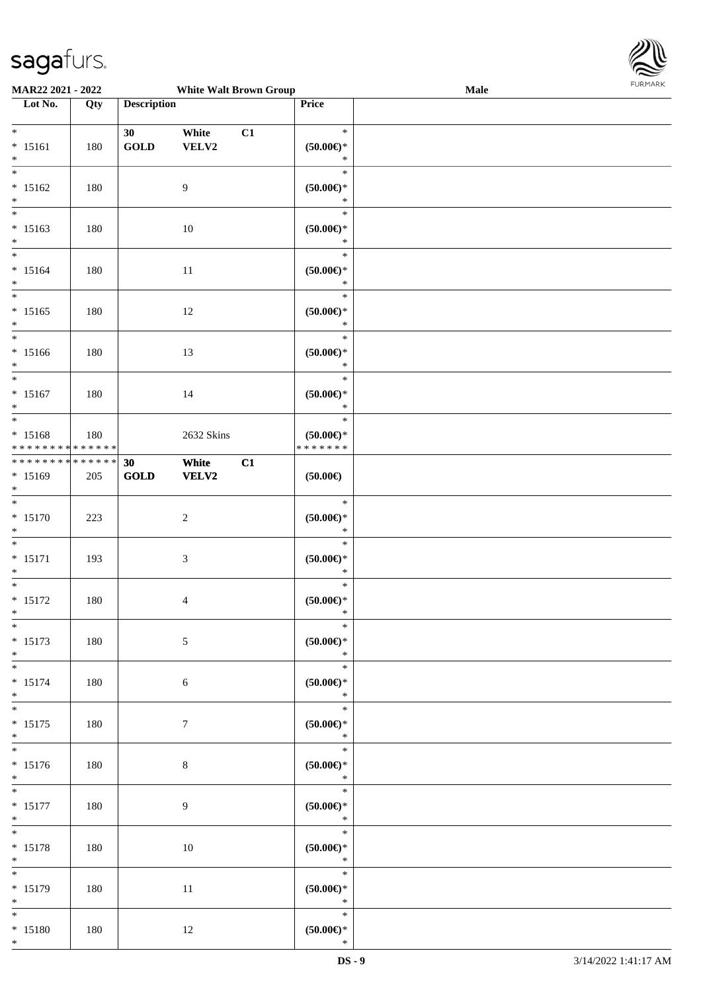

| MAR22 2021 - 2022                                   |     |                             | <b>White Walt Brown Group</b> |    |                                                    | <b>Male</b> |  |
|-----------------------------------------------------|-----|-----------------------------|-------------------------------|----|----------------------------------------------------|-------------|--|
| Lot No.                                             | Qty | <b>Description</b>          |                               |    | Price                                              |             |  |
| $*$<br>$* 15161$<br>$\ast$                          | 180 | 30<br>$\operatorname{GOLD}$ | White<br>VELV2                | C1 | $\ast$<br>$(50.00\epsilon)$ *<br>$\ast$            |             |  |
| $* 15162$<br>$\ast$                                 | 180 |                             | 9                             |    | $\ast$<br>$(50.00ε)$ *<br>$\ast$                   |             |  |
| $\overline{\phantom{0}}$<br>$* 15163$<br>$*$        | 180 |                             | 10                            |    | $\ast$<br>$(50.00\mathnormal{\infty})^*$<br>$\ast$ |             |  |
| $*$<br>$* 15164$<br>$*$                             | 180 |                             | 11                            |    | $\ast$<br>$(50.00ε)$ *<br>$\ast$                   |             |  |
| $\overline{\ast}$<br>$* 15165$<br>$*$               | 180 |                             | 12                            |    | $\ast$<br>$(50.00ε)$ *<br>$\ast$                   |             |  |
| $\overline{\ast}$<br>$* 15166$<br>$*$               | 180 |                             | 13                            |    | $\ast$<br>$(50.00ε)$ *<br>$\ast$                   |             |  |
| $*$<br>$* 15167$<br>$*$                             | 180 |                             | 14                            |    | $\ast$<br>$(50.00ε)$ *<br>$\ast$                   |             |  |
| $*$<br>* 15168<br>* * * * * * * * * * * * * *       | 180 |                             | 2632 Skins                    |    | $\ast$<br>$(50.00\epsilon)$ *<br>* * * * * * *     |             |  |
| * * * * * * * * * * * * * * *<br>* 15169<br>$*$     | 205 | 30<br>GOLD                  | White<br><b>VELV2</b>         | C1 | $(50.00\epsilon)$                                  |             |  |
| $\overline{\ast}$<br>$* 15170$<br>$*$               | 223 |                             | $\boldsymbol{2}$              |    | $\ast$<br>$(50.00 \in )^*$<br>$\ast$               |             |  |
| $*$<br>$* 15171$<br>$*$                             | 193 |                             | 3                             |    | $\ast$<br>$(50.00ε)$ *<br>$\ast$                   |             |  |
| $*$<br>$* 15172$<br>$*$                             | 180 |                             | $\overline{\mathcal{A}}$      |    | $\ast$<br>$(50.00 \in )^*$<br>$\ast$               |             |  |
| $*$<br>$* 15173$<br>$*$                             | 180 |                             | 5                             |    | $\ast$<br>(50.00)<br>$\ast$                        |             |  |
| $*$<br>$* 15174$<br>$*$<br>$\overline{\phantom{0}}$ | 180 |                             | 6                             |    | $\ast$<br>$(50.00ε)$ *<br>$\ast$                   |             |  |
| $* 15175$<br>$*$<br>$*$                             | 180 |                             | $\tau$                        |    | $\ast$<br>$(50.00\in)^\ast$<br>$\ast$              |             |  |
| $* 15176$<br>$*$                                    | 180 |                             | $8\,$                         |    | $\ast$<br>$(50.00\epsilon)$ *<br>$\ast$            |             |  |
| $*$<br>$* 15177$<br>$*$                             | 180 |                             | 9                             |    | $\ast$<br>$(50.00 \textrm{E})^*$<br>$\ast$         |             |  |
| $*$<br>$* 15178$<br>$*$                             | 180 |                             | $10\,$                        |    | $\ast$<br>$(50.00\epsilon)$ *<br>$\ast$            |             |  |
| $\overline{\ast}$<br>$* 15179$<br>$*$               | 180 |                             | 11                            |    | $\ast$<br>$(50.00ε)$ *<br>$\ast$                   |             |  |
| $*$<br>$* 15180$<br>$*$                             | 180 |                             | 12                            |    | $\ast$<br>$(50.00\epsilon)$ *<br>$\ast$            |             |  |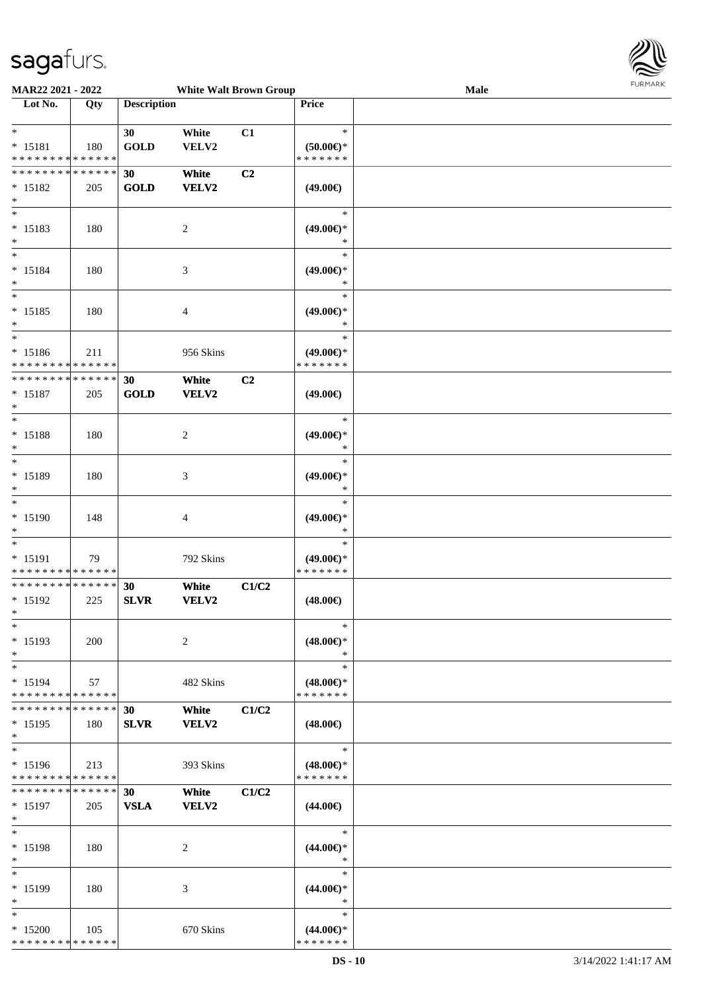

| MAR22 2021 - 2022             |     |                    | <b>White Walt Brown Group</b> |                |                               | Male | <b>FURITARK</b> |
|-------------------------------|-----|--------------------|-------------------------------|----------------|-------------------------------|------|-----------------|
| Lot No.                       | Qty | <b>Description</b> |                               |                | Price                         |      |                 |
|                               |     |                    |                               |                |                               |      |                 |
| $\ast$                        |     | 30                 | White                         | C1             | $\ast$                        |      |                 |
| $* 15181$                     | 180 | <b>GOLD</b>        | VELV2                         |                | $(50.00 \in )$ *              |      |                 |
| * * * * * * * * * * * * * *   |     |                    |                               |                | * * * * * * *                 |      |                 |
| **************                |     | 30                 | White                         | C2             |                               |      |                 |
| $* 15182$                     | 205 | <b>GOLD</b>        | VELV2                         |                | $(49.00\epsilon)$             |      |                 |
| $\ast$                        |     |                    |                               |                |                               |      |                 |
| $_{\ast}^{-}$                 |     |                    |                               |                | $\ast$                        |      |                 |
| $* 15183$                     | 180 |                    | $\overline{c}$                |                | $(49.00\epsilon)$ *           |      |                 |
| $\ast$                        |     |                    |                               |                | ∗                             |      |                 |
| $\ast$                        |     |                    |                               |                | $\ast$                        |      |                 |
| $* 15184$                     | 180 |                    | 3                             |                | $(49.00\epsilon)$ *           |      |                 |
| $\ast$                        |     |                    |                               |                | ∗                             |      |                 |
| $\overline{\phantom{a}^*}$    |     |                    |                               |                | $\ast$                        |      |                 |
| $* 15185$                     | 180 |                    | 4                             |                | $(49.00\epsilon)$ *           |      |                 |
| $\ast$                        |     |                    |                               |                | $\ast$                        |      |                 |
| $\overline{\phantom{a}^*}$    |     |                    |                               |                | $\ast$                        |      |                 |
| $* 15186$                     | 211 |                    | 956 Skins                     |                | $(49.00\epsilon)$ *           |      |                 |
| * * * * * * * * * * * * * *   |     |                    |                               |                | * * * * * * *                 |      |                 |
| **************                |     | 30                 | White                         | C <sub>2</sub> |                               |      |                 |
| $* 15187$                     | 205 | <b>GOLD</b>        | VELV2                         |                | $(49.00\epsilon)$             |      |                 |
| $\ast$                        |     |                    |                               |                |                               |      |                 |
| $\ast$                        |     |                    |                               |                | $\ast$                        |      |                 |
| $* 15188$                     | 180 |                    | $\overline{c}$                |                | $(49.00\epsilon)$ *           |      |                 |
| $\ast$                        |     |                    |                               |                | $\ast$                        |      |                 |
| $_{\ast}^{-}$                 |     |                    |                               |                | $\ast$                        |      |                 |
| * 15189                       | 180 |                    | $\mathfrak{Z}$                |                | $(49.00\epsilon)$ *           |      |                 |
| $\ast$                        |     |                    |                               |                | $\ast$                        |      |                 |
| $\overline{\ast}$             |     |                    |                               |                | $\ast$                        |      |                 |
| $* 15190$                     | 148 |                    | 4                             |                | $(49.00\epsilon)$ *           |      |                 |
| $\ast$                        |     |                    |                               |                | $\ast$                        |      |                 |
| $\ast$                        |     |                    |                               |                | $\ast$                        |      |                 |
| * 15191                       | 79  |                    | 792 Skins                     |                | $(49.00\epsilon)$ *           |      |                 |
| * * * * * * * * * * * * * *   |     |                    |                               |                | * * * * * * *                 |      |                 |
| **************                |     | 30                 | White                         | C1/C2          |                               |      |                 |
| $* 15192$                     | 225 | <b>SLVR</b>        | VELV2                         |                | $(48.00\epsilon)$             |      |                 |
| $*$                           |     |                    |                               |                |                               |      |                 |
| $\ast$                        |     |                    |                               |                | $\ast$                        |      |                 |
| $* 15193$                     | 200 |                    | $\overline{c}$                |                | $(48.00\epsilon)$ *           |      |                 |
| $\ast$                        |     |                    |                               |                | $\ast$                        |      |                 |
| $\ast$                        |     |                    |                               |                | $\ast$                        |      |                 |
| $* 15194$                     | 57  |                    | 482 Skins                     |                | $(48.00\epsilon)$ *           |      |                 |
| * * * * * * * * * * * * * * * |     |                    |                               |                | * * * * * * *                 |      |                 |
| * * * * * * * * * * * * * *   |     | 30                 | White                         | C1/C2          |                               |      |                 |
| $*15195$                      | 180 | <b>SLVR</b>        | <b>VELV2</b>                  |                | $(48.00\epsilon)$             |      |                 |
| $\ast$                        |     |                    |                               |                |                               |      |                 |
| $\ast$                        |     |                    |                               |                | $\ast$                        |      |                 |
| $* 15196$                     | 213 |                    | 393 Skins                     |                | $(48.00\epsilon)$ *           |      |                 |
| * * * * * * * * * * * * * *   |     |                    |                               |                | * * * * * * *                 |      |                 |
| * * * * * * * * * * * * * * * |     | 30                 | White                         | C1/C2          |                               |      |                 |
| $* 15197$                     | 205 | <b>VSLA</b>        | VELV2                         |                |                               |      |                 |
| $\ast$                        |     |                    |                               |                | $(44.00\epsilon)$             |      |                 |
| $\ast$                        |     |                    |                               |                | $\ast$                        |      |                 |
| * 15198                       | 180 |                    |                               |                | $(44.00\epsilon)$ *           |      |                 |
| $\ast$                        |     |                    | 2                             |                | $\ast$                        |      |                 |
| $\ast$                        |     |                    |                               |                | $\ast$                        |      |                 |
|                               |     |                    |                               |                |                               |      |                 |
| $* 15199$<br>$\ast$           | 180 |                    | 3                             |                | $(44.00\epsilon)$ *<br>$\ast$ |      |                 |
| $\ast$                        |     |                    |                               |                | $\ast$                        |      |                 |
|                               |     |                    |                               |                |                               |      |                 |
| $*15200$                      | 105 |                    | 670 Skins                     |                | $(44.00\epsilon)$ *           |      |                 |
| * * * * * * * * * * * * * *   |     |                    |                               |                | * * * * * * *                 |      |                 |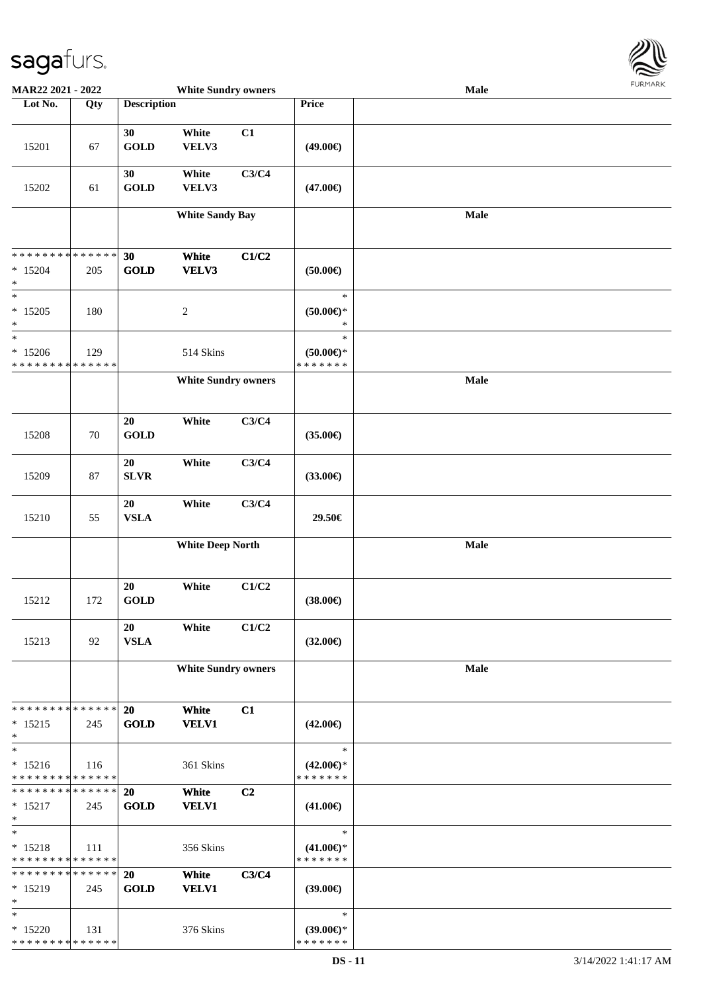

| MAR22 2021 - 2022             |        |                    | <b>White Sundry owners</b> |                |                     | Male        |  |
|-------------------------------|--------|--------------------|----------------------------|----------------|---------------------|-------------|--|
| Lot No.                       | Qty    | <b>Description</b> |                            |                | Price               |             |  |
|                               |        |                    |                            |                |                     |             |  |
|                               |        | 30                 | White                      | C1             |                     |             |  |
| 15201                         | 67     | <b>GOLD</b>        | VELV3                      |                | $(49.00\epsilon)$   |             |  |
|                               |        |                    |                            |                |                     |             |  |
|                               |        | 30                 | White                      | C3/C4          |                     |             |  |
| 15202                         | 61     | <b>GOLD</b>        | VELV3                      |                | $(47.00\epsilon)$   |             |  |
|                               |        |                    |                            |                |                     |             |  |
|                               |        |                    | <b>White Sandy Bay</b>     |                |                     | Male        |  |
|                               |        |                    |                            |                |                     |             |  |
| * * * * * * * * * * * * * *   |        | 30                 |                            |                |                     |             |  |
| $*15204$                      | 205    | <b>GOLD</b>        | White<br>VELV3             | C1/C2          | $(50.00\epsilon)$   |             |  |
| $\ast$                        |        |                    |                            |                |                     |             |  |
| $\ast$                        |        |                    |                            |                | $\ast$              |             |  |
| $*15205$                      | 180    |                    | $\boldsymbol{2}$           |                | $(50.00)$ *         |             |  |
| $\ast$                        |        |                    |                            |                | $\ast$              |             |  |
| $\ast$                        |        |                    |                            |                | $\ast$              |             |  |
| $*15206$                      | 129    |                    | 514 Skins                  |                | $(50.00)$ *         |             |  |
| * * * * * * * * * * * * * *   |        |                    |                            |                | * * * * * * *       |             |  |
|                               |        |                    | <b>White Sundry owners</b> |                |                     | Male        |  |
|                               |        |                    |                            |                |                     |             |  |
|                               |        | 20                 | White                      | C3/C4          |                     |             |  |
| 15208                         | $70\,$ | <b>GOLD</b>        |                            |                | $(35.00\epsilon)$   |             |  |
|                               |        |                    |                            |                |                     |             |  |
|                               |        | 20                 | White                      | C3/C4          |                     |             |  |
| 15209                         | $87\,$ | ${\bf SLVR}$       |                            |                | $(33.00\epsilon)$   |             |  |
|                               |        |                    |                            |                |                     |             |  |
|                               |        | $20\,$             | White                      | C3/C4          |                     |             |  |
| 15210                         | 55     | <b>VSLA</b>        |                            |                | 29.50€              |             |  |
|                               |        |                    |                            |                |                     | Male        |  |
|                               |        |                    | <b>White Deep North</b>    |                |                     |             |  |
|                               |        |                    |                            |                |                     |             |  |
|                               |        | 20                 | White                      | C1/C2          |                     |             |  |
| 15212                         | 172    | <b>GOLD</b>        |                            |                | $(38.00\epsilon)$   |             |  |
|                               |        |                    |                            |                |                     |             |  |
|                               |        | 20                 | White                      | C1/C2          |                     |             |  |
| 15213                         | 92     | <b>VSLA</b>        |                            |                | $(32.00\epsilon)$   |             |  |
|                               |        |                    |                            |                |                     |             |  |
|                               |        |                    | <b>White Sundry owners</b> |                |                     | <b>Male</b> |  |
|                               |        |                    |                            |                |                     |             |  |
| * * * * * * * * * * * * * *   |        | <b>20</b>          | White                      | C1             |                     |             |  |
| $* 15215$                     | 245    | <b>GOLD</b>        | <b>VELV1</b>               |                | $(42.00\epsilon)$   |             |  |
| $\ast$                        |        |                    |                            |                |                     |             |  |
| $\ast$                        |        |                    |                            |                | $\ast$              |             |  |
| $* 15216$                     | 116    |                    | 361 Skins                  |                | $(42.00\epsilon)$ * |             |  |
| * * * * * * * * * * * * * *   |        |                    |                            |                | * * * * * * *       |             |  |
| * * * * * * * * * * * * * * * |        | 20                 | White                      | C <sub>2</sub> |                     |             |  |
| $* 15217$                     | 245    | <b>GOLD</b>        | <b>VELV1</b>               |                | $(41.00\epsilon)$   |             |  |
| $\ast$<br>$\ast$              |        |                    |                            |                | $\ast$              |             |  |
| $* 15218$                     |        |                    | 356 Skins                  |                | $(41.00\epsilon)$ * |             |  |
| * * * * * * * * * * * * * *   | 111    |                    |                            |                | * * * * * * *       |             |  |
| * * * * * * * * * * * * * *   |        | <b>20</b>          | White                      | C3/C4          |                     |             |  |
| $* 15219$                     | 245    | <b>GOLD</b>        | <b>VELV1</b>               |                | $(39.00\epsilon)$   |             |  |
| $\ast$                        |        |                    |                            |                |                     |             |  |
| $\ast$                        |        |                    |                            |                | $\ast$              |             |  |
| $*15220$                      | 131    |                    | 376 Skins                  |                | $(39.00\epsilon)$ * |             |  |
| * * * * * * * * * * * * * *   |        |                    |                            |                | * * * * * * *       |             |  |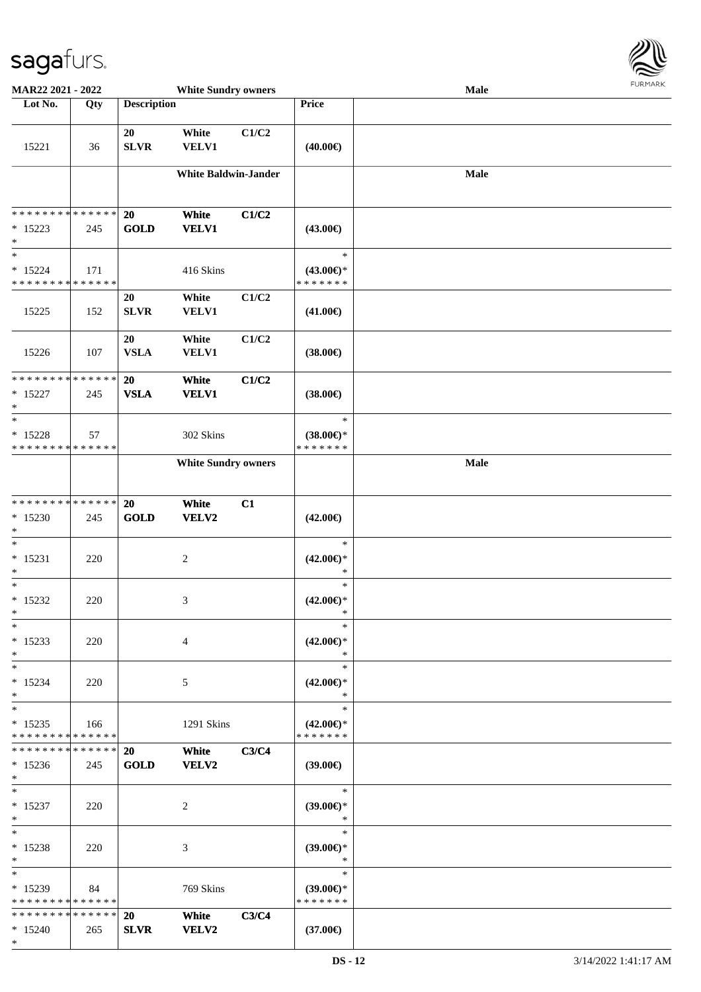

| MAR22 2021 - 2022             |             |                    | <b>White Sundry owners</b>  |       |                                      | <b>Male</b> |  |
|-------------------------------|-------------|--------------------|-----------------------------|-------|--------------------------------------|-------------|--|
| Lot No.                       | Qty         | <b>Description</b> |                             |       | Price                                |             |  |
|                               |             |                    |                             |       |                                      |             |  |
| 15221                         | 36          | 20<br>SLVR         | White<br><b>VELV1</b>       | C1/C2 | $(40.00\epsilon)$                    |             |  |
|                               |             |                    | <b>White Baldwin-Jander</b> |       |                                      | <b>Male</b> |  |
|                               |             |                    |                             |       |                                      |             |  |
| ******** <mark>******</mark>  |             | <b>20</b>          | White                       | C1/C2 |                                      |             |  |
| $* 15223$                     | 245         | <b>GOLD</b>        | <b>VELV1</b>                |       | $(43.00\epsilon)$                    |             |  |
| $\ast$                        |             |                    |                             |       |                                      |             |  |
| $\ast$<br>$* 15224$           | 171         |                    |                             |       | $\ast$                               |             |  |
| * * * * * * * * * * * * * *   |             |                    | 416 Skins                   |       | $(43.00\epsilon)$ *<br>* * * * * * * |             |  |
|                               |             | 20                 | White                       | C1/C2 |                                      |             |  |
| 15225                         | 152         | <b>SLVR</b>        | VELV1                       |       | $(41.00\epsilon)$                    |             |  |
|                               |             |                    |                             |       |                                      |             |  |
| 15226                         | 107         | 20<br><b>VSLA</b>  | White<br>VELV1              | C1/C2 | $(38.00\epsilon)$                    |             |  |
|                               |             |                    |                             |       |                                      |             |  |
| * * * * * * * * * * * * * *   |             | 20                 | White                       | C1/C2 |                                      |             |  |
| $* 15227$                     | 245         | <b>VSLA</b>        | <b>VELV1</b>                |       | $(38.00\epsilon)$                    |             |  |
| $\ast$<br>$\ast$              |             |                    |                             |       | $\ast$                               |             |  |
| $* 15228$                     | 57          |                    | 302 Skins                   |       | $(38.00\epsilon)$ *                  |             |  |
| * * * * * * * * * * * * * *   |             |                    |                             |       | * * * * * * *                        |             |  |
|                               |             |                    | <b>White Sundry owners</b>  |       |                                      | Male        |  |
|                               |             |                    |                             |       |                                      |             |  |
| * * * * * * * * * * * * * *   |             | 20                 | White                       | C1    |                                      |             |  |
| $*15230$                      | 245         | <b>GOLD</b>        | VELV2                       |       | $(42.00\epsilon)$                    |             |  |
| $\ast$                        |             |                    |                             |       |                                      |             |  |
| $\ast$                        |             |                    |                             |       | $\ast$                               |             |  |
| $* 15231$<br>$\ast$           | 220         |                    | $\sqrt{2}$                  |       | $(42.00\epsilon)$ *<br>$\ast$        |             |  |
| $\ast$                        |             |                    |                             |       | $\ast$                               |             |  |
| $*15232$                      | 220         |                    | 3                           |       | $(42.00\epsilon)$ *                  |             |  |
| $\ast$                        |             |                    |                             |       | $\ast$                               |             |  |
| $\ast$                        |             |                    |                             |       | $\ast$                               |             |  |
| $* 15233$<br>$\ast$           | 220         |                    | $\overline{4}$              |       | $(42.00\epsilon)$ *<br>$\ast$        |             |  |
| $\ast$                        |             |                    |                             |       | $\ast$                               |             |  |
| $* 15234$                     | 220         |                    | 5                           |       | $(42.00\epsilon)$ *                  |             |  |
| $\ast$<br>$\ast$              |             |                    |                             |       | $\ast$<br>$\ast$                     |             |  |
| $* 15235$                     | 166         |                    | 1291 Skins                  |       | $(42.00\epsilon)$ *                  |             |  |
| * * * * * * * * * * * * * *   |             |                    |                             |       | * * * * * * *                        |             |  |
| * * * * * * * *               | * * * * * * | 20                 | White                       | C3/C4 |                                      |             |  |
| $*15236$                      | 245         | <b>GOLD</b>        | <b>VELV2</b>                |       | $(39.00\epsilon)$                    |             |  |
| $*$<br>$*$                    |             |                    |                             |       | $\ast$                               |             |  |
| $* 15237$                     | 220         |                    | 2                           |       | $(39.00\epsilon)$ *                  |             |  |
| $\ast$                        |             |                    |                             |       | $\ast$                               |             |  |
| $\ast$                        |             |                    |                             |       | $\ast$                               |             |  |
| $* 15238$                     | 220         |                    | 3                           |       | $(39.00\epsilon)$ *                  |             |  |
| $\ast$<br>$\ast$              |             |                    |                             |       | $\ast$<br>$\ast$                     |             |  |
| $* 15239$                     | 84          |                    | 769 Skins                   |       | $(39.00\epsilon)$ *                  |             |  |
| * * * * * * * * * * * * * *   |             |                    |                             |       | * * * * * * *                        |             |  |
| * * * * * * * * * * * * * * * |             | <b>20</b>          | White                       | C3/C4 |                                      |             |  |
| $* 15240$<br>$*$              | 265         | <b>SLVR</b>        | <b>VELV2</b>                |       | $(37.00\epsilon)$                    |             |  |
|                               |             |                    |                             |       |                                      |             |  |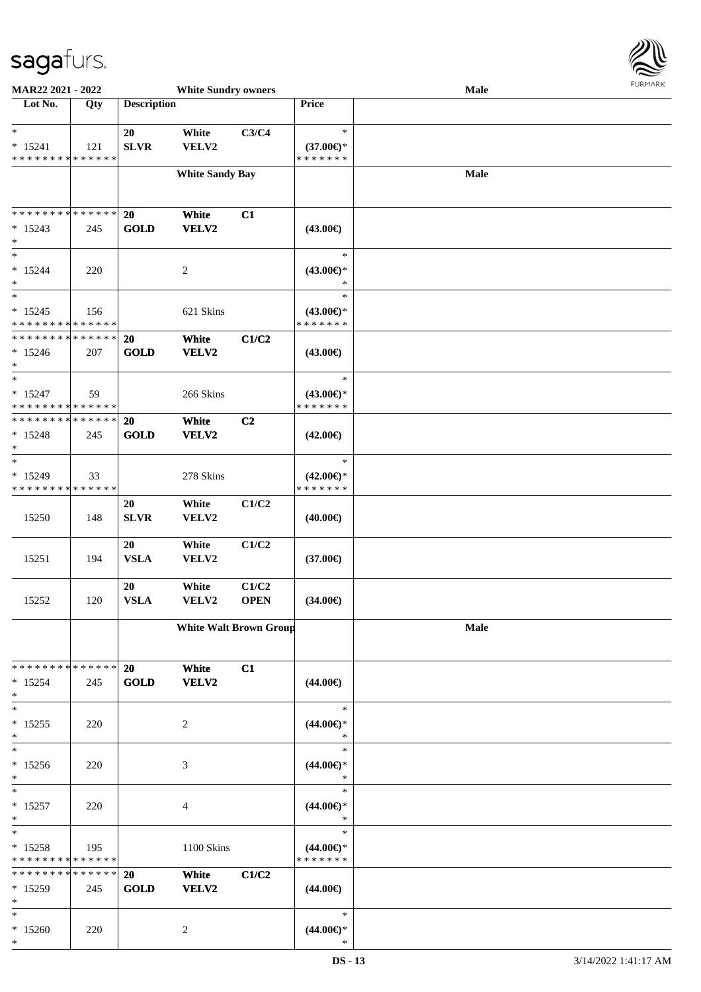

| MAR22 2021 - 2022                                                     |                    |                    | <b>White Sundry owners</b>    |                      |                                                | Male | $1 \times 1$ |
|-----------------------------------------------------------------------|--------------------|--------------------|-------------------------------|----------------------|------------------------------------------------|------|--------------|
| Lot No.                                                               | Qty                | <b>Description</b> |                               |                      | <b>Price</b>                                   |      |              |
| $\ast$<br>$* 15241$<br>* * * * * * * * * * * * * *                    | 121                | 20<br><b>SLVR</b>  | White<br>VELV2                | C3/C4                | $\ast$<br>$(37.00\epsilon)$ *<br>* * * * * * * |      |              |
|                                                                       |                    |                    | <b>White Sandy Bay</b>        |                      |                                                | Male |              |
| * * * * * * * * * * * * * *<br>$* 15243$<br>$\ast$                    | 245                | 20<br><b>GOLD</b>  | White<br>VELV2                | C1                   | $(43.00\epsilon)$                              |      |              |
| $\ast$<br>$* 15244$<br>$\ast$                                         | 220                |                    | $\sqrt{2}$                    |                      | $\ast$<br>$(43.00\epsilon)$ *<br>$\ast$        |      |              |
| $\overline{\phantom{a}^*}$<br>$*15245$<br>* * * * * * * * * * * * * * | 156                |                    | 621 Skins                     |                      | $\ast$<br>$(43.00\epsilon)$ *<br>* * * * * * * |      |              |
| * * * * * * * * * * * * * *<br>$* 15246$<br>$\ast$                    | 207                | 20<br><b>GOLD</b>  | White<br><b>VELV2</b>         | C1/C2                | $(43.00\epsilon)$                              |      |              |
| $\ast$<br>$* 15247$<br>* * * * * * * * * * * * * *                    | 59                 |                    | 266 Skins                     |                      | $\ast$<br>$(43.00\epsilon)$ *<br>* * * * * * * |      |              |
| * * * * * * * * * * * * * *<br>$* 15248$<br>$\ast$                    | 245                | 20<br><b>GOLD</b>  | White<br>VELV2                | C2                   | $(42.00\epsilon)$                              |      |              |
| $\ast$<br>$* 15249$<br>* * * * * * * * * * * * * *                    | 33                 |                    | 278 Skins                     |                      | $\ast$<br>$(42.00\epsilon)$ *<br>* * * * * * * |      |              |
| 15250                                                                 | 148                | 20<br><b>SLVR</b>  | White<br>VELV2                | C1/C2                | $(40.00\epsilon)$                              |      |              |
| 15251                                                                 | 194                | 20<br><b>VSLA</b>  | White<br>VELV2                | C1/C2                | $(37.00\epsilon)$                              |      |              |
| 15252                                                                 | 120                | 20<br><b>VSLA</b>  | White<br>VELV2                | C1/C2<br><b>OPEN</b> | $(34.00\epsilon)$                              |      |              |
|                                                                       |                    |                    | <b>White Walt Brown Group</b> |                      |                                                | Male |              |
| * * * * * * * *<br>$* 15254$<br>$\ast$                                | * * * * * *<br>245 | 20<br><b>GOLD</b>  | White<br><b>VELV2</b>         | C1                   | $(44.00\epsilon)$                              |      |              |
| $\ast$<br>$* 15255$<br>$\ast$                                         | 220                |                    | 2                             |                      | $\ast$<br>$(44.00\epsilon)$ *<br>$\ast$        |      |              |
| $\ast$<br>$*15256$<br>$\ast$                                          | 220                |                    | 3                             |                      | $\ast$<br>$(44.00€)$ *<br>$\ast$               |      |              |
| $\overline{\phantom{1}}$<br>$* 15257$<br>$\ast$                       | 220                |                    | 4                             |                      | $\ast$<br>$(44.00€)$ *<br>$\ast$               |      |              |
| $\ast$<br>$* 15258$<br>* * * * * * * * * * * * * *                    | 195                |                    | 1100 Skins                    |                      | $\ast$<br>$(44.00\epsilon)$ *<br>* * * * * * * |      |              |
| * * * * * * * *<br>$*15259$<br>$\ast$                                 | * * * * * *<br>245 | 20<br><b>GOLD</b>  | White<br><b>VELV2</b>         | C1/C2                | $(44.00\epsilon)$                              |      |              |
| $\ast$<br>$*15260$<br>$\ast$                                          | 220                |                    | 2                             |                      | $\ast$<br>$(44.00ε)$ *<br>$\ast$               |      |              |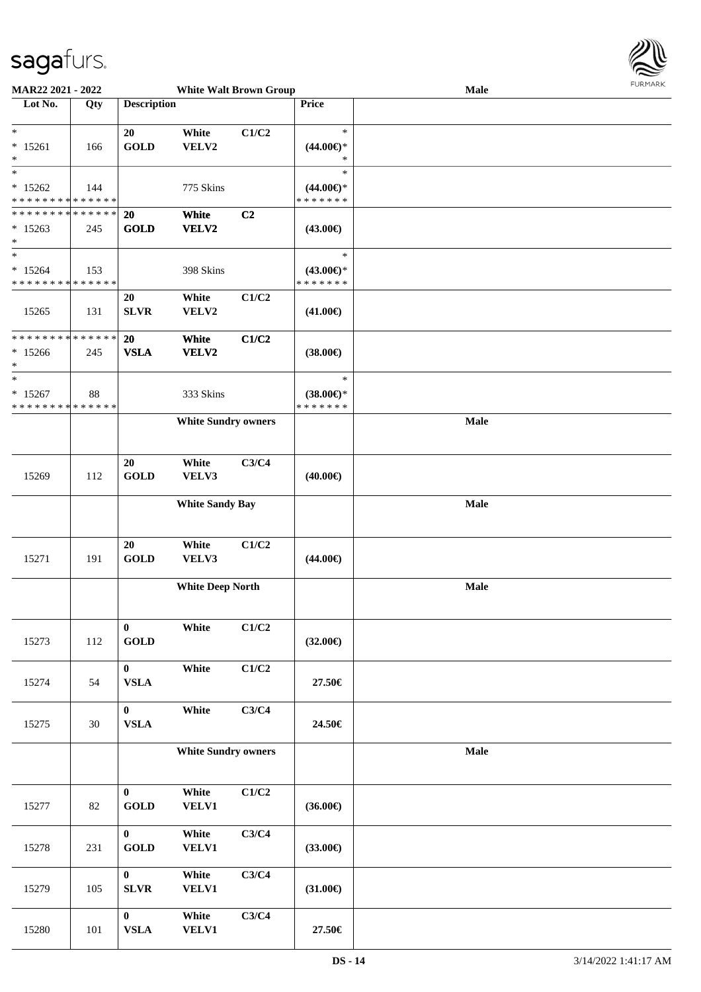

| MAR22 2021 - 2022                        |        |                             | <b>White Walt Brown Group</b> |       |                               | Male | <b>FUNITANN</b> |
|------------------------------------------|--------|-----------------------------|-------------------------------|-------|-------------------------------|------|-----------------|
| Lot No.                                  | Qty    | <b>Description</b>          |                               |       | Price                         |      |                 |
|                                          |        |                             |                               |       |                               |      |                 |
| $\ast$                                   |        | 20                          | White                         | C1/C2 | $\ast$                        |      |                 |
| $* 15261$                                | 166    | <b>GOLD</b>                 | VELV2                         |       | $(44.00\epsilon)$ *           |      |                 |
| $\ast$                                   |        |                             |                               |       | $\ast$                        |      |                 |
| $\ast$                                   |        |                             |                               |       | $\ast$                        |      |                 |
| $* 15262$                                | 144    |                             | 775 Skins                     |       | $(44.00\epsilon)$ *           |      |                 |
| * * * * * * * * * * * * * *              |        |                             |                               |       | * * * * * * *                 |      |                 |
| * * * * * * * * * * * * * * *            |        | 20                          | White                         | C2    |                               |      |                 |
| $*15263$                                 | 245    | <b>GOLD</b>                 | VELV2                         |       | (43.00€)                      |      |                 |
| $\ast$<br>$*$                            |        |                             |                               |       | $\ast$                        |      |                 |
|                                          |        |                             |                               |       |                               |      |                 |
| $* 15264$<br>* * * * * * * * * * * * * * | 153    |                             | 398 Skins                     |       | $(43.00€)$ *<br>* * * * * * * |      |                 |
|                                          |        |                             |                               |       |                               |      |                 |
|                                          |        | 20                          | White                         | C1/C2 |                               |      |                 |
| 15265                                    | 131    | <b>SLVR</b>                 | VELV2                         |       | $(41.00\epsilon)$             |      |                 |
| * * * * * * * * * * * * * *              |        | 20                          | White                         | C1/C2 |                               |      |                 |
| $*15266$                                 | 245    | <b>VSLA</b>                 | VELV2                         |       | $(38.00\epsilon)$             |      |                 |
| $\ast$                                   |        |                             |                               |       |                               |      |                 |
| $\ast$                                   |        |                             |                               |       | $\ast$                        |      |                 |
| $* 15267$                                | 88     |                             | 333 Skins                     |       | $(38.00\epsilon)$ *           |      |                 |
| * * * * * * * * * * * * * *              |        |                             |                               |       | * * * * * * *                 |      |                 |
|                                          |        |                             | <b>White Sundry owners</b>    |       |                               | Male |                 |
|                                          |        |                             |                               |       |                               |      |                 |
|                                          |        |                             |                               |       |                               |      |                 |
|                                          |        | 20                          | White                         | C3/C4 |                               |      |                 |
| 15269                                    | 112    | <b>GOLD</b>                 | VELV3                         |       | $(40.00\epsilon)$             |      |                 |
|                                          |        |                             |                               |       |                               |      |                 |
|                                          |        |                             | <b>White Sandy Bay</b>        |       |                               | Male |                 |
|                                          |        |                             |                               |       |                               |      |                 |
|                                          |        |                             |                               |       |                               |      |                 |
|                                          |        | 20                          | White                         | C1/C2 |                               |      |                 |
| 15271                                    | 191    | <b>GOLD</b>                 | VELV3                         |       | $(44.00\epsilon)$             |      |                 |
|                                          |        |                             |                               |       |                               |      |                 |
|                                          |        |                             | <b>White Deep North</b>       |       |                               | Male |                 |
|                                          |        |                             |                               |       |                               |      |                 |
|                                          |        |                             |                               |       |                               |      |                 |
|                                          |        | $\bf{0}$                    | White                         | C1/C2 |                               |      |                 |
| 15273                                    | 112    | <b>GOLD</b>                 |                               |       | $(32.00\epsilon)$             |      |                 |
|                                          |        |                             |                               |       |                               |      |                 |
|                                          |        | $\mathbf{0}$<br><b>VSLA</b> | White                         | C1/C2 |                               |      |                 |
| 15274                                    | 54     |                             |                               |       | 27.50€                        |      |                 |
|                                          |        | $\mathbf{0}$                | White                         | C3/C4 |                               |      |                 |
| 15275                                    | 30     | <b>VSLA</b>                 |                               |       | 24.50€                        |      |                 |
|                                          |        |                             |                               |       |                               |      |                 |
|                                          |        |                             | <b>White Sundry owners</b>    |       |                               | Male |                 |
|                                          |        |                             |                               |       |                               |      |                 |
|                                          |        |                             |                               |       |                               |      |                 |
|                                          |        | $\bf{0}$                    | White                         | C1/C2 |                               |      |                 |
| 15277                                    | $82\,$ | <b>GOLD</b>                 | VELV1                         |       | $(36.00\epsilon)$             |      |                 |
|                                          |        |                             |                               |       |                               |      |                 |
|                                          |        | $\mathbf{0}$                | White                         | C3/C4 |                               |      |                 |
| 15278                                    | 231    | <b>GOLD</b>                 | VELV1                         |       | $(33.00\epsilon)$             |      |                 |
|                                          |        |                             |                               |       |                               |      |                 |
|                                          |        | $\mathbf{0}$                | White                         | C3/C4 |                               |      |                 |
| 15279                                    | 105    | SLVR                        | <b>VELV1</b>                  |       | $(31.00\epsilon)$             |      |                 |
|                                          |        |                             |                               |       |                               |      |                 |
|                                          |        | $\mathbf{0}$                | White                         | C3/C4 |                               |      |                 |
| 15280                                    | 101    | ${\bf VSLA}$                | VELV1                         |       | 27.50€                        |      |                 |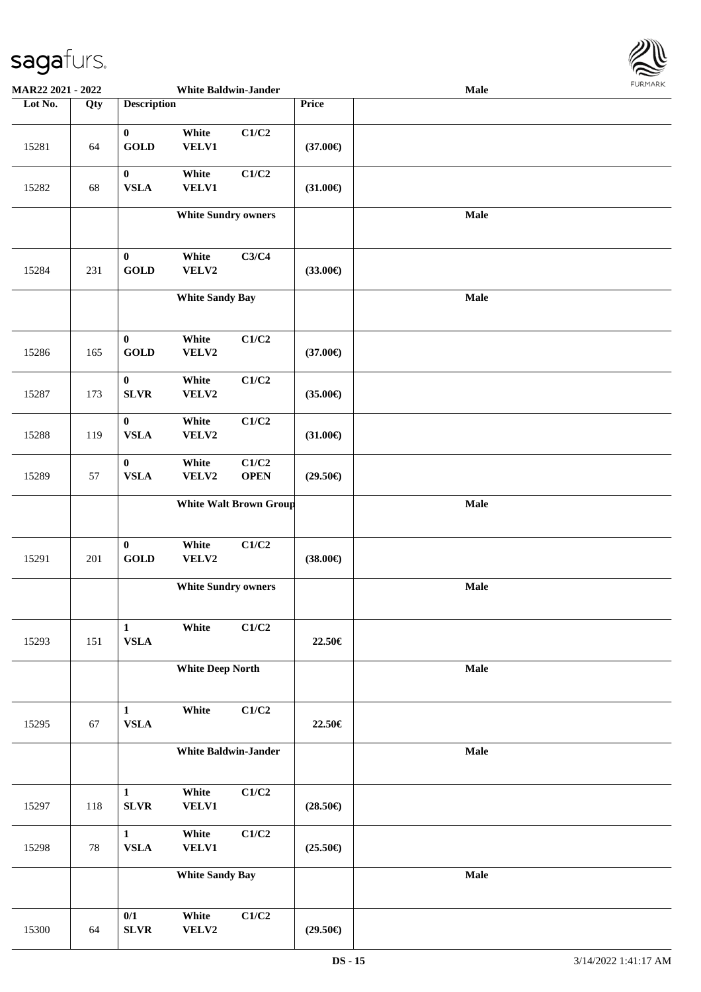

| MAR22 2021 - 2022 |     |                                 | <b>White Baldwin-Jander</b> |                               |                       | Male        | <b>LOKITAKV</b> |
|-------------------|-----|---------------------------------|-----------------------------|-------------------------------|-----------------------|-------------|-----------------|
| Lot No.           | Qty | <b>Description</b>              |                             |                               | Price                 |             |                 |
| 15281             | 64  | $\bf{0}$<br>GOLD                | White<br><b>VELV1</b>       | C1/C2                         | $(37.00\epsilon)$     |             |                 |
| 15282             | 68  | $\bf{0}$<br><b>VSLA</b>         | White<br><b>VELV1</b>       | C1/C2                         | $(31.00\epsilon)$     |             |                 |
|                   |     |                                 | <b>White Sundry owners</b>  |                               |                       | <b>Male</b> |                 |
| 15284             | 231 | $\bf{0}$<br><b>GOLD</b>         | White<br>VELV2              | C3/C4                         | $(33.00\epsilon)$     |             |                 |
|                   |     |                                 | <b>White Sandy Bay</b>      |                               |                       | Male        |                 |
| 15286             | 165 | $\bf{0}$<br>GOLD                | White<br>VELV2              | C1/C2                         | $(37.00\epsilon)$     |             |                 |
| 15287             | 173 | $\pmb{0}$<br>${\bf SLVR}$       | White<br>VELV2              | C1/C2                         | $(35.00\epsilon)$     |             |                 |
| 15288             | 119 | $\bf{0}$<br><b>VSLA</b>         | White<br>VELV2              | C1/C2                         | $(31.00\in)$          |             |                 |
| 15289             | 57  | $\bf{0}$<br><b>VSLA</b>         | White<br>VELV2              | C1/C2<br><b>OPEN</b>          | $(29.50\epsilon)$     |             |                 |
|                   |     |                                 |                             | <b>White Walt Brown Group</b> |                       | Male        |                 |
| 15291             | 201 | $\boldsymbol{0}$<br><b>GOLD</b> | White<br>VELV2              | $\mathbf{C1}/\mathbf{C2}$     | (38.00 <sup>ε</sup> ) |             |                 |
|                   |     |                                 | <b>White Sundry owners</b>  |                               |                       | Male        |                 |
| 15293             | 151 | $\mathbf{1}$<br><b>VSLA</b>     | White                       | C1/C2                         | 22.50€                |             |                 |
|                   |     |                                 | <b>White Deep North</b>     |                               |                       | <b>Male</b> |                 |
| 15295             | 67  | $\mathbf{1}$<br><b>VSLA</b>     | White                       | C1/C2                         | 22.50€                |             |                 |
|                   |     |                                 | <b>White Baldwin-Jander</b> |                               |                       | Male        |                 |
| 15297             | 118 | $\mathbf 1$<br>SLVR             | White<br><b>VELV1</b>       | C1/C2                         | $(28.50\epsilon)$     |             |                 |
| 15298             | 78  | $\mathbf{1}$<br>${\bf VSLA}$    | White<br><b>VELV1</b>       | $\mathbf{C1}/\mathbf{C2}$     | $(25.50\epsilon)$     |             |                 |
|                   |     |                                 | <b>White Sandy Bay</b>      |                               |                       | Male        |                 |
| 15300             | 64  | $0/1$<br>${\bf SLVR}$           | White<br>VELV2              | C1/C2                         | $(29.50\epsilon)$     |             |                 |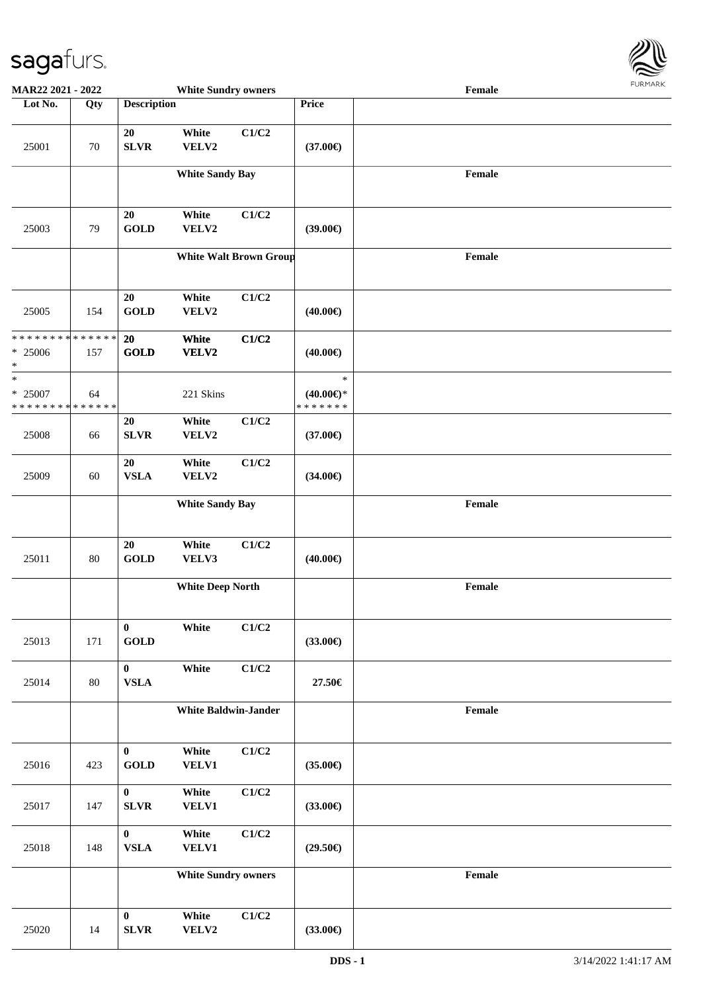

| MAR22 2021 - 2022                                   |     |                          | <b>White Sundry owners</b>  |                               |                                          | Female                                      |  |
|-----------------------------------------------------|-----|--------------------------|-----------------------------|-------------------------------|------------------------------------------|---------------------------------------------|--|
| Lot No.                                             | Qty | <b>Description</b>       |                             |                               | Price                                    |                                             |  |
| 25001                                               | 70  | 20<br><b>SLVR</b>        | White<br>VELV2              | C1/C2                         | $(37.00\epsilon)$                        |                                             |  |
|                                                     |     |                          | <b>White Sandy Bay</b>      |                               |                                          | Female                                      |  |
| 25003                                               | 79  | 20<br><b>GOLD</b>        | White<br>VELV2              | C1/C2                         | $(39.00\epsilon)$                        |                                             |  |
|                                                     |     |                          |                             | <b>White Walt Brown Group</b> |                                          | Female                                      |  |
| 25005                                               | 154 | 20<br><b>GOLD</b>        | White<br>VELV2              | C1/C2                         | $(40.00\epsilon)$                        |                                             |  |
| ******** <mark>******</mark><br>$* 25006$<br>$\ast$ | 157 | 20<br><b>GOLD</b>        | White<br>VELV2              | C1/C2                         | $(40.00\epsilon)$                        |                                             |  |
| $\ast$<br>* 25007<br>* * * * * * * * * * * * * *    | 64  |                          | 221 Skins                   |                               | $\ast$<br>$(40.00\epsilon)$ *<br>******* |                                             |  |
| 25008                                               | 66  | 20<br>SLVR               | White<br>VELV2              | C1/C2                         | $(37.00\epsilon)$                        |                                             |  |
| 25009                                               | 60  | 20<br><b>VSLA</b>        | White<br>VELV2              | C1/C2                         | $(34.00\epsilon)$                        |                                             |  |
|                                                     |     |                          | <b>White Sandy Bay</b>      |                               |                                          | $\ensuremath{\textnormal{\textbf{Female}}}$ |  |
| 25011                                               | 80  | 20<br><b>GOLD</b>        | White<br>VELV3              | C1/C2                         | $(40.00\epsilon)$                        |                                             |  |
|                                                     |     |                          | <b>White Deep North</b>     |                               |                                          | $\ensuremath{\textnormal{\textbf{Female}}}$ |  |
| 25013                                               | 171 | $\bf{0}$<br><b>GOLD</b>  | White                       | C1/C2                         | $(33.00\epsilon)$                        |                                             |  |
| 25014                                               | 80  | $\bf{0}$<br><b>VSLA</b>  | White                       | C1/C2                         | 27.50€                                   |                                             |  |
|                                                     |     |                          | <b>White Baldwin-Jander</b> |                               |                                          | Female                                      |  |
| 25016                                               | 423 | $\bf{0}$<br><b>GOLD</b>  | White<br>VELV1              | C1/C2                         | $(35.00\epsilon)$                        |                                             |  |
| 25017                                               | 147 | $\bf{0}$<br>${\bf SLVR}$ | White<br>VELV1              | C1/C2                         | $(33.00\epsilon)$                        |                                             |  |
| 25018                                               | 148 | $\bf{0}$<br>${\bf VSLA}$ | White<br><b>VELV1</b>       | C1/C2                         | $(29.50\epsilon)$                        |                                             |  |
|                                                     |     |                          | <b>White Sundry owners</b>  |                               |                                          | Female                                      |  |
| 25020                                               | 14  | $\bf{0}$<br>SLVR         | White<br>VELV2              | C1/C2                         | $(33.00\epsilon)$                        |                                             |  |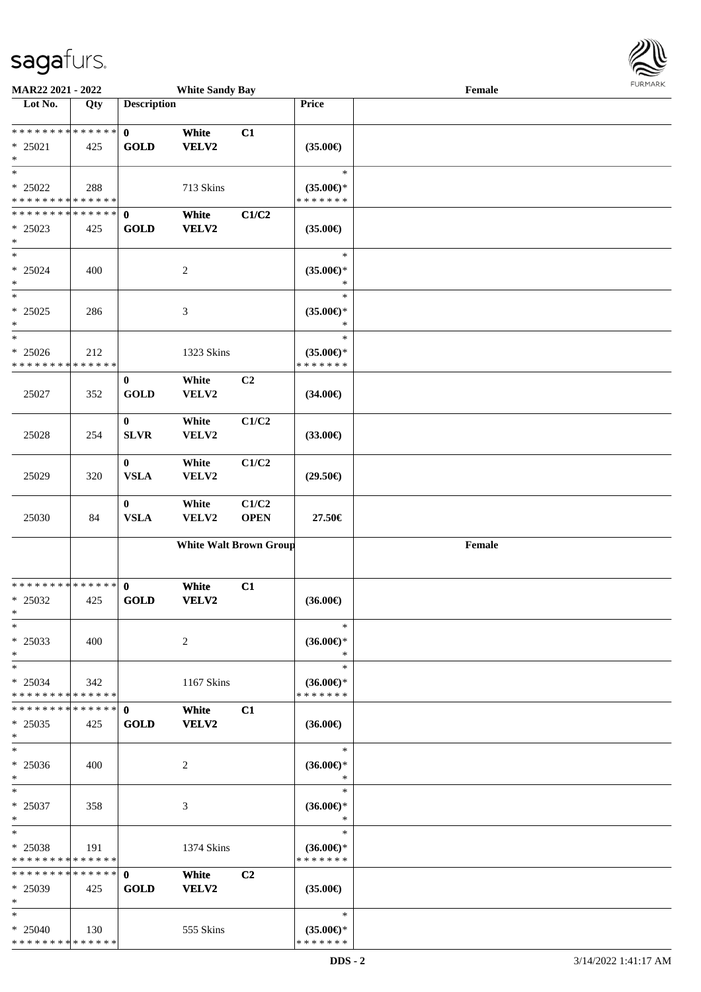

| MAR22 2021 - 2022                                    |     |                                 | <b>White Sandy Bay</b>        |                      |                                                | Female                                      |  |
|------------------------------------------------------|-----|---------------------------------|-------------------------------|----------------------|------------------------------------------------|---------------------------------------------|--|
| Lot No.                                              | Qty | <b>Description</b>              |                               |                      | Price                                          |                                             |  |
| * * * * * * * * * * * * * *<br>$* 25021$<br>$\ast$   | 425 | $\mathbf 0$<br><b>GOLD</b>      | White<br><b>VELV2</b>         | C1                   | $(35.00\epsilon)$                              |                                             |  |
| $\ast$<br>$* 25022$<br>* * * * * * * * * * * * * *   | 288 |                                 | 713 Skins                     |                      | $\ast$<br>$(35.00\epsilon)$ *<br>* * * * * * * |                                             |  |
| * * * * * * * * * * * * * * *<br>$* 25023$<br>$\ast$ | 425 | $\mathbf 0$<br><b>GOLD</b>      | White<br><b>VELV2</b>         | C1/C2                | $(35.00\epsilon)$                              |                                             |  |
| $\ast$<br>$* 25024$<br>$\ast$                        | 400 |                                 | $\sqrt{2}$                    |                      | $\ast$<br>$(35.00\epsilon)$ *<br>$\ast$        |                                             |  |
| $\overline{\ast}$<br>$* 25025$<br>$\ast$             | 286 |                                 | $\mathfrak{Z}$                |                      | $\ast$<br>$(35.00\epsilon)$ *<br>$\ast$        |                                             |  |
| $\ast$<br>$* 25026$<br>* * * * * * * * * * * * * *   | 212 |                                 | 1323 Skins                    |                      | $\ast$<br>$(35.00\epsilon)$ *<br>* * * * * * * |                                             |  |
| 25027                                                | 352 | $\bf{0}$<br><b>GOLD</b>         | White<br>VELV2                | C2                   | $(34.00\epsilon)$                              |                                             |  |
| 25028                                                | 254 | $\bf{0}$<br>${\bf SLVR}$        | White<br>VELV2                | C1/C2                | $(33.00\epsilon)$                              |                                             |  |
| 25029                                                | 320 | $\boldsymbol{0}$<br><b>VSLA</b> | White<br>VELV2                | C1/C2                | $(29.50\epsilon)$                              |                                             |  |
| 25030                                                | 84  | $\bf{0}$<br><b>VSLA</b>         | White<br>VELV2                | C1/C2<br><b>OPEN</b> | 27.50€                                         |                                             |  |
|                                                      |     |                                 | <b>White Walt Brown Group</b> |                      |                                                | $\ensuremath{\textnormal{\textbf{Female}}}$ |  |
| * * * * * * * * * * * * * *<br>* 25032<br>$*$        | 425 | $\mathbf 0$<br><b>GOLD</b>      | White<br><b>VELV2</b>         | C1                   | $(36.00\epsilon)$                              |                                             |  |
| $\ast$<br>* 25033<br>$\ast$                          | 400 |                                 | $\overline{2}$                |                      | $\ast$<br>$(36.00\epsilon)$ *<br>$\ast$        |                                             |  |
| $\ast$<br>$* 25034$<br>* * * * * * * * * * * * * *   | 342 |                                 | 1167 Skins                    |                      | $\ast$<br>$(36.00\epsilon)$ *<br>* * * * * * * |                                             |  |
| * * * * * * * * * * * * * * *<br>$*$ 25035<br>$\ast$ | 425 | $\mathbf{0}$<br><b>GOLD</b>     | White<br><b>VELV2</b>         | C1                   | $(36.00\epsilon)$                              |                                             |  |
| $\ast$<br>$* 25036$<br>$\ast$                        | 400 |                                 | 2                             |                      | $\ast$<br>$(36.00\epsilon)$ *<br>$\ast$        |                                             |  |
| $\ast$<br>$* 25037$<br>$\ast$                        | 358 |                                 | 3                             |                      | $\ast$<br>$(36.00€)$ *<br>$\ast$               |                                             |  |
| $\ast$<br>$* 25038$<br>* * * * * * * * * * * * * *   | 191 |                                 | 1374 Skins                    |                      | $\ast$<br>$(36.00€)$ *<br>* * * * * * *        |                                             |  |
| * * * * * * * * * * * * * *<br>$* 25039$<br>$\ast$   | 425 | $\mathbf{0}$<br><b>GOLD</b>     | White<br>VELV2                | C <sub>2</sub>       | $(35.00\epsilon)$                              |                                             |  |
| $\ast$<br>$*$ 25040<br>**************                | 130 |                                 | 555 Skins                     |                      | $\ast$<br>$(35.00\epsilon)$ *<br>* * * * * * * |                                             |  |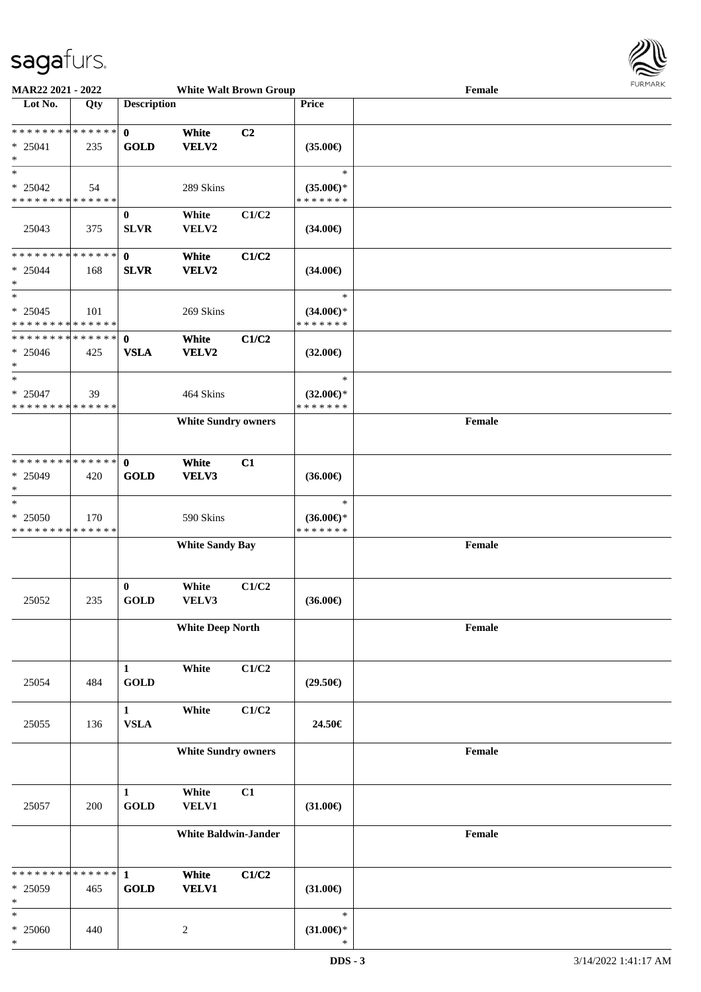

| MAR22 2021 - 2022                                              |     |                             |                             | <b>White Walt Brown Group</b> |                                                | Female | <b>FURMARK</b> |
|----------------------------------------------------------------|-----|-----------------------------|-----------------------------|-------------------------------|------------------------------------------------|--------|----------------|
| Lot No.                                                        | Qty | <b>Description</b>          |                             |                               | Price                                          |        |                |
| * * * * * * * * * * * * * *<br>$* 25041$<br>$\ast$             | 235 | $\mathbf{0}$<br><b>GOLD</b> | White<br>VELV2              | C <sub>2</sub>                | $(35.00\epsilon)$                              |        |                |
| $\ast$<br>$* 25042$<br>* * * * * * * * * * * * * *             | 54  |                             | 289 Skins                   |                               | $\ast$<br>$(35.00\epsilon)$ *<br>* * * * * * * |        |                |
| 25043                                                          | 375 | $\bf{0}$<br><b>SLVR</b>     | White<br>VELV2              | C1/C2                         | $(34.00\epsilon)$                              |        |                |
| ******** <mark>******</mark><br>$* 25044$<br>$\ast$<br>$\ast$  | 168 | $\mathbf{0}$<br><b>SLVR</b> | White<br>VELV2              | C1/C2                         | $(34.00\epsilon)$<br>$\ast$                    |        |                |
| $* 25045$<br>* * * * * * * * * * * * * *                       | 101 |                             | 269 Skins                   |                               | $(34.00\epsilon)$ *<br>* * * * * * *           |        |                |
| * * * * * * * * * * * * * * *<br>$* 25046$<br>$\ast$<br>$\ast$ | 425 | $\mathbf 0$<br><b>VSLA</b>  | White<br><b>VELV2</b>       | C1/C2                         | $(32.00\epsilon)$                              |        |                |
| $* 25047$<br>* * * * * * * * * * * * * *                       | 39  |                             | 464 Skins                   |                               | $\ast$<br>$(32.00\epsilon)$ *<br>* * * * * * * |        |                |
|                                                                |     |                             | <b>White Sundry owners</b>  |                               |                                                | Female |                |
| * * * * * * * * * * * * * *<br>$* 25049$<br>$\ast$             | 420 | $\mathbf 0$<br><b>GOLD</b>  | White<br>VELV3              | C1                            | $(36.00\epsilon)$                              |        |                |
| $\ast$<br>* 25050<br>* * * * * * * * * * * * * *               | 170 |                             | 590 Skins                   |                               | $\ast$<br>$(36.00\epsilon)$ *<br>* * * * * * * |        |                |
|                                                                |     |                             | <b>White Sandy Bay</b>      |                               |                                                | Female |                |
| 25052                                                          | 235 | $\bf{0}$<br><b>GOLD</b>     | White<br>VELV3              | C1/C2                         | $(36.00\epsilon)$                              |        |                |
|                                                                |     |                             | <b>White Deep North</b>     |                               |                                                | Female |                |
| 25054                                                          | 484 | $\mathbf{1}$<br><b>GOLD</b> | White                       | C1/C2                         | $(29.50\epsilon)$                              |        |                |
| 25055                                                          | 136 | $\mathbf{1}$<br><b>VSLA</b> | White                       | C1/C2                         | 24.50€                                         |        |                |
|                                                                |     |                             | <b>White Sundry owners</b>  |                               |                                                | Female |                |
| 25057                                                          | 200 | $\mathbf{1}$<br><b>GOLD</b> | White<br>VELV1              | C1                            | $(31.00\epsilon)$                              |        |                |
|                                                                |     |                             | <b>White Baldwin-Jander</b> |                               |                                                | Female |                |
| * * * * * * * * * * * * * *<br>* 25059<br>$\ast$               | 465 | $\mathbf{1}$<br><b>GOLD</b> | White<br><b>VELV1</b>       | C1/C2                         | $(31.00\epsilon)$                              |        |                |
| $\ast$<br>$* 25060$<br>$\ast$                                  | 440 |                             | $\sqrt{2}$                  |                               | $\ast$<br>$(31.00 \in )^*$<br>*                |        |                |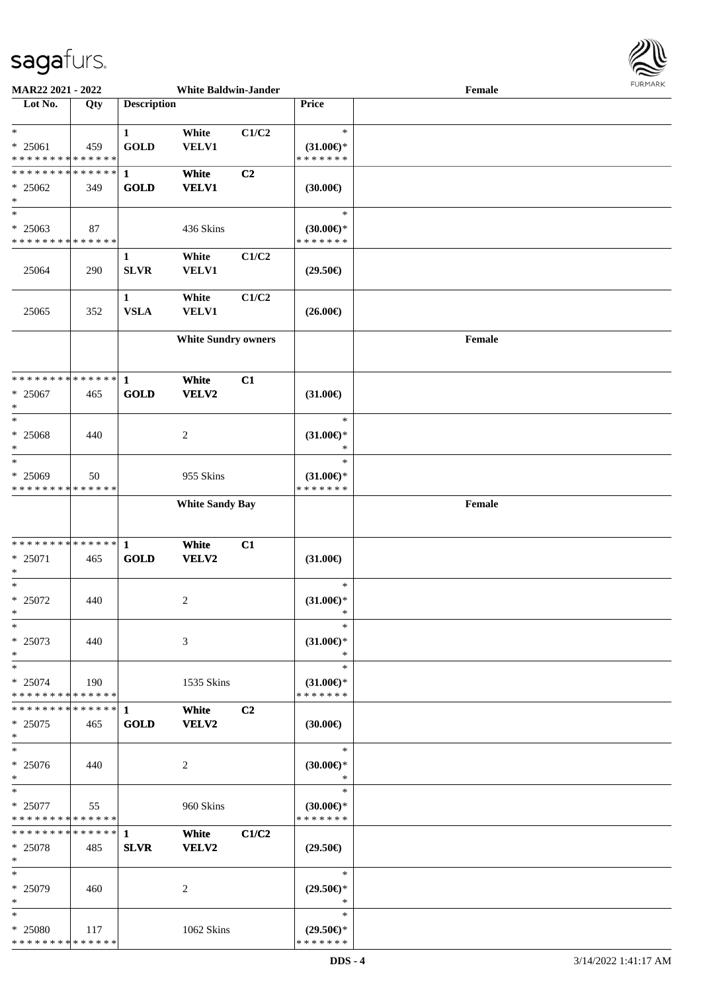

| MAR22 2021 - 2022                      |     |                    | <b>White Baldwin-Jander</b> |                |                                      | Female | <b>FUNITANN</b> |
|----------------------------------------|-----|--------------------|-----------------------------|----------------|--------------------------------------|--------|-----------------|
| Lot No.                                | Qty | <b>Description</b> |                             |                | Price                                |        |                 |
|                                        |     |                    |                             |                |                                      |        |                 |
| $\ast$                                 |     | $\mathbf{1}$       | White                       | C1/C2          | $\ast$                               |        |                 |
| $* 25061$                              | 459 | <b>GOLD</b>        | VELV1                       |                | $(31.00\epsilon)$ *                  |        |                 |
| * * * * * * * * * * * * * *            |     |                    |                             |                | * * * * * * *                        |        |                 |
| ******** <mark>******</mark>           |     | $\mathbf{1}$       | White                       | C <sub>2</sub> |                                      |        |                 |
| $* 25062$                              | 349 | <b>GOLD</b>        | <b>VELV1</b>                |                | (30.00)                              |        |                 |
| $\ast$                                 |     |                    |                             |                |                                      |        |                 |
| $\ast$                                 |     |                    |                             |                | $\ast$                               |        |                 |
| $* 25063$                              | 87  |                    | 436 Skins                   |                | $(30.00\epsilon)$ *                  |        |                 |
| * * * * * * * * * * * * * *            |     |                    |                             |                | * * * * * * *                        |        |                 |
|                                        |     | 1                  | White                       | C1/C2          |                                      |        |                 |
| 25064                                  | 290 | <b>SLVR</b>        | VELV1                       |                | $(29.50\epsilon)$                    |        |                 |
|                                        |     |                    |                             |                |                                      |        |                 |
|                                        |     | $\mathbf{1}$       | White                       | C1/C2          |                                      |        |                 |
| 25065                                  | 352 | <b>VSLA</b>        | VELV1                       |                | $(26.00\epsilon)$                    |        |                 |
|                                        |     |                    |                             |                |                                      |        |                 |
|                                        |     |                    | <b>White Sundry owners</b>  |                |                                      | Female |                 |
|                                        |     |                    |                             |                |                                      |        |                 |
|                                        |     |                    |                             |                |                                      |        |                 |
| * * * * * * * * * * * * * *            |     | $\mathbf{1}$       | White                       | C1             |                                      |        |                 |
| $* 25067$                              | 465 | <b>GOLD</b>        | VELV2                       |                | $(31.00\epsilon)$                    |        |                 |
| $\ast$<br>$\ast$                       |     |                    |                             |                |                                      |        |                 |
|                                        |     |                    |                             |                | $\ast$                               |        |                 |
| $* 25068$                              | 440 |                    | $\overline{c}$              |                | $(31.00\epsilon)$ *                  |        |                 |
| $\ast$<br>$\ast$                       |     |                    |                             |                | $\ast$<br>$\ast$                     |        |                 |
|                                        |     |                    |                             |                |                                      |        |                 |
| * 25069<br>* * * * * * * * * * * * * * | 50  |                    | 955 Skins                   |                | $(31.00\epsilon)$ *<br>* * * * * * * |        |                 |
|                                        |     |                    |                             |                |                                      |        |                 |
|                                        |     |                    | <b>White Sandy Bay</b>      |                |                                      | Female |                 |
|                                        |     |                    |                             |                |                                      |        |                 |
| * * * * * * * * * * * * * * *          |     | $\mathbf{1}$       | White                       | C1             |                                      |        |                 |
| * 25071                                | 465 | <b>GOLD</b>        | VELV2                       |                | $(31.00\epsilon)$                    |        |                 |
| $\ast$                                 |     |                    |                             |                |                                      |        |                 |
| $\ast$                                 |     |                    |                             |                | $\ast$                               |        |                 |
| $* 25072$                              | 440 |                    | $\overline{c}$              |                | $(31.00\epsilon)$ *                  |        |                 |
| $\ast$                                 |     |                    |                             |                |                                      |        |                 |
| $\ast$                                 |     |                    |                             |                | $\ast$                               |        |                 |
| $* 25073$                              | 440 |                    | 3                           |                | $(31.00\epsilon)$ *                  |        |                 |
| $\ast$                                 |     |                    |                             |                | $\ast$                               |        |                 |
| $\ast$                                 |     |                    |                             |                | $\ast$                               |        |                 |
| $* 25074$                              | 190 |                    | 1535 Skins                  |                | $(31.00\epsilon)$ *                  |        |                 |
| * * * * * * * * * * * * * * *          |     |                    |                             |                | * * * * * * *                        |        |                 |
| * * * * * * * * * * * * * * *          |     | $\mathbf 1$        | White                       | C <sub>2</sub> |                                      |        |                 |
| $*25075$                               | 465 | <b>GOLD</b>        | VELV2                       |                | $(30.00\epsilon)$                    |        |                 |
| $\ast$                                 |     |                    |                             |                |                                      |        |                 |
| $\ast$                                 |     |                    |                             |                | $\ast$                               |        |                 |
| * 25076                                | 440 |                    | $\overline{2}$              |                | $(30.00\epsilon)$ *                  |        |                 |
| $\ast$                                 |     |                    |                             |                | $\ast$                               |        |                 |
| $\ast$                                 |     |                    |                             |                | $\ast$                               |        |                 |
| * 25077                                | 55  |                    | 960 Skins                   |                | $(30.00€)$ *                         |        |                 |
| * * * * * * * * * * * * * *            |     |                    |                             |                | * * * * * * *                        |        |                 |
| ************** 1                       |     |                    | White                       | C1/C2          |                                      |        |                 |
| * 25078<br>$*$                         | 485 | <b>SLVR</b>        | <b>VELV2</b>                |                | $(29.50\epsilon)$                    |        |                 |
| $*$                                    |     |                    |                             |                | $\ast$                               |        |                 |
| * 25079                                |     |                    |                             |                |                                      |        |                 |
| $\ast$                                 | 460 |                    | 2                           |                | $(29.50\epsilon)$ *<br>$\ast$        |        |                 |
| $\ast$                                 |     |                    |                             |                | $\ast$                               |        |                 |
| * 25080                                | 117 |                    | 1062 Skins                  |                | $(29.50\epsilon)$ *                  |        |                 |
| * * * * * * * * * * * * * *            |     |                    |                             |                | * * * * * * *                        |        |                 |
|                                        |     |                    |                             |                |                                      |        |                 |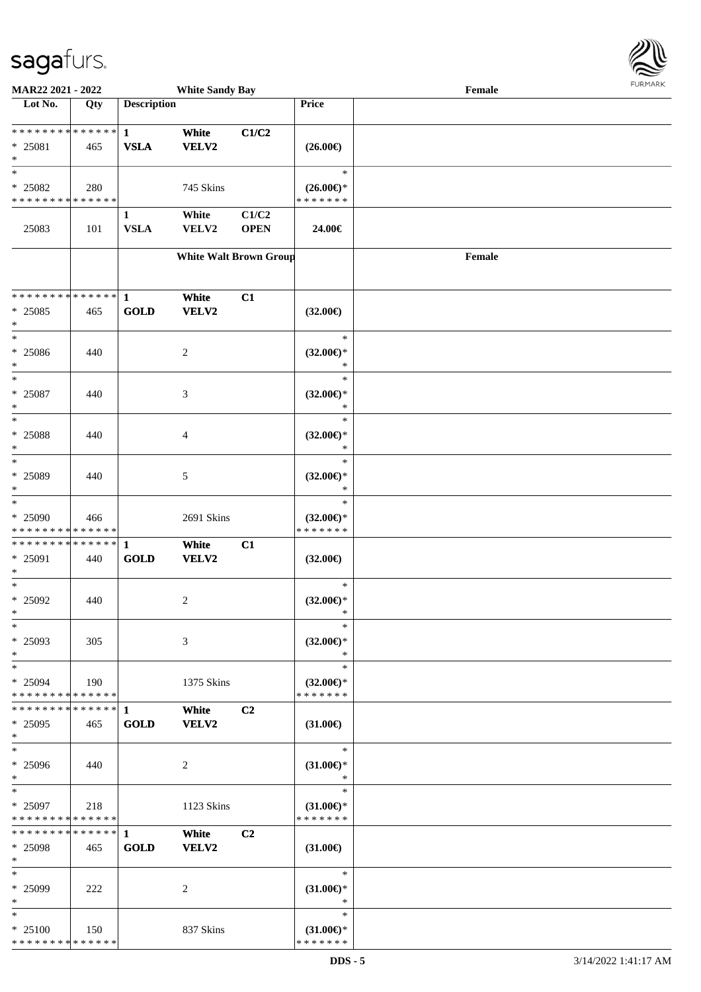

| MAR22 2021 - 2022                        |     |                    | <b>White Sandy Bay</b> |                               |                                      | Female |  |
|------------------------------------------|-----|--------------------|------------------------|-------------------------------|--------------------------------------|--------|--|
| Lot No.                                  | Qty | <b>Description</b> |                        |                               | Price                                |        |  |
|                                          |     |                    |                        |                               |                                      |        |  |
| **************                           |     | $\mathbf{1}$       | White                  | C1/C2                         |                                      |        |  |
| * 25081                                  | 465 | <b>VSLA</b>        | <b>VELV2</b>           |                               | $(26.00\epsilon)$                    |        |  |
| $\ast$                                   |     |                    |                        |                               |                                      |        |  |
| $\ast$                                   |     |                    |                        |                               | $\ast$                               |        |  |
| * 25082                                  | 280 |                    | 745 Skins              |                               | $(26.00\epsilon)$ *                  |        |  |
| * * * * * * * * * * * * * *              |     |                    |                        |                               | * * * * * * *                        |        |  |
|                                          |     | $\mathbf{1}$       | White                  | C1/C2                         |                                      |        |  |
| 25083                                    | 101 | <b>VSLA</b>        | VELV2                  | <b>OPEN</b>                   | 24.00€                               |        |  |
|                                          |     |                    |                        |                               |                                      |        |  |
|                                          |     |                    |                        | <b>White Walt Brown Group</b> |                                      | Female |  |
|                                          |     |                    |                        |                               |                                      |        |  |
|                                          |     |                    |                        |                               |                                      |        |  |
| * * * * * * * * * * * * * * *            |     | $\mathbf{1}$       | White                  | C1                            |                                      |        |  |
| $* 25085$                                | 465 | <b>GOLD</b>        | <b>VELV2</b>           |                               | $(32.00\epsilon)$                    |        |  |
| $\ast$                                   |     |                    |                        |                               |                                      |        |  |
| $\ast$                                   |     |                    |                        |                               | $\ast$                               |        |  |
| $* 25086$                                | 440 |                    | 2                      |                               | $(32.00\epsilon)$ *                  |        |  |
| $\ast$                                   |     |                    |                        |                               | *                                    |        |  |
| $\ast$                                   |     |                    |                        |                               | $\ast$                               |        |  |
| * 25087                                  | 440 |                    | 3                      |                               | $(32.00\epsilon)$ *                  |        |  |
| $\ast$                                   |     |                    |                        |                               | $\ast$                               |        |  |
| $\ast$                                   |     |                    |                        |                               | $\ast$                               |        |  |
| * 25088                                  | 440 |                    | 4                      |                               | $(32.00\epsilon)$ *                  |        |  |
| $\ast$                                   |     |                    |                        |                               | $\ast$                               |        |  |
| $\ast$                                   |     |                    |                        |                               | $\ast$                               |        |  |
| * 25089                                  | 440 |                    | 5                      |                               | $(32.00\epsilon)$ *                  |        |  |
| $\ast$                                   |     |                    |                        |                               | *                                    |        |  |
| $\ast$                                   |     |                    |                        |                               | $\ast$                               |        |  |
| * 25090                                  | 466 |                    | 2691 Skins             |                               | $(32.00\epsilon)$ *                  |        |  |
| * * * * * * * * * * * * * *              |     |                    |                        |                               | * * * * * * *                        |        |  |
| * * * * * * * * * * * * * * *            |     | $\mathbf{1}$       | White                  | C1                            |                                      |        |  |
| * 25091                                  | 440 | <b>GOLD</b>        | <b>VELV2</b>           |                               | $(32.00\epsilon)$                    |        |  |
| $\ast$                                   |     |                    |                        |                               |                                      |        |  |
| $\ast$                                   |     |                    |                        |                               | $\ast$                               |        |  |
| * 25092                                  | 440 |                    | $\overline{c}$         |                               | $(32.00\epsilon)$ *                  |        |  |
| $*$                                      |     |                    |                        |                               | $\ast$                               |        |  |
| $\ast$                                   |     |                    |                        |                               | $\ast$                               |        |  |
| * 25093                                  | 305 |                    | 3                      |                               | $(32.00\epsilon)$ *                  |        |  |
| $\ast$                                   |     |                    |                        |                               | $\ast$                               |        |  |
| $\ast$                                   |     |                    |                        |                               | $\ast$                               |        |  |
| * 25094                                  | 190 |                    | 1375 Skins             |                               | $(32.00\epsilon)$ *                  |        |  |
| * * * * * * * * * * * * * *              |     |                    |                        |                               | * * * * * * *                        |        |  |
| * * * * * * * * * * * * * * *            |     | 1                  | White                  | C2                            |                                      |        |  |
| $*25095$<br>$*$                          | 465 | <b>GOLD</b>        | VELV2                  |                               | $(31.00\epsilon)$                    |        |  |
| $\ast$                                   |     |                    |                        |                               | $\ast$                               |        |  |
|                                          |     |                    |                        |                               |                                      |        |  |
| * 25096<br>$*$                           | 440 |                    | 2                      |                               | $(31.00\epsilon)$ *<br>$\ast$        |        |  |
| $*$                                      |     |                    |                        |                               | $\ast$                               |        |  |
|                                          |     |                    |                        |                               |                                      |        |  |
| $* 25097$<br>* * * * * * * * * * * * * * | 218 |                    | 1123 Skins             |                               | $(31.00\epsilon)$ *<br>* * * * * * * |        |  |
| * * * * * * * * * * * * * * *            |     | $\mathbf{1}$       | White                  | C <sub>2</sub>                |                                      |        |  |
|                                          |     |                    |                        |                               |                                      |        |  |
| $* 25098$<br>$*$                         | 465 | <b>GOLD</b>        | VELV2                  |                               | $(31.00\epsilon)$                    |        |  |
| $\ast$                                   |     |                    |                        |                               | $\ast$                               |        |  |
|                                          |     |                    |                        |                               |                                      |        |  |
| * 25099<br>$\ast$                        | 222 |                    | 2                      |                               | $(31.00\epsilon)$ *<br>$\ast$        |        |  |
| $\ast$                                   |     |                    |                        |                               | $\ast$                               |        |  |
| $* 25100$                                | 150 |                    |                        |                               |                                      |        |  |
| * * * * * * * * * * * * * *              |     |                    | 837 Skins              |                               | $(31.00\epsilon)$ *<br>* * * * * * * |        |  |
|                                          |     |                    |                        |                               |                                      |        |  |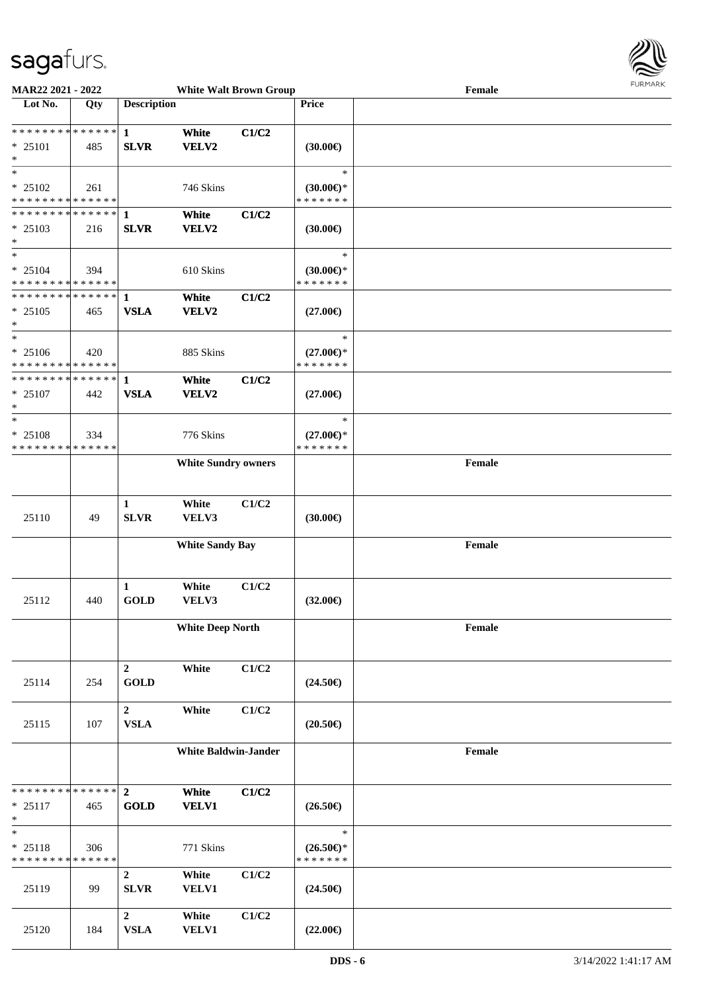

| MAR22 2021 - 2022                                              |                    |                                 | <b>White Walt Brown Group</b> |       |                                                | Female                                      | <b>FURMARK</b> |
|----------------------------------------------------------------|--------------------|---------------------------------|-------------------------------|-------|------------------------------------------------|---------------------------------------------|----------------|
| Lot No.                                                        | Qty                | <b>Description</b>              |                               |       | <b>Price</b>                                   |                                             |                |
| * * * * * * * * * * * * * *<br>* 25101<br>$\ast$               | 485                | $\mathbf{1}$<br><b>SLVR</b>     | White<br>VELV2                | C1/C2 | (30.00)                                        |                                             |                |
| $\ast$<br>$* 25102$<br>* * * * * * * * * * * * * *             | 261                |                                 | 746 Skins                     |       | $\ast$<br>$(30.00\epsilon)$ *<br>* * * * * * * |                                             |                |
| **************<br>* 25103<br>$\ast$                            | 216                | $\mathbf{1}$<br><b>SLVR</b>     | White<br>VELV2                | C1/C2 | (30.00)                                        |                                             |                |
| $\ast$<br>$* 25104$<br>* * * * * * * * * * * * * *             | 394                |                                 | 610 Skins                     |       | $\ast$<br>$(30.00\epsilon)$ *<br>* * * * * * * |                                             |                |
| * * * * * * * * * * * * * * *<br>$* 25105$<br>$\ast$           | 465                | $\mathbf{1}$<br><b>VSLA</b>     | White<br>VELV2                | C1/C2 | $(27.00\epsilon)$                              |                                             |                |
| $\ast$<br>$* 25106$<br>* * * * * * * * * * * * * *             | 420                |                                 | 885 Skins                     |       | $\ast$<br>$(27.00\epsilon)$ *<br>* * * * * * * |                                             |                |
| * * * * * * * * * * * * * *<br>$* 25107$<br>$\ast$             | 442                | 1<br><b>VSLA</b>                | White<br><b>VELV2</b>         | C1/C2 | $(27.00\epsilon)$                              |                                             |                |
| $\ast$<br>$* 25108$<br>* * * * * * * * * * * * * *             | 334                |                                 | 776 Skins                     |       | $\ast$<br>$(27.00\epsilon)$ *<br>* * * * * * * |                                             |                |
|                                                                |                    |                                 | <b>White Sundry owners</b>    |       |                                                | Female                                      |                |
| 25110                                                          | 49                 | 1<br><b>SLVR</b>                | White<br>VELV3                | C1/C2 | (30.00)                                        |                                             |                |
|                                                                |                    |                                 | <b>White Sandy Bay</b>        |       |                                                | Female                                      |                |
| 25112                                                          | 440                | 1<br><b>GOLD</b>                | White<br>VELV3                | C1/C2 | $(32.00\epsilon)$                              |                                             |                |
|                                                                |                    |                                 | <b>White Deep North</b>       |       |                                                | Female                                      |                |
| 25114                                                          | 254                | $\boldsymbol{2}$<br><b>GOLD</b> | White                         | C1/C2 | $(24.50\epsilon)$                              |                                             |                |
| 25115                                                          | 107                | $\overline{2}$<br><b>VSLA</b>   | White                         | C1/C2 | $(20.50\epsilon)$                              |                                             |                |
|                                                                |                    |                                 | <b>White Baldwin-Jander</b>   |       |                                                | $\ensuremath{\textnormal{\textbf{Female}}}$ |                |
| * * * * * * * * * * * * * * *<br>$* 25117$<br>$\ast$<br>$\ast$ | 465                | $\overline{2}$<br><b>GOLD</b>   | White<br><b>VELV1</b>         | C1/C2 | $(26.50\epsilon)$<br>$\ast$                    |                                             |                |
| $* 25118$<br>* * * * * * * *                                   | 306<br>* * * * * * |                                 | 771 Skins                     |       | $(26.50\epsilon)$ *<br>* * * * * * *           |                                             |                |
| 25119                                                          | 99                 | $\overline{2}$<br><b>SLVR</b>   | White<br><b>VELV1</b>         | C1/C2 | $(24.50\epsilon)$                              |                                             |                |
| 25120                                                          | 184                | $\overline{2}$<br><b>VSLA</b>   | White<br><b>VELV1</b>         | C1/C2 | $(22.00\epsilon)$                              |                                             |                |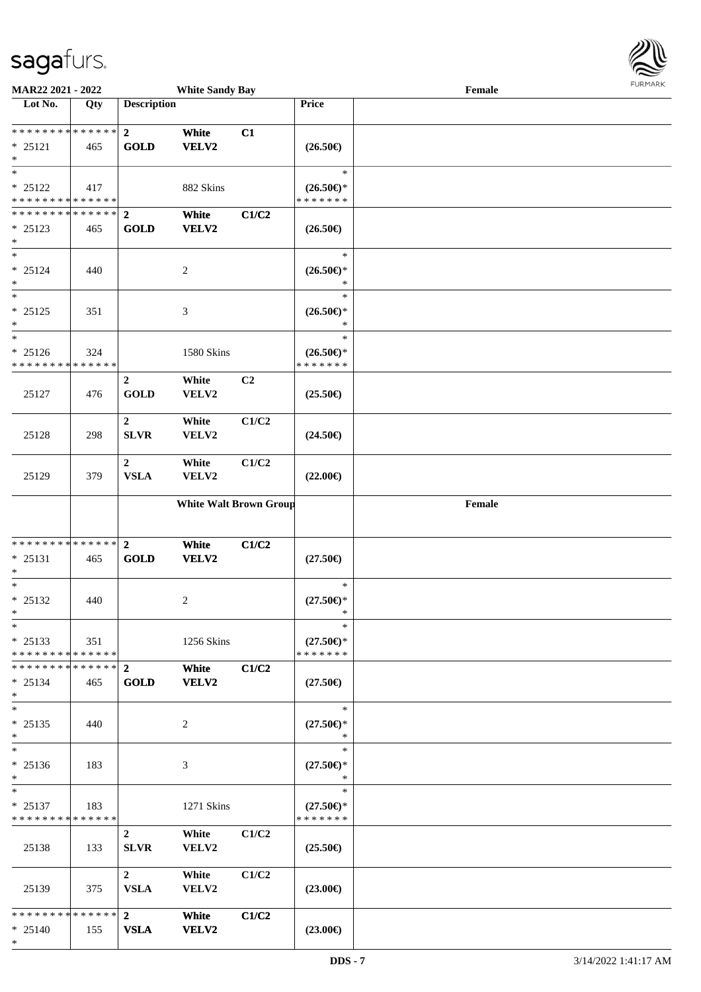

| MAR22 2021 - 2022                        |     |                    | <b>White Sandy Bay</b>        |       |                                      | Female | 1.911171717 |
|------------------------------------------|-----|--------------------|-------------------------------|-------|--------------------------------------|--------|-------------|
| Lot No.                                  | Qty | <b>Description</b> |                               |       | Price                                |        |             |
|                                          |     |                    |                               |       |                                      |        |             |
| ******** <mark>******</mark>             |     | $\overline{2}$     | White                         | C1    |                                      |        |             |
| $* 25121$<br>$\ast$                      | 465 | <b>GOLD</b>        | <b>VELV2</b>                  |       | $(26.50\epsilon)$                    |        |             |
| $\ast$                                   |     |                    |                               |       | $\ast$                               |        |             |
| $* 25122$                                | 417 |                    | 882 Skins                     |       | $(26.50\epsilon)$ *                  |        |             |
| * * * * * * * * * * * * * *              |     |                    |                               |       | * * * * * * *                        |        |             |
| * * * * * * * * * * * * * * *            |     | $\overline{2}$     | White                         | C1/C2 |                                      |        |             |
| * 25123                                  | 465 | <b>GOLD</b>        | <b>VELV2</b>                  |       | $(26.50\epsilon)$                    |        |             |
| $\ast$                                   |     |                    |                               |       |                                      |        |             |
| $\ast$                                   |     |                    |                               |       | $\ast$                               |        |             |
| $* 25124$                                | 440 |                    | $\overline{c}$                |       | $(26.50\epsilon)$ *                  |        |             |
| $\ast$                                   |     |                    |                               |       | *                                    |        |             |
| $\overline{\phantom{1}}$                 |     |                    |                               |       | $\ast$                               |        |             |
| $* 25125$                                | 351 |                    | $\mathfrak{Z}$                |       | $(26.50\epsilon)$ *                  |        |             |
| $\ast$<br>$\ast$                         |     |                    |                               |       | $\ast$<br>$\ast$                     |        |             |
| $* 25126$                                | 324 |                    | 1580 Skins                    |       | $(26.50\epsilon)$ *                  |        |             |
| * * * * * * * * * * * * * *              |     |                    |                               |       | * * * * * * *                        |        |             |
|                                          |     | $\overline{2}$     | White                         | C2    |                                      |        |             |
| 25127                                    | 476 | <b>GOLD</b>        | VELV2                         |       | $(25.50\epsilon)$                    |        |             |
|                                          |     |                    |                               |       |                                      |        |             |
|                                          |     | $\overline{2}$     | White                         | C1/C2 |                                      |        |             |
| 25128                                    | 298 | ${\bf SLVR}$       | VELV2                         |       | $(24.50\epsilon)$                    |        |             |
|                                          |     |                    |                               |       |                                      |        |             |
|                                          |     | $\overline{2}$     | White                         | C1/C2 |                                      |        |             |
| 25129                                    | 379 | <b>VSLA</b>        | VELV2                         |       | $(22.00\epsilon)$                    |        |             |
|                                          |     |                    |                               |       |                                      |        |             |
|                                          |     |                    | <b>White Walt Brown Group</b> |       |                                      | Female |             |
|                                          |     |                    |                               |       |                                      |        |             |
| * * * * * * * * * * * * * *              |     | $\overline{2}$     | White                         | C1/C2 |                                      |        |             |
| $* 25131$                                | 465 | <b>GOLD</b>        | <b>VELV2</b>                  |       | $(27.50\in)$                         |        |             |
| $\ast$                                   |     |                    |                               |       |                                      |        |             |
| $\ast$                                   |     |                    |                               |       | $\ast$                               |        |             |
| $* 25132$                                | 440 |                    | 2                             |       | $(27.50\epsilon)$ *                  |        |             |
| $*$                                      |     |                    |                               |       | $\ast$                               |        |             |
| $\ast$                                   |     |                    |                               |       | $\ast$                               |        |             |
| $* 25133$<br>* * * * * * * * * * * * * * | 351 |                    | 1256 Skins                    |       | $(27.50\epsilon)$ *<br>* * * * * * * |        |             |
| * * * * * * * * * * * * * *              |     | $\overline{2}$     | White                         | C1/C2 |                                      |        |             |
| $* 25134$                                | 465 | <b>GOLD</b>        | <b>VELV2</b>                  |       | $(27.50\epsilon)$                    |        |             |
| $*$                                      |     |                    |                               |       |                                      |        |             |
| $*$                                      |     |                    |                               |       | $\ast$                               |        |             |
| $* 25135$                                | 440 |                    | 2                             |       | $(27.50\epsilon)$ *                  |        |             |
| $\ast$                                   |     |                    |                               |       | $\ast$                               |        |             |
| $\ast$                                   |     |                    |                               |       | $\ast$                               |        |             |
| $* 25136$                                | 183 |                    | 3                             |       | $(27.50\epsilon)$ *<br>$\ast$        |        |             |
| $\ast$<br>$\ast$                         |     |                    |                               |       | $\ast$                               |        |             |
| $* 25137$                                | 183 |                    | 1271 Skins                    |       | $(27.50\epsilon)$ *                  |        |             |
| * * * * * * * * * * * * * *              |     |                    |                               |       | * * * * * * *                        |        |             |
|                                          |     | $\overline{2}$     | White                         | C1/C2 |                                      |        |             |
| 25138                                    | 133 | <b>SLVR</b>        | VELV2                         |       | $(25.50\epsilon)$                    |        |             |
|                                          |     |                    |                               |       |                                      |        |             |
|                                          |     | $\overline{2}$     | White                         | C1/C2 |                                      |        |             |
| 25139                                    | 375 | <b>VSLA</b>        | <b>VELV2</b>                  |       | $(23.00\epsilon)$                    |        |             |
|                                          |     |                    |                               |       |                                      |        |             |
| * * * * * * * * * * * * * *              |     | $2^{\circ}$        | White                         | C1/C2 |                                      |        |             |
| $* 25140$<br>$\ast$                      | 155 | <b>VSLA</b>        | <b>VELV2</b>                  |       | $(23.00\epsilon)$                    |        |             |
|                                          |     |                    |                               |       |                                      |        |             |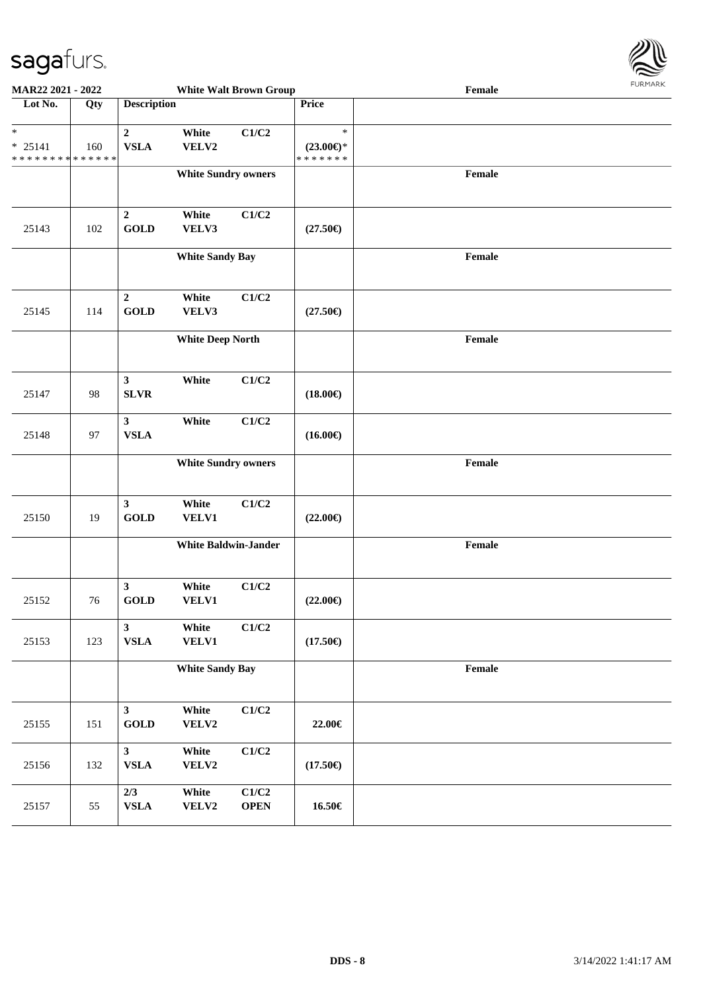

| <b>MAR22 2021 - 2022</b>                                          |                   |                               |                             | <b>White Walt Brown Group</b> | Female                                         |        |  |  |  |  |
|-------------------------------------------------------------------|-------------------|-------------------------------|-----------------------------|-------------------------------|------------------------------------------------|--------|--|--|--|--|
| Lot No.                                                           | $\overline{Q}$ ty | <b>Description</b>            |                             |                               | Price                                          |        |  |  |  |  |
| $\ast$<br>$* 25141$<br>* * * * * * * * <mark>* * * * * * *</mark> | 160               | $\overline{2}$<br><b>VSLA</b> | White<br>VELV2              | C1/C2                         | $\ast$<br>$(23.00\epsilon)$ *<br>* * * * * * * |        |  |  |  |  |
|                                                                   |                   |                               | <b>White Sundry owners</b>  |                               |                                                | Female |  |  |  |  |
| 25143                                                             | 102               | $\mathbf 2$<br><b>GOLD</b>    | White<br>VELV3              | C1/C2                         | $(27.50\epsilon)$                              |        |  |  |  |  |
|                                                                   |                   |                               | <b>White Sandy Bay</b>      |                               |                                                | Female |  |  |  |  |
| 25145                                                             | 114               | $\overline{2}$<br><b>GOLD</b> | White<br>VELV3              | C1/C2                         | $(27.50\epsilon)$                              |        |  |  |  |  |
|                                                                   |                   |                               | <b>White Deep North</b>     |                               |                                                | Female |  |  |  |  |
| 25147                                                             | 98                | $\mathbf{3}$<br><b>SLVR</b>   | White                       | C1/C2                         | $(18.00\epsilon)$                              |        |  |  |  |  |
| 25148                                                             | 97                | $\mathbf{3}$<br><b>VSLA</b>   | White                       | C1/C2                         | $(16.00\epsilon)$                              |        |  |  |  |  |
|                                                                   |                   |                               | <b>White Sundry owners</b>  |                               |                                                | Female |  |  |  |  |
| 25150                                                             | 19                | $\mathbf{3}$<br><b>GOLD</b>   | White<br>VELV1              | C1/C2                         | $(22.00\epsilon)$                              |        |  |  |  |  |
|                                                                   |                   |                               | <b>White Baldwin-Jander</b> |                               |                                                | Female |  |  |  |  |
| 25152                                                             | 76                | $\mathbf{3}$<br><b>GOLD</b>   | White<br>VELV1              | C1/C2                         | $(22.00\epsilon)$                              |        |  |  |  |  |
| 25153                                                             | 123               | $\mathbf{3}$<br>${\bf VSLA}$  | White<br><b>VELV1</b>       | C1/C2                         | $(17.50\epsilon)$                              |        |  |  |  |  |
|                                                                   |                   |                               | <b>White Sandy Bay</b>      |                               |                                                | Female |  |  |  |  |
| 25155                                                             | 151               | $\mathbf{3}$<br><b>GOLD</b>   | White<br>VELV2              | C1/C2                         | 22.00€                                         |        |  |  |  |  |
| 25156                                                             | 132               | $\mathbf{3}$<br>${\bf VSLA}$  | White<br>VELV2              | C1/C2                         | $(17.50\epsilon)$                              |        |  |  |  |  |
| 25157                                                             | 55                | 2/3<br>${\bf VSLA}$           | White<br>VELV2              | C1/C2<br><b>OPEN</b>          | 16.50€                                         |        |  |  |  |  |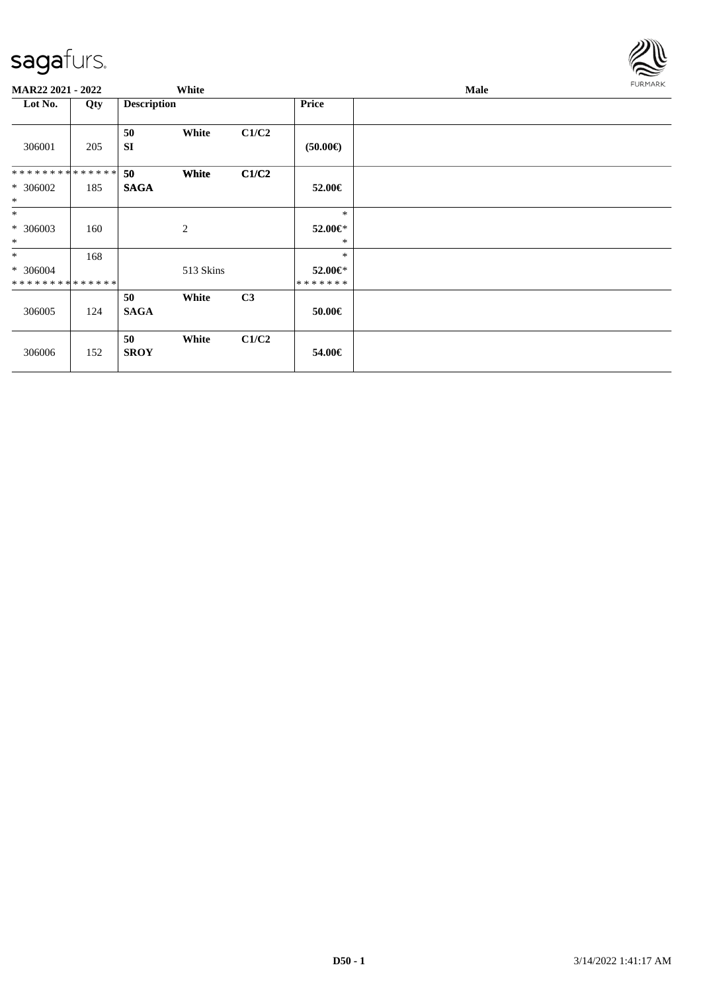

| MAR22 2021 - 2022          |     |                    | White     |       |                          | Male | FURMARK |
|----------------------------|-----|--------------------|-----------|-------|--------------------------|------|---------|
| Lot No.                    | Qty | <b>Description</b> |           |       | <b>Price</b>             |      |         |
| 306001                     | 205 | 50<br><b>SI</b>    | White     | C1/C2 | $(50.00\epsilon)$        |      |         |
| **************             |     | 50                 | White     | C1/C2 |                          |      |         |
| * 306002<br>$\ast$         | 185 | <b>SAGA</b>        |           |       | 52.00€                   |      |         |
| $*$                        |     |                    |           |       | $\ast$                   |      |         |
| * 306003<br>$*$            | 160 |                    | 2         |       | 52.00€*<br>*             |      |         |
| $*$                        | 168 |                    |           |       | $\ast$                   |      |         |
| * 306004<br>************** |     |                    | 513 Skins |       | 52.00€*<br>* * * * * * * |      |         |
| 306005                     | 124 | 50<br><b>SAGA</b>  | White     | C3    | $50.00 \in$              |      |         |
| 306006                     | 152 | 50<br><b>SROY</b>  | White     | C1/C2 | 54.00€                   |      |         |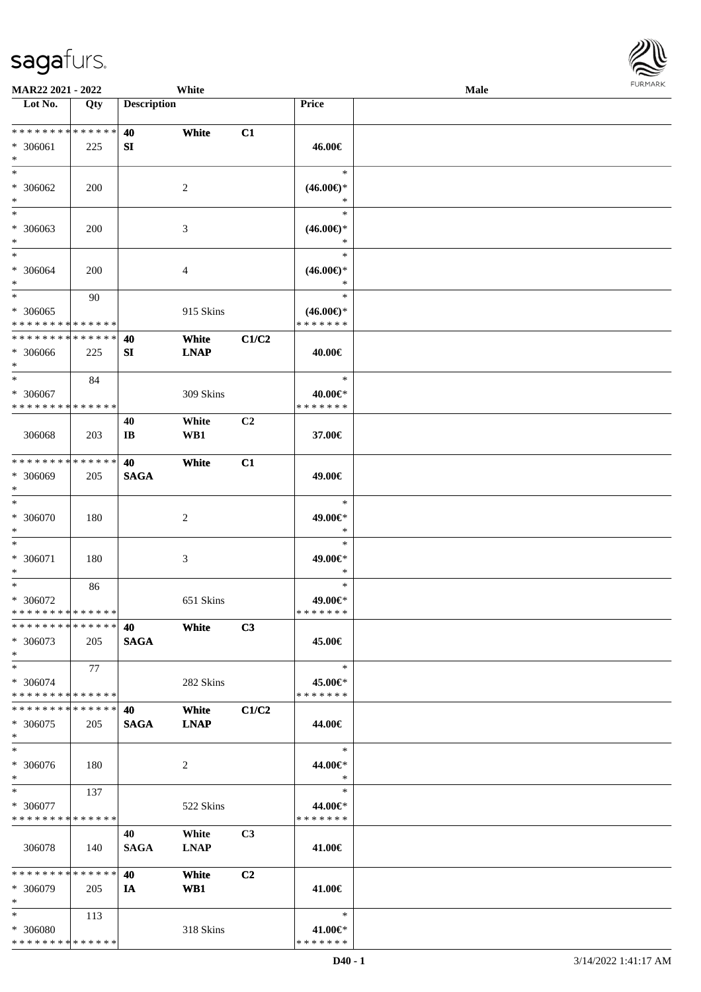

| MAR22 2021 - 2022                                   |     |                    | White                |                |                                                | Male |  |
|-----------------------------------------------------|-----|--------------------|----------------------|----------------|------------------------------------------------|------|--|
| Lot No.                                             | Qty | <b>Description</b> |                      |                | Price                                          |      |  |
| **************<br>* 306061<br>$\ast$                | 225 | 40<br>SI           | White                | C1             | 46.00€                                         |      |  |
| $\ast$<br>* 306062<br>$\ast$                        | 200 |                    | 2                    |                | $\ast$<br>$(46.00\epsilon)$ *<br>∗             |      |  |
| $\overline{\phantom{1}}$<br>* 306063<br>$\ast$      | 200 |                    | 3                    |                | $\ast$<br>$(46.00\epsilon)$ *<br>*             |      |  |
| $\ast$<br>$* 306064$<br>$\ast$                      | 200 |                    | 4                    |                | $\ast$<br>$(46.00\in)^\ast$<br>$\ast$          |      |  |
| $\ast$<br>$* 306065$<br>* * * * * * * * * * * * * * | 90  |                    | 915 Skins            |                | $\ast$<br>$(46.00\epsilon)$ *<br>* * * * * * * |      |  |
| * * * * * * * * * * * * * *<br>* 306066<br>$\ast$   | 225 | 40<br>SI           | White<br><b>LNAP</b> | C1/C2          | 40.00€                                         |      |  |
| $\ast$<br>* 306067<br>* * * * * * * * * * * * * *   | 84  |                    | 309 Skins            |                | $\ast$<br>40.00€*<br>* * * * * * *             |      |  |
| 306068                                              | 203 | 40<br>IB           | White<br>WB1         | C2             | 37.00€                                         |      |  |
| * * * * * * * * * * * * * *<br>* 306069<br>$\ast$   | 205 | 40<br><b>SAGA</b>  | White                | C1             | 49.00€                                         |      |  |
| $\ast$<br>$* 306070$<br>$\ast$                      | 180 |                    | $\boldsymbol{2}$     |                | $\ast$<br>49.00€*<br>$\ast$                    |      |  |
| $\ast$<br>* 306071<br>$\ast$                        | 180 |                    | 3                    |                | $\ast$<br>49.00€*<br>$\ast$                    |      |  |
| $\ast$<br>$* 306072$<br>* * * * * * * * * * * * * * | 86  |                    | 651 Skins            |                | $\ast$<br>49.00€*<br>* * * * * * *             |      |  |
| * * * * * * * * * * * * * * *<br>* 306073<br>$*$    | 205 | 40<br><b>SAGA</b>  | White                | C3             | 45.00€                                         |      |  |
| $*$<br>* 306074<br>* * * * * * * * * * * * * *      | 77  |                    | 282 Skins            |                | $\ast$<br>45.00€*<br>* * * * * * *             |      |  |
| * * * * * * * * * * * * * * *<br>* 306075<br>$*$    | 205 | 40<br><b>SAGA</b>  | White<br><b>LNAP</b> | C1/C2          | 44.00€                                         |      |  |
| $\ast$<br>* 306076<br>$*$                           | 180 |                    | 2                    |                | $\ast$<br>44.00€*<br>$\ast$                    |      |  |
| $*$<br>* 306077<br>* * * * * * * * * * * * * *      | 137 |                    | 522 Skins            |                | $\ast$<br>44.00€*<br>* * * * * * *             |      |  |
| 306078                                              | 140 | 40<br><b>SAGA</b>  | White<br><b>LNAP</b> | C <sub>3</sub> | 41.00€                                         |      |  |
| * * * * * * * * * * * * * *<br>* 306079<br>$*$      | 205 | 40<br>IA           | White<br>WB1         | C <sub>2</sub> | 41.00€                                         |      |  |
| $*$<br>* 306080<br>* * * * * * * * * * * * * *      | 113 |                    | 318 Skins            |                | $\ast$<br>41.00€*<br>* * * * * * *             |      |  |
|                                                     |     |                    |                      |                |                                                |      |  |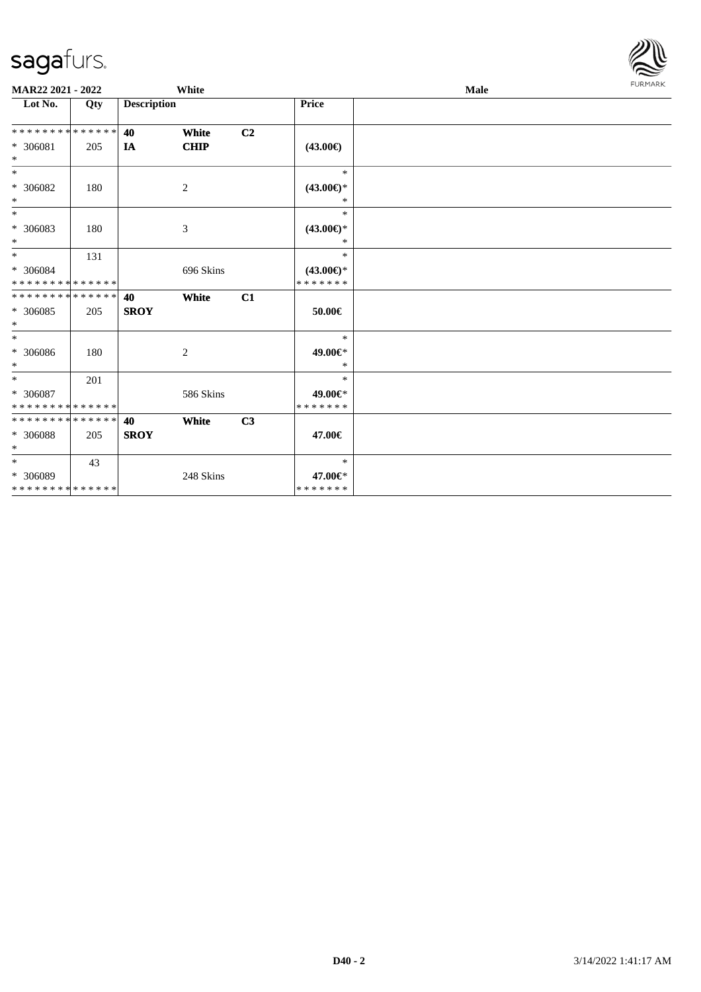

| MAR22 2021 - 2022            |     | White              |                             |                |                                      | Male |  |  |
|------------------------------|-----|--------------------|-----------------------------|----------------|--------------------------------------|------|--|--|
| Lot No.                      | Qty | <b>Description</b> |                             |                | Price                                |      |  |  |
| **************               |     | 40                 | White                       | C <sub>2</sub> |                                      |      |  |  |
| * 306081<br>$\ast$           | 205 | IA                 | <b>CHIP</b>                 |                | $(43.00\epsilon)$                    |      |  |  |
| $\ast$                       |     |                    |                             |                | $\ast$                               |      |  |  |
| * 306082<br>$\ast$           | 180 |                    | 2                           |                | $(43.00\epsilon)$ *<br>$\ast$        |      |  |  |
| $\ast$                       |     |                    |                             |                | $\ast$                               |      |  |  |
| * 306083<br>$\ast$           | 180 |                    | $\boldsymbol{\mathfrak{Z}}$ |                | $(43.00\epsilon)$ *<br>$\ast$        |      |  |  |
| $\ast$                       | 131 |                    |                             |                | $\ast$                               |      |  |  |
| $* 306084$<br>************** |     |                    | 696 Skins                   |                | $(43.00\epsilon)$ *<br>* * * * * * * |      |  |  |
| **************               |     | 40                 | White                       | C1             |                                      |      |  |  |
| * 306085<br>$\ast$           | 205 | <b>SROY</b>        |                             |                | 50.00€                               |      |  |  |
| $\ast$                       |     |                    |                             |                | $\ast$                               |      |  |  |
| $* 306086$<br>$\ast$         | 180 |                    | $\overline{c}$              |                | 49.00€*<br>$\ast$                    |      |  |  |
| $\ast$                       | 201 |                    |                             |                | $\ast$                               |      |  |  |
| * 306087<br>**************   |     |                    | 586 Skins                   |                | 49.00€*<br>* * * * * * *             |      |  |  |
| **************               |     | 40                 | White                       | C3             |                                      |      |  |  |
| * 306088<br>$*$              | 205 | <b>SROY</b>        |                             |                | 47.00€                               |      |  |  |
| $\ast$                       | 43  |                    |                             |                | $\ast$                               |      |  |  |
| * 306089                     |     |                    | 248 Skins                   |                | 47.00€*                              |      |  |  |
| **************               |     |                    |                             |                | * * * * * * *                        |      |  |  |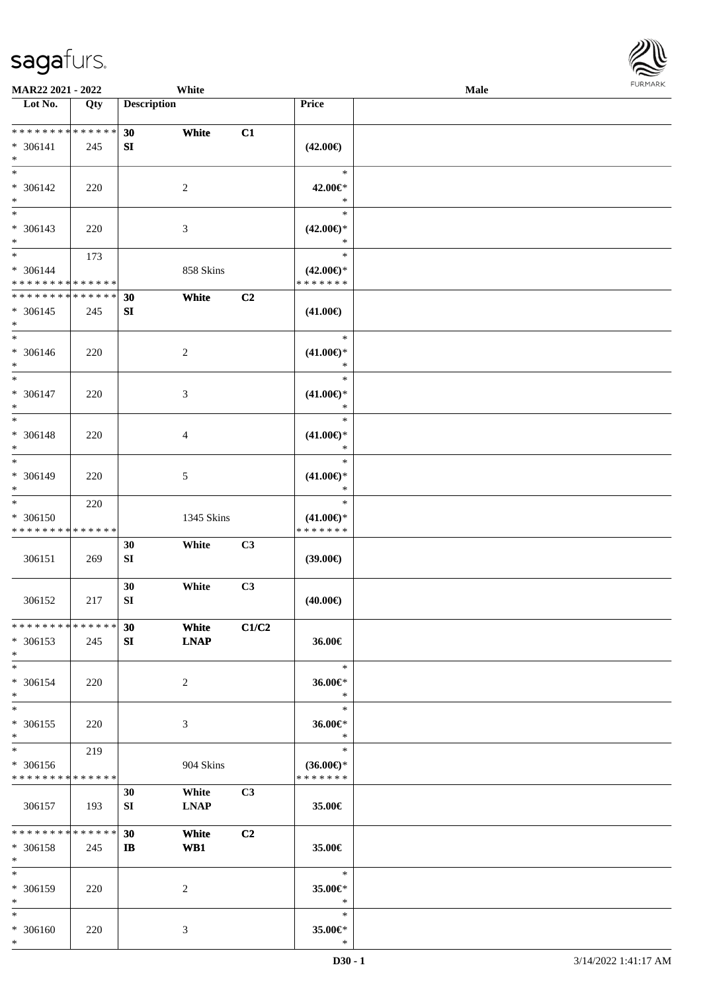

| <b>MAR22 2021 - 2022</b>                   |     |                    | White       |                |                     | <b>Male</b> |  |
|--------------------------------------------|-----|--------------------|-------------|----------------|---------------------|-------------|--|
| Lot No.                                    | Qty | <b>Description</b> |             |                | Price               |             |  |
|                                            |     |                    |             |                |                     |             |  |
| ******** <mark>******</mark>               |     | 30                 | White       | C1             |                     |             |  |
| * 306141                                   | 245 | SI                 |             |                | $(42.00\epsilon)$   |             |  |
| $*$                                        |     |                    |             |                |                     |             |  |
| $*$                                        |     |                    |             |                | $\ast$              |             |  |
|                                            |     |                    |             |                |                     |             |  |
| * 306142                                   | 220 |                    | 2           |                | 42.00€*             |             |  |
| $*$                                        |     |                    |             |                | $\ast$              |             |  |
| $\overline{\phantom{0}}$                   |     |                    |             |                | $\ast$              |             |  |
| * 306143                                   | 220 |                    | 3           |                | $(42.00\epsilon)$ * |             |  |
| $*$                                        |     |                    |             |                | $\ast$              |             |  |
| $*$                                        | 173 |                    |             |                | $\ast$              |             |  |
| * 306144                                   |     |                    | 858 Skins   |                | $(42.00\epsilon)$ * |             |  |
| * * * * * * * * <mark>* * * * * * *</mark> |     |                    |             |                | * * * * * * *       |             |  |
| ******** <mark>******</mark>               |     | 30                 | White       | C <sub>2</sub> |                     |             |  |
| * 306145                                   | 245 | SI                 |             |                | $(41.00\epsilon)$   |             |  |
| $*$                                        |     |                    |             |                |                     |             |  |
| $*$                                        |     |                    |             |                | $\ast$              |             |  |
|                                            |     |                    |             |                |                     |             |  |
| * 306146                                   | 220 |                    | 2           |                | $(41.00\epsilon)$ * |             |  |
| $*$                                        |     |                    |             |                | $\ast$              |             |  |
| $*$                                        |     |                    |             |                | $\ast$              |             |  |
| * 306147                                   | 220 |                    | 3           |                | $(41.00\epsilon)$ * |             |  |
| $*$                                        |     |                    |             |                | $\ast$              |             |  |
| $*$                                        |     |                    |             |                | $\ast$              |             |  |
| * 306148                                   | 220 |                    | 4           |                | $(41.00\epsilon)$ * |             |  |
| $\ast$                                     |     |                    |             |                | $\ast$              |             |  |
| $*$                                        |     |                    |             |                | $\ast$              |             |  |
|                                            |     |                    |             |                |                     |             |  |
| * 306149                                   | 220 |                    | 5           |                | $(41.00\epsilon)$ * |             |  |
| $*$                                        |     |                    |             |                | $\ast$              |             |  |
| $\overline{\ }$                            | 220 |                    |             |                | $\ast$              |             |  |
| $* 306150$                                 |     |                    | 1345 Skins  |                | $(41.00\epsilon)$ * |             |  |
| * * * * * * * * * * * * * *                |     |                    |             |                | * * * * * * *       |             |  |
|                                            |     | 30                 | White       | C3             |                     |             |  |
| 306151                                     | 269 | ${\bf SI}$         |             |                | $(39.00\epsilon)$   |             |  |
|                                            |     |                    |             |                |                     |             |  |
|                                            |     | 30                 | White       | C3             |                     |             |  |
| 306152                                     | 217 | ${\bf SI}$         |             |                | $(40.00\epsilon)$   |             |  |
|                                            |     |                    |             |                |                     |             |  |
| * * * * * * * * * * * * * * *              |     |                    |             | C1/C2          |                     |             |  |
|                                            |     | 30                 | White       |                |                     |             |  |
| * 306153                                   | 245 | SI                 | <b>LNAP</b> |                | 36.00€              |             |  |
| $*$                                        |     |                    |             |                |                     |             |  |
| $*$                                        |     |                    |             |                | $\ast$              |             |  |
| * 306154                                   | 220 |                    | 2           |                | 36.00€*             |             |  |
| $*$                                        |     |                    |             |                | $\ast$              |             |  |
| $*$                                        |     |                    |             |                | $\ast$              |             |  |
| * 306155                                   | 220 |                    | 3           |                | 36.00€*             |             |  |
| $*$                                        |     |                    |             |                | $\ast$              |             |  |
| $*$                                        | 219 |                    |             |                | $\ast$              |             |  |
| * 306156                                   |     |                    | 904 Skins   |                | $(36.00\epsilon)$ * |             |  |
| * * * * * * * * * * * * * *                |     |                    |             |                | * * * * * * *       |             |  |
|                                            |     |                    |             |                |                     |             |  |
|                                            |     | 30                 | White       | C3             |                     |             |  |
| 306157                                     | 193 | SI                 | <b>LNAP</b> |                | 35.00€              |             |  |
|                                            |     |                    |             |                |                     |             |  |
| * * * * * * * * <mark>* * * * * * *</mark> |     | 30                 | White       | C2             |                     |             |  |
| * 306158                                   | 245 | $\mathbf{I}$       | WB1         |                | 35.00€              |             |  |
| $*$                                        |     |                    |             |                |                     |             |  |
| $*$                                        |     |                    |             |                | $\ast$              |             |  |
| * 306159                                   | 220 |                    | 2           |                | 35.00€*             |             |  |
| $*$                                        |     |                    |             |                | $\ast$              |             |  |
| $\ast$                                     |     |                    |             |                | $\ast$              |             |  |
| * 306160                                   | 220 |                    | 3           |                | $35.00 \in$ *       |             |  |
| $\ast$                                     |     |                    |             |                | $\ast$              |             |  |
|                                            |     |                    |             |                |                     |             |  |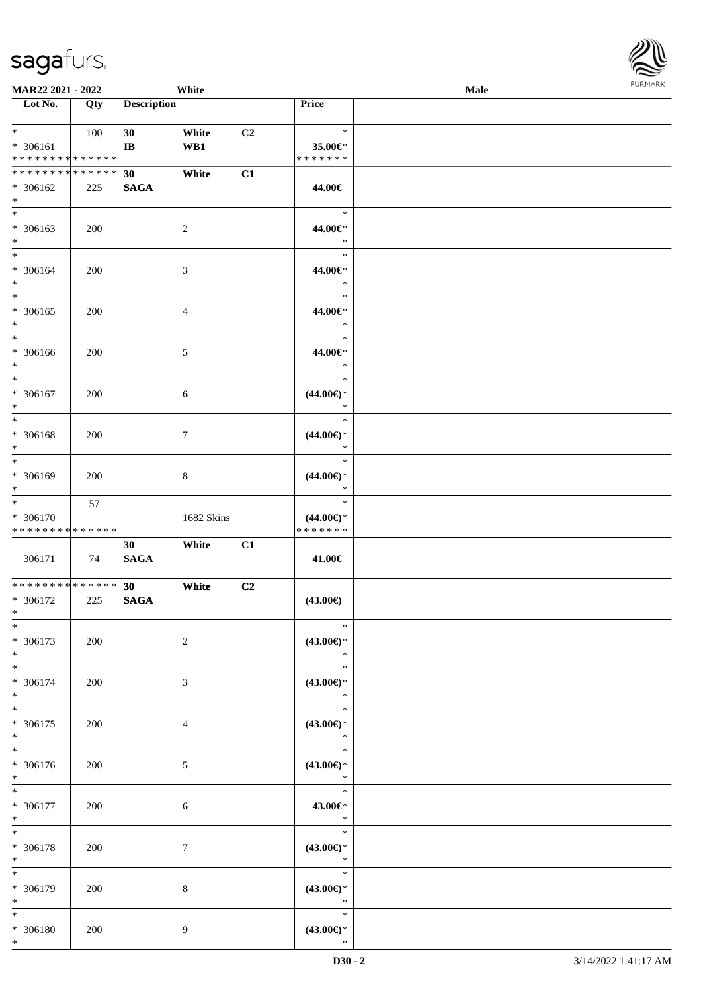**Lot No. Qty Description** 

| $*$                                               |      |                                |                 |                |                                                   |  |
|---------------------------------------------------|------|--------------------------------|-----------------|----------------|---------------------------------------------------|--|
| * 306161<br>**************                        | 100  | 30<br>$\mathbf{I}$ <b>B</b>    | White<br>WB1    | C <sub>2</sub> | $\ast$<br>35.00€*<br>* * * * * * *                |  |
| * * * * * * * * * * * * * *<br>* 306162<br>$\ast$ | 225  | 30<br><b>SAGA</b>              | White           | C1             | 44.00€                                            |  |
| $*$<br>$* 306163$<br>$\ast$                       | 200  |                                | $\overline{c}$  |                | $\ast$<br>44.00€*<br>$\ast$                       |  |
| $\overline{\ast}$<br>* 306164<br>$\ast$           | 200  |                                | $\mathfrak{Z}$  |                | $\ast$<br>44.00€*<br>$\ast$                       |  |
| $\overline{\ast}$<br>$* 306165$<br>$\ast$         | 200  |                                | $\overline{4}$  |                | $\ast$<br>44.00€*<br>$\ast$                       |  |
| $\ast$<br>$* 306166$<br>$\ast$                    | 200  |                                | $5\,$           |                | $\ast$<br>44.00€*<br>$\ast$                       |  |
| $\ast$<br>$* 306167$<br>$\ast$                    | 200  |                                | 6               |                | $\ast$<br>$(44.00\epsilon)$ *<br>$\ast$           |  |
| $\ast$<br>* 306168<br>$\ast$                      | 200  |                                | $7\phantom{.0}$ |                | $\ast$<br>$(44.00\epsilon)$ *<br>$\ast$           |  |
| $\ast$<br>* 306169<br>$\ast$                      | 200  |                                | $\bf 8$         |                | $\ast$<br>$(44.00\epsilon)$ *<br>$\ast$           |  |
| $\ast$<br>* 306170<br>* * * * * * * * * * * * * * | 57   |                                | 1682 Skins      |                | $\ast$<br>$(44.00\epsilon)$ *<br>* * * * * * *    |  |
| 306171                                            | - 74 | 30<br><b>SAGA</b>              | White           | C1             | 41.00€                                            |  |
| * * * * * * * * * * * * * *                       |      |                                |                 |                |                                                   |  |
| * 306172<br>$*$                                   | 225  | 30 <sup>°</sup><br><b>SAGA</b> | White           | C <sub>2</sub> | $(43.00\epsilon)$                                 |  |
| $\ast$<br>$* 306173$<br>$*$                       | 200  |                                | $\overline{2}$  |                | $\ast$<br>$(43.00\epsilon)$ *<br>$\ast$           |  |
| $\ast$<br>$* 306174$<br>$\ast$                    | 200  |                                | $\mathfrak{Z}$  |                | $\ast$<br>$(43.00\epsilon)$ *                     |  |
| $\ast$<br>$* 306175$<br>$\ast$                    | 200  |                                | 4               |                | $\ast$<br>$\ast$<br>$(43.00\epsilon)$ *<br>$\ast$ |  |
| $\ast$<br>* 306176<br>$*$                         | 200  |                                | $\mathfrak{S}$  |                | $\ast$<br>$(43.00\epsilon)$ *<br>$\ast$           |  |
| $\ast$<br>$* 306177$<br>$*$                       | 200  |                                | $\sqrt{6}$      |                | $\ast$<br>43.00€*<br>$\ast$                       |  |
| $\ast$<br>$*$                                     | 200  |                                | $7\phantom{.0}$ |                | $(43.00\epsilon)$ *                               |  |
| $* 306178$<br>$\ast$<br>* 306179<br>$*$           | 200  |                                | $\,8\,$         |                | $\ast$<br>$\ast$<br>$(43.00\epsilon)$ *<br>$\ast$ |  |

Τ

**MAR22 2021 - 2022 White Male Male Male Male Male Male Male Male Male Male Male Male Male Male Male Male Male Male Male Male Male Male Male Male Male Male Male Male** 

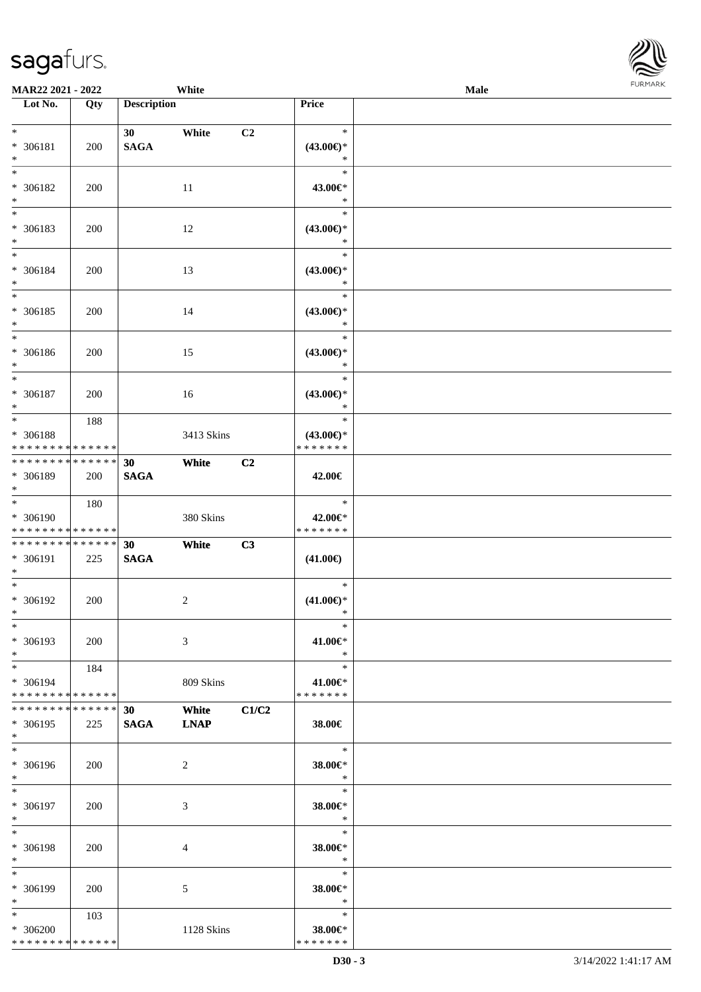**MAR22 2021 - 2022 White**<br> **Male Male Male Male Male Male Male Male Price** 

**Loty Description** 

| <b>FURMARK</b><br>Male |  |
|------------------------|--|
|                        |  |
|                        |  |
|                        |  |
|                        |  |
|                        |  |
|                        |  |
|                        |  |
|                        |  |
|                        |  |
|                        |  |

| $\ast$<br>* 306181<br>$\ast$                                        | 200        | 30 <sup>°</sup><br><b>SAGA</b> | White                | C <sub>2</sub> | $\ast$<br>$(43.00\epsilon)$ *<br>$\ast$        |  |
|---------------------------------------------------------------------|------------|--------------------------------|----------------------|----------------|------------------------------------------------|--|
| $\ast$<br>* 306182<br>$\ast$                                        | 200        |                                | 11                   |                | $\ast$<br>43.00€*<br>$\ast$                    |  |
| $\overline{\phantom{a}^*}$<br>* 306183<br>$*$                       | 200        |                                | 12                   |                | $\ast$<br>$(43.00\epsilon)$ *<br>$\ast$        |  |
| $*$<br>* 306184<br>$*$                                              | 200        |                                | 13                   |                | $\ast$<br>$(43.00\epsilon)$ *<br>$\ast$        |  |
| $\overline{\ast}$<br>* 306185<br>$\ast$<br>$\overline{\phantom{0}}$ | 200        |                                | 14                   |                | $\ast$<br>$(43.00\epsilon)$ *<br>$\ast$        |  |
| * 306186<br>$\ast$                                                  | 200        |                                | 15                   |                | $\ast$<br>$(43.00\epsilon)$ *<br>$\ast$        |  |
| $\ast$<br>$* 306187$<br>$\ast$                                      | 200        |                                | 16                   |                | $\ast$<br>$(43.00\epsilon)$ *<br>$\ast$        |  |
| $*$<br>* 306188<br>* * * * * * * * * * * * * *                      | 188        |                                | 3413 Skins           |                | $\ast$<br>$(43.00\epsilon)$ *<br>* * * * * * * |  |
| ******** <mark>******</mark><br>* 306189<br>$*$                     | 200        | 30<br><b>SAGA</b>              | White                | C2             | 42.00€                                         |  |
| $*$<br>* 306190<br>* * * * * * * * * * * * * *                      | 180        |                                | 380 Skins            |                | $\ast$<br>42.00€*<br>* * * * * * *             |  |
|                                                                     |            |                                |                      |                |                                                |  |
| **************<br>* 306191<br>$\ast$                                | 225        | 30<br><b>SAGA</b>              | White                | C <sub>3</sub> | $(41.00\epsilon)$                              |  |
| $*$<br>$* 306192$<br>$*$                                            | 200        |                                | $\sqrt{2}$           |                | $\ast$<br>$(41.00\epsilon)$ *<br>$\ast$        |  |
| $*$<br>$* 306193$<br>$*$ $-$                                        | 200        |                                | $\mathfrak{Z}$       |                | $\ast$<br>41.00€*<br>$*$                       |  |
| $*$<br>* 306194<br>* * * * * * * * * * * * * * *                    | 184        |                                | 809 Skins            |                | $\ast$<br>41.00€*<br>* * * * * * *             |  |
| * * * * * * * * * * * * * *<br>$* 306195$<br>$*$                    | 225        | 30<br><b>SAGA</b>              | White<br><b>LNAP</b> | C1/C2          | 38.00€                                         |  |
| $\overline{\phantom{a}^*}$<br>* 306196<br>$*$                       | 200        |                                | 2                    |                | $\ast$<br>38.00€*<br>$\ast$                    |  |
| $*$<br>* 306197<br>$*$                                              | 200        |                                | 3                    |                | $\ast$<br>38.00€*<br>$\ast$                    |  |
| $\ast$<br>* 306198<br>$*$                                           | 200        |                                | 4                    |                | $\ast$<br>38.00€*<br>$\mathbb{R}^n$            |  |
| $\ast$<br>* 306199<br>$*$ $-$                                       | <b>200</b> |                                | 5                    |                | $\ast$<br>38.00€*<br>$\ast$                    |  |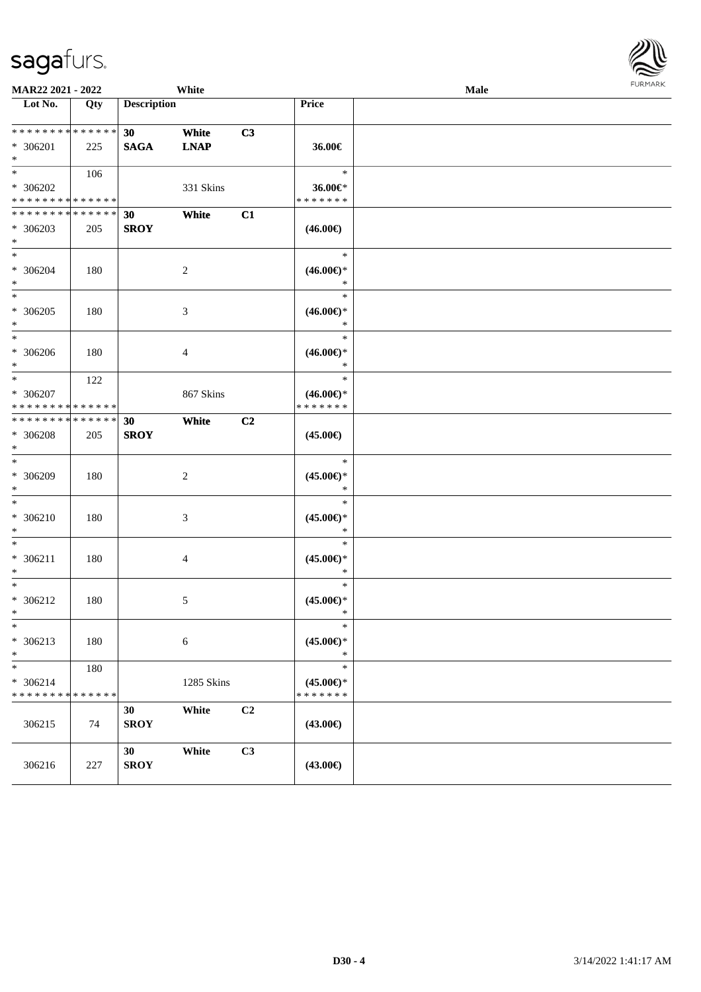| <b>MAR22 2021 - 2022</b><br>White                                  |                    |                                |                      |                | Male                                           |  |  |  |
|--------------------------------------------------------------------|--------------------|--------------------------------|----------------------|----------------|------------------------------------------------|--|--|--|
| Lot No.                                                            | Qty                | <b>Description</b>             |                      |                | Price                                          |  |  |  |
| * * * * * * * * <mark>* * * * * *</mark> *<br>* 306201<br>$*$      | 225                | 30 <sup>7</sup><br><b>SAGA</b> | White<br><b>LNAP</b> | C3             | 36.00€                                         |  |  |  |
| $*$<br>* 306202<br>* * * * * * * * <mark>* * * * * *</mark>        | 106                |                                | 331 Skins            |                | $\ast$<br>36.00€*<br>* * * * * * *             |  |  |  |
| * * * * * * * * <mark>* * * * * *</mark><br>* 306203<br>$\ast$     | 205                | 30<br><b>SROY</b>              | White                | C1             | $(46.00\epsilon)$                              |  |  |  |
| $*$<br>* 306204<br>$\ast$                                          | 180                |                                | 2                    |                | $\ast$<br>$(46.00ε)$ *<br>$\ast$               |  |  |  |
| $\overline{\ast}$<br>* 306205<br>$*$                               | 180                |                                | $\mathfrak{Z}$       |                | $\ast$<br>$(46.00ε)$ *<br>$\ast$               |  |  |  |
| $\ast$<br>* 306206<br>$\ast$                                       | 180                |                                | $\overline{4}$       |                | $\ast$<br>$(46.00\epsilon)$ *<br>$\ast$        |  |  |  |
| $\ddot{x}$<br>* 306207<br>* * * * * * * * <mark>* * * * * *</mark> | 122                |                                | 867 Skins            |                | $\ast$<br>$(46.00\epsilon)$ *<br>* * * * * * * |  |  |  |
| * * * * * * * * * * * * * * *<br>* 306208<br>$*$                   | 205                | 30<br><b>SROY</b>              | White                | C <sub>2</sub> | $(45.00\epsilon)$                              |  |  |  |
| $\ast$<br>* 306209<br>$\ast$                                       | 180                |                                | 2                    |                | $\ast$<br>$(45.00\epsilon)$ *<br>$\ast$        |  |  |  |
| $\ast$<br>$* 306210$<br>$\ast$                                     | 180                |                                | 3                    |                | $\ast$<br>$(45.00\epsilon)$ *<br>$\ast$        |  |  |  |
| $\ast$<br>$* 306211$<br>$\ast$                                     | 180                |                                | 4                    |                | $\ast$<br>$(45.00\epsilon)$ *<br>$\ast$        |  |  |  |
| $\ast$<br>* 306212<br>$\ddot{x}$                                   | 180                |                                | 5                    |                | $\ast$<br>$(45.00\epsilon)$ *<br>$\ast$        |  |  |  |
| $\ast$<br>* 306213<br>$\ast$                                       | 180                |                                | $\sqrt{6}$           |                | $\ast$<br>$(45.00\epsilon)$ *<br>$\ast$        |  |  |  |
| $\ast$<br>$* 306214$<br>* * * * * * * *                            | 180<br>* * * * * * |                                | 1285 Skins           |                | $\ast$<br>$(45.00\epsilon)$ *<br>* * * * * * * |  |  |  |
| 306215                                                             | 74                 | 30<br><b>SROY</b>              | White                | C2             | $(43.00\epsilon)$                              |  |  |  |
| 306216                                                             | 227                | 30<br><b>SROY</b>              | White                | C3             | $(43.00\epsilon)$                              |  |  |  |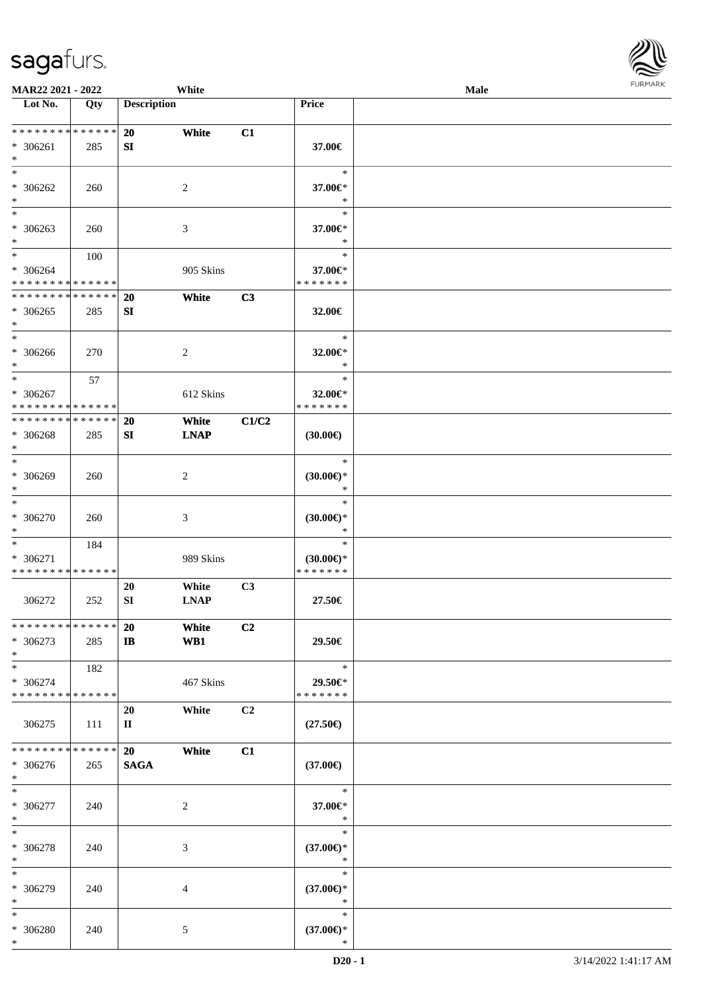| <b>MAR22 2021 - 2022</b>                                        |     |                           | White                |                |                                                | Male |  |
|-----------------------------------------------------------------|-----|---------------------------|----------------------|----------------|------------------------------------------------|------|--|
| Lot No.                                                         | Qty | <b>Description</b>        |                      |                | <b>Price</b>                                   |      |  |
| * * * * * * * * <mark>* * * * * * *</mark><br>$* 306261$<br>$*$ | 285 | <b>20</b><br>SI           | White                | C1             | 37.00€                                         |      |  |
| $*$<br>$* 306262$<br>$\ast$                                     | 260 |                           | 2                    |                | $\ast$<br>37.00€*<br>$\ast$                    |      |  |
| $\overline{\phantom{0}}$<br>* 306263<br>$*$                     | 260 |                           | 3                    |                | $\ast$<br>37.00€*<br>$\ast$                    |      |  |
| $*$<br>* 306264<br>* * * * * * * * * * * * * *                  | 100 |                           | 905 Skins            |                | $\ast$<br>37.00€*<br>* * * * * * *             |      |  |
| * * * * * * * * * * * * * *<br>$* 306265$<br>$*$                | 285 | 20<br>SI                  | White                | C3             | 32.00€                                         |      |  |
| $*$<br>$* 306266$<br>$*$                                        | 270 |                           | $\overline{c}$       |                | $\ast$<br>32.00€*<br>$\ast$                    |      |  |
| $\ast$<br>* 306267<br>* * * * * * * * * * * * * *               | 57  |                           | 612 Skins            |                | $\ast$<br>32.00 $\in$ *<br>* * * * * * *       |      |  |
| * * * * * * * * * * * * * *<br>* 306268<br>$*$                  | 285 | <b>20</b><br>SI           | White<br><b>LNAP</b> | C1/C2          | $(30.00\epsilon)$                              |      |  |
| $*$<br>* 306269<br>$*$                                          | 260 |                           | $\overline{c}$       |                | $\ast$<br>$(30.00\epsilon)$ *<br>$\ast$        |      |  |
| $*$<br>* 306270<br>$*$                                          | 260 |                           | 3                    |                | $\ast$<br>$(30.00\epsilon)$ *<br>$\ast$        |      |  |
| $*$<br>* 306271<br>* * * * * * * * * * * * * *                  | 184 |                           | 989 Skins            |                | $\ast$<br>$(30.00\epsilon)$ *<br>* * * * * * * |      |  |
| 306272                                                          | 252 | 20<br>SI                  | White<br><b>LNAP</b> | C3             | 27.50€                                         |      |  |
| * * * * * * * * * * * * * *<br>* 306273<br>$*$                  | 285 | <b>20</b><br>$\mathbf{I}$ | White<br>WB1         | C <sub>2</sub> | 29.50€                                         |      |  |
| $*$<br>* 306274<br>* * * * * * * * * * * * * *                  | 182 |                           | 467 Skins            |                | $\ast$<br>29.50€*<br>* * * * * * *             |      |  |
| 306275                                                          | 111 | 20<br>$\mathbf{I}$        | White                | C2             | $(27.50\epsilon)$                              |      |  |
| * * * * * * * * * * * * * *<br>* 306276<br>$*$                  | 265 | 20<br><b>SAGA</b>         | White                | C1             | $(37.00\epsilon)$                              |      |  |
| $*$<br>* 306277<br>$*$                                          | 240 |                           | $\overline{c}$       |                | $\ast$<br>37.00€*<br>$\ast$                    |      |  |
| $*$<br>* 306278<br>$*$                                          | 240 |                           | 3                    |                | $\ast$<br>$(37.00\epsilon)$ *<br>$\ast$        |      |  |
| $*$<br>* 306279<br>$*$                                          | 240 |                           | 4                    |                | $\ast$<br>$(37.00\epsilon)$ *<br>$\ast$        |      |  |
| $*$<br>* 306280<br>$*$                                          | 240 |                           | 5                    |                | $\ast$<br>$(37.00\epsilon)$ *<br>$\ast$        |      |  |

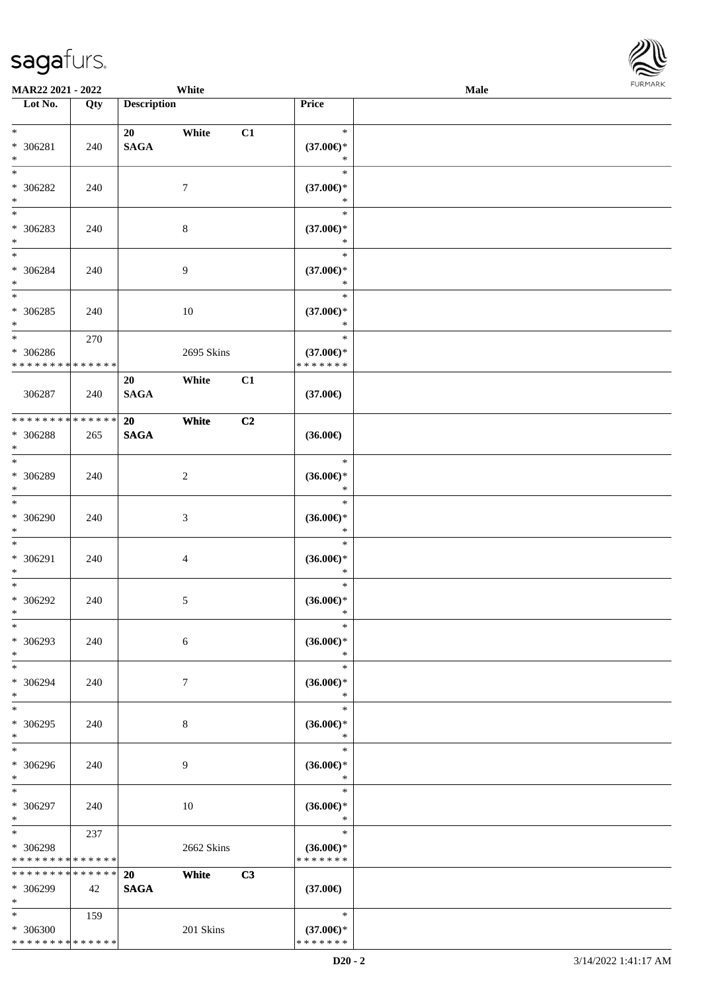| MAR22 2021 - 2022                                            |                    |                       | White          |    |                                                | Male | <b>FURMARK</b> |
|--------------------------------------------------------------|--------------------|-----------------------|----------------|----|------------------------------------------------|------|----------------|
| Lot No.                                                      | Qty                | <b>Description</b>    |                |    | Price                                          |      |                |
| $*$<br>$* 306281$<br>$\ast$                                  | 240                | 20<br>$\mathbf{SAGA}$ | White          | C1 | $\ast$<br>$(37.00\epsilon)$ *<br>$\ast$        |      |                |
| $\overline{\phantom{0}}$<br>$* 306282$<br>$\ast$             | 240                |                       | 7              |    | $\ast$<br>$(37.00\epsilon)$ *<br>$\ast$        |      |                |
| $\frac{1}{1}$<br>* 306283<br>$*$                             | 240                |                       | $8\,$          |    | $\ast$<br>$(37.00\epsilon)$ *<br>$\ast$        |      |                |
| $*$<br>* 306284<br>$\ast$                                    | 240                |                       | 9              |    | $\ast$<br>$(37.00\epsilon)$ *<br>$\ast$        |      |                |
| $\ast$<br>$* 306285$<br>$\ast$<br>$\overline{\phantom{a}^*}$ | 240                |                       | $10\,$         |    | $\ast$<br>$(37.00\epsilon)$ *<br>$\ast$        |      |                |
| * 306286<br>* * * * * * * *                                  | 270<br>* * * * * * |                       | 2695 Skins     |    | $\ast$<br>$(37.00\epsilon)$ *<br>* * * * * * * |      |                |
| 306287                                                       | 240                | 20<br><b>SAGA</b>     | White          | C1 | $(37.00\epsilon)$                              |      |                |
| * * * * * * * *<br>* 306288<br>$\ast$<br>$_{\ast}$           | * * * * * *<br>265 | 20<br><b>SAGA</b>     | White          | C2 | $(36.00\epsilon)$                              |      |                |
| * 306289<br>$\ast$                                           | 240                |                       | $\overline{c}$ |    | $\ast$<br>$(36.00\epsilon)$ *<br>$\ast$        |      |                |
| $\ast$<br>* 306290<br>$\ast$<br>$_{\ast}^{-}$                | 240                |                       | 3              |    | $\ast$<br>$(36.00\epsilon)$ *<br>$\ast$        |      |                |
| * 306291<br>$\ast$                                           | 240                |                       | 4              |    | $\ast$<br>$(36.00\epsilon)$ *<br>$\ast$        |      |                |
| $\ast$<br>$* 306292$<br>$\ast$                               | 240                |                       | 5              |    | $\ast$<br>$(36.00\epsilon)$ *<br>$\ast$        |      |                |
| $\ast$<br>* 306293<br>$\ast$<br>$\overline{\ast}$            | 240                |                       | 6              |    | $\ast$<br>$(36.00\epsilon)$ *<br>$\ast$        |      |                |
| * 306294<br>$\ast$<br>$\overline{\ast}$                      | 240                |                       | 7              |    | $\ast$<br>$(36.00\epsilon)$ *<br>$\ast$        |      |                |
| * 306295<br>$\ast$                                           | 240                |                       | 8              |    | $\ast$<br>$(36.00\epsilon)$ *<br>$\ast$        |      |                |
| $\ast$<br>* 306296<br>$\ast$                                 | 240                |                       | 9              |    | $\ast$<br>$(36.00\epsilon)$ *<br>$\ast$        |      |                |
| $\ast$<br>* 306297<br>$\ast$                                 | 240                |                       | $10\,$         |    | $\ast$<br>$(36.00\epsilon)$ *<br>$\ast$        |      |                |
| $\ast$<br>* 306298<br>* * * * * * * *                        | 237<br>* * * * * * |                       | 2662 Skins     |    | $\ast$<br>$(36.00\epsilon)$ *<br>* * * * * * * |      |                |
| * * * * * * * * * * * * * *<br>* 306299<br>$\ast$            | 42                 | 20<br><b>SAGA</b>     | White          | C3 | $(37.00\epsilon)$                              |      |                |
| $\ast$<br>* 306300<br>* * * * * * * * * * * * * *            | 159                |                       | 201 Skins      |    | $\ast$<br>$(37.00\epsilon)$ *<br>* * * * * * * |      |                |

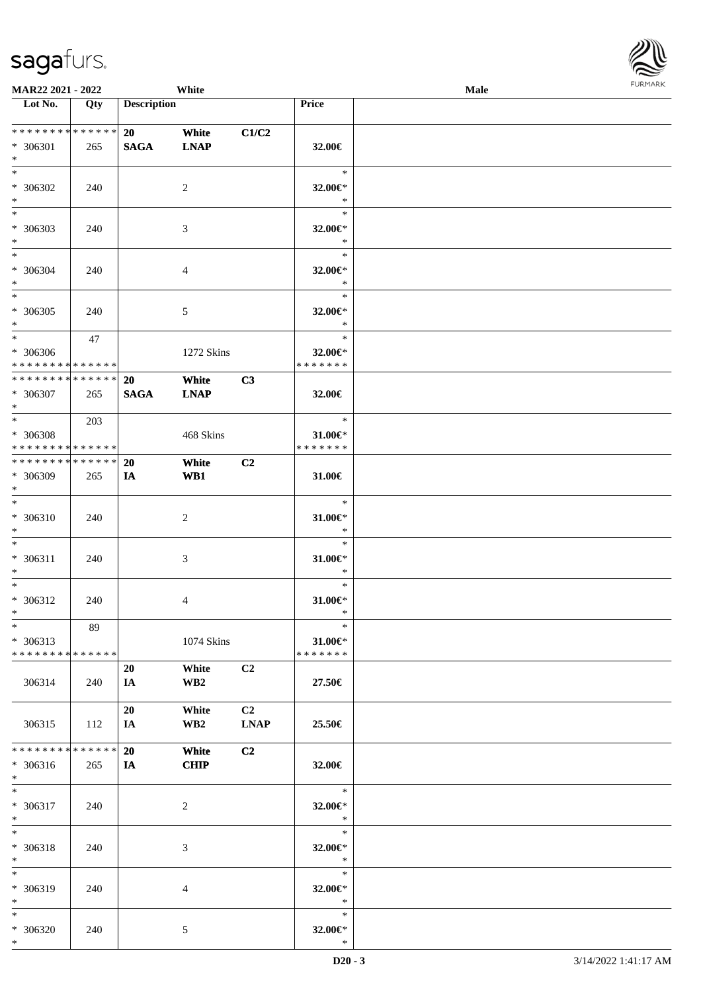| <b>MAR22 2021 - 2022</b>                                                                             |                      |                    | White                |                   |                                           | Male |  |
|------------------------------------------------------------------------------------------------------|----------------------|--------------------|----------------------|-------------------|-------------------------------------------|------|--|
| Lot No.                                                                                              | Qty                  | <b>Description</b> |                      |                   | Price                                     |      |  |
| ******** <mark>******</mark><br>* 306301                                                             | 265                  | 20<br><b>SAGA</b>  | White<br><b>LNAP</b> | C1/C2             | 32.00€                                    |      |  |
| $\ast$<br>$\overline{\mathbf{r}}$<br>* 306302                                                        | 240                  |                    | 2                    |                   | $\ast$<br>32.00€*                         |      |  |
| $\ast$<br>$*$                                                                                        |                      |                    |                      |                   | $\ast$<br>$\ast$                          |      |  |
| * 306303<br>$*$<br>$*$                                                                               | 240                  |                    | 3                    |                   | 32.00€*<br>$\ast$<br>$\ast$               |      |  |
| * 306304<br>$*$<br>$\ast$                                                                            | 240                  |                    | $\overline{4}$       |                   | 32.00€*<br>$\ast$<br>$\ast$               |      |  |
| * 306305<br>$\ast$<br>$\ddot{x}$                                                                     | 240<br>47            |                    | 5                    |                   | 32.00€*<br>$\ast$<br>$\ast$               |      |  |
| * 306306<br>* * * * * * * * * * * * * * <mark>*</mark><br>* * * * * * * * <mark>* * * * * * *</mark> |                      | <b>20</b>          | 1272 Skins<br>White  | C3                | 32.00€*<br>* * * * * * *                  |      |  |
| * 306307<br>$*$<br>$*$                                                                               | 265                  | <b>SAGA</b>        | <b>LNAP</b>          |                   | 32.00€<br>$\ast$                          |      |  |
| * 306308<br>* * * * * * * * <mark>* * * * * *</mark>                                                 | 203                  |                    | 468 Skins            |                   | 31.00€*<br>* * * * * * *                  |      |  |
| * * * * * * * * <mark>* * * * * * *</mark><br>* 306309<br>$\ast$<br>$\overline{\ast}$                | 265                  | <b>20</b><br>IA    | White<br>WB1         | C2                | 31.00€                                    |      |  |
| * 306310<br>$\ast$                                                                                   | 240                  |                    | 2                    |                   | $\ast$<br>$31.00 \in$ *<br>$\ast$         |      |  |
| $\ddot{x}$<br>* 306311<br>$\ast$                                                                     | 240                  |                    | 3                    |                   | $\ast$<br>$31.00 \in$ *<br>$\ast$         |      |  |
| $\ddot{x}$<br>* 306312<br>$*$                                                                        | 240                  |                    | $\overline{4}$       |                   | $\ast$<br>$31.00 \in$ *<br>$\ast$         |      |  |
| $\ast$<br>* 306313<br>* * * * * * * * <mark>* * * * * * *</mark>                                     | 89                   |                    | 1074 Skins           |                   | $\ast$<br>$31.00 \in$ *<br>* * * * * * *  |      |  |
| 306314                                                                                               | 240                  | 20<br>IA           | White<br>WB2         | C <sub>2</sub>    | 27.50€                                    |      |  |
| 306315                                                                                               | 112                  | 20<br>IA.          | White<br>WB2         | C2<br><b>LNAP</b> | 25.50€                                    |      |  |
| * * * * * * * *<br>$* 306316$<br>$*$                                                                 | * * * * * *  <br>265 | 20<br>IA           | White<br><b>CHIP</b> | C2                | 32.00€                                    |      |  |
| $*$<br>* 306317<br>$*$                                                                               | 240                  |                    | 2                    |                   | $\ast$<br>32.00€*<br>$*$                  |      |  |
| $*$<br>* 306318<br>$\ast$                                                                            | 240                  |                    | 3                    |                   | $\ast$<br>32.00€*<br>$\ast$               |      |  |
| $*$<br>* 306319<br>$\ast$                                                                            | 240                  |                    | $\overline{4}$       |                   | $\ast$<br>32.00 $\varepsilon$ *<br>$\ast$ |      |  |
| $\ast$<br>* 306320<br>$\ast$                                                                         | 240                  |                    | 5                    |                   | $\ast$<br>32.00€*<br>$\ast$               |      |  |

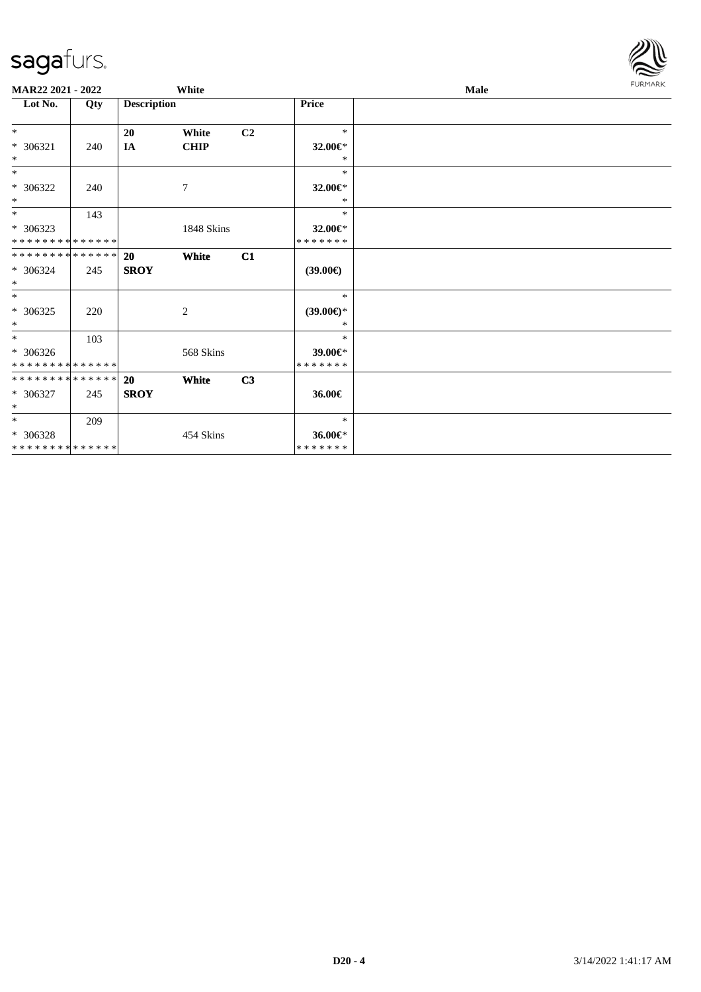| <b>MAR22 2021 - 2022</b>      |     |                    | White       |                |                     | Male | <b>FURMARK</b> |
|-------------------------------|-----|--------------------|-------------|----------------|---------------------|------|----------------|
| Lot No.                       | Qty | <b>Description</b> |             |                | Price               |      |                |
| $*$                           |     | 20                 | White       | C <sub>2</sub> | $\ast$              |      |                |
| $* 306321$                    | 240 | IA                 | <b>CHIP</b> |                | 32.00€*             |      |                |
| $*$                           |     |                    |             |                | *                   |      |                |
| $*$                           |     |                    |             |                | *                   |      |                |
| * 306322                      | 240 |                    | 7           |                | 32.00€*             |      |                |
| $*$                           |     |                    |             |                | $\ast$              |      |                |
| $*$                           | 143 |                    |             |                | *                   |      |                |
| $*306323$                     |     |                    | 1848 Skins  |                | 32.00€*             |      |                |
| * * * * * * * * * * * * * * * |     |                    |             |                | *******             |      |                |
| * * * * * * * * * * * * * * * |     | <b>20</b>          | White       | C1             |                     |      |                |
| * 306324                      | 245 | <b>SROY</b>        |             |                | $(39.00\epsilon)$   |      |                |
| $*$                           |     |                    |             |                |                     |      |                |
| $*$                           |     |                    |             |                | $\ast$              |      |                |
| * 306325                      | 220 |                    | 2           |                | $(39.00\epsilon)$ * |      |                |
| $*$                           |     |                    |             |                | $*$                 |      |                |
| $*$                           | 103 |                    |             |                | $\ast$              |      |                |
| $* 306326$                    |     |                    | 568 Skins   |                | 39.00€*             |      |                |
| * * * * * * * * * * * * * *   |     |                    |             |                | *******             |      |                |
| * * * * * * * * * * * * * * * |     | 20                 | White       | C3             |                     |      |                |
| * 306327                      | 245 | <b>SROY</b>        |             |                | 36.00€              |      |                |
| $*$                           |     |                    |             |                |                     |      |                |
| $*$                           | 209 |                    |             |                | $\ast$              |      |                |
| * 306328                      |     |                    | 454 Skins   |                | 36.00€*             |      |                |
| * * * * * * * * * * * * * *   |     |                    |             |                | *******             |      |                |

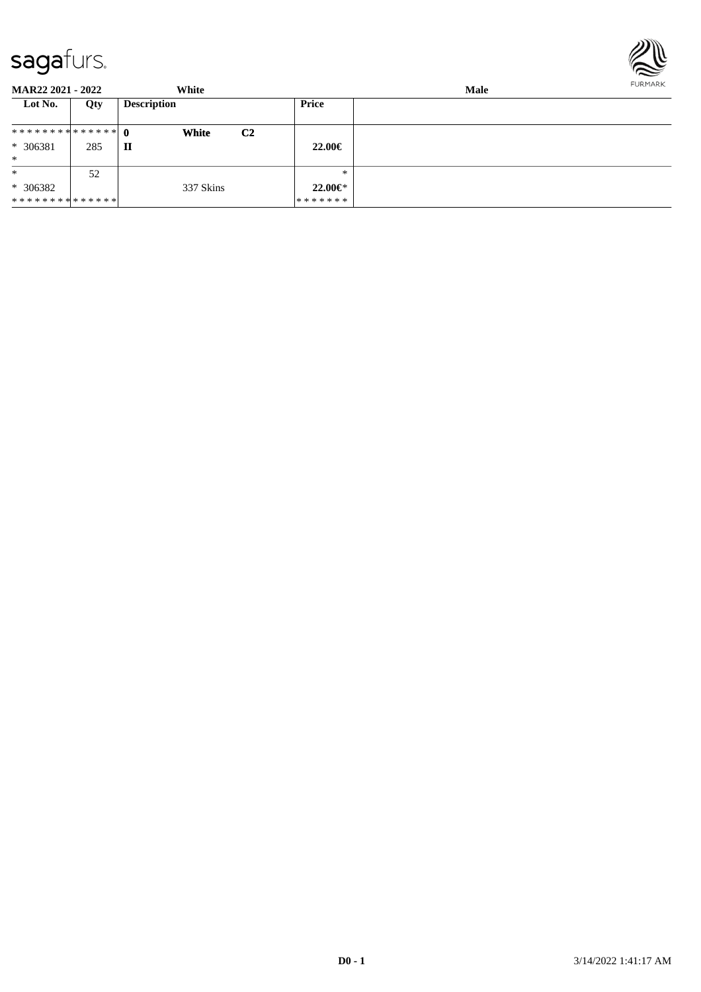

| <b>MAR22 2021 - 2022</b>      |     | White              |                | <b>Male</b>   |  |  |
|-------------------------------|-----|--------------------|----------------|---------------|--|--|
| Lot No.                       | Qty | <b>Description</b> |                | Price         |  |  |
|                               |     | <b>White</b>       | C <sub>2</sub> |               |  |  |
| * 306381                      | 285 | П                  |                | $22.00 \in$   |  |  |
| $\ast$                        |     |                    |                |               |  |  |
| $\ast$                        | 52  |                    |                | $*$           |  |  |
| $* 306382$                    |     | 337 Skins          |                | $22.00 \in$ * |  |  |
| * * * * * * * * * * * * * * * |     |                    |                | *******       |  |  |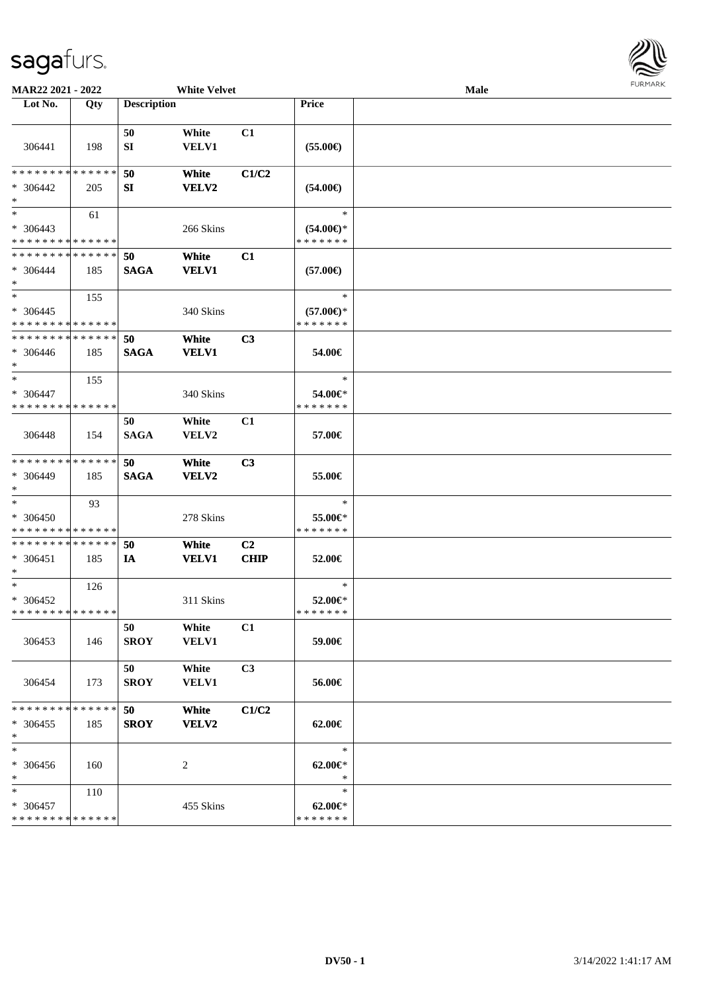

| <b>MAR22 2021 - 2022</b>                           |     | <b>White Velvet</b> |                              |                               |                                                | <b>Male</b> | <b>FURMARK</b> |
|----------------------------------------------------|-----|---------------------|------------------------------|-------------------------------|------------------------------------------------|-------------|----------------|
| Lot No.                                            | Qty | <b>Description</b>  |                              |                               | <b>Price</b>                                   |             |                |
| 306441                                             | 198 | 50<br>SI            | White<br>VELV1               | C1                            | $(55.00\epsilon)$                              |             |                |
| * * * * * * * * * * * * * *<br>* 306442<br>$*$     | 205 | 50<br>SI            | White<br>VELV2               | C1/C2                         | $(54.00\epsilon)$                              |             |                |
| $*$<br>$* 306443$<br>* * * * * * * * * * * * * *   | 61  |                     | 266 Skins                    |                               | $\ast$<br>$(54.00\epsilon)$ *<br>* * * * * * * |             |                |
| * * * * * * * * * * * * * * *<br>* 306444<br>$*$   | 185 | 50<br><b>SAGA</b>   | White<br><b>VELV1</b>        | C1                            | $(57.00\epsilon)$                              |             |                |
| $*$<br>* 306445<br>* * * * * * * * * * * * * *     | 155 |                     | 340 Skins                    |                               | $\ast$<br>$(57.00\epsilon)$ *<br>* * * * * * * |             |                |
| * * * * * * * * * * * * * * *<br>* 306446<br>$*$   | 185 | 50<br><b>SAGA</b>   | <b>White</b><br><b>VELV1</b> | C <sub>3</sub>                | 54.00€                                         |             |                |
| $*$<br>$* 306447$<br>* * * * * * * * * * * * * * * | 155 |                     | 340 Skins                    |                               | $\ast$<br>54.00€*<br>* * * * * * *             |             |                |
| 306448                                             | 154 | 50<br><b>SAGA</b>   | White<br>VELV2               | C1                            | 57.00€                                         |             |                |
| * * * * * * * * * * * * * *<br>* 306449<br>$*$     | 185 | 50<br><b>SAGA</b>   | White<br>VELV2               | C3                            | 55.00€                                         |             |                |
| $*$<br>* 306450<br>* * * * * * * * * * * * * * *   | 93  |                     | 278 Skins                    |                               | $\ast$<br>55.00€*<br>* * * * * * *             |             |                |
| * * * * * * * * * * * * * * *<br>$* 306451$<br>$*$ | 185 | 50<br>IA            | White<br><b>VELV1</b>        | C <sub>2</sub><br><b>CHIP</b> | 52.00€                                         |             |                |
| $*$<br>* 306452<br>* * * * * * * * * * * * * *     | 126 |                     | 311 Skins                    |                               | $\ast$<br>52.00€*<br>* * * * * * *             |             |                |
| 306453                                             | 146 | 50<br><b>SROY</b>   | White<br><b>VELV1</b>        | C1                            | 59.00€                                         |             |                |
| 306454                                             | 173 | 50<br><b>SROY</b>   | White<br><b>VELV1</b>        | C <sub>3</sub>                | 56.00€                                         |             |                |
| * * * * * * * * * * * * * *<br>$* 306455$<br>$*$   | 185 | 50<br><b>SROY</b>   | White<br>VELV2               | C1/C2                         | 62.00€                                         |             |                |
| $\ast$<br>* 306456<br>$*$                          | 160 |                     | 2                            |                               | $\ast$<br>$62.00 \in$<br>$\ast$                |             |                |
| $*$<br>* 306457<br>* * * * * * * * * * * * * *     | 110 |                     | 455 Skins                    |                               | $\ast$<br>$62.00 \in$<br>* * * * * * *         |             |                |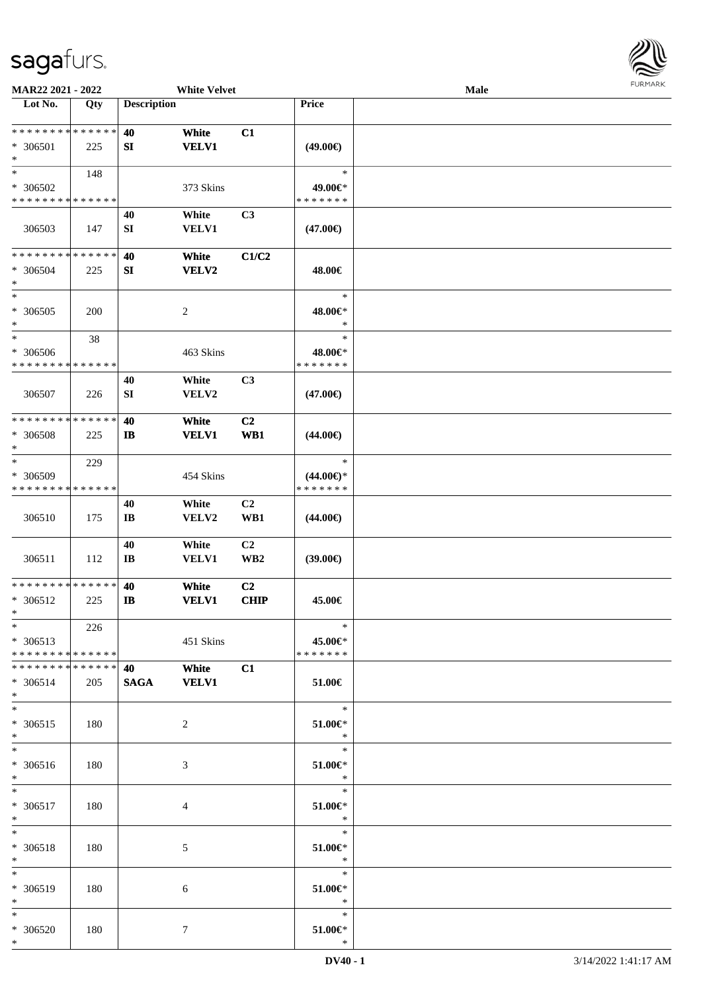

| MAR22 2021 - 2022                                 |     |                              | <b>White Velvet</b>   |                               |                                                | Male |  |
|---------------------------------------------------|-----|------------------------------|-----------------------|-------------------------------|------------------------------------------------|------|--|
| Lot No.                                           | Qty | <b>Description</b>           |                       |                               | Price                                          |      |  |
| **************<br>* 306501<br>$\ast$              | 225 | 40<br>SI                     | White<br><b>VELV1</b> | C1                            | $(49.00\epsilon)$                              |      |  |
| $\ast$<br>* 306502<br>* * * * * * * * * * * * * * | 148 |                              | 373 Skins             |                               | $\ast$<br>49.00€*<br>* * * * * * *             |      |  |
| 306503                                            | 147 | 40<br>SI                     | White<br>VELV1        | C <sub>3</sub>                | $(47.00\epsilon)$                              |      |  |
| * * * * * * * * * * * * * *<br>* 306504<br>$\ast$ | 225 | 40<br>SI                     | White<br><b>VELV2</b> | C1/C2                         | 48.00€                                         |      |  |
| $\ast$<br>$* 306505$<br>$\ast$                    | 200 |                              | $\overline{c}$        |                               | $\ast$<br>48.00€*<br>$\ast$                    |      |  |
| $\ast$<br>* 306506<br>* * * * * * * * * * * * * * | 38  |                              | 463 Skins             |                               | $\ast$<br>48.00€*<br>* * * * * * *             |      |  |
| 306507                                            | 226 | 40<br>SI                     | White<br>VELV2        | C3                            | $(47.00\epsilon)$                              |      |  |
| * * * * * * * * * * * * * *<br>* 306508<br>$\ast$ | 225 | 40<br>$\mathbf{I}$           | White<br><b>VELV1</b> | C2<br>WB1                     | $(44.00\epsilon)$                              |      |  |
| $\ast$<br>* 306509<br>* * * * * * * * * * * * * * | 229 |                              | 454 Skins             |                               | $\ast$<br>$(44.00\epsilon)$ *<br>* * * * * * * |      |  |
| 306510                                            | 175 | 40<br>$\mathbf{I}\mathbf{B}$ | White<br>VELV2        | C <sub>2</sub><br>WB1         | $(44.00\epsilon)$                              |      |  |
| 306511                                            | 112 | 40<br>$\mathbf{I}\mathbf{B}$ | White<br>VELV1        | C2<br>WB <sub>2</sub>         | $(39.00\epsilon)$                              |      |  |
| * * * * * * * * * * * * * *<br>* 306512<br>$*$    | 225 | 40<br><b>IB</b>              | White<br><b>VELV1</b> | C <sub>2</sub><br><b>CHIP</b> | 45.00€                                         |      |  |
| $*$<br>$* 306513$<br>* * * * * * * * * * * * * *  | 226 |                              | 451 Skins             |                               | $\ast$<br>45.00€*<br>* * * * * * *             |      |  |
| * * * * * * * * * * * * * * *<br>* 306514<br>$*$  | 205 | <b>40</b><br><b>SAGA</b>     | White<br><b>VELV1</b> | C1                            | 51.00€                                         |      |  |
| $*$<br>$* 306515$<br>$*$                          | 180 |                              | $\overline{2}$        |                               | $\ast$<br>$51.00 \in$<br>$\mathbb{R}$          |      |  |
| $\ast$<br>* 306516<br>$*$                         | 180 |                              | 3                     |                               | $\ast$<br>51.00€*<br>$\mathbb{R}^2$            |      |  |
| $*$<br>$* 306517$<br>$*$                          | 180 |                              | 4                     |                               | π,<br>$\ast$<br>$51.00 \in$<br>$\ast$          |      |  |
| $\ast$<br>* 306518<br>$*$                         | 180 |                              | 5                     |                               | $\ast$<br>$51.00 \in$<br>$\ast$                |      |  |
| $\ast$<br>* 306519<br>$*$                         | 180 |                              | 6                     |                               | $\ast$<br>51.00€*<br>$\ast$                    |      |  |
| $*$<br>* 306520<br>$*$                            | 180 |                              | $\tau$                |                               | $\ast$<br>$51.00 \in$<br>$\ast$                |      |  |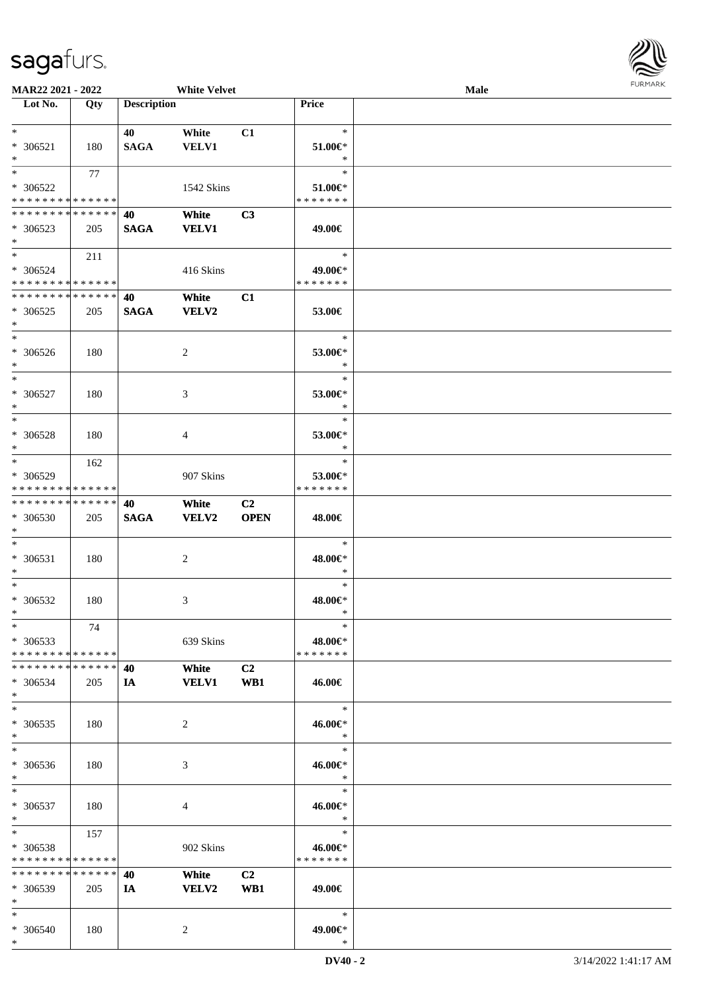

| MAR22 2021 - 2022                                                          |            |                    | <b>White Velvet</b>   |             |                                    | Male | <b>FURMARK</b> |
|----------------------------------------------------------------------------|------------|--------------------|-----------------------|-------------|------------------------------------|------|----------------|
| Lot No.                                                                    | Qty        | <b>Description</b> |                       |             | Price                              |      |                |
| $*$<br>$* 306521$<br>$*$                                                   | 180        | 40<br><b>SAGA</b>  | White<br>VELV1        | C1          | $\ast$<br>51.00€*<br>$\ast$        |      |                |
| $*$<br>$* 306522$<br>* * * * * * * * * * * * * * *                         | 77         |                    | 1542 Skins            |             | $\ast$<br>51.00€*<br>* * * * * * * |      |                |
| * * * * * * * * * * * * * * *<br>* 306523<br>$*$                           | 205        | 40<br><b>SAGA</b>  | White<br><b>VELV1</b> | C3          | 49.00€                             |      |                |
| $*$<br>* 306524<br>* * * * * * * * <mark>* * * * * *</mark>                | 211        |                    | 416 Skins             |             | $\ast$<br>49.00€*<br>* * * * * * * |      |                |
| * * * * * * * * * * * * * * *<br>* 306525<br>$*$                           | 205        | 40<br><b>SAGA</b>  | White<br><b>VELV2</b> | C1          | 53.00€<br>$\ast$                   |      |                |
| * 306526<br>$*$<br>$*$                                                     | 180        |                    | 2                     |             | 53.00€*<br>$\ast$<br>$\ast$        |      |                |
| $* 306527$<br>$*$<br>$*$                                                   | 180        |                    | 3                     |             | 53.00€*<br>$\ast$<br>$\ast$        |      |                |
| * 306528<br>$*$<br>$*$                                                     | 180<br>162 |                    | 4                     |             | 53.00€*<br>$\ast$<br>$\ast$        |      |                |
| * 306529<br>* * * * * * * * * * * * * * *<br>* * * * * * * * * * * * * * * |            | 40                 | 907 Skins<br>White    | C2          | 53.00€*<br>* * * * * * *           |      |                |
| * 306530<br>$*$<br>$*$                                                     | 205        | <b>SAGA</b>        | <b>VELV2</b>          | <b>OPEN</b> | 48.00€<br>$\ast$                   |      |                |
| * 306531<br>$*$<br>$*$                                                     | 180        |                    | 2                     |             | 48.00€*<br>$\ast$<br>$\ast$        |      |                |
| $* 306532$<br>$*$<br>$\ast$                                                | 180<br>74  |                    | 3                     |             | 48.00€*<br>$\ast$                  |      |                |
| * 306533<br>* * * * * * * * * * * * * * *<br>* * * * * * * * * * * * * * * |            | 40                 | 639 Skins<br>White    | C2          | 48.00€*<br>* * * * * * *           |      |                |
| * 306534<br>$*$<br>$*$                                                     | 205        | IA                 | <b>VELV1</b>          | WB1         | 46.00€<br>$\ast$                   |      |                |
| * 306535<br>$*$<br>$*$                                                     | 180        |                    | 2                     |             | 46.00€*<br>$\ast$<br>$\ast$        |      |                |
| * 306536<br>$*$<br>$*$                                                     | 180        |                    | 3                     |             | 46.00€*<br>$\ast$<br>$\ast$        |      |                |
| * 306537<br>$*$<br>$*$                                                     | 180<br>157 |                    | 4                     |             | 46.00€*<br>$\ast$<br>$\ast$        |      |                |
| * 306538<br>* * * * * * * * * * * * * * *<br>* * * * * * * * * * * * * * * |            | 40                 | 902 Skins             | C2          | 46.00€*<br>* * * * * * *           |      |                |
| * 306539<br>$*$<br>$*$                                                     | 205        | IA                 | White<br><b>VELV2</b> | WB1         | 49.00€<br>$\ast$                   |      |                |
| * 306540<br>$*$                                                            | 180        |                    | 2                     |             | 49.00€*<br>$\ast$                  |      |                |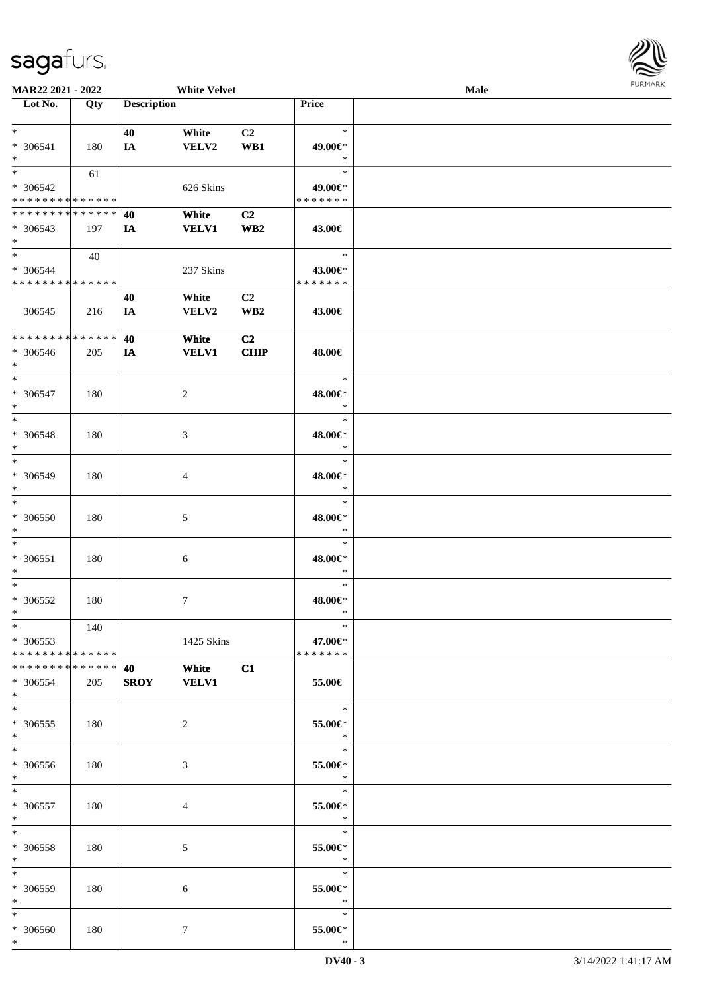

| MAR22 2021 - 2022             |     |                    | <b>White Velvet</b> |                 |               | <b>Male</b> |  |
|-------------------------------|-----|--------------------|---------------------|-----------------|---------------|-------------|--|
| Lot No.                       | Qty | <b>Description</b> |                     |                 | <b>Price</b>  |             |  |
|                               |     |                    |                     |                 |               |             |  |
| $*$                           |     | 40                 | White               | C2              | $\ast$        |             |  |
|                               |     |                    |                     |                 |               |             |  |
| $* 306541$                    | 180 | IA                 | VELV2               | WB1             | 49.00€*       |             |  |
| $*$                           |     |                    |                     |                 | $\ast$        |             |  |
| $*$                           | 61  |                    |                     |                 | $\ast$        |             |  |
| $* 306542$                    |     |                    | 626 Skins           |                 | 49.00€*       |             |  |
| * * * * * * * * * * * * * *   |     |                    |                     |                 | * * * * * * * |             |  |
|                               |     |                    |                     |                 |               |             |  |
| * * * * * * * * * * * * * * * |     | 40                 | White               | C2              |               |             |  |
| $* 306543$                    | 197 | IA                 | <b>VELV1</b>        | WB <sub>2</sub> | 43.00€        |             |  |
| $*$                           |     |                    |                     |                 |               |             |  |
| $*$                           | 40  |                    |                     |                 | $\ast$        |             |  |
|                               |     |                    |                     |                 |               |             |  |
| * 306544                      |     |                    | 237 Skins           |                 | 43.00€*       |             |  |
| * * * * * * * * * * * * * *   |     |                    |                     |                 | * * * * * * * |             |  |
|                               |     | 40                 | White               | C2              |               |             |  |
| 306545                        | 216 | IA                 | VELV2               | WB <sub>2</sub> | 43.00€        |             |  |
|                               |     |                    |                     |                 |               |             |  |
| * * * * * * * * * * * * * *   |     |                    |                     |                 |               |             |  |
|                               |     | 40                 | White               | C <sub>2</sub>  |               |             |  |
| * 306546                      | 205 | IA                 | <b>VELV1</b>        | <b>CHIP</b>     | 48.00€        |             |  |
| $*$                           |     |                    |                     |                 |               |             |  |
| $*$                           |     |                    |                     |                 | $\ast$        |             |  |
| * 306547                      |     |                    |                     |                 |               |             |  |
|                               | 180 |                    | 2                   |                 | 48.00€*       |             |  |
| $*$                           |     |                    |                     |                 | $\ast$        |             |  |
| $*$                           |     |                    |                     |                 | $\ast$        |             |  |
| * 306548                      | 180 |                    | 3                   |                 | 48.00€*       |             |  |
| $\ast$                        |     |                    |                     |                 | $\ast$        |             |  |
| $*$                           |     |                    |                     |                 | $\ast$        |             |  |
|                               |     |                    |                     |                 |               |             |  |
| * 306549                      | 180 |                    | 4                   |                 | 48.00€*       |             |  |
| $*$                           |     |                    |                     |                 | $\ast$        |             |  |
| $*$                           |     |                    |                     |                 | $\ast$        |             |  |
| $* 306550$                    | 180 |                    | 5                   |                 | 48.00€*       |             |  |
|                               |     |                    |                     |                 |               |             |  |
| $*$                           |     |                    |                     |                 | $\ast$        |             |  |
| $*$                           |     |                    |                     |                 | $\ast$        |             |  |
| $* 306551$                    | 180 |                    | 6                   |                 | 48.00€*       |             |  |
| $*$                           |     |                    |                     |                 | $\ast$        |             |  |
| $*$                           |     |                    |                     |                 | $\ast$        |             |  |
|                               |     |                    |                     |                 |               |             |  |
| $* 306552$                    | 180 |                    | $\tau$              |                 | 48.00€*       |             |  |
| $*$                           |     |                    |                     |                 | $\ast$        |             |  |
| $*$                           | 140 |                    |                     |                 | $\ast$        |             |  |
| $*306553$                     |     |                    | 1425 Skins          |                 | 47.00€*       |             |  |
| * * * * * * * * * * * * * * * |     |                    |                     |                 | *******       |             |  |
|                               |     |                    |                     |                 |               |             |  |
| * * * * * * * * * * * * * * * |     |                    | <b>White</b>        | C1              |               |             |  |
| * 306554                      | 205 | SROY VELV1         |                     |                 | 55.00€        |             |  |
| $*$                           |     |                    |                     |                 |               |             |  |
| $*$                           |     |                    |                     |                 | $\ast$        |             |  |
| $* 306555$                    | 180 |                    |                     |                 | 55.00€*       |             |  |
|                               |     |                    | 2                   |                 |               |             |  |
| $*$                           |     |                    |                     |                 | $\ast$        |             |  |
| $*$                           |     |                    |                     |                 | $\ast$        |             |  |
| * 306556                      | 180 |                    | 3                   |                 | 55.00€*       |             |  |
| $*$                           |     |                    |                     |                 | $\ddot{x}$    |             |  |
| $*$                           |     |                    |                     |                 | $\ast$        |             |  |
|                               |     |                    |                     |                 |               |             |  |
| $* 306557$                    | 180 |                    | 4                   |                 | 55.00€*       |             |  |
| $*$ $*$                       |     |                    |                     |                 | $\ast$        |             |  |
| $*$                           |     |                    |                     |                 | $\ast$        |             |  |
| * 306558                      | 180 |                    | 5                   |                 | 55.00€*       |             |  |
|                               |     |                    |                     |                 | $\ast$        |             |  |
| $*$ $*$                       |     |                    |                     |                 |               |             |  |
| $*$                           |     |                    |                     |                 | $\ast$        |             |  |
| * 306559                      | 180 |                    | 6                   |                 | 55.00€*       |             |  |
| $*$ $*$                       |     |                    |                     |                 | $\ast$        |             |  |
| $*$                           |     |                    |                     |                 | $\ast$        |             |  |
|                               |     |                    |                     |                 |               |             |  |
| $* 306560$                    | 180 |                    | $\tau$              |                 | 55.00€*       |             |  |
| $*$                           |     |                    |                     |                 | $\ast$        |             |  |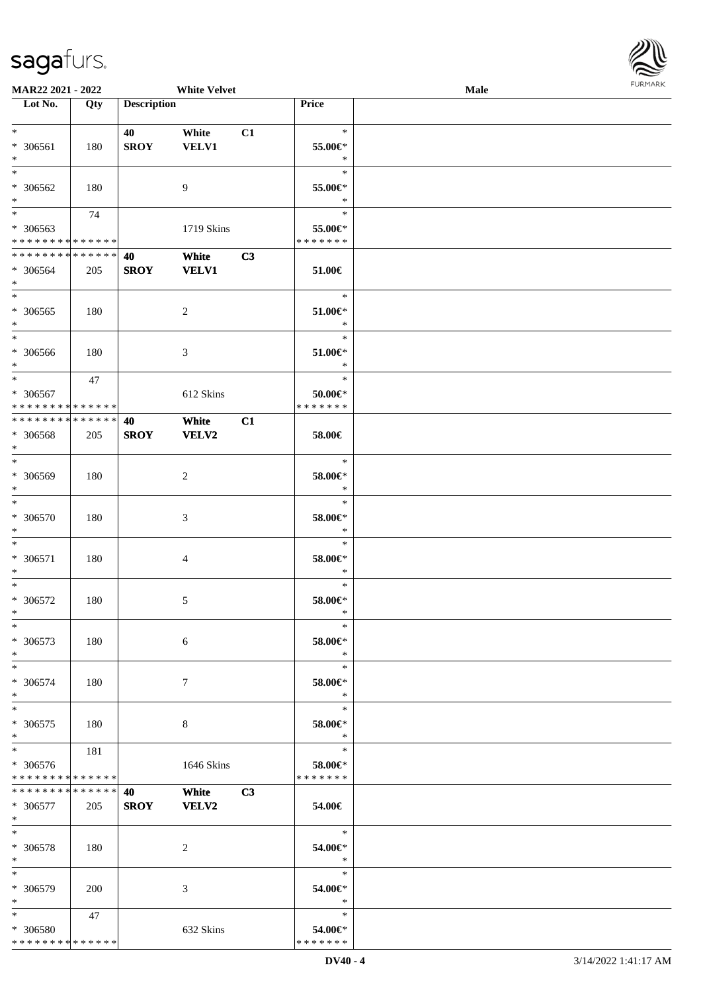

| MAR22 2021 - 2022                                      |     |                    | <b>White Velvet</b>   |                |                          | Male | <b>FUNITANN</b> |
|--------------------------------------------------------|-----|--------------------|-----------------------|----------------|--------------------------|------|-----------------|
| Lot No.                                                | Qty | <b>Description</b> |                       |                | Price                    |      |                 |
|                                                        |     |                    |                       |                |                          |      |                 |
| $\ast$                                                 |     | 40                 | White                 | C1             | $\ast$                   |      |                 |
| * 306561                                               | 180 | <b>SROY</b>        | <b>VELV1</b>          |                | 55.00€*                  |      |                 |
| $\ast$<br>$\ast$                                       |     |                    |                       |                | $\ast$                   |      |                 |
|                                                        |     |                    |                       |                | $\ast$                   |      |                 |
| * 306562                                               | 180 |                    | 9                     |                | 55.00€*                  |      |                 |
| $\ast$<br>$\overline{\phantom{a}^*}$                   |     |                    |                       |                | $\ast$                   |      |                 |
|                                                        | 74  |                    |                       |                | $\ast$                   |      |                 |
| * 306563<br>* * * * * * * * <mark>* * * * * * *</mark> |     |                    | 1719 Skins            |                | 55.00€*<br>* * * * * * * |      |                 |
| * * * * * * * * * * * * * *                            |     |                    |                       |                |                          |      |                 |
|                                                        |     | 40                 | White                 | C3             |                          |      |                 |
| * 306564<br>$\ast$                                     | 205 | <b>SROY</b>        | <b>VELV1</b>          |                | 51.00€                   |      |                 |
| $\overline{\phantom{0}}$                               |     |                    |                       |                | $\ast$                   |      |                 |
|                                                        |     |                    |                       |                |                          |      |                 |
| $* 306565$<br>$\ast$                                   | 180 |                    | $\boldsymbol{2}$      |                | $51.00 \in$<br>$\ast$    |      |                 |
| $_{*}$                                                 |     |                    |                       |                | $\ast$                   |      |                 |
| * 306566                                               | 180 |                    | 3                     |                | $51.00 \in$ *            |      |                 |
| $\ast$                                                 |     |                    |                       |                | $\ast$                   |      |                 |
| $\ast$                                                 | 47  |                    |                       |                | $\ast$                   |      |                 |
| $* 306567$                                             |     |                    | 612 Skins             |                | $50.00 \in$ *            |      |                 |
| * * * * * * * * * * * * * *                            |     |                    |                       |                | * * * * * * *            |      |                 |
| * * * * * * * * * * * * * *                            |     | 40                 | White                 | C1             |                          |      |                 |
| * 306568                                               | 205 | <b>SROY</b>        | <b>VELV2</b>          |                | 58.00€                   |      |                 |
| $\ast$                                                 |     |                    |                       |                |                          |      |                 |
| $\ast$                                                 |     |                    |                       |                | $\ast$                   |      |                 |
| * 306569                                               | 180 |                    | $\overline{c}$        |                | 58.00€*                  |      |                 |
| $\ast$                                                 |     |                    |                       |                | $\ast$                   |      |                 |
| $\ast$                                                 |     |                    |                       |                | $\ast$                   |      |                 |
| * 306570                                               | 180 |                    | 3                     |                | $58.00 \text{E}^*$       |      |                 |
| $\ast$                                                 |     |                    |                       |                | $\ast$                   |      |                 |
| $\ast$                                                 |     |                    |                       |                | $\ast$                   |      |                 |
| * 306571                                               | 180 |                    | 4                     |                | 58.00€*                  |      |                 |
| $\ast$                                                 |     |                    |                       |                | $\ast$                   |      |                 |
| $\ast$                                                 |     |                    |                       |                | $\ast$                   |      |                 |
| $* 306572$                                             | 180 |                    | $\mathfrak{S}$        |                | 58.00€*                  |      |                 |
| $*$                                                    |     |                    |                       |                | $\ast$                   |      |                 |
| $\ast$                                                 |     |                    |                       |                | $\ast$                   |      |                 |
| $* 306573$                                             | 180 |                    | 6                     |                | 58.00€*                  |      |                 |
| $\ast$                                                 |     |                    |                       |                | $\ast$                   |      |                 |
| $\ast$                                                 |     |                    |                       |                | $\ast$                   |      |                 |
| * 306574                                               | 180 |                    | 7                     |                | 58.00€*                  |      |                 |
| $\ast$                                                 |     |                    |                       |                | $\ast$                   |      |                 |
| $\ast$                                                 |     |                    |                       |                | $\ast$                   |      |                 |
| $* 306575$                                             | 180 |                    | 8                     |                | 58.00€*                  |      |                 |
| $\ast$                                                 |     |                    |                       |                | $\ast$                   |      |                 |
| $\ast$                                                 | 181 |                    |                       |                | $\ast$                   |      |                 |
| * 306576<br>* * * * * * * * * * * * * *                |     |                    | 1646 Skins            |                | 58.00€*<br>* * * * * * * |      |                 |
| * * * * * * * * * * * * * * *                          |     |                    |                       |                |                          |      |                 |
| * 306577                                               |     | 40<br><b>SROY</b>  | White<br><b>VELV2</b> | C <sub>3</sub> | 54.00€                   |      |                 |
| $*$                                                    | 205 |                    |                       |                |                          |      |                 |
| $\ast$                                                 |     |                    |                       |                | $\ast$                   |      |                 |
| * 306578                                               | 180 |                    | $\overline{2}$        |                | 54.00€*                  |      |                 |
| $\ast$                                                 |     |                    |                       |                | $\ast$                   |      |                 |
| $\ast$                                                 |     |                    |                       |                | $\ast$                   |      |                 |
| * 306579                                               | 200 |                    | 3                     |                | 54.00€*                  |      |                 |
| $*$                                                    |     |                    |                       |                | $\ast$                   |      |                 |
| $\ast$                                                 | 47  |                    |                       |                | $\ast$                   |      |                 |
| * 306580                                               |     |                    | 632 Skins             |                | 54.00€*                  |      |                 |
| * * * * * * * * * * * * * *                            |     |                    |                       |                | * * * * * * *            |      |                 |
|                                                        |     |                    |                       |                |                          |      |                 |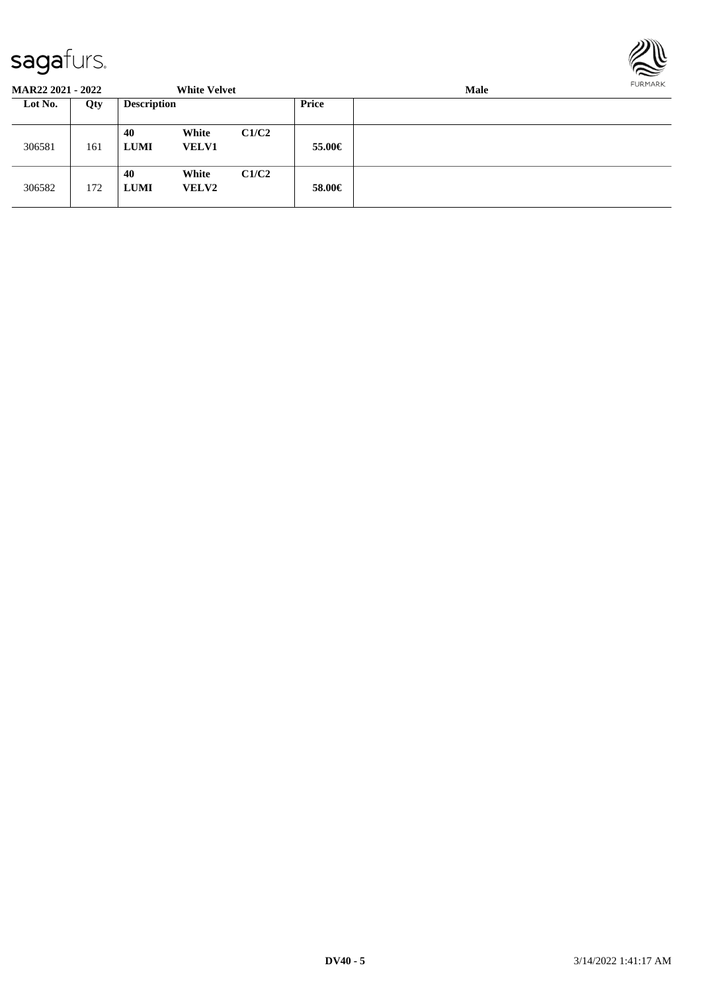

**MAR22 2021 - 2022 White Velvet Male Lot No. Qty Description Price** 306581 161 **40 White C1/C2 LUMI VELV1 55.00€** 306582 172 **40 White C1/C2 LUMI VELV2 58.00€**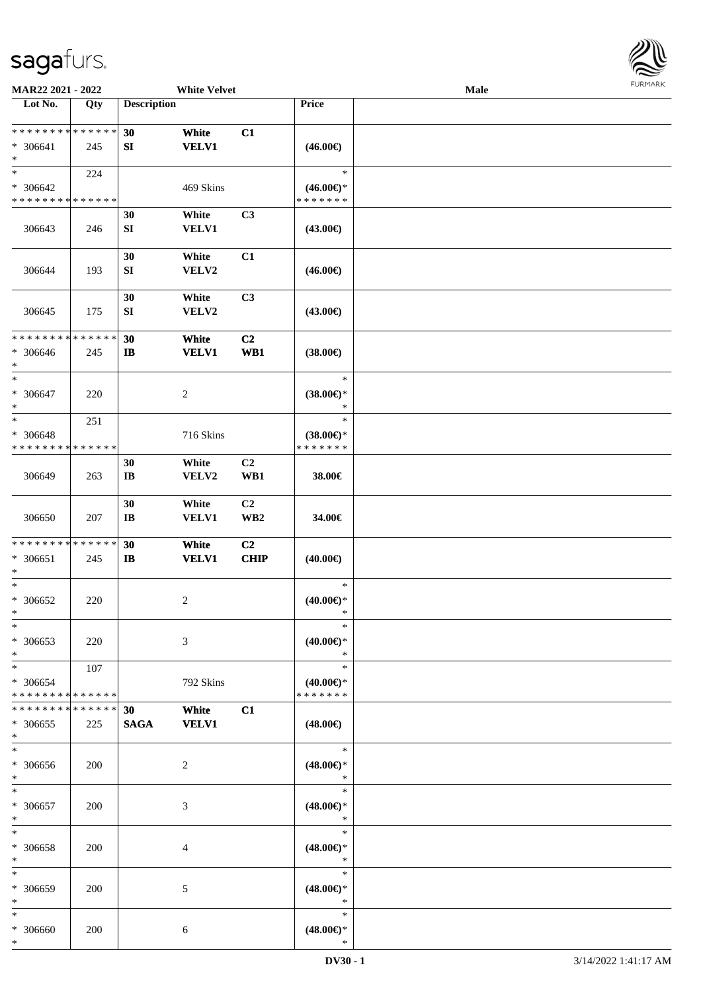

| MAR22 2021 - 2022                                    |                    |                              | <b>White Velvet</b>   |                       |                                                | Male |  |
|------------------------------------------------------|--------------------|------------------------------|-----------------------|-----------------------|------------------------------------------------|------|--|
| Lot No.                                              | Qty                | <b>Description</b>           |                       |                       | Price                                          |      |  |
| ******** <mark>******</mark><br>$* 306641$<br>$\ast$ | 245                | 30<br>SI                     | White<br><b>VELV1</b> | C1                    | $(46.00\epsilon)$                              |      |  |
| $\ast$<br>* 306642<br>* * * * * * * * * * * * * *    | 224                |                              | 469 Skins             |                       | $\ast$<br>$(46.00€)$ *<br>* * * * * * *        |      |  |
| 306643                                               | 246                | 30<br>${\bf SI}$             | White<br><b>VELV1</b> | C3                    | $(43.00\epsilon)$                              |      |  |
| 306644                                               | 193                | 30<br>${\bf SI}$             | White<br>VELV2        | C1                    | $(46.00\epsilon)$                              |      |  |
| 306645                                               | 175                | 30<br>SI                     | White<br>VELV2        | C3                    | $(43.00\epsilon)$                              |      |  |
| * * * * * * * * * * * * * *<br>* 306646<br>$\ast$    | 245                | 30<br>$\mathbf{I}$           | White<br><b>VELV1</b> | C <sub>2</sub><br>WB1 | $(38.00\epsilon)$                              |      |  |
| $\ast$<br>$* 306647$<br>$\ast$                       | 220                |                              | $\sqrt{2}$            |                       | $\ast$<br>$(38.00\epsilon)$ *<br>$\ast$        |      |  |
| $\ast$<br>* 306648<br>* * * * * * * * * * * * * *    | 251                |                              | 716 Skins             |                       | $\ast$<br>$(38.00\epsilon)$ *<br>* * * * * * * |      |  |
| 306649                                               | 263                | 30<br>$\mathbf{I}\mathbf{B}$ | White<br>VELV2        | C <sub>2</sub><br>WB1 | 38.00€                                         |      |  |
| 306650                                               | 207                | 30<br>$\mathbf{I}\mathbf{B}$ | White<br><b>VELV1</b> | C2<br>WB <sub>2</sub> | 34.00€                                         |      |  |
| * * * * * * * * * * * * * *<br>$* 306651$<br>$\ast$  | 245                | 30<br>$\mathbf{I}$           | White<br><b>VELV1</b> | C2<br>CHIP            | $(40.00\epsilon)$                              |      |  |
| $\ast$<br>* 306652<br>$\ast$                         | 220                |                              | $\boldsymbol{2}$      |                       | $\ast$<br>$(40.00ε)$ *<br>$\ast$               |      |  |
| $\ast$<br>* 306653<br>$\ast$                         | 220                |                              | 3                     |                       | $\ast$<br>(40.00)<br>$\ast$                    |      |  |
| $\ast$<br>* 306654<br>* * * * * * * * * * * * * *    | 107                |                              | 792 Skins             |                       | $\ast$<br>$(40.00\epsilon)$ *<br>* * * * * * * |      |  |
| * * * * * * * *<br>$*306655$<br>$\ast$               | * * * * * *<br>225 | 30<br><b>SAGA</b>            | White<br><b>VELV1</b> | C1                    | $(48.00\epsilon)$                              |      |  |
| $\ast$<br>* 306656<br>$\ast$                         | 200                |                              | 2                     |                       | $\ast$<br>$(48.00\epsilon)$ *<br>$\ast$        |      |  |
| $\ast$<br>$* 306657$<br>$\ast$                       | 200                |                              | 3                     |                       | $\ast$<br>$(48.00\epsilon)$ *<br>$\ast$        |      |  |
| $\ast$<br>* 306658<br>$\ast$                         | 200                |                              | 4                     |                       | $\ast$<br>$(48.00\epsilon)$ *<br>$\ast$        |      |  |
| $\ast$<br>* 306659<br>$\ast$                         | 200                |                              | 5                     |                       | $\ast$<br>$(48.00\epsilon)$ *<br>$\ast$        |      |  |
| $\ast$<br>* 306660<br>$\ast$                         | 200                |                              | 6                     |                       | $\ast$<br>$(48.00\epsilon)$ *<br>$\ast$        |      |  |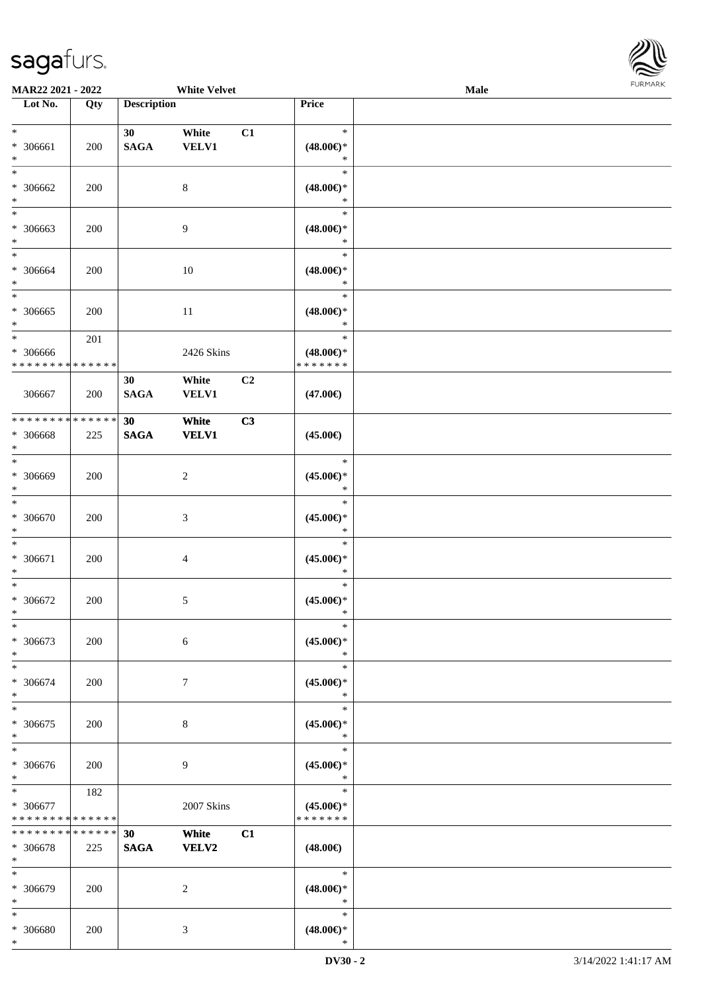

| <b>MAR22 2021 - 2022</b>                   |             |                    | <b>White Velvet</b> |                |                     | Male |  |
|--------------------------------------------|-------------|--------------------|---------------------|----------------|---------------------|------|--|
| Lot No.                                    | Qty         | <b>Description</b> |                     |                | Price               |      |  |
|                                            |             |                    |                     |                |                     |      |  |
| $\ast$                                     |             | 30                 | White               | C1             | $\ast$              |      |  |
| * 306661                                   | 200         | <b>SAGA</b>        | <b>VELV1</b>        |                | $(48.00\epsilon)$ * |      |  |
| $\ast$                                     |             |                    |                     |                | $\ast$              |      |  |
| $\overline{\ast}$                          |             |                    |                     |                | $\ast$              |      |  |
| * 306662                                   | 200         |                    | 8                   |                | $(48.00\epsilon)$ * |      |  |
| $\ast$                                     |             |                    |                     |                | $\ast$              |      |  |
| $\overline{\phantom{0}}$                   |             |                    |                     |                | $\ast$              |      |  |
| * 306663                                   | 200         |                    | 9                   |                | $(48.00\in)^\ast$   |      |  |
| $*$                                        |             |                    |                     |                | *                   |      |  |
| $\ast$                                     |             |                    |                     |                | $\ast$              |      |  |
| * 306664                                   | 200         |                    | 10                  |                | $(48.00\epsilon)$ * |      |  |
| $*$                                        |             |                    |                     |                | $\ast$              |      |  |
| $\overline{\ast}$                          |             |                    |                     |                | $\ast$              |      |  |
| * 306665                                   | 200         |                    | $11\,$              |                | $(48.00\epsilon)$ * |      |  |
| $\ast$                                     |             |                    |                     |                | $\ast$              |      |  |
| $*$                                        | 201         |                    |                     |                | $\ast$              |      |  |
| * 306666                                   |             |                    | 2426 Skins          |                | $(48.00\epsilon)$ * |      |  |
| * * * * * * * * * * * * * *                |             |                    |                     |                | * * * * * * *       |      |  |
|                                            |             | 30                 | White               | C <sub>2</sub> |                     |      |  |
| 306667                                     | 200         | <b>SAGA</b>        | VELV1               |                | $(47.00\epsilon)$   |      |  |
|                                            |             |                    |                     |                |                     |      |  |
| * * * * * * * * * * * * * *                |             | 30                 | White               | C3             |                     |      |  |
| * 306668                                   | 225         | <b>SAGA</b>        | <b>VELV1</b>        |                | $(45.00\epsilon)$   |      |  |
| $\ast$                                     |             |                    |                     |                |                     |      |  |
| $*$                                        |             |                    |                     |                | $\ast$              |      |  |
| * 306669                                   | 200         |                    | $\boldsymbol{2}$    |                | $(45.00\epsilon)$ * |      |  |
| $\ast$                                     |             |                    |                     |                | $\ast$              |      |  |
| $\ast$                                     |             |                    |                     |                | $\ast$              |      |  |
| * 306670                                   | 200         |                    | $\mathfrak{Z}$      |                | $(45.00\epsilon)$ * |      |  |
| $\ast$                                     |             |                    |                     |                | $\ast$              |      |  |
| $\ast$                                     |             |                    |                     |                | $\ast$              |      |  |
| * 306671                                   | 200         |                    | 4                   |                | $(45.00\epsilon)$ * |      |  |
| *                                          |             |                    |                     |                | $\ast$              |      |  |
| $*$                                        |             |                    |                     |                | $\ast$              |      |  |
| * 306672                                   | 200         |                    | 5                   |                | $(45.00ε)$ *        |      |  |
| $*$                                        |             |                    |                     |                | $\ast$              |      |  |
| $\ast$                                     |             |                    |                     |                | $\ast$              |      |  |
| * 306673                                   | 200         |                    | 6                   |                | $(45.00\epsilon)$ * |      |  |
| $*$                                        |             |                    |                     |                | $\ast$              |      |  |
| $*$                                        |             |                    |                     |                | $\ast$              |      |  |
| * 306674                                   | 200         |                    | 7                   |                | $(45.00\epsilon)$ * |      |  |
| $*$                                        |             |                    |                     |                | $\ast$              |      |  |
| $*$                                        |             |                    |                     |                | $\ast$              |      |  |
| * 306675                                   | 200         |                    | 8                   |                | $(45.00\epsilon)$ * |      |  |
| $*$                                        |             |                    |                     |                | $\ast$              |      |  |
| $*$                                        |             |                    |                     |                | $\ast$              |      |  |
| * 306676                                   | 200         |                    | 9                   |                | $(45.00\epsilon)$ * |      |  |
| $*$                                        |             |                    |                     |                | $\ast$              |      |  |
| $*$                                        | 182         |                    |                     |                | $\ast$              |      |  |
| * 306677                                   |             |                    | 2007 Skins          |                | $(45.00\epsilon)$ * |      |  |
| * * * * * * * * <mark>* * * * * * *</mark> |             |                    |                     |                | * * * * * * *       |      |  |
| * * * * * * * *                            | * * * * * * | 30                 | White               | C1             |                     |      |  |
| * 306678                                   | 225         | <b>SAGA</b>        | VELV2               |                | $(48.00\epsilon)$   |      |  |
| $*$                                        |             |                    |                     |                |                     |      |  |
| $*$                                        |             |                    |                     |                | $\ast$              |      |  |
| * 306679                                   | 200         |                    | 2                   |                | $(48.00\epsilon)$ * |      |  |
| $*$                                        |             |                    |                     |                | $\ast$              |      |  |
| $\ast$                                     |             |                    |                     |                | $\ast$              |      |  |
| * 306680                                   | 200         |                    | 3                   |                | $(48.00\epsilon)$ * |      |  |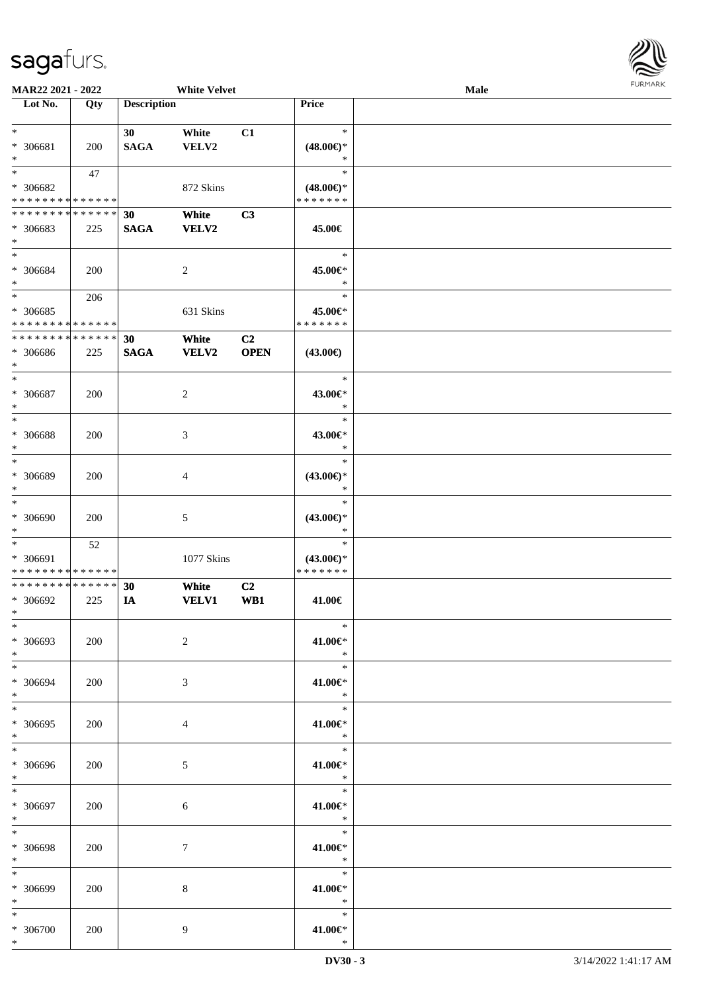

|                               | <b>MAR22 2021 - 2022</b> |                    | <b>White Velvet</b> |                |                     | Male |  |
|-------------------------------|--------------------------|--------------------|---------------------|----------------|---------------------|------|--|
| Lot No.                       | Qty                      | <b>Description</b> |                     |                | Price               |      |  |
|                               |                          |                    |                     |                |                     |      |  |
| $*$                           |                          | 30                 | White               | C1             | $\ast$              |      |  |
| * 306681                      | 200                      | <b>SAGA</b>        | VELV2               |                | $(48.00\epsilon)$ * |      |  |
| $\ast$                        |                          |                    |                     |                | $\ast$              |      |  |
|                               |                          |                    |                     |                |                     |      |  |
| $*$                           | 47                       |                    |                     |                | $\ast$              |      |  |
| * 306682                      |                          |                    | 872 Skins           |                | $(48.00\epsilon)$ * |      |  |
| * * * * * * * * * * * * * *   |                          |                    |                     |                | * * * * * * *       |      |  |
| * * * * * * * * * * * * * * * |                          | 30                 | White               | C3             |                     |      |  |
|                               |                          | <b>SAGA</b>        |                     |                |                     |      |  |
| * 306683                      | 225                      |                    | <b>VELV2</b>        |                | 45.00€              |      |  |
| $\ast$                        |                          |                    |                     |                |                     |      |  |
| $*$                           |                          |                    |                     |                | $\ast$              |      |  |
| * 306684                      | 200                      |                    | $\overline{2}$      |                | 45.00€*             |      |  |
| $*$                           |                          |                    |                     |                | $\ast$              |      |  |
| $*$                           | 206                      |                    |                     |                | $\ast$              |      |  |
|                               |                          |                    |                     |                |                     |      |  |
| * 306685                      |                          |                    | 631 Skins           |                | 45.00€*             |      |  |
| * * * * * * * * * * * * * *   |                          |                    |                     |                | * * * * * * *       |      |  |
| * * * * * * * * * * * * * *   |                          | 30                 | White               | C <sub>2</sub> |                     |      |  |
| * 306686                      | 225                      | <b>SAGA</b>        | <b>VELV2</b>        | <b>OPEN</b>    | $(43.00\epsilon)$   |      |  |
| $*$                           |                          |                    |                     |                |                     |      |  |
| $\ast$                        |                          |                    |                     |                | $\ast$              |      |  |
| * 306687                      |                          |                    |                     |                | 43.00€*             |      |  |
|                               | 200                      |                    | 2                   |                |                     |      |  |
| $\ast$                        |                          |                    |                     |                | $\ast$              |      |  |
| $*$                           |                          |                    |                     |                | $\ast$              |      |  |
| * 306688                      | 200                      |                    | 3                   |                | 43.00€*             |      |  |
| $\ast$                        |                          |                    |                     |                | $\ast$              |      |  |
| $*$                           |                          |                    |                     |                | $\ast$              |      |  |
| * 306689                      |                          |                    |                     |                |                     |      |  |
|                               | 200                      |                    | 4                   |                | $(43.00\epsilon)$ * |      |  |
| $\ast$                        |                          |                    |                     |                | *                   |      |  |
| $\ast$                        |                          |                    |                     |                | $\ast$              |      |  |
| * 306690                      | 200                      |                    | 5                   |                | $(43.00\epsilon)$ * |      |  |
| $*$                           |                          |                    |                     |                | $\ast$              |      |  |
| $*$                           | 52                       |                    |                     |                | $\ast$              |      |  |
| * 306691                      |                          |                    | 1077 Skins          |                | $(43.00\epsilon)$ * |      |  |
| * * * * * * * * * * * * * *   |                          |                    |                     |                | * * * * * * *       |      |  |
| * * * * * * * * * * * * * * * |                          |                    |                     |                |                     |      |  |
|                               |                          | 30                 | White               | C <sub>2</sub> |                     |      |  |
| * 306692                      | 225                      | IA                 | <b>VELV1</b>        | WB1            | 41.00€              |      |  |
| $*$                           |                          |                    |                     |                |                     |      |  |
| $*$                           |                          |                    |                     |                | $\ast$              |      |  |
| * 306693                      | 200                      |                    | 2                   |                | 41.00€*             |      |  |
| $*$                           |                          |                    |                     |                | $\ast$              |      |  |
| $*$                           |                          |                    |                     |                | $\ast$              |      |  |
|                               |                          |                    |                     |                |                     |      |  |
| * 306694                      | 200                      |                    | 3                   |                | 41.00€*             |      |  |
| $*$                           |                          |                    |                     |                | $\ast$              |      |  |
| $*$                           |                          |                    |                     |                | $\ast$              |      |  |
| * 306695                      | 200                      |                    | 4                   |                | 41.00€*             |      |  |
| $*$                           |                          |                    |                     |                | $\mathbb{R}^n$      |      |  |
| $*$                           |                          |                    |                     |                | $\ast$              |      |  |
| * 306696                      |                          |                    |                     |                | 41.00€*             |      |  |
|                               | 200                      |                    | 5                   |                | $\ddot{x}$          |      |  |
| $*$                           |                          |                    |                     |                |                     |      |  |
| $*$                           |                          |                    |                     |                | $\ast$              |      |  |
| * 306697                      | 200                      |                    | 6                   |                | 41.00€*             |      |  |
| $*$                           |                          |                    |                     |                | $\ast$              |      |  |
| $*$                           |                          |                    |                     |                | $\ast$              |      |  |
| * 306698                      | 200                      |                    | $\boldsymbol{7}$    |                | 41.00€*             |      |  |
| $*$                           |                          |                    |                     |                | $\rightarrow$       |      |  |
|                               |                          |                    |                     |                | $\ast$              |      |  |
| $*$                           |                          |                    |                     |                |                     |      |  |
| $* 306699$                    | 200                      |                    | 8                   |                | 41.00€*             |      |  |
| $*$                           |                          |                    |                     |                | $\ast$              |      |  |
| $*$                           |                          |                    |                     |                | $\ast$              |      |  |
| $* 306700$                    | 200                      |                    | 9                   |                | 41.00€*             |      |  |
| $\ast$                        |                          |                    |                     |                | $\ast$              |      |  |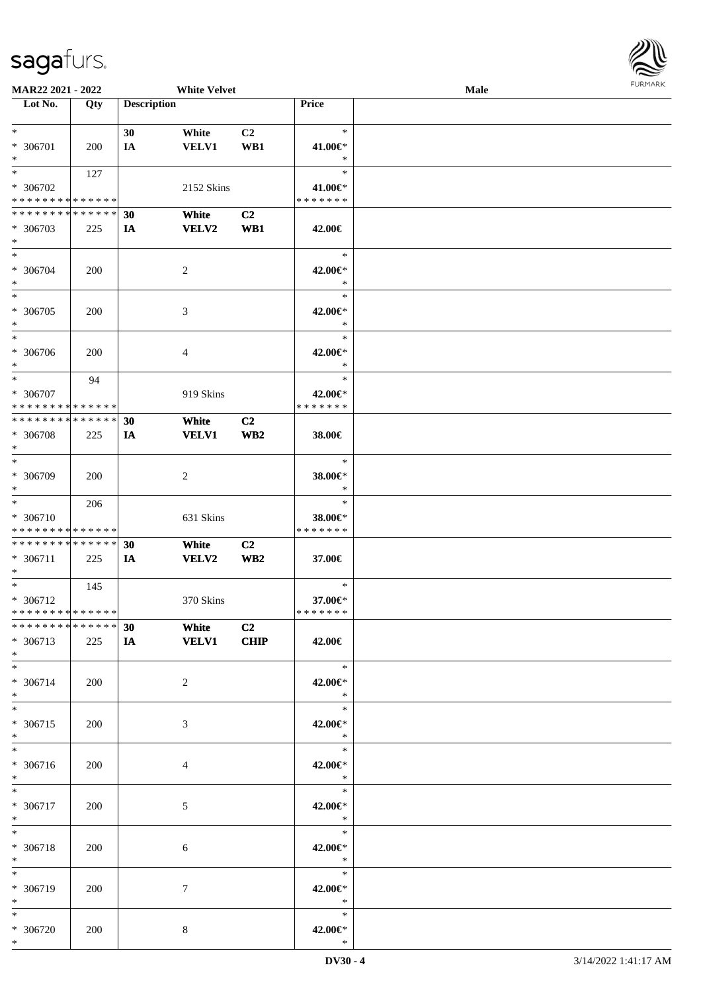

| <b>MAR22 2021 - 2022</b>                   |     |                    | <b>White Velvet</b> |                 |                                   | Male |  |
|--------------------------------------------|-----|--------------------|---------------------|-----------------|-----------------------------------|------|--|
| Lot No.                                    | Qty | <b>Description</b> |                     |                 | <b>Price</b>                      |      |  |
|                                            |     |                    |                     |                 |                                   |      |  |
| $*$                                        |     | 30                 | White               | C2              | $\ast$                            |      |  |
|                                            |     |                    |                     |                 |                                   |      |  |
| * 306701                                   | 200 | IA                 | <b>VELV1</b>        | WB1             | 41.00€*                           |      |  |
| $*$                                        |     |                    |                     |                 | $\ast$                            |      |  |
| $*$                                        | 127 |                    |                     |                 | $\ast$                            |      |  |
| * 306702                                   |     |                    | 2152 Skins          |                 | 41.00€*                           |      |  |
| * * * * * * * * * * * * * *                |     |                    |                     |                 | * * * * * * *                     |      |  |
| * * * * * * * * * * * * * * *              |     |                    |                     |                 |                                   |      |  |
|                                            |     | 30                 | White               | C2              |                                   |      |  |
| * 306703                                   | 225 | IA                 | VELV2               | WB1             | 42.00€                            |      |  |
| $*$                                        |     |                    |                     |                 |                                   |      |  |
| $*$                                        |     |                    |                     |                 | $\ast$                            |      |  |
| * 306704                                   |     |                    |                     |                 | 42.00€*                           |      |  |
|                                            | 200 |                    | 2                   |                 |                                   |      |  |
| $*$                                        |     |                    |                     |                 | $\ast$                            |      |  |
| $*$                                        |     |                    |                     |                 | $\ast$                            |      |  |
| * 306705                                   | 200 |                    | 3                   |                 | 42.00€*                           |      |  |
| $*$                                        |     |                    |                     |                 | $\ast$                            |      |  |
| $*$                                        |     |                    |                     |                 | $\ast$                            |      |  |
|                                            |     |                    |                     |                 |                                   |      |  |
| * 306706                                   | 200 |                    | $\overline{4}$      |                 | 42.00€*                           |      |  |
| $*$                                        |     |                    |                     |                 | $\ast$                            |      |  |
| $*$                                        | 94  |                    |                     |                 | $\ast$                            |      |  |
| * 306707                                   |     |                    | 919 Skins           |                 | 42.00€*                           |      |  |
| * * * * * * * * <mark>* * * * * *</mark>   |     |                    |                     |                 | * * * * * * *                     |      |  |
|                                            |     |                    |                     |                 |                                   |      |  |
| * * * * * * * * * * * * * * *              |     | 30                 | White               | C <sub>2</sub>  |                                   |      |  |
| * 306708                                   | 225 | IA                 | <b>VELV1</b>        | WB <sub>2</sub> | 38.00€                            |      |  |
| $*$                                        |     |                    |                     |                 |                                   |      |  |
| $\overline{\phantom{0}}$                   |     |                    |                     |                 | $\ast$                            |      |  |
|                                            |     |                    |                     |                 |                                   |      |  |
| * 306709                                   | 200 |                    | 2                   |                 | 38.00€*                           |      |  |
| $*$                                        |     |                    |                     |                 | $\ast$                            |      |  |
| $\overline{\ }$                            | 206 |                    |                     |                 | $\ast$                            |      |  |
| * 306710                                   |     |                    | 631 Skins           |                 | 38.00€*                           |      |  |
| * * * * * * * * <mark>* * * * * * *</mark> |     |                    |                     |                 | * * * * * * *                     |      |  |
|                                            |     |                    |                     |                 |                                   |      |  |
| * * * * * * * * * * * * * * *              |     | 30                 | White               | C2              |                                   |      |  |
| * 306711                                   | 225 | IA                 | <b>VELV2</b>        | WB <sub>2</sub> | 37.00€                            |      |  |
| $\ast$                                     |     |                    |                     |                 |                                   |      |  |
| $*$ $-$                                    | 145 |                    |                     |                 | $\ast$                            |      |  |
|                                            |     |                    |                     |                 |                                   |      |  |
| * 306712                                   |     |                    | 370 Skins           |                 | 37.00€*                           |      |  |
| * * * * * * * * <mark>* * * * * * *</mark> |     |                    |                     |                 | *******                           |      |  |
| * * * * * * * * <mark>* * * * * * *</mark> |     | 30                 | White               | C <sub>2</sub>  |                                   |      |  |
| * 306713                                   | 225 | IA                 | <b>VELV1</b>        | CHIP            | 42.00€                            |      |  |
| $*$                                        |     |                    |                     |                 |                                   |      |  |
| $*$                                        |     |                    |                     |                 | $\rightarrow$                     |      |  |
|                                            |     |                    |                     |                 |                                   |      |  |
| * 306714                                   | 200 |                    | 2                   |                 | 42.00€*                           |      |  |
| $*$                                        |     |                    |                     |                 | $\ast$                            |      |  |
| $*$                                        |     |                    |                     |                 | $\ast$                            |      |  |
| * 306715                                   | 200 |                    | 3                   |                 | 42.00€*                           |      |  |
| $*$                                        |     |                    |                     |                 | $\ast$                            |      |  |
|                                            |     |                    |                     |                 |                                   |      |  |
| $*$                                        |     |                    |                     |                 | $*$                               |      |  |
| * 306716                                   | 200 |                    | $\overline{4}$      |                 | 42.00€*                           |      |  |
| $*$                                        |     |                    |                     |                 | $\ast$                            |      |  |
| $*$                                        |     |                    |                     |                 | $\overline{\mathbb{R}}$<br>$\ast$ |      |  |
|                                            |     |                    |                     |                 |                                   |      |  |
| * 306717                                   | 200 |                    | 5                   |                 | 42.00€*                           |      |  |
| $*$                                        |     |                    |                     |                 | $\ast$                            |      |  |
| $*$                                        |     |                    |                     |                 | $\overline{\phantom{a}}$          |      |  |
| * 306718                                   | 200 |                    | 6                   |                 | 42.00€*                           |      |  |
|                                            |     |                    |                     |                 |                                   |      |  |
| $*$                                        |     |                    |                     |                 | $\ast$                            |      |  |
| $*$                                        |     |                    |                     |                 | $\ast$                            |      |  |
| * 306719                                   | 200 |                    | $\tau$              |                 | 42.00€*                           |      |  |
| $*$                                        |     |                    |                     |                 | $\ast$                            |      |  |
| $*$                                        |     |                    |                     |                 | $\ast$                            |      |  |
|                                            |     |                    |                     |                 |                                   |      |  |
| * 306720                                   | 200 |                    | 8                   |                 | 42.00€*                           |      |  |
| $*$                                        |     |                    |                     |                 | $\ast$                            |      |  |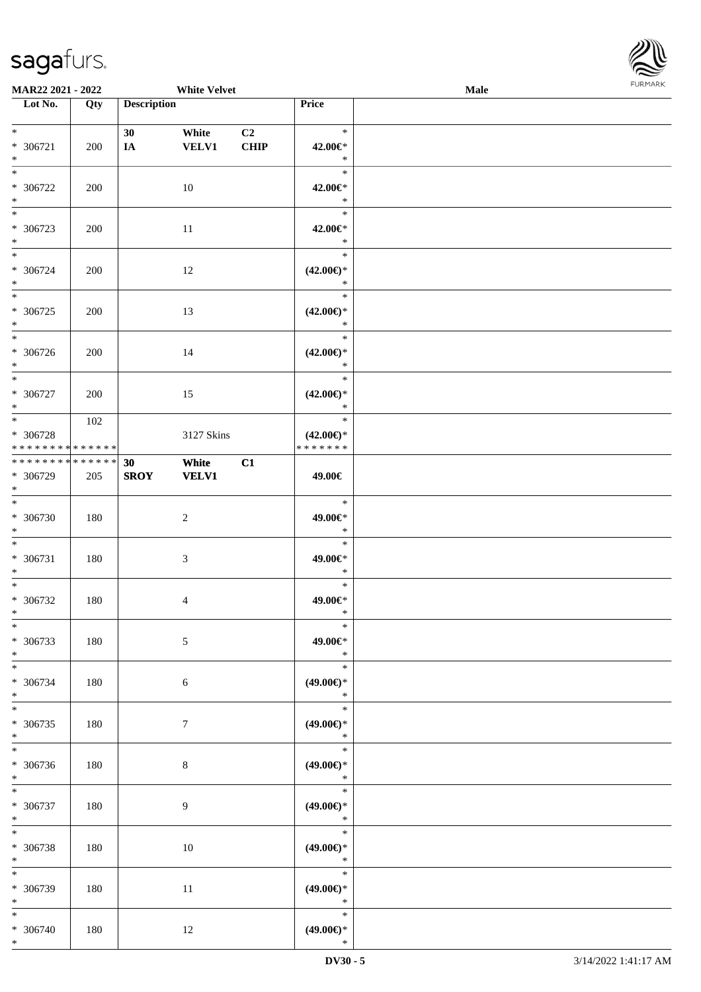

| <b>MAR22 2021 - 2022</b>                                               |            |                    | <b>White Velvet</b>   |                               |                                                   | Male |  |
|------------------------------------------------------------------------|------------|--------------------|-----------------------|-------------------------------|---------------------------------------------------|------|--|
| Lot No.                                                                | Qty        | <b>Description</b> |                       |                               | Price                                             |      |  |
| $*$<br>* 306721<br>$*$                                                 | 200        | 30<br>IA           | White<br><b>VELV1</b> | C <sub>2</sub><br><b>CHIP</b> | $\ast$<br>42.00€*<br>$\ast$                       |      |  |
| * 306722<br>$*$                                                        | 200        |                    | 10                    |                               | $\ast$<br>42.00€*<br>$\ast$                       |      |  |
| $\overline{\phantom{0}}$<br>* 306723<br>$*$<br>$*$                     | 200        |                    | 11                    |                               | $\ast$<br>42.00€*<br>$\ast$                       |      |  |
| * 306724<br>$*$                                                        | 200        |                    | 12                    |                               | $\ast$<br>$(42.00\epsilon)$ *<br>$\ast$<br>$\ast$ |      |  |
| * 306725<br>$*$                                                        | 200        |                    | 13                    |                               | $(42.00\epsilon)$ *<br>$\ast$<br>$\ast$           |      |  |
| * 306726<br>$*$                                                        | 200        |                    | 14                    |                               | $(42.00\epsilon)$ *<br>$\ast$<br>$\ast$           |      |  |
| * 306727<br>$*$                                                        | 200<br>102 |                    | 15                    |                               | $(42.00\epsilon)$ *<br>$\ast$<br>$\ast$           |      |  |
| * 306728<br>* * * * * * * * * * * * * *<br>* * * * * * * * * * * * * * |            | 30                 | 3127 Skins<br>White   | C1                            | $(42.00\epsilon)$ *<br>* * * * * * *              |      |  |
| * 306729<br>$*$<br>$*$                                                 | 205        | <b>SROY</b>        | <b>VELV1</b>          |                               | 49.00€<br>$\ast$                                  |      |  |
| * 306730<br>$*$<br>$*$                                                 | 180        |                    | $\overline{c}$        |                               | 49.00€*<br>$\ast$<br>$\ast$                       |      |  |
| * 306731<br>$\ast$<br>$*$                                              | 180        |                    | $\mathfrak{Z}$        |                               | 49.00€*<br>$\ast$<br>$\ast$                       |      |  |
| * 306732<br>$*$<br>$*$                                                 | 180        |                    | $\overline{4}$        |                               | 49.00€*<br>$\ast$<br>$\ast$                       |      |  |
| * 306733<br>$*$<br>$\overline{\mathbf{r}}$                             | 180        |                    | 5                     |                               | 49.00€*<br>$\ast$<br>$\ast$                       |      |  |
| * 306734<br>$*$<br>$*$                                                 | 180        |                    | 6                     |                               | $(49.00€)$ *<br>$\ast$<br>$\ast$                  |      |  |
| * 306735<br>$*$<br>$\overline{\ }$                                     | 180        |                    | $\tau$                |                               | $(49.00\epsilon)$ *<br>$\ast$<br>$\ast$           |      |  |
| * 306736<br>$*$<br>$*$                                                 | 180        |                    | $8\,$                 |                               | $(49.00ε)$ *<br>$\ast$<br>$\ast$                  |      |  |
| * 306737<br>$*$<br>$*$                                                 | 180        |                    | 9                     |                               | $(49.00ε)$ *<br>$\ast$<br>$\ast$                  |      |  |
| * 306738<br>$*$<br>$*$                                                 | 180        |                    | 10                    |                               | $(49.00\epsilon)$ *<br>$\ast$<br>$\ast$           |      |  |
| * 306739<br>$*$<br>$*$                                                 | 180        |                    | 11                    |                               | $(49.00\epsilon)$ *<br>$\ast$<br>$\ast$           |      |  |
| * 306740<br>$*$                                                        | 180        |                    | 12                    |                               | $(49.00\epsilon)$ *<br>$\ast$                     |      |  |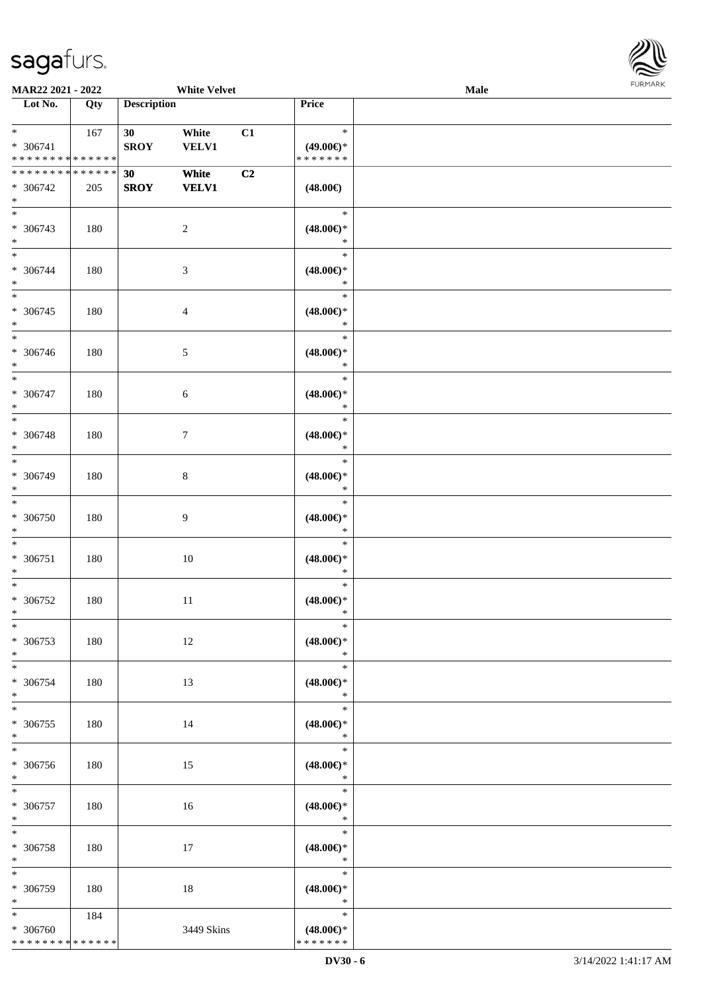

| MAR22 2021 - 2022                                 |     |                                | <b>White Velvet</b>   |    |                                                | <b>Male</b> |  |
|---------------------------------------------------|-----|--------------------------------|-----------------------|----|------------------------------------------------|-------------|--|
| Lot No.                                           | Qty | <b>Description</b>             |                       |    | Price                                          |             |  |
| $*$<br>* 306741<br>* * * * * * * * * * * * * *    | 167 | 30 <sup>°</sup><br><b>SROY</b> | White<br><b>VELV1</b> | C1 | $\ast$<br>$(49.00\epsilon)$ *<br>* * * * * * * |             |  |
| * * * * * * * * * * * * * *<br>* 306742<br>$\ast$ | 205 | 30<br><b>SROY</b>              | White<br><b>VELV1</b> | C2 | $(48.00\epsilon)$                              |             |  |
| $\overline{\phantom{0}}$<br>* 306743<br>$\ast$    | 180 |                                | $\sqrt{2}$            |    | $\ast$<br>$(48.00\epsilon)$ *<br>$\ast$        |             |  |
| $\overline{\ast}$<br>* 306744<br>$\ast$           | 180 |                                | $\sqrt{3}$            |    | $\ast$<br>$(48.00\epsilon)$ *<br>$\ast$        |             |  |
| $\overline{\phantom{0}}$<br>$* 306745$<br>$\ast$  | 180 |                                | $\overline{4}$        |    | $\ast$<br>$(48.00\epsilon)$ *<br>$\ast$        |             |  |
| $\overline{\phantom{1}}$<br>$* 306746$<br>$\ast$  | 180 |                                | $\sqrt{5}$            |    | $\ast$<br>$(48.00\epsilon)$ *<br>$\ast$        |             |  |
| $\ast$<br>* 306747<br>$\ast$                      | 180 |                                | $6\,$                 |    | $\ast$<br>$(48.00\epsilon)$ *<br>$\ast$        |             |  |
| $\ast$<br>* 306748<br>$\ast$                      | 180 |                                | $7\phantom{.0}$       |    | $\ast$<br>$(48.00\epsilon)$ *<br>$\ast$        |             |  |
| $\ast$<br>* 306749<br>$\ast$                      | 180 |                                | $8\,$                 |    | $\ast$<br>$(48.00\epsilon)$ *<br>$\ast$        |             |  |
| $\ast$<br>$* 306750$<br>$\ast$                    | 180 |                                | $\overline{9}$        |    | $\ast$<br>$(48.00\epsilon)$ *<br>$\ast$        |             |  |
| $\ast$<br>$* 306751$<br>$\ast$                    | 180 |                                | $10\,$                |    | $\ast$<br>$(48.00\epsilon)$ *<br>$\ast$        |             |  |
| $\ast$<br>$* 306752$<br>$*$                       | 180 |                                | $11\,$                |    | $\ast$<br>$(48.00\epsilon)$ *<br>$\ast$        |             |  |
| $\ast$<br>$* 306753$<br>$\ast$                    | 180 |                                | 12                    |    | $\ast$<br>$(48.00\epsilon)$ *<br>$\ast$        |             |  |
| $\ast$<br>$* 306754$<br>$\ast$                    | 180 |                                | 13                    |    | $\ast$<br>$(48.00\epsilon)$ *<br>$\ast$        |             |  |
| $\ast$<br>* 306755<br>$\ast$                      | 180 |                                | 14                    |    | $\ast$<br>$(48.00\epsilon)$ *<br>$\ast$        |             |  |
| $\ast$<br>$* 306756$<br>$\ast$                    | 180 |                                | 15                    |    | $\ast$<br>$(48.00\epsilon)$ *<br>$\ast$        |             |  |
| $\ast$<br>$* 306757$<br>$\ast$                    | 180 |                                | 16                    |    | $\ast$<br>$(48.00\epsilon)$ *<br>$\ast$        |             |  |
| $\ast$<br>* 306758<br>$\ast$                      | 180 |                                | 17                    |    | $\ast$<br>$(48.00\epsilon)$ *<br>$\ast$        |             |  |
| $\ast$<br>* 306759<br>$\ast$                      | 180 |                                | 18                    |    | $\ast$<br>$(48.00\epsilon)$ *<br>$\ast$        |             |  |
| $*$<br>* 306760<br>* * * * * * * * * * * * * *    | 184 |                                | 3449 Skins            |    | $\ast$<br>$(48.00\epsilon)$ *<br>* * * * * * * |             |  |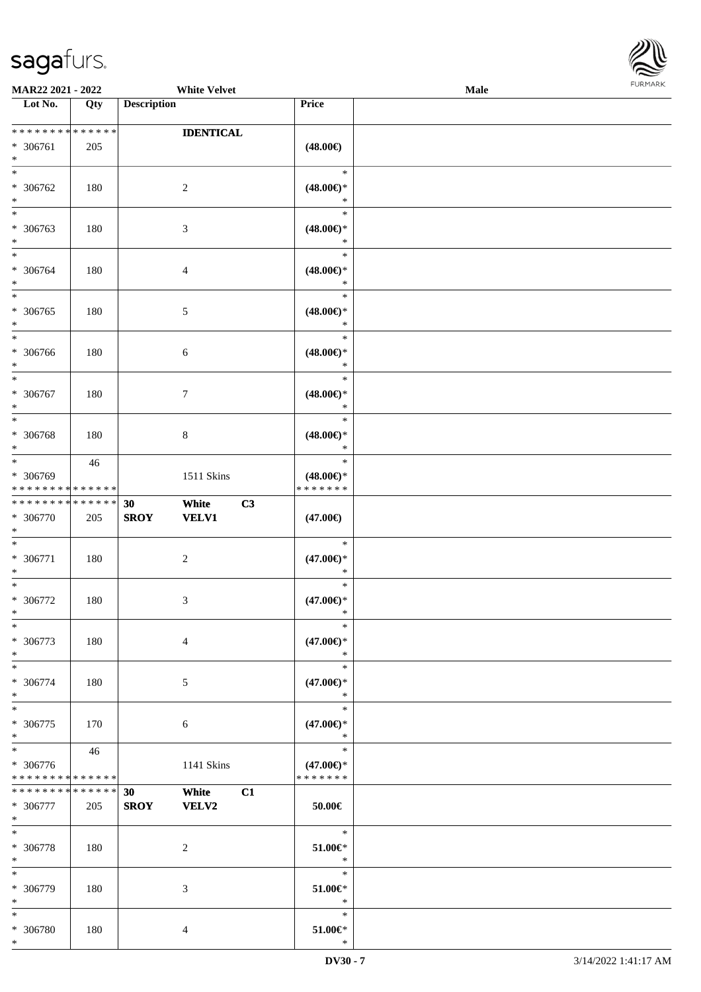

| <b>MAR22 2021 - 2022</b>                   |     | <b>White Velvet</b>         |                               | <b>Male</b> |
|--------------------------------------------|-----|-----------------------------|-------------------------------|-------------|
| Lot No.                                    | Qty | <b>Description</b>          | Price                         |             |
|                                            |     |                             |                               |             |
| * * * * * * * * <mark>* * * * * * *</mark> |     | <b>IDENTICAL</b>            |                               |             |
| * 306761                                   | 205 |                             | $(48.00\epsilon)$             |             |
| $*$                                        |     |                             |                               |             |
| $\ast$                                     |     |                             | $\ast$                        |             |
| * 306762                                   | 180 | 2                           | $(48.00\epsilon)$ *           |             |
| $\ast$                                     |     |                             | $\ast$                        |             |
|                                            |     |                             | $\ast$                        |             |
| * 306763                                   | 180 | 3                           | $(48.00\epsilon)$ *           |             |
| $*$                                        |     |                             | $\ast$                        |             |
| $*$                                        |     |                             | $\ast$                        |             |
| * 306764                                   | 180 | $\overline{4}$              | $(48.00\epsilon)$ *           |             |
| $*$                                        |     |                             | $\ast$                        |             |
| $\overline{\ }$                            |     |                             | $\ast$                        |             |
| * 306765                                   | 180 | $\mathfrak{S}$              | $(48.00\epsilon)$ *           |             |
| $\ast$                                     |     |                             | $\ast$                        |             |
| $\overline{\phantom{0}}$                   |     |                             | $\ast$                        |             |
|                                            |     |                             |                               |             |
| * 306766                                   | 180 | $\sqrt{6}$                  | $(48.00\epsilon)$ *<br>$\ast$ |             |
| $*$<br>$*$                                 |     |                             | $\ast$                        |             |
|                                            |     |                             |                               |             |
| * 306767                                   | 180 | $\tau$                      | $(48.00\epsilon)$ *           |             |
| $*$                                        |     |                             | $\ast$                        |             |
| $\overline{\ }$                            |     |                             | $\ast$                        |             |
| * 306768                                   | 180 | $8\,$                       | $(48.00\epsilon)$ *           |             |
| $\ast$                                     |     |                             | $\ast$                        |             |
| $\overline{\phantom{0}}$                   | 46  |                             | $\ast$                        |             |
| * 306769                                   |     | 1511 Skins                  | $(48.00\epsilon)$ *           |             |
| * * * * * * * * * * * * * *                |     |                             | * * * * * * *                 |             |
| * * * * * * * * * * * * * *                |     | White<br>30                 | C3                            |             |
| * 306770                                   | 205 | <b>VELV1</b><br><b>SROY</b> | $(47.00\epsilon)$             |             |
| $*$                                        |     |                             |                               |             |
| $*$                                        |     |                             | $\ast$                        |             |
| * 306771                                   | 180 | $\overline{c}$              | $(47.00\epsilon)$ *           |             |
| $\ast$                                     |     |                             | $\ast$                        |             |
| $*$                                        |     |                             | $\ast$                        |             |
| * 306772                                   | 180 | 3                           | $(47.00\epsilon)$ *           |             |
| $*$                                        |     |                             | $\ast$                        |             |
| $*$                                        |     |                             | $\ast$                        |             |
| * 306773                                   | 180 | $\overline{4}$              | $(47.00\epsilon)$ *           |             |
| $*$                                        |     |                             | $\ast$                        |             |
| $*$                                        |     |                             | $\ast$                        |             |
| * 306774                                   | 180 | 5                           | $(47.00\epsilon)$ *           |             |
| $\ast$                                     |     |                             | $\ast$                        |             |
| $*$                                        |     |                             | $\ast$                        |             |
| * 306775                                   | 170 | 6                           | $(47.00\epsilon)$ *           |             |
| $*$                                        |     |                             | $\ast$                        |             |
| $\overline{\ }$                            | 46  |                             | $\ast$                        |             |
| * 306776                                   |     |                             | $(47.00\epsilon)$ *           |             |
| * * * * * * * * * * * * * *                |     | 1141 Skins                  | * * * * * * *                 |             |
| * * * * * * * * <mark>* * * * * *</mark>   |     |                             |                               |             |
| * 306777                                   |     | 30<br>White<br><b>VELV2</b> | C1<br>$50.00 \in$             |             |
|                                            | 205 | <b>SROY</b>                 |                               |             |
| $*$<br>$*$                                 |     |                             | $\ast$                        |             |
|                                            |     |                             |                               |             |
| * 306778                                   | 180 | 2                           | $51.00 \in$                   |             |
| $*$                                        |     |                             | $\ast$                        |             |
| $*$                                        |     |                             | $\ast$                        |             |
| * 306779                                   | 180 | 3                           | 51.00€*                       |             |
| $*$                                        |     |                             | $\ast$                        |             |
| $\ast$                                     |     |                             | $\ast$                        |             |
| * 306780                                   | 180 | $\overline{4}$              | $51.00 \in$ *                 |             |
| $\ast$                                     |     |                             | $\ast$                        |             |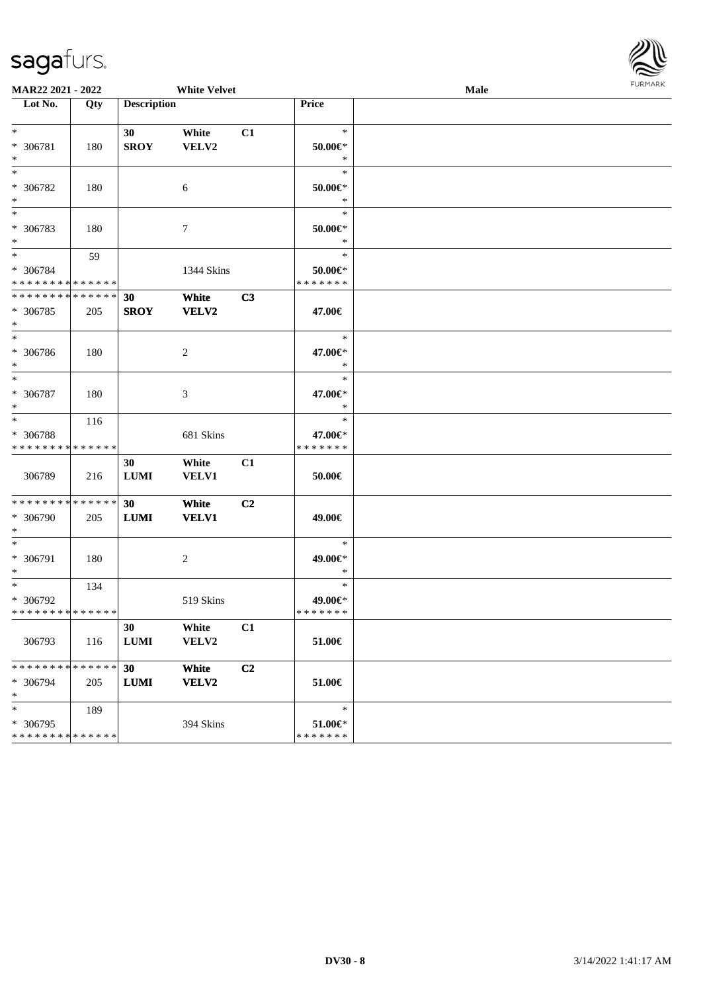

|                                                        | MAR22 2021 - 2022<br><b>White Velvet</b> |                    |                  |    |                          | Male | FURMARK |
|--------------------------------------------------------|------------------------------------------|--------------------|------------------|----|--------------------------|------|---------|
| Lot No.                                                | Qty                                      | <b>Description</b> |                  |    | Price                    |      |         |
| $\ast$                                                 |                                          |                    |                  |    | $\ast$                   |      |         |
| * 306781                                               | 180                                      | 30<br><b>SROY</b>  | White<br>VELV2   | C1 | 50.00€*                  |      |         |
| $\ast$                                                 |                                          |                    |                  |    | $\ast$                   |      |         |
| $\ast$                                                 |                                          |                    |                  |    | $\ast$                   |      |         |
| * 306782                                               | 180                                      |                    | $\boldsymbol{6}$ |    | $50.00 \in$ *            |      |         |
| $*$                                                    |                                          |                    |                  |    | $\ast$                   |      |         |
| $\ast$                                                 |                                          |                    |                  |    | $\ast$                   |      |         |
| * 306783                                               | 180                                      |                    | 7                |    | $50.00 \in$<br>$\ast$    |      |         |
| $\ast$<br>$*$                                          | 59                                       |                    |                  |    | $\ast$                   |      |         |
| * 306784                                               |                                          |                    | 1344 Skins       |    | $50.00 \in$ *            |      |         |
| * * * * * * * * <mark>* * * * * * *</mark>             |                                          |                    |                  |    | * * * * * * *            |      |         |
| * * * * * * * * <mark>* * * * * * *</mark>             |                                          | 30                 | White            | C3 |                          |      |         |
| * 306785                                               | 205                                      | <b>SROY</b>        | VELV2            |    | 47.00€                   |      |         |
| $\ast$                                                 |                                          |                    |                  |    | $\ast$                   |      |         |
| * 306786                                               | 180                                      |                    | 2                |    | 47.00€*                  |      |         |
| $\ast$                                                 |                                          |                    |                  |    | $\ast$                   |      |         |
| $\ast$                                                 |                                          |                    |                  |    | $\ast$                   |      |         |
| * 306787                                               | 180                                      |                    | 3                |    | 47.00€*                  |      |         |
| $\ast$                                                 |                                          |                    |                  |    | $\ast$                   |      |         |
| $\overline{\ast}$                                      | 116                                      |                    |                  |    | $\ast$                   |      |         |
| * 306788<br>* * * * * * * * <mark>* * * * * * *</mark> |                                          |                    | 681 Skins        |    | 47.00€*<br>* * * * * * * |      |         |
|                                                        |                                          | 30                 | White            | C1 |                          |      |         |
| 306789                                                 | 216                                      | <b>LUMI</b>        | <b>VELV1</b>     |    | 50.00€                   |      |         |
|                                                        |                                          |                    |                  |    |                          |      |         |
| ******** <mark>******</mark>                           |                                          | 30                 | White            | C2 |                          |      |         |
| * 306790                                               | 205                                      | LUMI               | <b>VELV1</b>     |    | 49.00€                   |      |         |
| $\ast$<br>$\ast$                                       |                                          |                    |                  |    | $\ast$                   |      |         |
| * 306791                                               | 180                                      |                    | 2                |    | 49.00€*                  |      |         |
| $\ast$                                                 |                                          |                    |                  |    | $\ast$                   |      |         |
| $*$                                                    | 134                                      |                    |                  |    | $\ast$                   |      |         |
| * 306792                                               |                                          |                    | 519 Skins        |    | 49.00€*                  |      |         |
| * * * * * * * * * * * * * *                            |                                          |                    |                  |    | * * * * * * *            |      |         |
|                                                        |                                          | 30                 | White            | C1 |                          |      |         |
| 306793                                                 | 116                                      | <b>LUMI</b>        | VELV2            |    | 51.00€                   |      |         |
| * * * * * * * * <mark>* * * * * * *</mark>             |                                          | 30                 | White            | C2 |                          |      |         |
| * 306794                                               | 205                                      | LUMI               | VELV2            |    | 51.00€                   |      |         |
| $\ast$                                                 |                                          |                    |                  |    |                          |      |         |
| $\ast$                                                 | 189                                      |                    |                  |    | $\ast$                   |      |         |
| * 306795<br>* * * * * * * * <mark>* * * * * * *</mark> |                                          |                    | 394 Skins        |    | 51.00€*<br>* * * * * * * |      |         |
|                                                        |                                          |                    |                  |    |                          |      |         |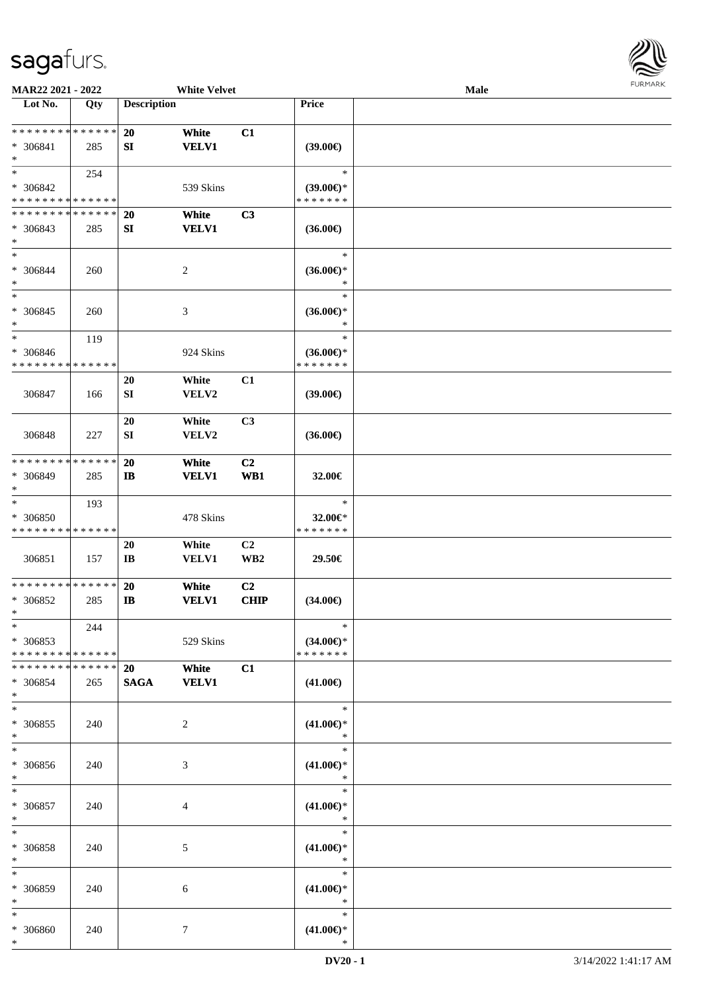

| MAR22 2021 - 2022                                   |                    |                              | <b>White Velvet</b>   |                               |                                                | Male |  |
|-----------------------------------------------------|--------------------|------------------------------|-----------------------|-------------------------------|------------------------------------------------|------|--|
| Lot No.                                             | Qty                | <b>Description</b>           |                       |                               | Price                                          |      |  |
| **************<br>* 306841<br>$\ast$                | 285                | 20<br>SI                     | White<br><b>VELV1</b> | C1                            | (39.00)                                        |      |  |
| $\ast$<br>* 306842<br>* * * * * * * * * * * * * *   | 254                |                              | 539 Skins             |                               | $\ast$<br>$(39.00€)$ *<br>* * * * * * *        |      |  |
| * * * * * * * * * * * * * *<br>* 306843<br>$\ast$   | 285                | <b>20</b><br>${\bf SI}$      | White<br><b>VELV1</b> | C3                            | $(36.00\epsilon)$                              |      |  |
| $\ast$<br>* 306844<br>$\ast$                        | 260                |                              | $\sqrt{2}$            |                               | $\ast$<br>$(36.00\epsilon)$ *<br>$\ast$        |      |  |
| $\ast$<br>$* 306845$<br>∗                           | 260                |                              | $\mathfrak{Z}$        |                               | $\ast$<br>$(36.00\epsilon)$ *<br>$\ast$        |      |  |
| $\ast$<br>* 306846<br>* * * * * * * * * * * * * *   | 119                |                              | 924 Skins             |                               | $\ast$<br>$(36.00\epsilon)$ *<br>* * * * * * * |      |  |
| 306847                                              | 166                | 20<br>${\bf SI}$             | White<br>VELV2        | C1                            | (39.00)                                        |      |  |
| 306848                                              | 227                | 20<br>SI                     | White<br>VELV2        | C3                            | $(36.00\epsilon)$                              |      |  |
| * * * * * * * * * * * * * *<br>* 306849<br>$\ast$   | 285                | <b>20</b><br>$\mathbf{I}$    | White<br><b>VELV1</b> | C2<br>W <sub>B1</sub>         | 32.00€                                         |      |  |
| $\ast$<br>* 306850<br>* * * * * * * * * * * * * *   | 193                |                              | 478 Skins             |                               | $\ast$<br>32.00€*<br>* * * * * * *             |      |  |
| 306851                                              | 157                | 20<br>$\mathbf{I}\mathbf{B}$ | White<br>VELV1        | C2<br>WB <sub>2</sub>         | 29.50€                                         |      |  |
| * * * * * * * * * * * * * *<br>$* 306852$<br>$\ast$ | 285                | <b>20</b><br><b>IB</b>       | White<br><b>VELV1</b> | C <sub>2</sub><br><b>CHIP</b> | $(34.00\epsilon)$                              |      |  |
| $*$<br>* 306853<br>* * * * * * * * * * * * * *      | 244                |                              | 529 Skins             |                               | $\ast$<br>$(34.00\epsilon)$ *<br>* * * * * * * |      |  |
| * * * * * * * *<br>* 306854<br>$\ast$               | * * * * * *<br>265 | 20<br><b>SAGA</b>            | White<br><b>VELV1</b> | C1                            | $(41.00\epsilon)$                              |      |  |
| $\ast$<br>$* 306855$<br>$\ast$                      | 240                |                              | $\overline{2}$        |                               | $\ast$<br>$(41.00\epsilon)$ *<br>$\ast$        |      |  |
| $\ast$<br>* 306856<br>$\ast$                        | 240                |                              | 3                     |                               | $\ast$<br>$(41.00\epsilon)$ *<br>$\ast$        |      |  |
| $\ast$<br>$* 306857$<br>$\ast$                      | 240                |                              | 4                     |                               | $\ast$<br>$(41.00\epsilon)$ *<br>$\ast$        |      |  |
| $\ast$<br>$* 306858$<br>$\ast$                      | 240                |                              | 5                     |                               | $\ast$<br>$(41.00\epsilon)$ *<br>$\ast$        |      |  |
| $\ast$<br>* 306859<br>$\ast$                        | 240                |                              | 6                     |                               | $\ast$<br>$(41.00\epsilon)$ *<br>$\ast$        |      |  |
| $\ast$<br>* 306860<br>$*$                           | 240                |                              | $\tau$                |                               | $\ast$<br>$(41.00\mathbb{E})^*$<br>$\ast$      |      |  |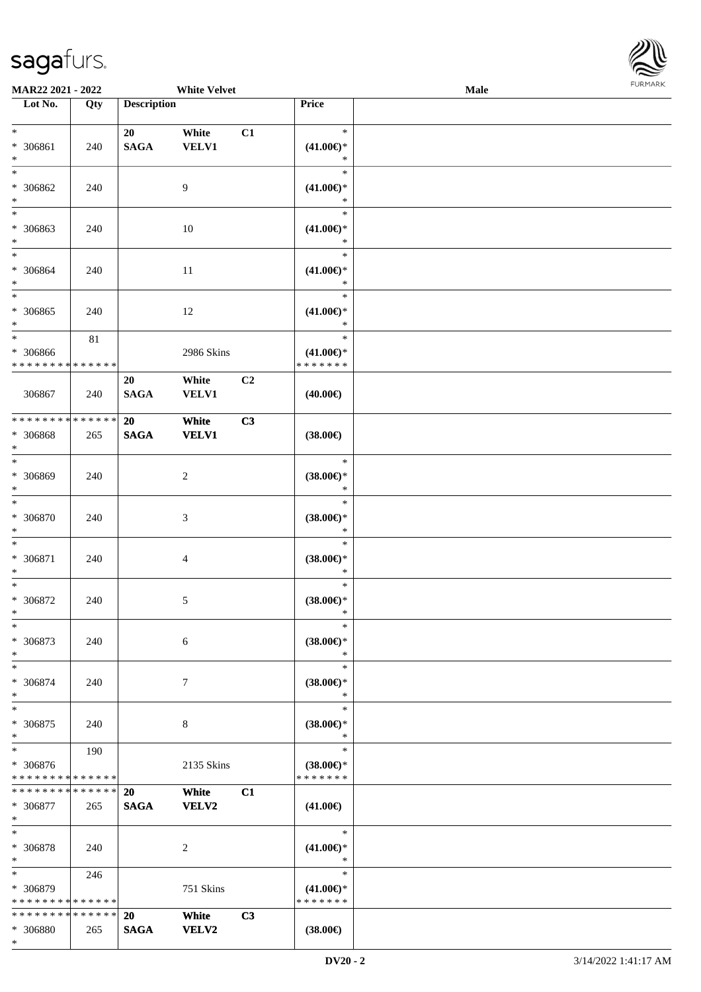

| <b>MAR22 2021 - 2022</b>                 |        |                    | <b>White Velvet</b> |    |                     | Male |  |
|------------------------------------------|--------|--------------------|---------------------|----|---------------------|------|--|
| Lot No.                                  | Qty    | <b>Description</b> |                     |    | Price               |      |  |
|                                          |        |                    |                     |    |                     |      |  |
| $\ast$                                   |        | 20                 | White               | C1 | $\ast$              |      |  |
| * 306861                                 | 240    | <b>SAGA</b>        | VELV1               |    | $(41.00\epsilon)$ * |      |  |
| $*$                                      |        |                    |                     |    | $\ast$              |      |  |
| $\overline{\ }$                          |        |                    |                     |    | $\ast$              |      |  |
| * 306862                                 | 240    |                    | 9                   |    | $(41.00\epsilon)$ * |      |  |
| $\ast$                                   |        |                    |                     |    | $\ast$              |      |  |
| $\overline{\phantom{0}}$                 |        |                    |                     |    | $\ast$              |      |  |
| * 306863                                 | 240    |                    | 10                  |    | $(41.00\epsilon)$ * |      |  |
| $*$                                      |        |                    |                     |    | $\ast$              |      |  |
| $\ast$                                   |        |                    |                     |    | $\ast$              |      |  |
| * 306864                                 | 240    |                    | 11                  |    | $(41.00\epsilon)$ * |      |  |
| $*$                                      |        |                    |                     |    | $\ast$              |      |  |
| $\ast$                                   |        |                    |                     |    | $\ast$              |      |  |
| * 306865                                 | 240    |                    | 12                  |    | $(41.00\epsilon)$ * |      |  |
| $*$<br>$\overline{\phantom{0}}$          |        |                    |                     |    | $\ast$              |      |  |
|                                          | $81\,$ |                    |                     |    | $\ast$              |      |  |
| * 306866                                 |        |                    | 2986 Skins          |    | $(41.00\epsilon)$ * |      |  |
| * * * * * * * * * * * * * *              |        |                    |                     |    | * * * * * * *       |      |  |
|                                          |        | 20                 | White               | C2 |                     |      |  |
| 306867                                   | 240    | <b>SAGA</b>        | <b>VELV1</b>        |    | $(40.00\epsilon)$   |      |  |
| * * * * * * * * * * * * * *              |        |                    |                     |    |                     |      |  |
|                                          |        | 20                 | White               | C3 |                     |      |  |
| * 306868<br>$\ast$                       | 265    | <b>SAGA</b>        | <b>VELV1</b>        |    | $(38.00\epsilon)$   |      |  |
|                                          |        |                    |                     |    | $\ast$              |      |  |
| * 306869                                 | 240    |                    | 2                   |    | $(38.00\epsilon)$ * |      |  |
| $*$                                      |        |                    |                     |    | $\ast$              |      |  |
| $*$                                      |        |                    |                     |    | $\ast$              |      |  |
| * 306870                                 | 240    |                    | 3                   |    | $(38.00\epsilon)$ * |      |  |
| $*$                                      |        |                    |                     |    | $\ast$              |      |  |
| $*$                                      |        |                    |                     |    | $\ast$              |      |  |
| * 306871                                 | 240    |                    | $\overline{4}$      |    | $(38.00\epsilon)$ * |      |  |
| $\ast$                                   |        |                    |                     |    | $\ast$              |      |  |
| $*$                                      |        |                    |                     |    | $\ast$              |      |  |
| * 306872                                 | 240    |                    | 5                   |    | $(38.00\epsilon)$ * |      |  |
| $*$                                      |        |                    |                     |    | $\ast$              |      |  |
| $\ast$                                   |        |                    |                     |    | $\ast$              |      |  |
| * 306873                                 | 240    |                    | 6                   |    | $(38.00\epsilon)$ * |      |  |
| $*$                                      |        |                    |                     |    | ∗                   |      |  |
| $*$                                      |        |                    |                     |    | $\ast$              |      |  |
| * 306874                                 | 240    |                    | $\tau$              |    | $(38.00\epsilon)$ * |      |  |
| $\ast$                                   |        |                    |                     |    | $\ast$              |      |  |
| $*$                                      |        |                    |                     |    | $\ast$              |      |  |
| * 306875                                 | 240    |                    | 8                   |    | $(38.00\epsilon)$ * |      |  |
| $\ast$                                   |        |                    |                     |    | $\ast$              |      |  |
| $\ast$                                   | 190    |                    |                     |    | $\ast$              |      |  |
| * 306876                                 |        |                    | 2135 Skins          |    | $(38.00\epsilon)$ * |      |  |
| * * * * * * * * * * * * * *              |        |                    |                     |    | * * * * * * *       |      |  |
| * * * * * * * * <mark>* * * * * *</mark> |        | 20                 | White               | C1 |                     |      |  |
| * 306877                                 | 265    | <b>SAGA</b>        | VELV2               |    | $(41.00\epsilon)$   |      |  |
| $*$<br>$*$                               |        |                    |                     |    | $\ast$              |      |  |
| * 306878                                 | 240    |                    | 2                   |    | $(41.00\epsilon)$ * |      |  |
| $*$                                      |        |                    |                     |    | $\ast$              |      |  |
| $*$                                      | 246    |                    |                     |    | $\ast$              |      |  |
| * 306879                                 |        |                    | 751 Skins           |    | $(41.00\epsilon)$ * |      |  |
| * * * * * * * * * * * * * *              |        |                    |                     |    | * * * * * * *       |      |  |
| * * * * * * * * <mark>* * * * * *</mark> |        | <b>20</b>          | White               | C3 |                     |      |  |
| * 306880                                 | 265    | <b>SAGA</b>        | VELV2               |    | $(38.00\epsilon)$   |      |  |
| $\ast$                                   |        |                    |                     |    |                     |      |  |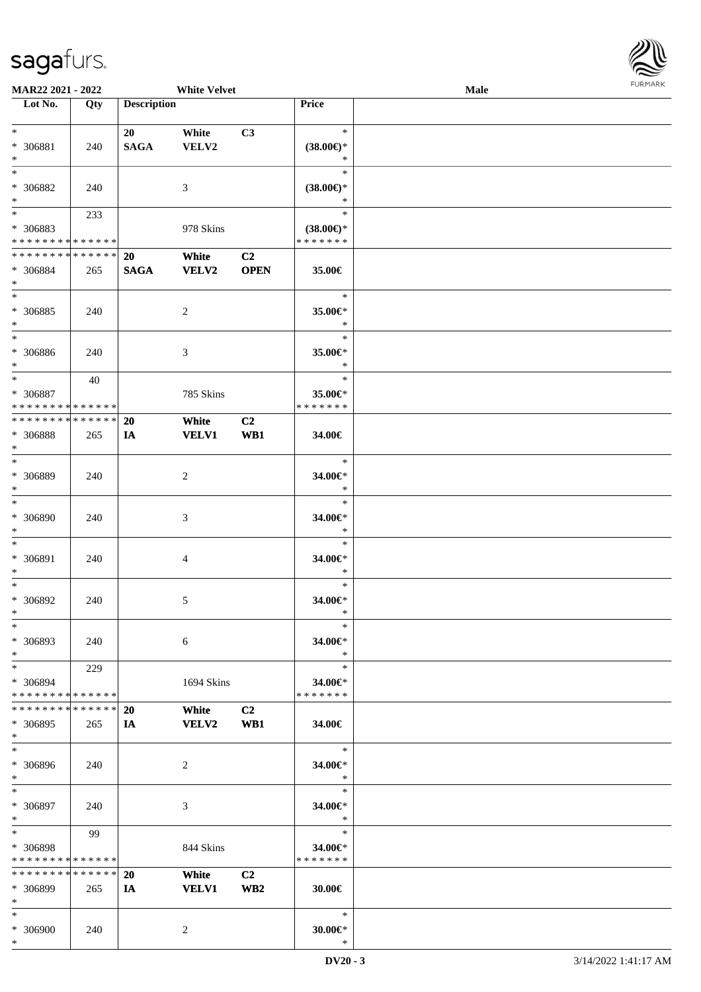

| <b>MAR22 2021 - 2022</b>      |        |                    | <b>White Velvet</b> |                 |                     | <b>Male</b> |  |
|-------------------------------|--------|--------------------|---------------------|-----------------|---------------------|-------------|--|
| Lot No.                       | Qty    | <b>Description</b> |                     |                 | Price               |             |  |
|                               |        |                    |                     |                 |                     |             |  |
| $*$                           |        | 20                 | White               | C3              | $\ast$              |             |  |
| * 306881                      | 240    | <b>SAGA</b>        | VELV2               |                 | $(38.00\epsilon)$ * |             |  |
| $\ast$                        |        |                    |                     |                 | ∗                   |             |  |
| $*$                           |        |                    |                     |                 | $\ast$              |             |  |
|                               |        |                    |                     |                 |                     |             |  |
| * 306882                      | 240    |                    | 3                   |                 | $(38.00\epsilon)$ * |             |  |
| $\ast$                        |        |                    |                     |                 | $\ast$              |             |  |
|                               | 233    |                    |                     |                 | $\ast$              |             |  |
| * 306883                      |        |                    | 978 Skins           |                 | $(38.00\epsilon)$ * |             |  |
| * * * * * * * * * * * * * *   |        |                    |                     |                 | * * * * * * *       |             |  |
| * * * * * * * * * * * * * * * |        | 20                 | White               | C <sub>2</sub>  |                     |             |  |
| * 306884                      | 265    | <b>SAGA</b>        | VELV2               | <b>OPEN</b>     | 35.00€              |             |  |
| $*$                           |        |                    |                     |                 |                     |             |  |
| $*$                           |        |                    |                     |                 | $\ast$              |             |  |
|                               |        |                    |                     |                 |                     |             |  |
| * 306885                      | 240    |                    | $\overline{c}$      |                 | 35.00€*             |             |  |
| $*$                           |        |                    |                     |                 | $\ast$              |             |  |
| $*$                           |        |                    |                     |                 | $\ast$              |             |  |
| * 306886                      | 240    |                    | 3                   |                 | 35.00€*             |             |  |
| $*$                           |        |                    |                     |                 | $\ast$              |             |  |
| $*$                           | 40     |                    |                     |                 | $\ast$              |             |  |
| * 306887                      |        |                    | 785 Skins           |                 | 35.00€*             |             |  |
| * * * * * * * * * * * * * * * |        |                    |                     |                 | * * * * * * *       |             |  |
| * * * * * * * * * * * * * * * |        |                    |                     |                 |                     |             |  |
|                               |        | <b>20</b>          | White               | C <sub>2</sub>  |                     |             |  |
| * 306888                      | 265    | IA                 | <b>VELV1</b>        | WB1             | 34.00€              |             |  |
| $\ast$                        |        |                    |                     |                 |                     |             |  |
| $*$                           |        |                    |                     |                 | $\ast$              |             |  |
| * 306889                      | 240    |                    | $\overline{2}$      |                 | 34.00€*             |             |  |
| $*$                           |        |                    |                     |                 | $\ast$              |             |  |
| $*$                           |        |                    |                     |                 | $\ast$              |             |  |
| * 306890                      |        |                    |                     |                 |                     |             |  |
|                               | 240    |                    | 3                   |                 | 34.00€*             |             |  |
| $*$                           |        |                    |                     |                 | $\ast$              |             |  |
| $*$                           |        |                    |                     |                 | $\ast$              |             |  |
| * 306891                      | 240    |                    | $\overline{4}$      |                 | 34.00€*             |             |  |
| $\ast$                        |        |                    |                     |                 | $\ast$              |             |  |
| $*$                           |        |                    |                     |                 | $\ast$              |             |  |
| $* 306892$                    | 240    |                    | 5                   |                 | 34.00€*             |             |  |
| $*$                           |        |                    |                     |                 | $\ast$              |             |  |
| $\ast$                        |        |                    |                     |                 | $\ast$              |             |  |
|                               |        |                    |                     |                 |                     |             |  |
| * 306893                      | 240    |                    | 6                   |                 | 34.00€*             |             |  |
| $*$                           |        |                    |                     |                 | $\ast$              |             |  |
| $*$                           | 229    |                    |                     |                 | $\ast$              |             |  |
| * 306894                      |        |                    | 1694 Skins          |                 | 34.00€*             |             |  |
| * * * * * * * * * * * * * *   |        |                    |                     |                 | * * * * * * *       |             |  |
| * * * * * * * * * * * * * * * |        | <b>20</b>          | White               | C2              |                     |             |  |
| * 306895                      | 265    | IA                 | <b>VELV2</b>        | WB1             | 34.00€              |             |  |
| $*$                           |        |                    |                     |                 |                     |             |  |
|                               |        |                    |                     |                 |                     |             |  |
| $*$                           |        |                    |                     |                 | $\ast$              |             |  |
| * 306896                      | 240    |                    | 2                   |                 | 34.00€*             |             |  |
| $*$                           |        |                    |                     |                 | $\ast$              |             |  |
| $*$                           |        |                    |                     |                 | $\ast$              |             |  |
| * 306897                      | 240    |                    | 3                   |                 | 34.00€*             |             |  |
| $*$                           |        |                    |                     |                 | $\ast$              |             |  |
| $*$                           | 99     |                    |                     |                 | $\ast$              |             |  |
|                               |        |                    |                     |                 |                     |             |  |
| * 306898                      |        |                    | 844 Skins           |                 | 34.00€*             |             |  |
| * * * * * * * * * * * * * *   |        |                    |                     |                 | * * * * * * *       |             |  |
| * * * * * * * *               | ****** | 20                 | White               | C <sub>2</sub>  |                     |             |  |
| * 306899                      | 265    | IA                 | <b>VELV1</b>        | WB <sub>2</sub> | 30.00€              |             |  |
| $*$                           |        |                    |                     |                 |                     |             |  |
| $*$                           |        |                    |                     |                 | $\ast$              |             |  |
| * 306900                      | 240    |                    | 2                   |                 | 30.00€*             |             |  |
| $\ast$                        |        |                    |                     |                 | $\ast$              |             |  |
|                               |        |                    |                     |                 |                     |             |  |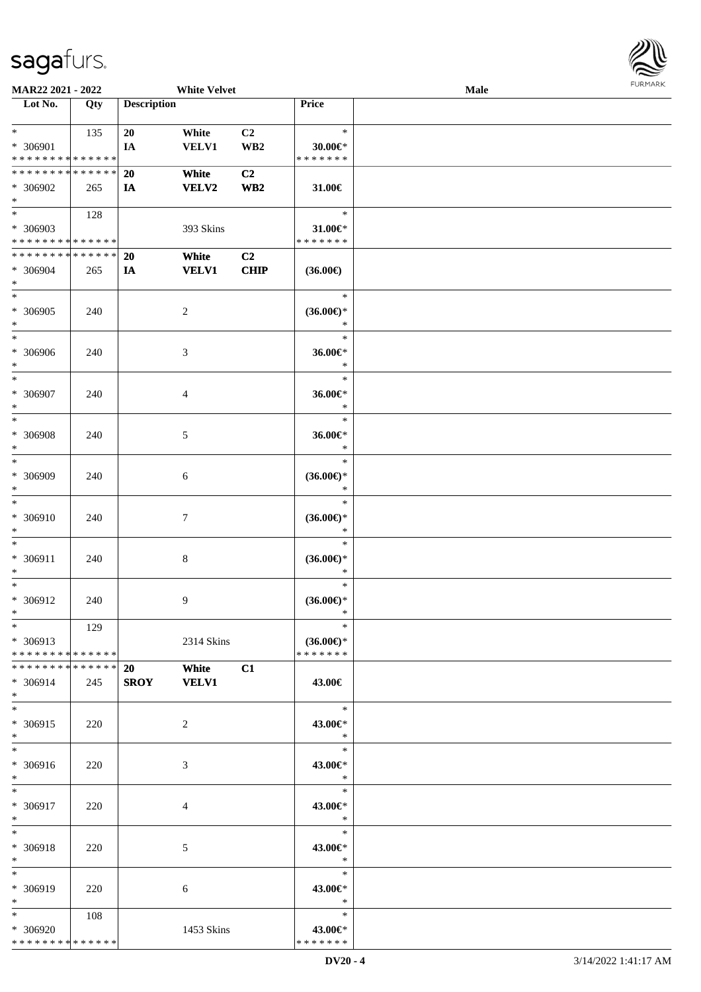| Lot No.                            | Qty | <b>Description</b> |                |                 | Price               |  |
|------------------------------------|-----|--------------------|----------------|-----------------|---------------------|--|
|                                    |     |                    |                |                 |                     |  |
| $*$ and $*$                        | 135 | 20                 | White          | C2              | $\ast$              |  |
| * 306901                           |     | IA                 | <b>VELV1</b>   | WB <sub>2</sub> | 30.00€*             |  |
| * * * * * * * * * * * * * *        |     |                    |                |                 | * * * * * * *       |  |
| * * * * * * * * * * * * * * *      |     | <b>20</b>          | White          | C <sub>2</sub>  |                     |  |
|                                    |     |                    |                |                 |                     |  |
| * 306902                           | 265 | <b>IA</b>          | <b>VELV2</b>   | WB2             | 31.00€              |  |
| $\ast$                             |     |                    |                |                 |                     |  |
| $\overline{\phantom{a}}$           | 128 |                    |                |                 | $\ast$              |  |
| * 306903                           |     |                    | 393 Skins      |                 | $31.00 \in$         |  |
|                                    |     |                    |                |                 |                     |  |
| * * * * * * * * * * * * * *        |     |                    |                |                 | * * * * * * *       |  |
| * * * * * * * * * * * * * *        |     | 20                 | White          | C2              |                     |  |
| * 306904                           | 265 | <b>IA</b>          | <b>VELV1</b>   | <b>CHIP</b>     | $(36.00\epsilon)$   |  |
| $*$                                |     |                    |                |                 |                     |  |
|                                    |     |                    |                |                 |                     |  |
| $\ast$                             |     |                    |                |                 | $\ast$              |  |
| * 306905                           | 240 |                    | 2              |                 | $(36.00\epsilon)$ * |  |
| $\ast$                             |     |                    |                |                 | $\ast$              |  |
| $\ast$                             |     |                    |                |                 | $\ast$              |  |
|                                    |     |                    |                |                 |                     |  |
| * 306906                           | 240 |                    | 3              |                 | 36.00€*             |  |
| $*$                                |     |                    |                |                 | $\ast$              |  |
| $\ast$                             |     |                    |                |                 | $\ast$              |  |
|                                    |     |                    |                |                 |                     |  |
| * 306907                           | 240 |                    | 4              |                 | 36.00€*             |  |
| $\ast$                             |     |                    |                |                 | $\ast$              |  |
| $*$                                |     |                    |                |                 | $\ast$              |  |
| * 306908                           | 240 |                    | 5              |                 | 36.00€*             |  |
|                                    |     |                    |                |                 |                     |  |
| $\ast$<br>$\overline{\phantom{0}}$ |     |                    |                |                 | $\ast$              |  |
|                                    |     |                    |                |                 | $\ast$              |  |
| * 306909                           | 240 |                    | 6              |                 | $(36.00\epsilon)$ * |  |
| $\ast$                             |     |                    |                |                 | $\ast$              |  |
| $_{\ast}$                          |     |                    |                |                 | $\ast$              |  |
|                                    |     |                    |                |                 |                     |  |
| * 306910                           | 240 |                    | $\tau$         |                 | $(36.00\epsilon)$ * |  |
| $\ast$                             |     |                    |                |                 | $\ast$              |  |
| $\ast$                             |     |                    |                |                 | $\ast$              |  |
|                                    |     |                    |                |                 |                     |  |
| * 306911                           | 240 |                    | 8              |                 | $(36.00\epsilon)$ * |  |
| $\ast$                             |     |                    |                |                 | $\ast$              |  |
| $\overline{\phantom{a}^*}$         |     |                    |                |                 | $\ast$              |  |
| * 306912                           | 240 |                    | 9              |                 | $(36.00\epsilon)$ * |  |
|                                    |     |                    |                |                 |                     |  |
| $*$                                |     |                    |                |                 | $\ast$              |  |
| $\ast$                             | 129 |                    |                |                 | $\ast$              |  |
| $* 306913$                         |     |                    | 2314 Skins     |                 | $(36.00\epsilon)$ * |  |
| * * * * * * * * * * * * * *        |     |                    |                |                 | * * * * * * *       |  |
|                                    |     |                    |                |                 |                     |  |
| **************                     |     | <b>20</b>          | White          | C1              |                     |  |
| $* 306914$                         | 245 | <b>SROY</b>        | <b>VELV1</b>   |                 | 43.00€              |  |
| $\ast$                             |     |                    |                |                 |                     |  |
| $\ast$                             |     |                    |                |                 | $\ast$              |  |
|                                    |     |                    |                |                 |                     |  |
| * 306915                           | 220 |                    | $\overline{2}$ |                 | 43.00€*             |  |
| $\ast$                             |     |                    |                |                 | $\ast$              |  |
| $\ast$                             |     |                    |                |                 | $\ast$              |  |
| * 306916                           |     |                    |                |                 | 43.00€*             |  |
|                                    | 220 |                    | 3              |                 |                     |  |
| $\ast$                             |     |                    |                |                 | $\ast$              |  |
| $\ast$                             |     |                    |                |                 | $\ast$              |  |
| * 306917                           | 220 |                    | 4              |                 | 43.00€*             |  |
| $\ast$                             |     |                    |                |                 | $\ast$              |  |
|                                    |     |                    |                |                 |                     |  |
| $\ast$                             |     |                    |                |                 | $\ast$              |  |
| * 306918                           | 220 |                    | 5              |                 | 43.00€*             |  |
| $\ast$                             |     |                    |                |                 | $\ast$              |  |
| $\ast$                             |     |                    |                |                 | $\ast$              |  |
|                                    |     |                    |                |                 |                     |  |
| * 306919                           | 220 |                    | 6              |                 | 43.00€*             |  |
| $\ast$                             |     |                    |                |                 | $\ast$              |  |
| $\ast$                             | 108 |                    |                |                 | $\ast$              |  |
|                                    |     |                    |                |                 |                     |  |
| * 306920                           |     |                    | 1453 Skins     |                 | 43.00€*             |  |
| * * * * * * * * * * * * * *        |     |                    |                |                 | * * * * * * *       |  |

**MAR22 2021 - 2022 White Velvet Male**<br> **Male**<br> **Male** 

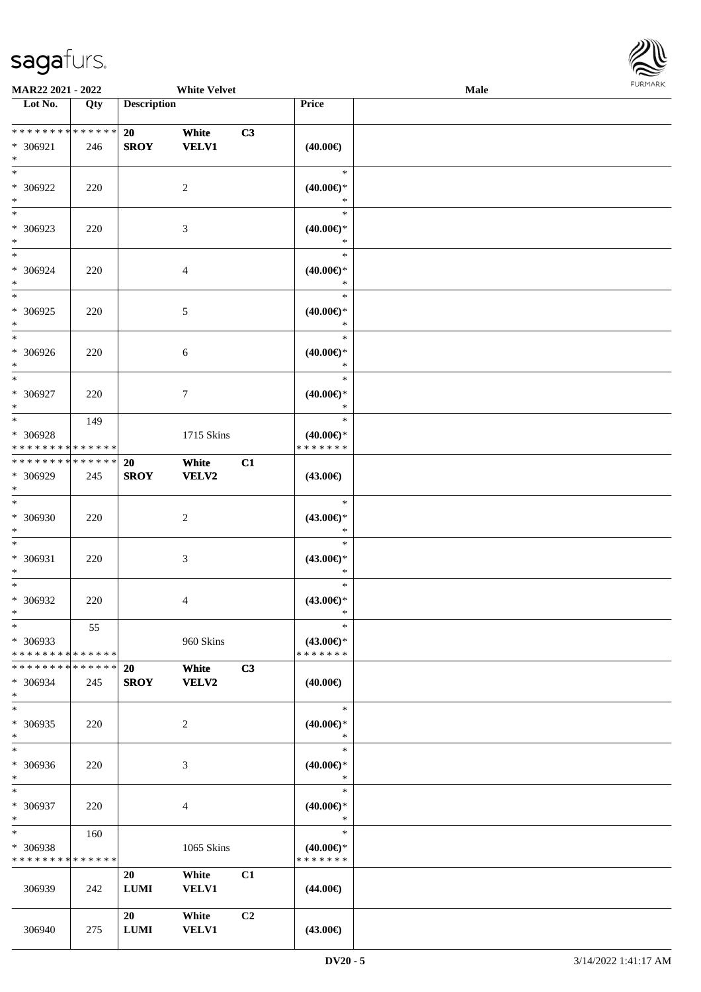

| <b>MAR22 2021 - 2022</b>                                      |     |                          | <b>White Velvet</b>   |                |                                                | Male |  |
|---------------------------------------------------------------|-----|--------------------------|-----------------------|----------------|------------------------------------------------|------|--|
| Lot No.                                                       | Qty | <b>Description</b>       |                       |                | Price                                          |      |  |
| ******** <mark>******</mark><br>* 306921<br>$*$               | 246 | 20<br><b>SROY</b>        | White<br><b>VELV1</b> | C3             | $(40.00\epsilon)$                              |      |  |
| $*$<br>* 306922<br>$*$                                        | 220 |                          | 2                     |                | $\ast$<br>$(40.00\epsilon)$ *<br>$\ast$        |      |  |
| $\overline{\phantom{0}}$<br>* 306923<br>$*$                   | 220 |                          | 3                     |                | $\ast$<br>$(40.00\epsilon)$ *<br>$\ast$        |      |  |
| $\ast$<br>* 306924<br>$*$                                     | 220 |                          | 4                     |                | $\ast$<br>$(40.00\epsilon)$ *<br>$\ast$        |      |  |
| $\overline{\ast}$<br>$* 306925$<br>$\ast$                     | 220 |                          | 5                     |                | $\ast$<br>$(40.00\epsilon)$ *<br>$\ast$        |      |  |
| $*$<br>* 306926<br>$*$                                        | 220 |                          | 6                     |                | $\ast$<br>$(40.00\epsilon)$ *<br>$\ast$        |      |  |
| $\ast$<br>$* 306927$<br>$*$                                   | 220 |                          | 7                     |                | $\ast$<br>$(40.00\epsilon)$ *<br>$\ast$        |      |  |
| $*$<br>* 306928<br>* * * * * * * * * * * * * *                | 149 |                          | 1715 Skins            |                | $\ast$<br>$(40.00\epsilon)$ *<br>* * * * * * * |      |  |
| * * * * * * * * * * * * * * *<br>* 306929<br>$*$              | 245 | <b>20</b><br><b>SROY</b> | White<br>VELV2        | C1             | $(43.00\epsilon)$                              |      |  |
| $*$<br>$* 306930$<br>$*$                                      | 220 |                          | $\overline{c}$        |                | $\ast$<br>$(43.00\epsilon)$ *<br>$\ast$        |      |  |
| $*$<br>* 306931<br>$*$                                        | 220 |                          | 3                     |                | $\ast$<br>$(43.00\epsilon)$ *<br>$\ast$        |      |  |
| $*$<br>* 306932<br>$*$                                        | 220 |                          | 4                     |                | $\ast$<br>$(43.00\epsilon)$ *<br>$\ast$        |      |  |
| $\ast$<br>* 306933<br>* * * * * * * * * * * * * *             | 55  |                          | 960 Skins             |                | $\ast$<br>$(43.00 \in )^*$<br>* * * * * * *    |      |  |
| * * * * * * * * <mark>* * * * * * *</mark><br>* 306934<br>$*$ | 245 | 20<br><b>SROY</b>        | White<br><b>VELV2</b> | C3             | $(40.00\epsilon)$                              |      |  |
| $*$<br>* 306935<br>$*$                                        | 220 |                          | 2                     |                | $\ast$<br>$(40.00\epsilon)$ *<br>$\ast$        |      |  |
| $*$<br>* 306936<br>$*$                                        | 220 |                          | 3                     |                | $\ast$<br>$(40.00\epsilon)$ *<br>$\ast$        |      |  |
| $*$<br>* 306937<br>$*$                                        | 220 |                          | 4                     |                | $\ast$<br>$(40.00\epsilon)$ *<br>$\ast$        |      |  |
| $*$ and $*$<br>* 306938<br>* * * * * * * * * * * * * *        | 160 |                          | 1065 Skins            |                | $\ast$<br>$(40.00\epsilon)$ *<br>* * * * * * * |      |  |
| 306939                                                        | 242 | 20<br>$\bf LUMI$         | White<br>VELV1        | C1             | $(44.00\epsilon)$                              |      |  |
| 306940                                                        | 275 | 20<br>$\bf LUMI$         | White<br><b>VELV1</b> | C <sub>2</sub> | $(43.00\epsilon)$                              |      |  |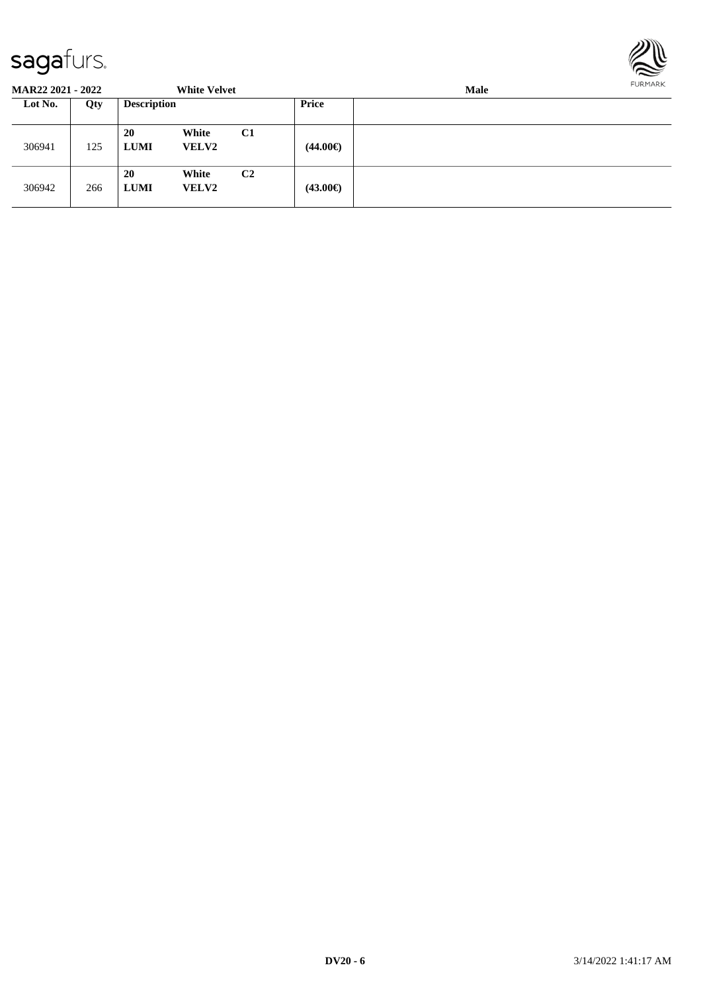

| <b>MAR22 2021 - 2022</b> |     |                          | <b>White Velvet</b>   |                |                   | <b>Male</b> |  |  |
|--------------------------|-----|--------------------------|-----------------------|----------------|-------------------|-------------|--|--|
| Lot No.                  | Qty | <b>Description</b>       |                       |                | <b>Price</b>      |             |  |  |
| 306941                   | 125 | <b>20</b><br><b>LUMI</b> | White<br><b>VELV2</b> | C1             | $(44.00\epsilon)$ |             |  |  |
| 306942                   | 266 | <b>20</b><br><b>LUMI</b> | White<br><b>VELV2</b> | C <sub>2</sub> | $(43.00\epsilon)$ |             |  |  |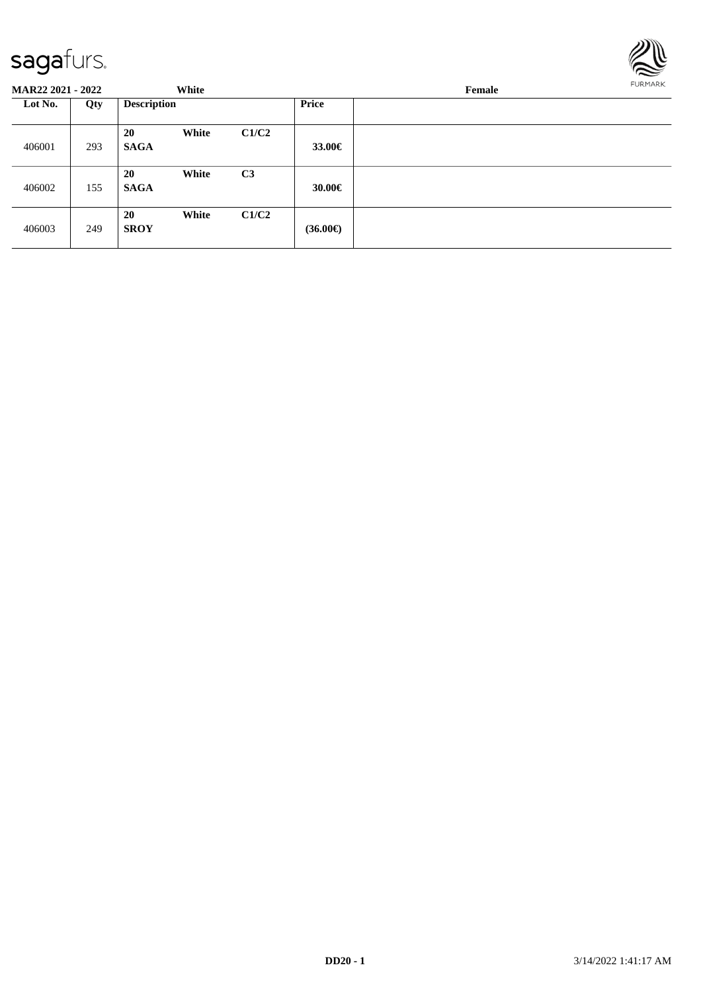

| <b>MAR22 2021 - 2022</b> |     |                    | White |                |                   | FURMARK<br>Female |  |  |
|--------------------------|-----|--------------------|-------|----------------|-------------------|-------------------|--|--|
| Lot No.                  | Qty | <b>Description</b> |       |                | Price             |                   |  |  |
| 406001                   | 293 | 20<br><b>SAGA</b>  | White | C1/C2          | 33.00€            |                   |  |  |
| 406002                   | 155 | 20<br><b>SAGA</b>  | White | C <sub>3</sub> | 30.00€            |                   |  |  |
| 406003                   | 249 | 20<br><b>SROY</b>  | White | C1/C2          | $(36.00\epsilon)$ |                   |  |  |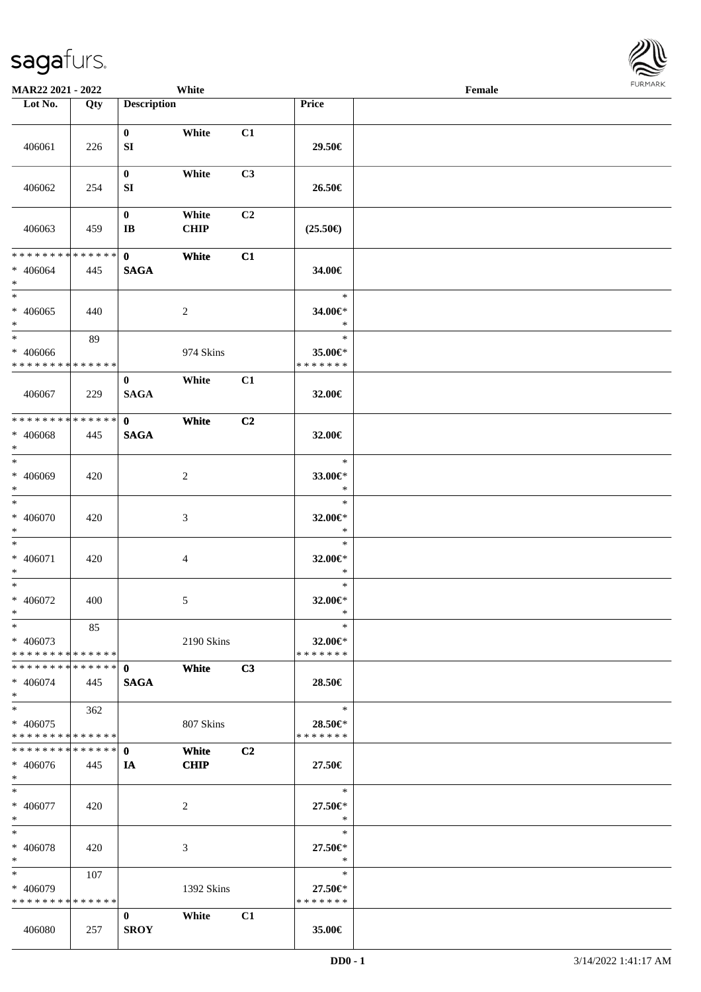| <b>MAR22 2021 - 2022</b>                   |             |                    | White          |    |                   | Female |  |
|--------------------------------------------|-------------|--------------------|----------------|----|-------------------|--------|--|
| Lot No.                                    | Qty         | <b>Description</b> |                |    | Price             |        |  |
|                                            |             |                    |                |    |                   |        |  |
|                                            |             | $\mathbf{0}$       | White          | C1 |                   |        |  |
| 406061                                     | 226         | SI                 |                |    | 29.50€            |        |  |
|                                            |             |                    |                |    |                   |        |  |
|                                            |             | $\mathbf{0}$       | White          | C3 |                   |        |  |
| 406062                                     | 254         | SI                 |                |    | 26.50€            |        |  |
|                                            |             |                    |                |    |                   |        |  |
|                                            |             | $\mathbf{0}$       | White          | C2 |                   |        |  |
| 406063                                     | 459         | IB                 | <b>CHIP</b>    |    | $(25.50\epsilon)$ |        |  |
| ******** <mark>******</mark>               |             | $\mathbf{0}$       | White          | C1 |                   |        |  |
| * 406064                                   | 445         | <b>SAGA</b>        |                |    | 34.00€            |        |  |
| $\ast$                                     |             |                    |                |    |                   |        |  |
| $\overline{\ast}$                          |             |                    |                |    | $\ast$            |        |  |
| * 406065                                   | 440         |                    | $\overline{2}$ |    | 34.00€*           |        |  |
| $\ast$                                     |             |                    |                |    | $\ast$            |        |  |
| $\ast$                                     | 89          |                    |                |    | $\ast$            |        |  |
| * 406066                                   |             |                    | 974 Skins      |    | 35.00€*           |        |  |
| * * * * * * * * * * * * * * *              |             |                    |                |    | * * * * * * *     |        |  |
|                                            |             | $\bf{0}$           | White          | C1 |                   |        |  |
| 406067                                     | 229         | <b>SAGA</b>        |                |    | 32.00€            |        |  |
|                                            |             |                    |                |    |                   |        |  |
| * * * * * * * *                            | * * * * * * | $\mathbf{0}$       | White          | C2 |                   |        |  |
| * 406068                                   | 445         | <b>SAGA</b>        |                |    | 32.00€            |        |  |
| $\ast$                                     |             |                    |                |    |                   |        |  |
| $\overline{\ast}$                          |             |                    |                |    | $\ast$            |        |  |
| * 406069                                   | 420         |                    | $\overline{c}$ |    | 33.00€*           |        |  |
| $\ast$                                     |             |                    |                |    | $\ast$            |        |  |
| $\ast$                                     |             |                    |                |    | $\ast$            |        |  |
| * 406070                                   | 420         |                    | 3              |    | 32.00€*           |        |  |
| $\ast$                                     |             |                    |                |    | $\ast$            |        |  |
| $\ast$                                     |             |                    |                |    | $\ast$            |        |  |
| * 406071                                   | 420         |                    | $\overline{4}$ |    | 32.00€*           |        |  |
| $\ast$                                     |             |                    |                |    | $\ast$            |        |  |
| $\ast$                                     |             |                    |                |    | $\ast$            |        |  |
| * 406072                                   | 400         |                    | $\sqrt{5}$     |    | 32.00€*           |        |  |
| $*$                                        |             |                    |                |    | $\ast$            |        |  |
| $\ast$                                     | 85          |                    |                |    | $\ast$            |        |  |
| * 406073                                   |             |                    | 2190 Skins     |    | 32.00€*           |        |  |
| * * * * * * * * * * * * * * <mark>*</mark> |             |                    |                |    | * * * * * * *     |        |  |
|                                            |             |                    | White          | C3 |                   |        |  |
| $* 406074$<br>$\ast$                       | 445         | <b>SAGA</b>        |                |    | 28.50€            |        |  |
| $*$                                        | 362         |                    |                |    | $\ast$            |        |  |
| * 406075                                   |             |                    |                |    | 28.50€*           |        |  |
| * * * * * * * * <mark>* * * * * * *</mark> |             |                    | 807 Skins      |    | * * * * * * *     |        |  |
| * * * * * * * * * * * * * * <mark>*</mark> |             | $\mathbf{0}$       | White          | C2 |                   |        |  |
| * 406076                                   | 445         | IA                 | <b>CHIP</b>    |    | 27.50€            |        |  |
| $*$                                        |             |                    |                |    |                   |        |  |
| $*$ $*$                                    |             |                    |                |    | 71<br>$\ast$      |        |  |
| * 406077                                   | 420         |                    | 2              |    | 27.50€*           |        |  |
| $*$                                        |             |                    |                |    | $*$               |        |  |
| $*$ $-$                                    |             |                    |                |    | $\ast$            |        |  |
| * 406078                                   | 420         |                    | 3              |    | 27.50€*           |        |  |
| $*$                                        |             |                    |                |    | $\ast$            |        |  |
| $*$ $*$                                    | 107         |                    |                |    | $\ast$            |        |  |
| * 406079                                   |             |                    | 1392 Skins     |    | 27.50€*           |        |  |
| * * * * * * * * * * * * * * *              |             |                    |                |    | * * * * * * *     |        |  |
|                                            |             | $\mathbf{0}$       | White          | C1 |                   |        |  |
| 406080                                     | 257         | <b>SROY</b>        |                |    | 35.00€            |        |  |

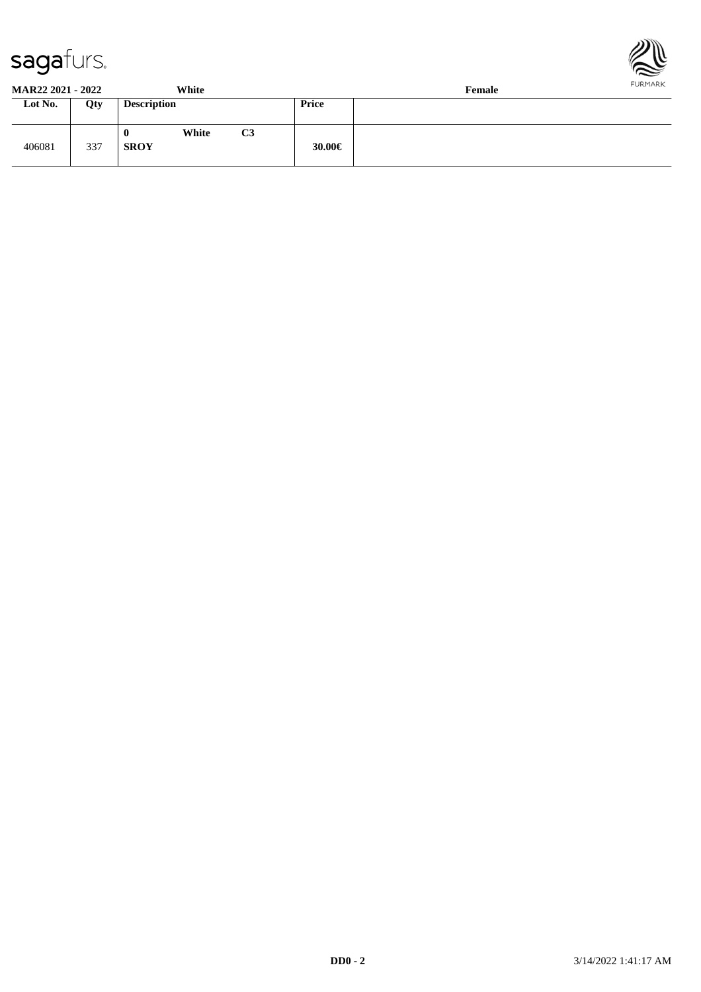



| <b>MAR22 2021 - 2022</b> |     |                    | White |    | .<br>Female |  |  |  |  |
|--------------------------|-----|--------------------|-------|----|-------------|--|--|--|--|
| Lot No.                  | Qty | <b>Description</b> |       |    | Price       |  |  |  |  |
| 406081                   | 337 | v<br><b>SROY</b>   | White | C3 | 30.00€      |  |  |  |  |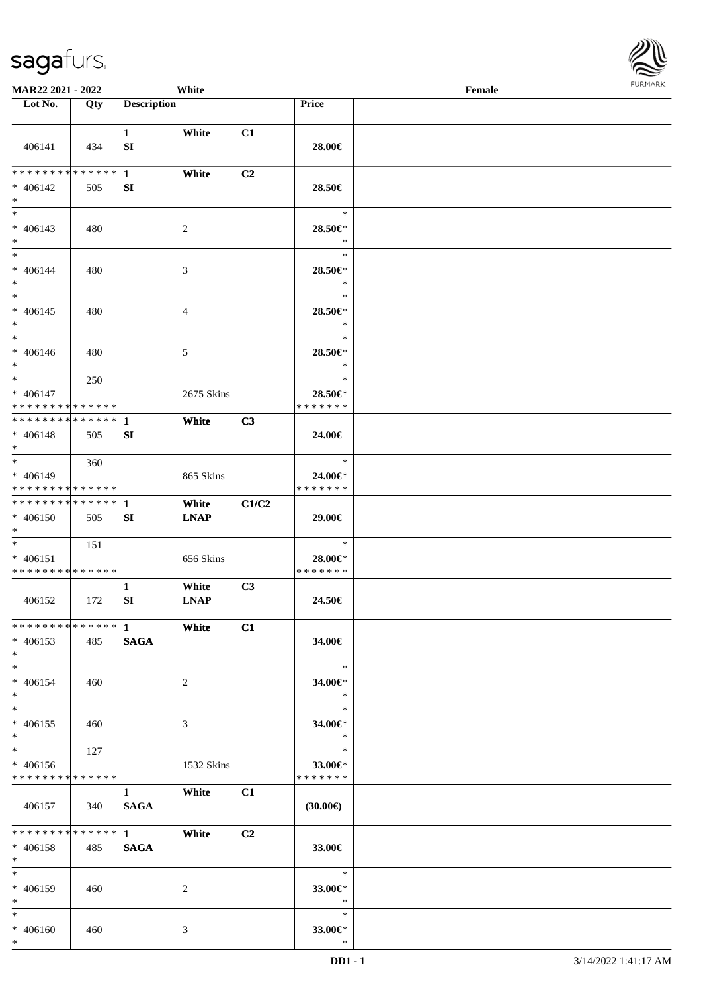

| <b>MAR22 2021 - 2022</b>      |       |                    | White          |                |                          | Female |  |
|-------------------------------|-------|--------------------|----------------|----------------|--------------------------|--------|--|
| Lot No.                       | Qty   | <b>Description</b> |                |                | Price                    |        |  |
|                               |       |                    |                |                |                          |        |  |
|                               |       | $\mathbf{1}$       | White          | C1             |                          |        |  |
| 406141                        | 434   | ${\bf SI}$         |                |                | 28.00€                   |        |  |
|                               |       |                    |                |                |                          |        |  |
| * * * * * * * * * * * * * * * |       | $\mathbf{1}$       | White          | C <sub>2</sub> |                          |        |  |
| * 406142                      | 505   | SI                 |                |                | 28.50€                   |        |  |
| $*$                           |       |                    |                |                |                          |        |  |
| $*$                           |       |                    |                |                | $\ast$                   |        |  |
| $* 406143$                    | 480   |                    | $\overline{c}$ |                | 28.50€*                  |        |  |
| $*$                           |       |                    |                |                | $\ast$                   |        |  |
| $*$                           |       |                    |                |                | $\ast$                   |        |  |
| $* 406144$                    | 480   |                    | 3              |                | 28.50€*                  |        |  |
| $*$                           |       |                    |                |                | $\ast$                   |        |  |
| $*$                           |       |                    |                |                | $\ast$                   |        |  |
| $* 406145$                    | 480   |                    | $\overline{4}$ |                | 28.50€*                  |        |  |
| $*$                           |       |                    |                |                | $\ast$                   |        |  |
| $*$                           |       |                    |                |                | $\ast$                   |        |  |
| $* 406146$                    | 480   |                    | 5              |                | 28.50€*                  |        |  |
| $*$                           |       |                    |                |                | $\ast$                   |        |  |
| $*$                           | 250   |                    |                |                | $\ast$                   |        |  |
| $* 406147$                    |       |                    | 2675 Skins     |                | 28.50€*                  |        |  |
| * * * * * * * * * * * * * * * |       |                    |                |                | * * * * * * *            |        |  |
| ************** 1              |       |                    | White          | C3             |                          |        |  |
| $* 406148$                    | 505   | SI                 |                |                | 24.00€                   |        |  |
| $\ast$                        |       |                    |                |                |                          |        |  |
| $*$                           | 360   |                    |                |                | $\ast$                   |        |  |
| * 406149                      |       |                    | 865 Skins      |                | 24.00€*                  |        |  |
| * * * * * * * * * * * * * *   |       |                    |                |                | * * * * * * *            |        |  |
| * * * * * * * * * * * * * * * |       | 1                  | White          | C1/C2          |                          |        |  |
| $* 406150$                    | 505   | SI                 | <b>LNAP</b>    |                | 29.00€                   |        |  |
| $*$<br>$*$                    |       |                    |                |                | $\ast$                   |        |  |
| $* 406151$                    | 151   |                    |                |                |                          |        |  |
| * * * * * * * * * * * * * *   |       |                    | 656 Skins      |                | 28.00€*<br>* * * * * * * |        |  |
|                               |       | $\mathbf{1}$       | White          | C3             |                          |        |  |
| 406152                        | 172   | ${\bf SI}$         | <b>LNAP</b>    |                | 24.50€                   |        |  |
|                               |       |                    |                |                |                          |        |  |
|                               |       |                    | – White        | C1             |                          |        |  |
| $* 406153$                    | 485   | <b>SAGA</b>        |                |                | 34.00€                   |        |  |
| $*$                           |       |                    |                |                |                          |        |  |
| $*$                           |       |                    |                |                | $\ast$                   |        |  |
| $* 406154$                    | 460   |                    | 2              |                | 34.00€*                  |        |  |
| $*$                           |       |                    |                |                | $\ast$                   |        |  |
| $*$                           |       |                    |                |                | $\ast$                   |        |  |
| $* 406155$                    | - 460 |                    | 3              |                | 34.00€*                  |        |  |
| $*$                           |       |                    |                |                | $\ast$                   |        |  |
| $*$                           | 127   |                    |                |                | $\ast$                   |        |  |
| * 406156                      |       |                    | 1532 Skins     |                | 33.00€*                  |        |  |
| * * * * * * * * * * * * * * * |       |                    |                |                | * * * * * * *            |        |  |
|                               |       | $1 \quad$          | White          | C1             |                          |        |  |
| 406157                        | 340   | <b>SAGA</b>        |                |                | $(30.00\epsilon)$        |        |  |
|                               |       |                    |                |                |                          |        |  |
|                               |       |                    | White          | C2             |                          |        |  |
| $* 406158$                    | 485   | <b>SAGA</b>        |                |                | 33.00€                   |        |  |
| $*$                           |       |                    |                |                |                          |        |  |
| $*$                           |       |                    |                |                | $*$                      |        |  |
| * 406159                      | 460   |                    | 2              |                | 33.00 $\in$ *            |        |  |
| $*$ $-$                       |       |                    |                |                | $\ast$                   |        |  |
| $*$                           |       |                    |                |                | $\ast$                   |        |  |
| $* 406160$                    | 460   |                    | 3              |                | 33.00€*                  |        |  |
| $*$                           |       |                    |                |                | $\ast$                   |        |  |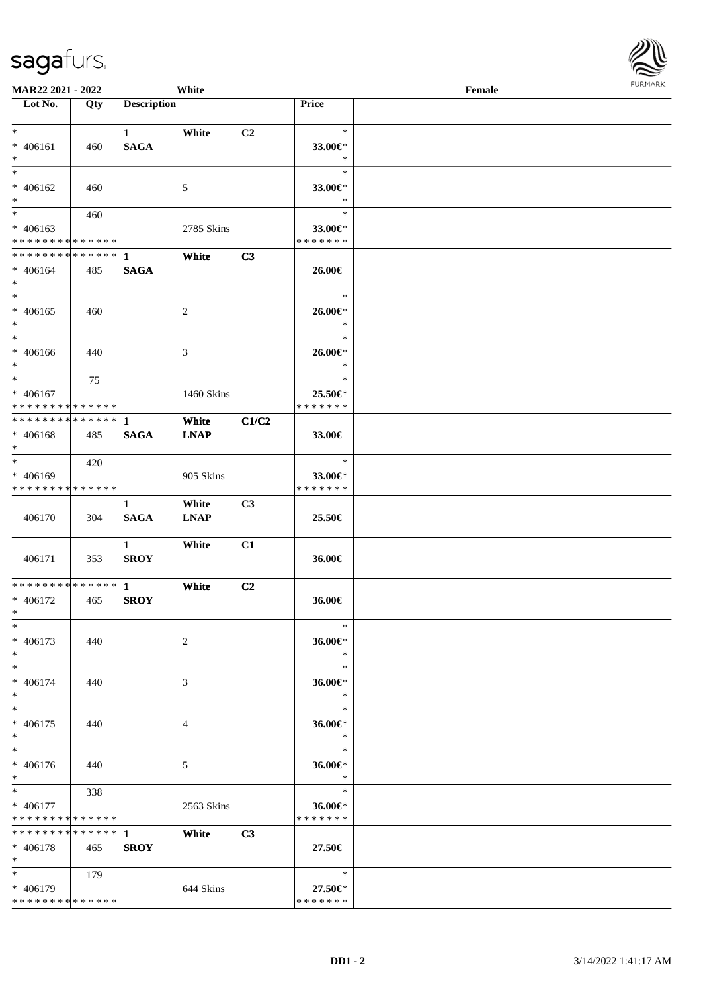| <b>MAR22 2021 - 2022</b>                               |             |                             | White       |                |                          | Female |  |
|--------------------------------------------------------|-------------|-----------------------------|-------------|----------------|--------------------------|--------|--|
| Lot No.                                                | Qty         | <b>Description</b>          |             |                | Price                    |        |  |
|                                                        |             |                             |             |                |                          |        |  |
| $\ast$                                                 |             | $\mathbf{1}$                | White       | C <sub>2</sub> | $\ast$                   |        |  |
| $* 406161$                                             | 460         | <b>SAGA</b>                 |             |                | 33.00€*                  |        |  |
| $\ast$<br>$\overline{\ast}$                            |             |                             |             |                | $\ast$<br>$\ast$         |        |  |
|                                                        |             |                             |             |                |                          |        |  |
| $* 406162$<br>$\ast$                                   | 460         |                             | 5           |                | 33.00€*<br>$\ast$        |        |  |
| $*$                                                    | 460         |                             |             |                | $\ast$                   |        |  |
| $* 406163$                                             |             |                             | 2785 Skins  |                | 33.00€*                  |        |  |
| * * * * * * * * <mark>* * * * * * *</mark>             |             |                             |             |                | * * * * * * *            |        |  |
| * * * * * * * * <mark>* * * * * * *</mark>             |             | $\mathbf{1}$                | White       | C3             |                          |        |  |
| $* 406164$                                             | 485         | <b>SAGA</b>                 |             |                | 26.00€                   |        |  |
| $*$                                                    |             |                             |             |                |                          |        |  |
| $\ast$                                                 |             |                             |             |                | $\ast$                   |        |  |
| * 406165                                               | 460         |                             | 2           |                | 26.00€*                  |        |  |
| $\ast$                                                 |             |                             |             |                | $\ast$                   |        |  |
| $\ddot{x}$                                             |             |                             |             |                | $\ast$                   |        |  |
| * 406166                                               | 440         |                             | 3           |                | 26.00€*                  |        |  |
| $\ast$                                                 |             |                             |             |                | $\ast$                   |        |  |
| $\ast$                                                 | 75          |                             |             |                | $\ast$                   |        |  |
| $* 406167$                                             |             |                             | 1460 Skins  |                | 25.50€*                  |        |  |
| * * * * * * * * <mark>* * * * * *</mark>               |             |                             |             |                | * * * * * * *            |        |  |
| * * * * * * * * * * * * * * <mark>*</mark>             |             | 1                           | White       | C1/C2          |                          |        |  |
| * 406168                                               | 485         | <b>SAGA</b>                 | <b>LNAP</b> |                | 33.00€                   |        |  |
| $*$                                                    |             |                             |             |                |                          |        |  |
| $\overline{\phantom{0}}$                               | 420         |                             |             |                | $\ast$                   |        |  |
| $* 406169$                                             |             |                             | 905 Skins   |                | 33.00€*                  |        |  |
| * * * * * * * * <mark>* * * * * * *</mark>             |             |                             |             |                | * * * * * * *            |        |  |
|                                                        |             | 1                           | White       | C <sub>3</sub> |                          |        |  |
| 406170                                                 | 304         | <b>SAGA</b>                 | <b>LNAP</b> |                | 25.50€                   |        |  |
|                                                        |             |                             |             |                |                          |        |  |
|                                                        |             | $\mathbf{1}$<br><b>SROY</b> | White       | C1             |                          |        |  |
| 406171                                                 | 353         |                             |             |                | 36.00€                   |        |  |
| * * * * * * * * * * * * * * <mark>*</mark>             |             | $\mathbf{1}$                | White       | C2             |                          |        |  |
| * 406172                                               | 465         | <b>SROY</b>                 |             |                | 36.00€                   |        |  |
| $*$                                                    |             |                             |             |                |                          |        |  |
| $\ast$                                                 |             |                             |             |                | $\ast$                   |        |  |
| * 406173                                               | 440         |                             | 2           |                | 36.00€*                  |        |  |
| $\ast$                                                 |             |                             |             |                | $\ast$                   |        |  |
| $\ast$                                                 |             |                             |             |                | $\ast$                   |        |  |
| * 406174                                               | 440         |                             | 3           |                | 36.00€*                  |        |  |
| $\ast$                                                 |             |                             |             |                | $\ast$                   |        |  |
| $\ast$                                                 |             |                             |             |                | $\ast$                   |        |  |
| * 406175                                               | 440         |                             | 4           |                | 36.00€*                  |        |  |
| $\ast$                                                 |             |                             |             |                | $\ast$                   |        |  |
| $\ast$                                                 |             |                             |             |                | $\ast$                   |        |  |
| * 406176                                               | 440         |                             | 5           |                | 36.00€*                  |        |  |
| $*$                                                    |             |                             |             |                | $\rightarrow$            |        |  |
| $\overline{\mathbf{r}^*}$                              | 338         |                             |             |                | $\ast$                   |        |  |
| $* 406177$                                             |             |                             | 2563 Skins  |                | 36.00€*                  |        |  |
| * * * * * * * * <mark>* * * * * *</mark>               |             |                             |             |                | * * * * * * *            |        |  |
| * * * * * * * *                                        | * * * * * * | $\mathbf{1}$                | White       | C3             |                          |        |  |
| $* 406178$                                             | 465         | <b>SROY</b>                 |             |                | 27.50€                   |        |  |
| $\ast$<br>$*$ and $*$                                  |             |                             |             |                | $\ast$                   |        |  |
|                                                        | 179         |                             |             |                |                          |        |  |
| * 406179<br>* * * * * * * * <mark>* * * * * * *</mark> |             |                             | 644 Skins   |                | 27.50€*<br>* * * * * * * |        |  |
|                                                        |             |                             |             |                |                          |        |  |

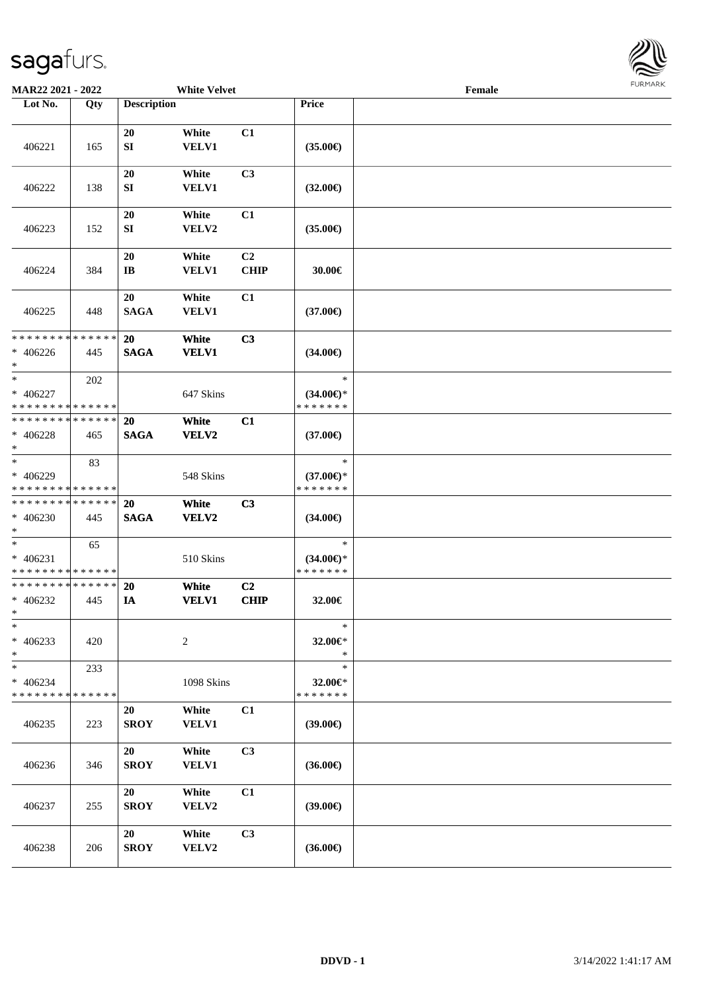

| MAR22 2021 - 2022                                                  |     |                          | <b>White Velvet</b>   |                               |                                                | Female | <b>FUNITANN</b> |
|--------------------------------------------------------------------|-----|--------------------------|-----------------------|-------------------------------|------------------------------------------------|--------|-----------------|
| Lot No.                                                            | Qty | <b>Description</b>       |                       |                               | Price                                          |        |                 |
| 406221                                                             | 165 | 20<br>SI                 | White<br>VELV1        | C1                            | $(35.00\epsilon)$                              |        |                 |
| 406222                                                             | 138 | 20<br>SI                 | White<br>VELV1        | C3                            | $(32.00\epsilon)$                              |        |                 |
| 406223                                                             | 152 | 20<br>${\bf SI}$         | White<br>VELV2        | C1                            | $(35.00\epsilon)$                              |        |                 |
| 406224                                                             | 384 | 20<br>IB                 | White<br><b>VELV1</b> | C <sub>2</sub><br><b>CHIP</b> | 30.00€                                         |        |                 |
| 406225                                                             | 448 | 20<br><b>SAGA</b>        | White<br>VELV1        | C1                            | $(37.00\epsilon)$                              |        |                 |
| * * * * * * * * <mark>* * * * * * *</mark><br>$* 406226$<br>$\ast$ | 445 | 20<br><b>SAGA</b>        | White<br><b>VELV1</b> | C3                            | $(34.00\epsilon)$                              |        |                 |
| $\ast$<br>* 406227<br>* * * * * * * * <mark>* * * * * * *</mark>   | 202 |                          | 647 Skins             |                               | $\ast$<br>$(34.00\epsilon)$ *<br>* * * * * * * |        |                 |
| * * * * * * * * <mark>* * * * * * *</mark><br>* 406228<br>$\ast$   | 465 | 20<br><b>SAGA</b>        | White<br>VELV2        | C1                            | $(37.00\epsilon)$                              |        |                 |
| $\ast$<br>* 406229<br>* * * * * * * * <mark>* * * * * *</mark>     | 83  |                          | 548 Skins             |                               | $\ast$<br>$(37.00\epsilon)$ *<br>* * * * * * * |        |                 |
| * * * * * * * * <mark>* * * * * *</mark><br>$* 406230$<br>$\ast$   | 445 | <b>20</b><br><b>SAGA</b> | White<br>VELV2        | C3                            | $(34.00\epsilon)$                              |        |                 |
| $\ast$<br>$* 406231$<br>* * * * * * * * <mark>* * * * * * *</mark> | 65  |                          | 510 Skins             |                               | $\ast$<br>$(34.00\epsilon)$ *<br>* * * * * * * |        |                 |
| * * * * * * * * <mark>* * * * * * *</mark><br>* 406232<br>$\ast$   | 445 | 20<br>IA                 | White<br><b>VELV1</b> | C <sub>2</sub><br>CHIP        | 32.00€                                         |        |                 |
| $\ast$<br>* 406233<br>*                                            | 420 |                          | $\sqrt{2}$            |                               | $\ast$<br>$32.00 \in$ *<br>$\ast$              |        |                 |
| $\ast$<br>$* 406234$<br>* * * * * * * * <mark>* * * * * * *</mark> | 233 |                          | 1098 Skins            |                               | $\ast$<br>32.00€*<br>* * * * * * *             |        |                 |
| 406235                                                             | 223 | 20<br><b>SROY</b>        | White<br><b>VELV1</b> | C1                            | $(39.00\epsilon)$                              |        |                 |
| 406236                                                             | 346 | 20<br><b>SROY</b>        | White<br><b>VELV1</b> | C3                            | $(36.00\epsilon)$                              |        |                 |
| 406237                                                             | 255 | 20<br><b>SROY</b>        | White<br>VELV2        | C1                            | $(39.00\epsilon)$                              |        |                 |
| 406238                                                             | 206 | 20<br><b>SROY</b>        | White<br>VELV2        | C3                            | $(36.00\epsilon)$                              |        |                 |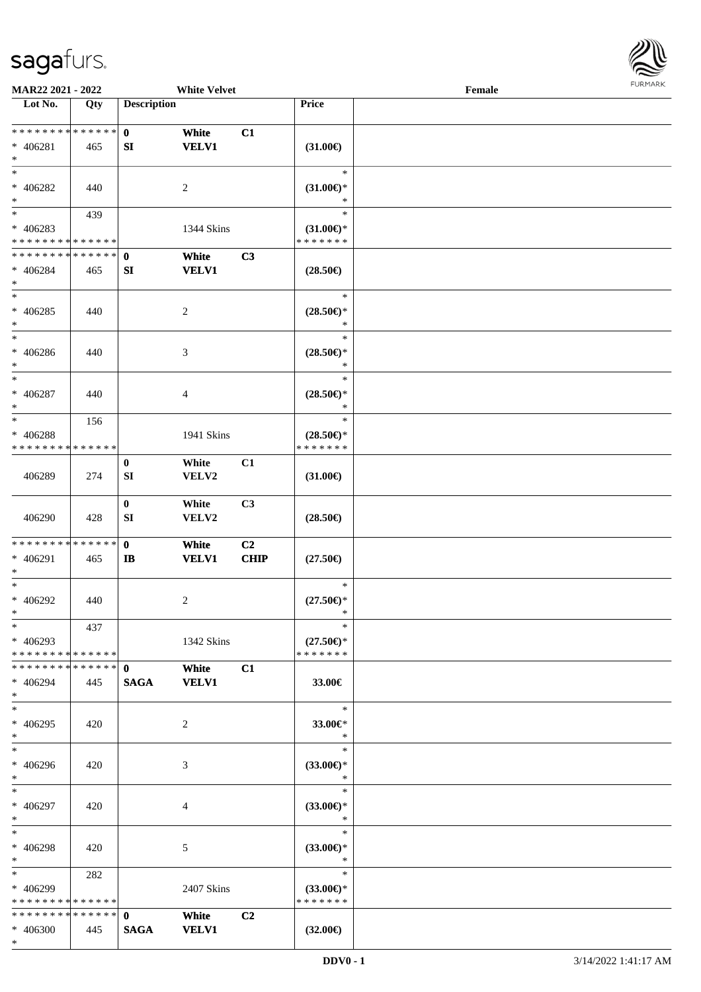

| MAR22 2021 - 2022             |     |                    | <b>White Velvet</b> |                |                     | Female |  |
|-------------------------------|-----|--------------------|---------------------|----------------|---------------------|--------|--|
| Lot No.                       | Qty | <b>Description</b> |                     |                | Price               |        |  |
| ******** <mark>******</mark>  |     |                    |                     |                |                     |        |  |
|                               |     | $\mathbf{0}$       | White               | C1             |                     |        |  |
| * 406281                      | 465 | SI                 | <b>VELV1</b>        |                | $(31.00\epsilon)$   |        |  |
| $\ast$                        |     |                    |                     |                |                     |        |  |
| $*$                           |     |                    |                     |                | $\ast$              |        |  |
| * 406282                      | 440 |                    | 2                   |                | $(31.00\epsilon)$ * |        |  |
| $\ast$                        |     |                    |                     |                | ∗                   |        |  |
| $*$                           | 439 |                    |                     |                | $\ast$              |        |  |
| $* 406283$                    |     |                    | 1344 Skins          |                | $(31.00\epsilon)$ * |        |  |
| * * * * * * * * * * * * * *   |     |                    |                     |                | * * * * * * *       |        |  |
| * * * * * * * * * * * * * *   |     | $\mathbf 0$        | White               | C3             |                     |        |  |
| * 406284                      | 465 | SI                 | <b>VELV1</b>        |                | $(28.50\epsilon)$   |        |  |
| $*$                           |     |                    |                     |                |                     |        |  |
| $*$                           |     |                    |                     |                | $\ast$              |        |  |
|                               |     |                    |                     |                |                     |        |  |
| $* 406285$                    | 440 |                    | $\overline{c}$      |                | $(28.50\epsilon)$ * |        |  |
| $\ast$                        |     |                    |                     |                | $\ast$              |        |  |
| $*$                           |     |                    |                     |                | $\ast$              |        |  |
| $* 406286$                    | 440 |                    | 3                   |                | $(28.50\epsilon)$ * |        |  |
| $\ast$                        |     |                    |                     |                | $\ast$              |        |  |
| $\ast$                        |     |                    |                     |                | $\ast$              |        |  |
| $* 406287$                    | 440 |                    | 4                   |                | $(28.50\epsilon)$ * |        |  |
| $\ast$                        |     |                    |                     |                | $\ast$              |        |  |
| $*$                           | 156 |                    |                     |                | $\ast$              |        |  |
| * 406288                      |     |                    | 1941 Skins          |                | $(28.50\epsilon)$ * |        |  |
| * * * * * * * * * * * * * *   |     |                    |                     |                | * * * * * * *       |        |  |
|                               |     |                    |                     |                |                     |        |  |
|                               |     | $\bf{0}$           | White               | C1             |                     |        |  |
| 406289                        | 274 | SI                 | VELV2               |                | $(31.00\epsilon)$   |        |  |
|                               |     |                    |                     |                |                     |        |  |
|                               |     | $\bf{0}$           | White               | C3             |                     |        |  |
| 406290                        | 428 | SI                 | VELV2               |                | $(28.50\epsilon)$   |        |  |
|                               |     |                    |                     |                |                     |        |  |
| * * * * * * * * * * * * * *   |     | $\mathbf 0$        | White               | C <sub>2</sub> |                     |        |  |
| * 406291                      | 465 | $\mathbf{I}$       | <b>VELV1</b>        | <b>CHIP</b>    | $(27.50\epsilon)$   |        |  |
| $*$                           |     |                    |                     |                |                     |        |  |
| $*$                           |     |                    |                     |                | $\ast$              |        |  |
| $* 406292$                    | 440 |                    | 2                   |                | $(27.50\epsilon)$ * |        |  |
| $*$                           |     |                    |                     |                | *                   |        |  |
| $*$                           | 437 |                    |                     |                | $\ast$              |        |  |
| $* 406293$                    |     |                    | 1342 Skins          |                | $(27.50\epsilon)$ * |        |  |
| * * * * * * * * * * * * * * * |     |                    |                     |                | * * * * * * *       |        |  |
| * * * * * * * * * * * * * * * |     | $\mathbf{0}$       | White               | C1             |                     |        |  |
|                               |     |                    |                     |                |                     |        |  |
| * 406294                      | 445 | <b>SAGA</b>        | <b>VELV1</b>        |                | 33.00€              |        |  |
| $*$                           |     |                    |                     |                |                     |        |  |
| $*$                           |     |                    |                     |                | $\ast$              |        |  |
| * 406295                      | 420 |                    | 2                   |                | 33.00€*             |        |  |
| $*$                           |     |                    |                     |                | $\ast$              |        |  |
| $*$                           |     |                    |                     |                | $\ast$              |        |  |
| * 406296                      | 420 |                    | 3                   |                | $(33.00\epsilon)$ * |        |  |
| $*$                           |     |                    |                     |                | $\ast$              |        |  |
| $*$                           |     |                    |                     |                | $\ast$              |        |  |
| * 406297                      | 420 |                    | 4                   |                | $(33.00\epsilon)$ * |        |  |
| $*$                           |     |                    |                     |                | $\ast$              |        |  |
| $*$                           |     |                    |                     |                | $\ast$              |        |  |
| $* 406298$                    | 420 |                    | 5                   |                | $(33.00\epsilon)$ * |        |  |
| $*$                           |     |                    |                     |                | $\ast$              |        |  |
| $*$ $*$                       |     |                    |                     |                | $\ast$              |        |  |
|                               | 282 |                    |                     |                |                     |        |  |
| * 406299                      |     |                    | 2407 Skins          |                | $(33.00€)$ *        |        |  |
| * * * * * * * * * * * * * *   |     |                    |                     |                | * * * * * * *       |        |  |
| * * * * * * * * * * * * * * * |     | $\mathbf{0}$       | White               | C <sub>2</sub> |                     |        |  |
| * 406300                      | 445 | <b>SAGA</b>        | <b>VELV1</b>        |                | $(32.00\epsilon)$   |        |  |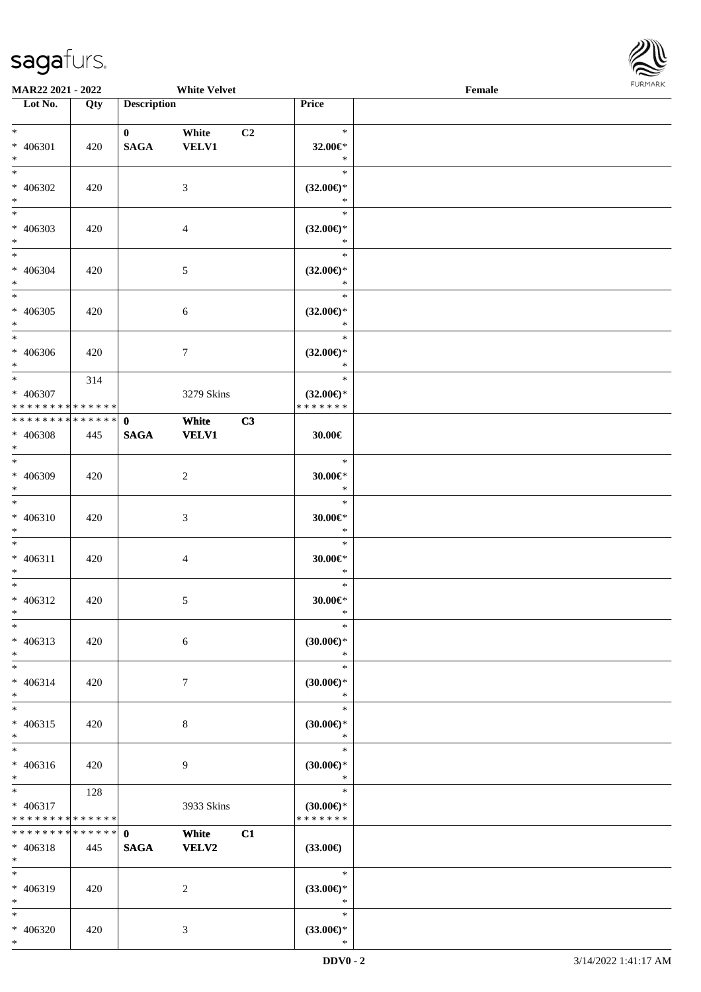

| MAR22 2021 - 2022<br><b>White Velvet</b>          |     |                             |                       |    | FURMARK<br>$\ensuremath{\textnormal{\textbf{Female}}}$ |  |  |  |
|---------------------------------------------------|-----|-----------------------------|-----------------------|----|--------------------------------------------------------|--|--|--|
| Lot No.                                           | Qty | <b>Description</b>          |                       |    | Price                                                  |  |  |  |
| $*$<br>$* 406301$<br>$*$                          | 420 | $\mathbf{0}$<br><b>SAGA</b> | White<br><b>VELV1</b> | C2 | $\ast$<br>32.00€*<br>$\ast$                            |  |  |  |
| $*$<br>$* 406302$<br>$*$                          | 420 |                             | 3                     |    | $\ast$<br>$(32.00\epsilon)$ *<br>$\ast$                |  |  |  |
| $\overline{\phantom{0}}$<br>$* 406303$<br>$*$     | 420 |                             | $\overline{4}$        |    | $\ast$<br>$(32.00\epsilon)$ *<br>$\ast$                |  |  |  |
| $*$<br>$* 406304$<br>$*$                          | 420 |                             | $\sqrt{5}$            |    | $\ast$<br>$(32.00\epsilon)$ *<br>$\ast$                |  |  |  |
| $*$<br>$* 406305$<br>$*$                          | 420 |                             | $\sqrt{6}$            |    | $\ast$<br>$(32.00\epsilon)$ *<br>$\ast$                |  |  |  |
| $*$<br>$* 406306$<br>$*$                          | 420 |                             | 7                     |    | $\ast$<br>$(32.00\epsilon)$ *<br>$\ast$                |  |  |  |
| $*$<br>* 406307<br>* * * * * * * * * * * * * *    | 314 |                             | 3279 Skins            |    | $\ast$<br>$(32.00\epsilon)$ *<br>* * * * * * *         |  |  |  |
| * * * * * * * * * * * * * * *<br>* 406308<br>$*$  | 445 | $\mathbf{0}$<br><b>SAGA</b> | White<br><b>VELV1</b> | C3 | 30.00€                                                 |  |  |  |
| $*$<br>$* 406309$<br>$*$                          | 420 |                             | $\overline{c}$        |    | $\ast$<br>$30.00 \in$ *<br>$\ast$                      |  |  |  |
| $*$<br>$* 406310$<br>$*$                          | 420 |                             | 3                     |    | $\ast$<br>$30.00 \in$ *<br>$\ast$                      |  |  |  |
| $*$<br>$* 406311$<br>$\ast$                       | 420 |                             | 4                     |    | $\ast$<br>$30.00 \in$ *<br>$\ast$                      |  |  |  |
| $*$<br>$* 406312$<br>$\ast$                       | 420 |                             | 5                     |    | $\ast$<br>$30.00 \in$ *<br>$\ast$                      |  |  |  |
| $\ast$<br>$* 406313$<br>$*$                       | 420 |                             | $\sqrt{6}$            |    | $\ast$<br>$(30.00\epsilon)$ *<br>$\ast$                |  |  |  |
| $\ast$<br>$* 406314$<br>$\ast$                    | 420 |                             | $\tau$                |    | $\ast$<br>(30.00)<br>$\ast$                            |  |  |  |
| $\overline{\ast}$<br>$* 406315$<br>$*$            | 420 |                             | 8                     |    | $\ast$<br>$(30.00\epsilon)$ *<br>$\ast$                |  |  |  |
| $\overline{\ast}$<br>$* 406316$<br>$*$            | 420 |                             | 9                     |    | $\ast$<br>$(30.00\epsilon)$ *<br>$\ast$                |  |  |  |
| $\ast$<br>* 406317<br>* * * * * * * * * * * * * * | 128 |                             | 3933 Skins            |    | $\ast$<br>$(30.00\epsilon)$ *<br>* * * * * * *         |  |  |  |
| * * * * * * * * * * * * * *<br>$* 406318$<br>$*$  | 445 | $\mathbf{0}$<br><b>SAGA</b> | White<br><b>VELV2</b> | C1 | $(33.00\epsilon)$                                      |  |  |  |
| $\ast$<br>* 406319<br>$\ast$                      | 420 |                             | 2                     |    | $\ast$<br>$(33.00\epsilon)$ *<br>$\ast$                |  |  |  |
| $\ast$<br>* 406320                                | 420 |                             | 3                     |    | $\ast$<br>$(33.00\epsilon)$ *                          |  |  |  |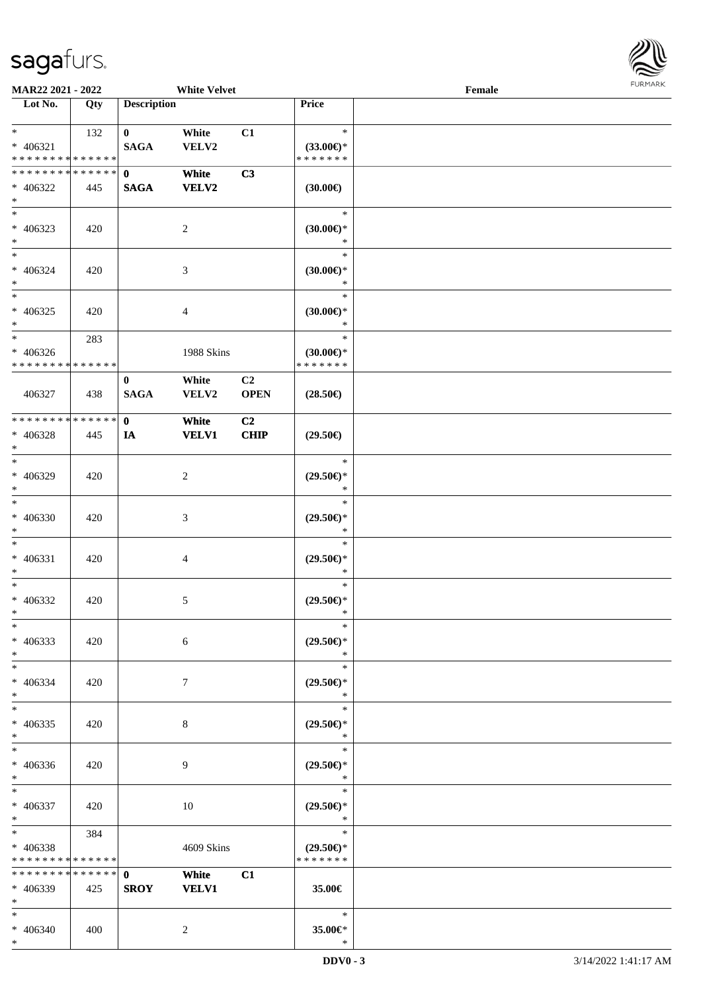

| <b>MAR22 2021 - 2022</b>      |     |                    | <b>White Velvet</b> |                |                               | Female |  |
|-------------------------------|-----|--------------------|---------------------|----------------|-------------------------------|--------|--|
| Lot No.                       | Qty | <b>Description</b> |                     |                | Price                         |        |  |
|                               |     |                    |                     |                |                               |        |  |
| $*$                           | 132 | $\mathbf{0}$       | White               | C1             | $\ast$                        |        |  |
| $* 406321$                    |     | <b>SAGA</b>        | VELV2               |                | $(33.00\epsilon)$ *           |        |  |
| * * * * * * * * * * * * * *   |     |                    |                     |                | * * * * * * *                 |        |  |
| * * * * * * * * * * * * * * * |     | $\mathbf{0}$       | White               | C3             |                               |        |  |
| * 406322<br>$\ast$            | 445 | <b>SAGA</b>        | <b>VELV2</b>        |                | $(30.00\epsilon)$             |        |  |
| $\overline{\phantom{0}}$      |     |                    |                     |                | $\ast$                        |        |  |
| $* 406323$                    | 420 |                    | 2                   |                | $(30.00\epsilon)$ *           |        |  |
| $\ast$                        |     |                    |                     |                | *                             |        |  |
| $*$                           |     |                    |                     |                | $\ast$                        |        |  |
| $* 406324$                    | 420 |                    | 3                   |                | (30.00)                       |        |  |
| $*$                           |     |                    |                     |                | $\ast$                        |        |  |
| $*$                           |     |                    |                     |                | $\ast$                        |        |  |
| $* 406325$                    | 420 |                    | 4                   |                | $(30.00\epsilon)$ *           |        |  |
| $*$                           |     |                    |                     |                | $\ast$                        |        |  |
| $*$                           | 283 |                    |                     |                | $\ast$                        |        |  |
| $* 406326$                    |     |                    | 1988 Skins          |                | $(30.00\epsilon)$ *           |        |  |
| * * * * * * * * * * * * * *   |     |                    |                     |                | * * * * * * *                 |        |  |
|                               |     | $\bf{0}$           | White               | C <sub>2</sub> |                               |        |  |
| 406327                        | 438 | <b>SAGA</b>        | VELV2               | <b>OPEN</b>    | $(28.50\epsilon)$             |        |  |
|                               |     |                    |                     |                |                               |        |  |
| * * * * * * * * * * * * * * * |     | $\mathbf{0}$       | White               | C <sub>2</sub> |                               |        |  |
| * 406328                      | 445 | IA                 | <b>VELV1</b>        | <b>CHIP</b>    | $(29.50\epsilon)$             |        |  |
| $\ast$<br>$*$                 |     |                    |                     |                | $\ast$                        |        |  |
| * 406329                      |     |                    |                     |                | $(29.50\epsilon)$ *           |        |  |
| $*$                           | 420 |                    | 2                   |                | *                             |        |  |
| $*$                           |     |                    |                     |                | $\ast$                        |        |  |
| * 406330                      | 420 |                    | 3                   |                | $(29.50\epsilon)$ *           |        |  |
| $*$                           |     |                    |                     |                | $\ast$                        |        |  |
| $*$                           |     |                    |                     |                | $\ast$                        |        |  |
| * 406331                      | 420 |                    | 4                   |                | $(29.50\epsilon)$ *           |        |  |
| $*$                           |     |                    |                     |                | $\ast$                        |        |  |
| $*$                           |     |                    |                     |                | $\ast$                        |        |  |
| $* 406332$                    | 420 |                    | 5                   |                | $(29.50\epsilon)$ *           |        |  |
| $*$                           |     |                    |                     |                | $\ast$                        |        |  |
| $\ast$                        |     |                    |                     |                | $\ast$                        |        |  |
| * 406333                      | 420 |                    | 6                   |                | $(29.50\epsilon)$ *           |        |  |
| $*$                           |     |                    |                     |                | $\ast$                        |        |  |
| $*$                           |     |                    |                     |                | $\ast$                        |        |  |
| * 406334<br>$*$               | 420 |                    | 7                   |                | $(29.50\epsilon)$ *<br>$\ast$ |        |  |
| $*$                           |     |                    |                     |                | $\ast$                        |        |  |
| $* 406335$                    | 420 |                    | 8                   |                | $(29.50\epsilon)$ *           |        |  |
| $*$                           |     |                    |                     |                | $\ast$                        |        |  |
| $*$                           |     |                    |                     |                | $\ast$                        |        |  |
| * 406336                      | 420 |                    | 9                   |                | $(29.50\epsilon)$ *           |        |  |
| $*$                           |     |                    |                     |                | $\ast$                        |        |  |
| $*$ $*$                       |     |                    |                     |                | $\ast$                        |        |  |
| * 406337                      | 420 |                    | 10                  |                | $(29.50\epsilon)$ *           |        |  |
| $*$ $-$                       |     |                    |                     |                | $\ast$                        |        |  |
| $*$ and $*$                   | 384 |                    |                     |                | $\ast$                        |        |  |
| * 406338                      |     |                    | 4609 Skins          |                | $(29.50\epsilon)$ *           |        |  |
| * * * * * * * * * * * * * *   |     |                    |                     |                | * * * * * * *                 |        |  |
| * * * * * * * * * * * * * * * |     | $\mathbf{0}$       | White               | C1             |                               |        |  |
| * 406339                      | 425 | <b>SROY</b>        | <b>VELV1</b>        |                | 35.00€                        |        |  |
| $*$<br>$*$                    |     |                    |                     |                | $\ast$                        |        |  |
| $* 406340$                    | 400 |                    | 2                   |                | 35.00€*                       |        |  |
|                               |     |                    |                     |                |                               |        |  |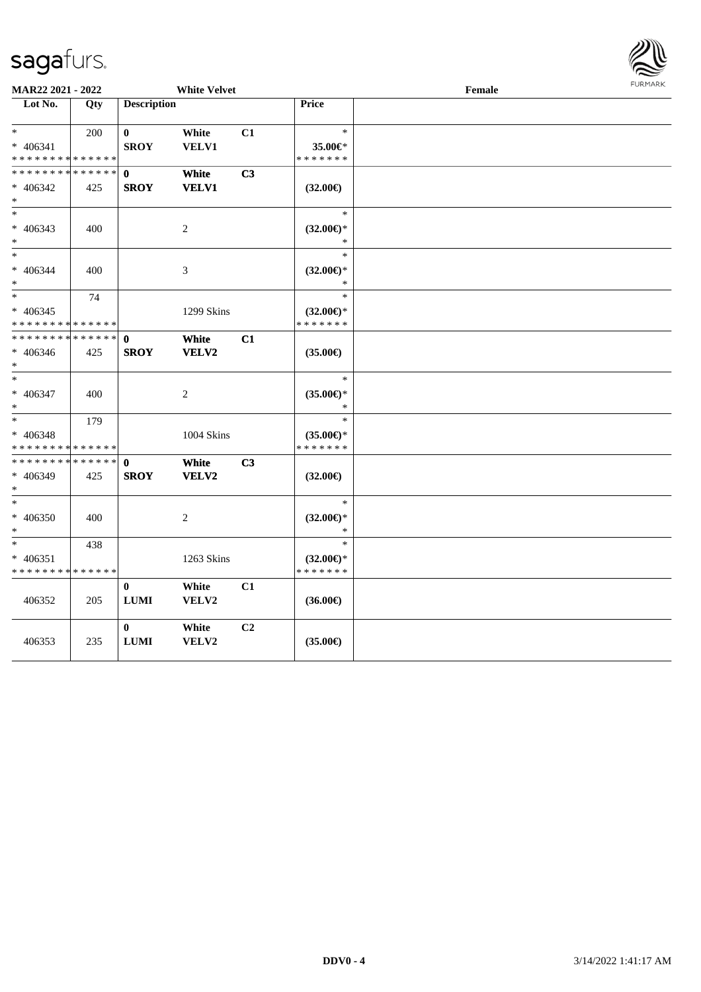

| MAR22 2021 - 2022                                         |                      |                             | <b>White Velvet</b>         |                |                                                | Female | <b>FURMARK</b> |
|-----------------------------------------------------------|----------------------|-----------------------------|-----------------------------|----------------|------------------------------------------------|--------|----------------|
| Lot No.                                                   | Qty                  | <b>Description</b>          |                             |                | <b>Price</b>                                   |        |                |
| $*$<br>$* 406341$<br>* * * * * * * * * * * * * *          | 200                  | $\bf{0}$<br><b>SROY</b>     | White<br>VELV1              | C1             | $\ast$<br>35.00€*<br>* * * * * * *             |        |                |
| * * * * * * * * * * * * * *                               |                      | $\mathbf{0}$                | White                       | C3             |                                                |        |                |
| * 406342<br>$*$                                           | 425                  | <b>SROY</b>                 | <b>VELV1</b>                |                | $(32.00\epsilon)$                              |        |                |
| $\ast$<br>$* 406343$<br>$\ast$                            | 400                  |                             | $\boldsymbol{2}$            |                | $\ast$<br>$(32.00\epsilon)$ *<br>$\ast$        |        |                |
| $*$<br>$* 406344$<br>$\ast$                               | 400                  |                             | $\ensuremath{\mathfrak{Z}}$ |                | $\ast$<br>$(32.00\epsilon)$ *<br>*             |        |                |
| $\overline{\phantom{0}}$<br>$* 406345$<br>* * * * * * * * | 74<br>* * * * * *    |                             | 1299 Skins                  |                | $\ast$<br>$(32.00\epsilon)$ *<br>* * * * * * * |        |                |
| * * * * * * * *<br>$* 406346$<br>$\ast$                   | * * * * * *  <br>425 | $\mathbf 0$<br><b>SROY</b>  | White<br>VELV2              | C1             | $(35.00\epsilon)$                              |        |                |
| $*$<br>* 406347<br>$\ast$                                 | 400                  |                             | $\overline{c}$              |                | $\ast$<br>$(35.00\epsilon)$ *<br>*             |        |                |
| $*$<br>$* 406348$<br>* * * * * * * * * * * * * *          | 179                  |                             | 1004 Skins                  |                | $\ast$<br>$(35.00\epsilon)$ *<br>* * * * * * * |        |                |
| * * * * * * * *<br>* 406349<br>$\ast$                     | ******<br>425        | $\mathbf 0$<br><b>SROY</b>  | White<br>VELV2              | C <sub>3</sub> | $(32.00\epsilon)$                              |        |                |
| $\ast$<br>$* 406350$<br>$\ast$                            | 400                  |                             | 2                           |                | $\ast$<br>$(32.00\epsilon)$ *<br>*             |        |                |
| $\ast$<br>* 406351<br>* * * * * * * * * * * * * *         | 438                  |                             | 1263 Skins                  |                | $\ast$<br>$(32.00\epsilon)$ *<br>* * * * * * * |        |                |
| 406352                                                    | 205                  | $\bf{0}$<br>${\bf LUMI}$    | White<br>VELV2              | C1             | $(36.00\epsilon)$                              |        |                |
| 406353                                                    | 235                  | $\mathbf{0}$<br><b>LUMI</b> | White<br>VELV2              | C <sub>2</sub> | $(35.00\epsilon)$                              |        |                |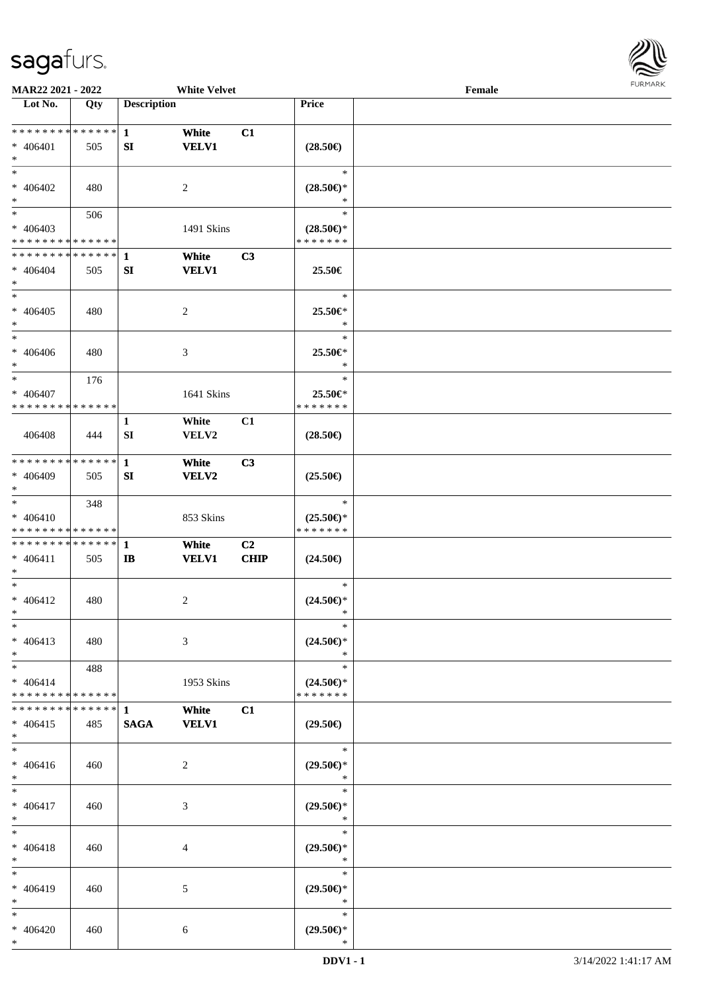

| <b>MAR22 2021 - 2022</b>                   |     |                    | <b>White Velvet</b> |             |                     | Female |  |
|--------------------------------------------|-----|--------------------|---------------------|-------------|---------------------|--------|--|
| Lot No.                                    | Qty | <b>Description</b> |                     |             | Price               |        |  |
|                                            |     |                    |                     |             |                     |        |  |
| * * * * * * * * * * * * * * *              |     | $\mathbf{1}$       | White               | C1          |                     |        |  |
| $* 406401$                                 | 505 | SI                 | <b>VELV1</b>        |             | $(28.50\epsilon)$   |        |  |
| $*$                                        |     |                    |                     |             |                     |        |  |
| $*$                                        |     |                    |                     |             | $\ast$              |        |  |
|                                            |     |                    |                     |             |                     |        |  |
| * 406402                                   | 480 |                    | 2                   |             | $(28.50\epsilon)$ * |        |  |
| $*$                                        |     |                    |                     |             | *                   |        |  |
| $*$                                        | 506 |                    |                     |             | $\ast$              |        |  |
| * 406403                                   |     |                    | 1491 Skins          |             | $(28.50\epsilon)$ * |        |  |
| * * * * * * * * * * * * * *                |     |                    |                     |             | * * * * * * *       |        |  |
| * * * * * * * * * * * * * * *              |     | $\mathbf{1}$       | White               | C3          |                     |        |  |
| $* 406404$                                 | 505 | SI                 | <b>VELV1</b>        |             | 25.50€              |        |  |
|                                            |     |                    |                     |             |                     |        |  |
| $*$                                        |     |                    |                     |             |                     |        |  |
| $*$                                        |     |                    |                     |             | $\ast$              |        |  |
| $* 406405$                                 | 480 |                    | $\overline{c}$      |             | 25.50€*             |        |  |
| $*$                                        |     |                    |                     |             | $\ast$              |        |  |
| $*$                                        |     |                    |                     |             | $\ast$              |        |  |
| $* 406406$                                 | 480 |                    | 3                   |             | 25.50€*             |        |  |
| $*$                                        |     |                    |                     |             | $\ast$              |        |  |
| $\ast$                                     | 176 |                    |                     |             | $\ast$              |        |  |
|                                            |     |                    |                     |             |                     |        |  |
| * 406407<br>* * * * * * * * * * * * * * *  |     |                    | 1641 Skins          |             | 25.50€*             |        |  |
|                                            |     |                    |                     |             | * * * * * * *       |        |  |
|                                            |     | $\mathbf{1}$       | White               | C1          |                     |        |  |
| 406408                                     | 444 | SI                 | VELV2               |             | $(28.50\epsilon)$   |        |  |
|                                            |     |                    |                     |             |                     |        |  |
| * * * * * * * * * * * * * * *              |     | 1                  | White               | C3          |                     |        |  |
| * 406409                                   | 505 | SI                 | VELV2               |             | $(25.50\epsilon)$   |        |  |
| $*$                                        |     |                    |                     |             |                     |        |  |
| $\ast$                                     |     |                    |                     |             | $\ast$              |        |  |
|                                            | 348 |                    |                     |             |                     |        |  |
| $* 406410$                                 |     |                    | 853 Skins           |             | $(25.50\epsilon)$ * |        |  |
| * * * * * * * * * * * * * *                |     |                    |                     |             | * * * * * * *       |        |  |
| * * * * * * * * <mark>* * * * * * *</mark> |     | $\mathbf{1}$       | White               | C2          |                     |        |  |
| $* 406411$                                 | 505 | $\mathbf{I}$       | <b>VELV1</b>        | <b>CHIP</b> | $(24.50\epsilon)$   |        |  |
| $*$                                        |     |                    |                     |             |                     |        |  |
| $*$                                        |     |                    |                     |             | $\ast$              |        |  |
| $* 406412$                                 | 480 |                    | 2                   |             | $(24.50\epsilon)$ * |        |  |
| $*$                                        |     |                    |                     |             | *                   |        |  |
| $\ast$                                     |     |                    |                     |             | $\ast$              |        |  |
|                                            |     |                    |                     |             |                     |        |  |
| $* 406413$                                 | 480 |                    | 3                   |             | $(24.50\epsilon)$ * |        |  |
| $*$                                        |     |                    |                     |             | $\ast$              |        |  |
| $*$                                        | 488 |                    |                     |             | $\ast$              |        |  |
| $* 406414$                                 |     |                    | 1953 Skins          |             | $(24.50\epsilon)$ * |        |  |
| * * * * * * * * * * * * * * *              |     |                    |                     |             | * * * * * * *       |        |  |
| * * * * * * * * * * * * * * *              |     | 1                  | White               | C1          |                     |        |  |
| $* 406415$                                 | 485 | <b>SAGA</b>        | <b>VELV1</b>        |             | $(29.50\epsilon)$   |        |  |
| $*$                                        |     |                    |                     |             |                     |        |  |
| $*$                                        |     |                    |                     |             | $\ast$              |        |  |
|                                            |     |                    |                     |             |                     |        |  |
| $* 406416$                                 | 460 |                    | 2                   |             | $(29.50\epsilon)$ * |        |  |
| $*$                                        |     |                    |                     |             | $\ast$              |        |  |
| $*$                                        |     |                    |                     |             | $\ast$              |        |  |
| $* 406417$                                 | 460 |                    | 3                   |             | $(29.50\epsilon)$ * |        |  |
| $*$                                        |     |                    |                     |             | $\ast$              |        |  |
| $*$                                        |     |                    |                     |             | $\ast$              |        |  |
| $* 406418$                                 | 460 |                    | 4                   |             | $(29.50\epsilon)$ * |        |  |
| $*$                                        |     |                    |                     |             | $\ast$              |        |  |
| $*$                                        |     |                    |                     |             | $\ast$              |        |  |
|                                            |     |                    |                     |             |                     |        |  |
| * 406419                                   | 460 |                    | 5                   |             | $(29.50\epsilon)$ * |        |  |
| $*$                                        |     |                    |                     |             | $\ast$              |        |  |
| $*$                                        |     |                    |                     |             | $\ast$              |        |  |
| $* 406420$                                 | 460 |                    | 6                   |             | $(29.50\epsilon)$ * |        |  |
| $*$                                        |     |                    |                     |             | $\ast$              |        |  |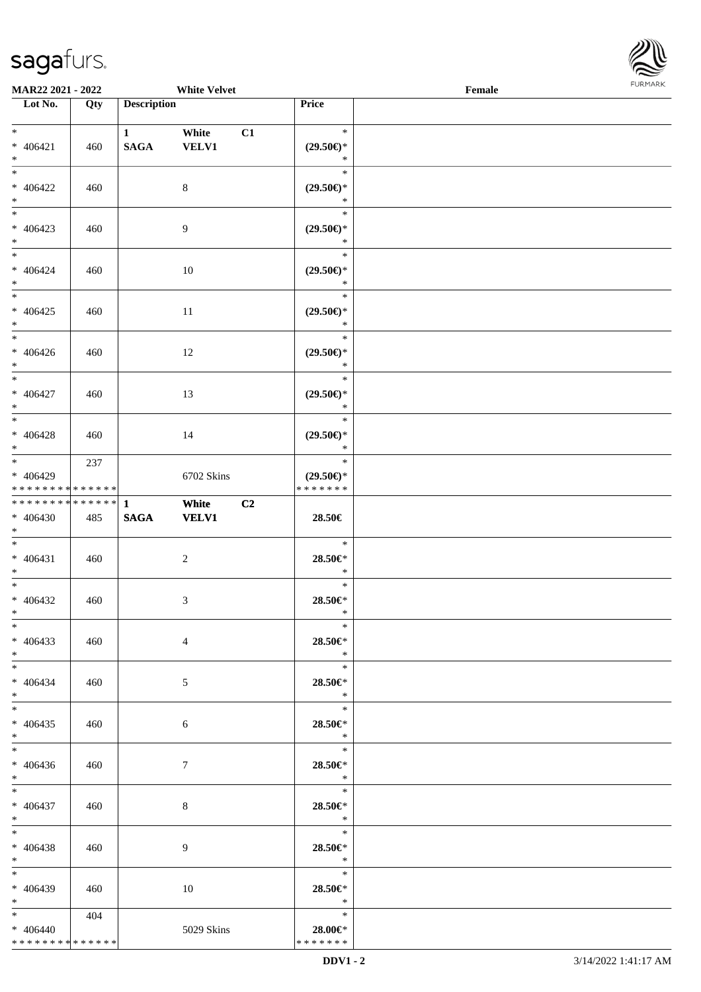\* \* \* \* \* \* \* \* \* \* \* \* \* \*



| MAR22 2021 - 2022                                                            |     |                                       | <b>White Velvet</b>         |                                                | FURMARK<br>Female |  |  |
|------------------------------------------------------------------------------|-----|---------------------------------------|-----------------------------|------------------------------------------------|-------------------|--|--|
| Lot No.                                                                      | Qty | <b>Description</b>                    |                             | Price                                          |                   |  |  |
| $\ast$<br>$* 406421$<br>$\ast$                                               | 460 | $1 \quad \blacksquare$<br><b>SAGA</b> | White<br>C1<br><b>VELV1</b> | $\ast$<br>$(29.50\epsilon)$ *<br>$\ast$        |                   |  |  |
| $\overline{\phantom{0}}$<br>$* 406422$<br>$*$                                | 460 |                                       | $\,8\,$                     | $\ast$<br>$(29.50\epsilon)$ *<br>$\ast$        |                   |  |  |
| $\overline{\phantom{0}}$<br>$* 406423$<br>$*$                                | 460 |                                       | 9                           | $\ast$<br>$(29.50\epsilon)$ *<br>$\ast$        |                   |  |  |
| $\ast$<br>$* 406424$<br>$*$<br>$\frac{1}{*}$                                 | 460 |                                       | 10                          | $\ast$<br>$(29.50\epsilon)$ *<br>$\ast$        |                   |  |  |
| $* 406425$<br>$\ast$<br>$\overline{\phantom{0}}$                             | 460 |                                       | $11\,$                      | $\ast$<br>$(29.50\epsilon)$ *<br>$\ast$        |                   |  |  |
| $* 406426$<br>$\ast$                                                         | 460 |                                       | 12                          | $\ast$<br>$(29.50\epsilon)$ *<br>$\ast$        |                   |  |  |
| $\overline{\phantom{0}}$<br>$* 406427$<br>$\ast$<br>$\overline{\phantom{0}}$ | 460 |                                       | 13                          | $\ast$<br>$(29.50\epsilon)$ *<br>$\ast$        |                   |  |  |
| $* 406428$<br>$\ast$                                                         | 460 |                                       | 14                          | $\ast$<br>$(29.50\epsilon)$ *<br>$\ast$        |                   |  |  |
| $_{\ast}^{-}$<br>* 406429<br>* * * * * * * * * * * * * *                     | 237 |                                       | 6702 Skins                  | $\ast$<br>$(29.50\epsilon)$ *<br>* * * * * * * |                   |  |  |
| * * * * * * * * * * * * * *<br>$* 406430$<br>$\ast$                          | 485 | $\mathbf{1}$<br>$\mathbf{SAGA}$       | C2<br>White<br><b>VELV1</b> | 28.50€                                         |                   |  |  |
| $\overline{\phantom{0}}$<br>$* 406431$<br>$\ast$                             | 460 |                                       | $\sqrt{2}$                  | $\ast$<br>28.50€*<br>$\ast$                    |                   |  |  |
| $\overline{\phantom{0}}$<br>$* 406432$<br>$\ast$                             | 460 |                                       | 3                           | $\ast$<br>$28.50 \in$<br>$\ast$                |                   |  |  |
| $\ast$<br>$* 406433$<br>$*$                                                  | 460 |                                       | $\overline{4}$              | $\ast$<br>28.50€*<br>$\ast$                    |                   |  |  |
| $\overline{\phantom{0}}$<br>$* 406434$<br>$*$                                | 460 |                                       | $\mathfrak{S}$              | $\ast$<br>28.50€*<br>$\ast$                    |                   |  |  |
| $\overline{\ast}$<br>$* 406435$<br>$*$                                       | 460 |                                       | 6                           | $\ast$<br>28.50€*<br>$\ast$                    |                   |  |  |
| $\ast$<br>$* 406436$<br>$*$                                                  | 460 |                                       | $7\phantom{.0}$             | $\ast$<br>28.50€*<br>$*$                       |                   |  |  |
| $*$<br>$* 406437$<br>$*$                                                     | 460 |                                       | $8\,$                       | $\ast$<br>28.50€*<br>$*$                       |                   |  |  |
| $*$<br>$* 406438$<br>$*$                                                     | 460 |                                       | 9                           | $\ast$<br>28.50€*<br>$\ast$                    |                   |  |  |
| $\overline{\phantom{a}^*}$<br>* 406439<br>$*$                                | 460 |                                       | 10                          | $\ast$<br>28.50€*<br>$\ast$                    |                   |  |  |
| $*$<br>$* 406440$                                                            | 404 |                                       | 5029 Skins                  | $\ast$<br>$28.00 \in$ *                        |                   |  |  |

\* \* \* \* \* \* \*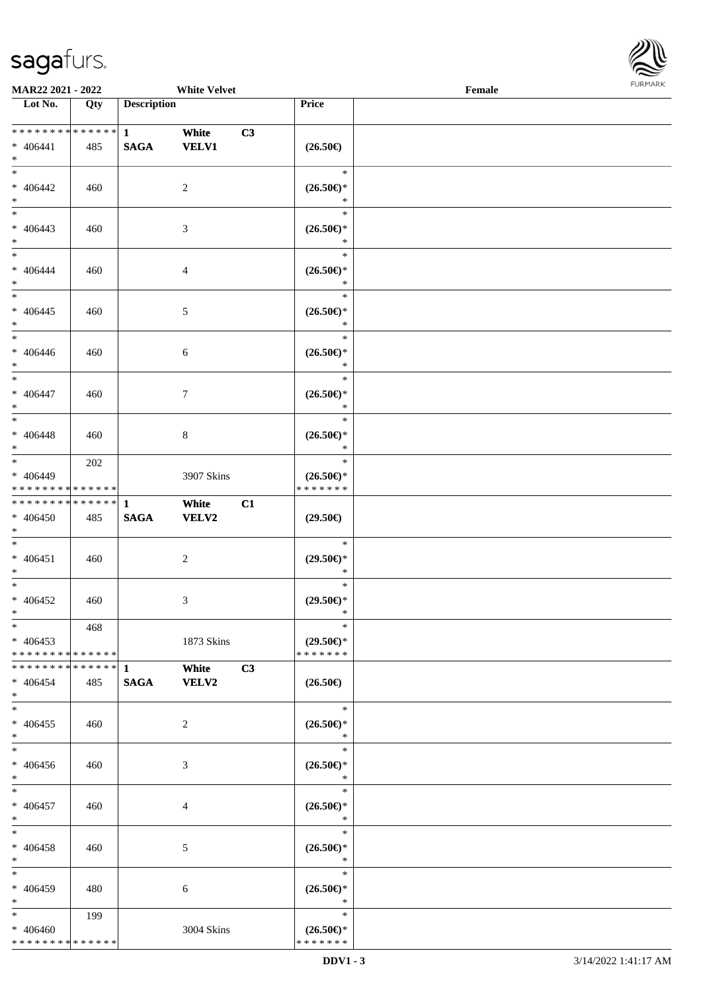\* \* \* \* \* \* \* \* \* \* \* \* \* \*



| <b>MAR22 2021 - 2022</b>                   |             |                    | <b>White Velvet</b> |                     | Female |  |
|--------------------------------------------|-------------|--------------------|---------------------|---------------------|--------|--|
| Lot No.                                    | Qty         | <b>Description</b> |                     | Price               |        |  |
|                                            |             |                    |                     |                     |        |  |
|                                            |             | $\mathbf{1}$       | White<br>C3         |                     |        |  |
| $* 406441$                                 | 485         | <b>SAGA</b>        | <b>VELV1</b>        | $(26.50\epsilon)$   |        |  |
| $*$                                        |             |                    |                     |                     |        |  |
| $*$                                        |             |                    |                     | $\ast$              |        |  |
| $* 406442$                                 | 460         |                    | 2                   | $(26.50\epsilon)$ * |        |  |
| $\ast$                                     |             |                    |                     | $\ast$              |        |  |
|                                            |             |                    |                     | $\ast$              |        |  |
| $* 406443$                                 | 460         |                    | 3                   | $(26.50\epsilon)$ * |        |  |
| $\ast$                                     |             |                    |                     | $\ast$              |        |  |
| $*$                                        |             |                    |                     | $\ast$              |        |  |
| * 406444                                   | 460         |                    | $\overline{4}$      | $(26.50\epsilon)$ * |        |  |
| $*$                                        |             |                    |                     | $\ast$              |        |  |
| $*$                                        |             |                    |                     | $\ast$              |        |  |
| $* 406445$                                 | 460         |                    | 5                   | $(26.50\epsilon)$ * |        |  |
| $\ast$                                     |             |                    |                     | $\ast$              |        |  |
| $\ast$                                     |             |                    |                     | $\ast$              |        |  |
| $* 406446$                                 | 460         |                    | 6                   | $(26.50\epsilon)$ * |        |  |
| $\ast$                                     |             |                    |                     | $\ast$              |        |  |
| $\overline{\ast}$                          |             |                    |                     | $\ast$              |        |  |
| $* 406447$                                 | 460         |                    | $\tau$              | $(26.50\epsilon)$ * |        |  |
| $*$                                        |             |                    |                     | $\ast$              |        |  |
| $\overline{\ast}$                          |             |                    |                     | $\ast$              |        |  |
| $* 406448$                                 | 460         |                    | 8                   | $(26.50\epsilon)$ * |        |  |
| $\ast$                                     |             |                    |                     | $\ast$              |        |  |
|                                            | 202         |                    |                     | $\ast$              |        |  |
| * 406449                                   |             |                    | 3907 Skins          | $(26.50\epsilon)$ * |        |  |
| * * * * * * * *                            | * * * * * * |                    |                     | * * * * * * *       |        |  |
| * * * * * * * * <mark>* * * * * * *</mark> |             | $\mathbf{1}$       | White<br>C1         |                     |        |  |
| * 406450                                   | 485         | <b>SAGA</b>        | <b>VELV2</b>        | $(29.50\epsilon)$   |        |  |
| $*$                                        |             |                    |                     |                     |        |  |
| $\ddot{x}$                                 |             |                    |                     | $\ast$              |        |  |
| $* 406451$                                 | 460         |                    | 2                   | $(29.50\epsilon)$ * |        |  |
| $\ast$                                     |             |                    |                     | $\ast$              |        |  |
| $*$                                        |             |                    |                     | $\ast$              |        |  |
| $* 406452$                                 | 460         |                    | 3                   | $(29.50\epsilon)$ * |        |  |
| $*$ $-$                                    |             |                    |                     | $\ast$              |        |  |
| $*$                                        | 468         |                    |                     | $\ast$              |        |  |
| $* 406453$                                 |             |                    | 1873 Skins          | $(29.50\epsilon)$ * |        |  |
| * * * * * * * * * * * * * * <mark>*</mark> |             |                    |                     | * * * * * * *       |        |  |
|                                            |             |                    | White<br>C3         |                     |        |  |
| $* 406454$                                 | 485         | <b>SAGA</b>        | <b>VELV2</b>        | $(26.50\epsilon)$   |        |  |
| $\ast$                                     |             |                    |                     |                     |        |  |
| $*$                                        |             |                    |                     | $\ast$              |        |  |
| $* 406455$                                 | 460         |                    | 2                   | $(26.50\epsilon)$ * |        |  |
| $*$                                        |             |                    |                     | $\rightarrow$       |        |  |
| $\ddot{x}$                                 |             |                    |                     | $\ast$              |        |  |
| * 406456                                   | 460         |                    | 3                   | $(26.50\epsilon)$ * |        |  |
| $*$                                        |             |                    |                     | $\ast$              |        |  |
| $*$                                        |             |                    |                     | $\ast$              |        |  |
| $* 406457$                                 | 460         |                    | $\overline{4}$      | $(26.50\epsilon)$ * |        |  |
| $*$ $-$                                    |             |                    |                     | $\ast$              |        |  |
| $*$                                        |             |                    |                     | $\ast$              |        |  |
| * 406458                                   | 460         |                    | 5                   | $(26.50\epsilon)$ * |        |  |
| $\ast$                                     |             |                    |                     | $\ast$              |        |  |
| $*$                                        |             |                    |                     | $\ast$              |        |  |
| * 406459                                   | 480         |                    | 6                   | $(26.50\epsilon)$ * |        |  |
| $\ast$                                     |             |                    |                     | $\ast$              |        |  |
| $\ast$                                     | 199         |                    |                     | $\ast$              |        |  |
| * 406460                                   |             |                    | 3004 Skins          | $(26.50\epsilon)$ * |        |  |

\* \* \* \* \* \* \*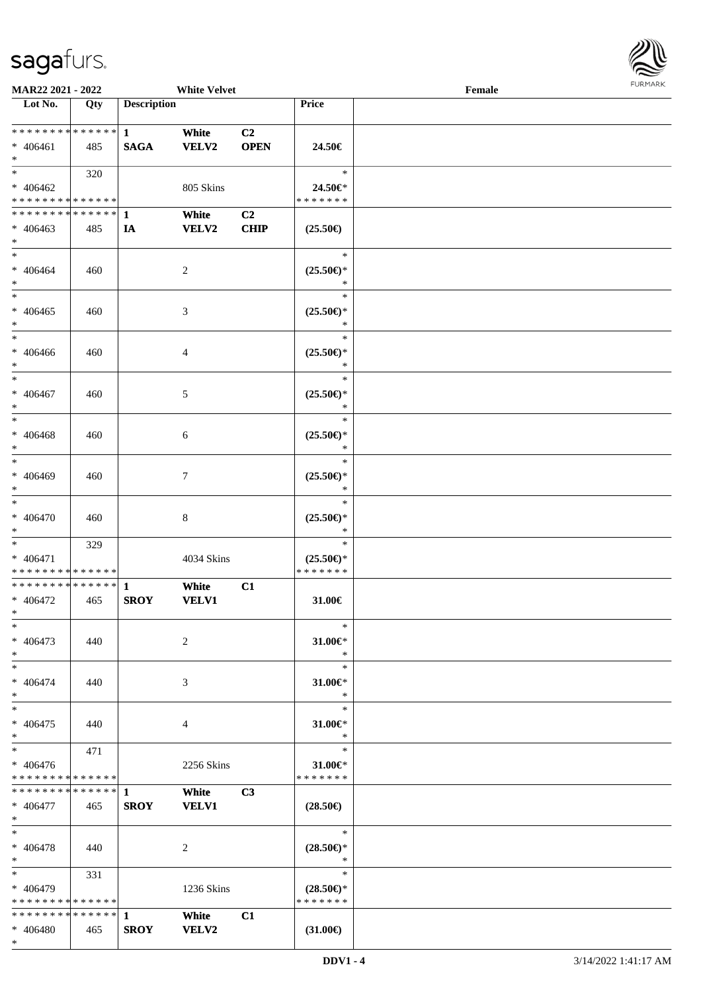

| MAR22 2021 - 2022             |     |                    | <b>White Velvet</b> |                |                                                    | Female |  |
|-------------------------------|-----|--------------------|---------------------|----------------|----------------------------------------------------|--------|--|
| Lot No.                       | Qty | <b>Description</b> |                     |                | Price                                              |        |  |
|                               |     |                    |                     |                |                                                    |        |  |
| * * * * * * * * * * * * * *   |     | $\mathbf{1}$       | White               | C <sub>2</sub> |                                                    |        |  |
| $* 406461$                    | 485 | <b>SAGA</b>        | <b>VELV2</b>        | <b>OPEN</b>    | 24.50€                                             |        |  |
| $*$                           |     |                    |                     |                |                                                    |        |  |
| $*$                           | 320 |                    |                     |                | $\ast$                                             |        |  |
| $* 406462$                    |     |                    | 805 Skins           |                | 24.50€*                                            |        |  |
| * * * * * * * * * * * * * *   |     |                    |                     |                | * * * * * * *                                      |        |  |
| * * * * * * * * * * * * * * * |     | 1                  | White               | C <sub>2</sub> |                                                    |        |  |
| $* 406463$                    | 485 | IA                 | <b>VELV2</b>        | <b>CHIP</b>    | $(25.50\epsilon)$                                  |        |  |
| $*$                           |     |                    |                     |                |                                                    |        |  |
| $*$                           |     |                    |                     |                | $\ast$                                             |        |  |
| $* 406464$                    | 460 |                    | $\overline{c}$      |                | $(25.50\mathnormal{\in}\mathcal{)^{\! \! \times}}$ |        |  |
| $*$                           |     |                    |                     |                | $\ast$                                             |        |  |
| $*$                           |     |                    |                     |                | $\ast$                                             |        |  |
| $* 406465$                    | 460 |                    | $\mathfrak{Z}$      |                | $(25.50\epsilon)$ *                                |        |  |
| $*$                           |     |                    |                     |                | $\ast$                                             |        |  |
| $*$                           |     |                    |                     |                | $\ast$                                             |        |  |
| $* 406466$                    | 460 |                    | 4                   |                | $(25.50\epsilon)$ *                                |        |  |
| $*$                           |     |                    |                     |                | $\ast$                                             |        |  |
| $*$                           |     |                    |                     |                | $\ast$                                             |        |  |
| $* 406467$                    | 460 |                    | 5                   |                | $(25.50\epsilon)$ *                                |        |  |
| $*$                           |     |                    |                     |                | $\ast$                                             |        |  |
| $*$                           |     |                    |                     |                | $\ast$                                             |        |  |
| $* 406468$                    | 460 |                    | 6                   |                | $(25.50\epsilon)$ *                                |        |  |
| $*$                           |     |                    |                     |                | $\ast$                                             |        |  |
| $*$                           |     |                    |                     |                | $\ast$                                             |        |  |
| $* 406469$                    |     |                    |                     |                |                                                    |        |  |
| $*$                           | 460 |                    | 7                   |                | $(25.50\epsilon)$ *<br>$\ast$                      |        |  |
| $\ast$                        |     |                    |                     |                | $\ast$                                             |        |  |
|                               |     |                    |                     |                |                                                    |        |  |
| $* 406470$                    | 460 |                    | $\,8\,$             |                | $(25.50\epsilon)$ *                                |        |  |
| $*$                           |     |                    |                     |                | $\ast$                                             |        |  |
| $*$                           | 329 |                    |                     |                | $\ast$                                             |        |  |
| * 406471                      |     |                    | 4034 Skins          |                | $(25.50\epsilon)$ *                                |        |  |
| * * * * * * * * * * * * * *   |     |                    |                     |                | * * * * * * *                                      |        |  |
| * * * * * * * * * * * * * *   |     | $\mathbf{1}$       | White               | C1             |                                                    |        |  |
| $* 406472$                    | 465 | <b>SROY</b>        | <b>VELV1</b>        |                | 31.00€                                             |        |  |
| $*$                           |     |                    |                     |                |                                                    |        |  |
| $*$                           |     |                    |                     |                | $\ast$                                             |        |  |
| $* 406473$                    | 440 |                    | 2                   |                | $31.00 \in$ *                                      |        |  |
| $*$                           |     |                    |                     |                | $\ast$                                             |        |  |
| $*$                           |     |                    |                     |                | $\ast$                                             |        |  |
| $* 406474$                    | 440 |                    | 3                   |                | $31.00 \in$                                        |        |  |
| $*$                           |     |                    |                     |                | $\ast$                                             |        |  |
| $*$                           |     |                    |                     |                | $\ast$                                             |        |  |
| $* 406475$                    | 440 |                    | 4                   |                | 31.00€*                                            |        |  |
| $*$                           |     |                    |                     |                | $\ast$                                             |        |  |
| $*$ $*$                       | 471 |                    |                     |                | $\ast$                                             |        |  |
| $* 406476$                    |     |                    | 2256 Skins          |                | $31.00 \in$ *                                      |        |  |
| * * * * * * * * * * * * * *   |     |                    |                     |                | * * * * * * *                                      |        |  |
|                               |     |                    | White               | C <sub>3</sub> |                                                    |        |  |
| * 406477                      | 465 | <b>SROY</b>        | <b>VELV1</b>        |                | $(28.50\epsilon)$                                  |        |  |
| $*$ $*$                       |     |                    |                     |                |                                                    |        |  |
| $*$                           |     |                    |                     |                | $*$                                                |        |  |
| $* 406478$                    | 440 |                    | 2                   |                | $(28.50\epsilon)$ *                                |        |  |
| $*$ $*$                       |     |                    |                     |                | $\ast$                                             |        |  |
| $*$ and $*$                   | 331 |                    |                     |                | $\ast$                                             |        |  |
| * 406479                      |     |                    | 1236 Skins          |                | $(28.50\epsilon)$ *                                |        |  |
| * * * * * * * * * * * * * *   |     |                    |                     |                | * * * * * * *                                      |        |  |
|                               |     |                    | White               | C1             |                                                    |        |  |
| * 406480                      | 465 | <b>SROY</b>        | <b>VELV2</b>        |                | $(31.00\epsilon)$                                  |        |  |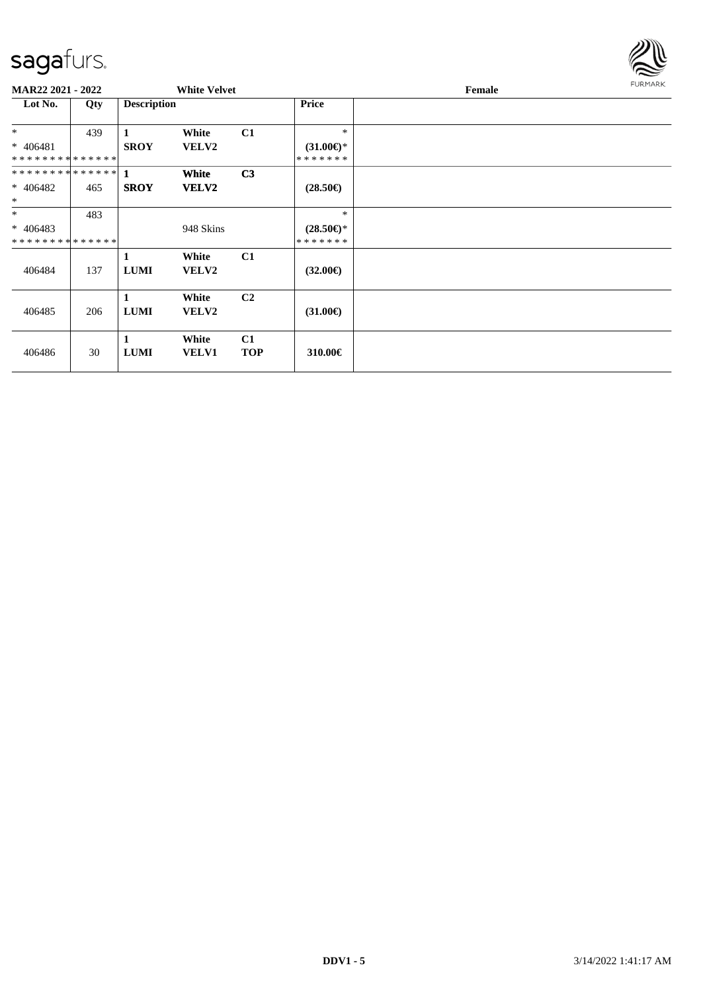

| MAR22 2021 - 2022           |     |                    | <b>White Velvet</b> |                |                     | Female | <b>FURMARK</b> |
|-----------------------------|-----|--------------------|---------------------|----------------|---------------------|--------|----------------|
| Lot No.                     | Qty | <b>Description</b> |                     |                | <b>Price</b>        |        |                |
| $*$                         | 439 |                    | White               | C1             | $\ast$              |        |                |
| $* 406481$                  |     | <b>SROY</b>        | <b>VELV2</b>        |                | $(31.00\epsilon)$ * |        |                |
| **************              |     |                    |                     |                | * * * * * * *       |        |                |
|                             |     |                    | <b>White</b>        | C <sub>3</sub> |                     |        |                |
| $* 406482$                  | 465 | <b>SROY</b>        | <b>VELV2</b>        |                | $(28.50\epsilon)$   |        |                |
| $\ast$                      |     |                    |                     |                |                     |        |                |
| $*$                         | 483 |                    |                     |                | $\ast$              |        |                |
| $* 406483$                  |     |                    | 948 Skins           |                | $(28.50\epsilon)$ * |        |                |
| * * * * * * * * * * * * * * |     |                    |                     |                | * * * * * * *       |        |                |
|                             |     | 1                  | White               | C1             |                     |        |                |
| 406484                      | 137 | <b>LUMI</b>        | <b>VELV2</b>        |                | $(32.00\epsilon)$   |        |                |
|                             |     |                    |                     |                |                     |        |                |
|                             |     | 1                  | White               | C <sub>2</sub> |                     |        |                |
| 406485                      | 206 | <b>LUMI</b>        | <b>VELV2</b>        |                | $(31.00\epsilon)$   |        |                |
|                             |     |                    |                     |                |                     |        |                |
|                             |     | 1                  | White               | C1             |                     |        |                |
| 406486                      | 30  | <b>LUMI</b>        | <b>VELV1</b>        | <b>TOP</b>     | 310.00€             |        |                |
|                             |     |                    |                     |                |                     |        |                |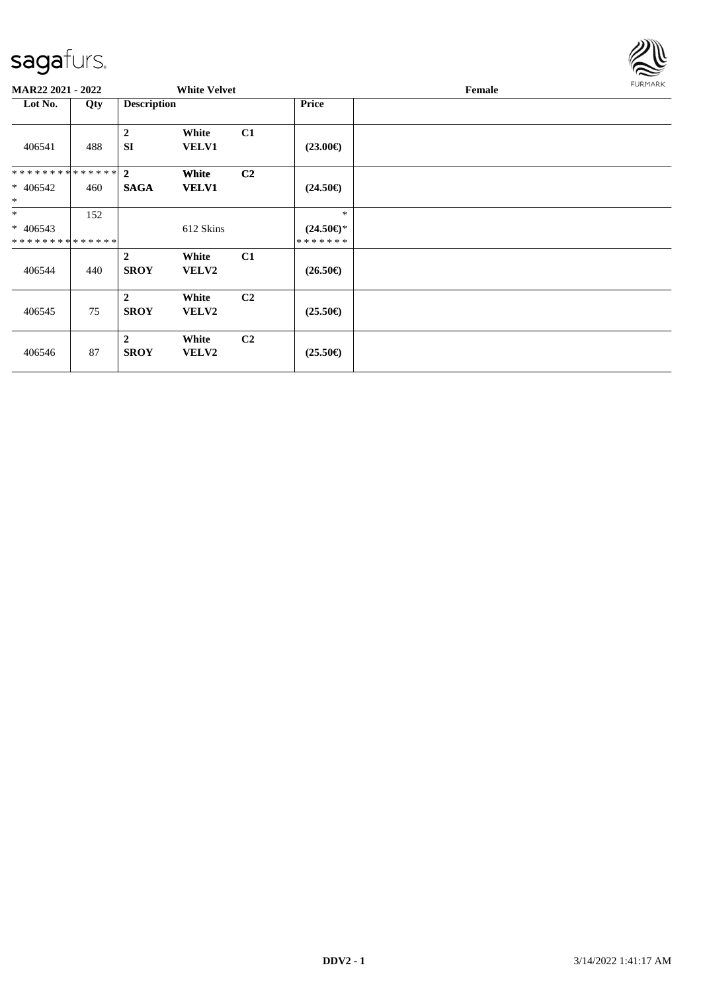

| MAR22 2021 - 2022                                |     |                               | <b>White Velvet</b>   |                |                                       | Female | <b>FURMARK</b> |
|--------------------------------------------------|-----|-------------------------------|-----------------------|----------------|---------------------------------------|--------|----------------|
| Lot No.                                          | Qty | <b>Description</b>            |                       |                | Price                                 |        |                |
| 406541                                           | 488 | $\overline{2}$<br><b>SI</b>   | White<br><b>VELV1</b> | C1             | $(23.00\epsilon)$                     |        |                |
| ************** 2<br>$* 406542$<br>$*$            | 460 | <b>SAGA</b>                   | White<br><b>VELV1</b> | C <sub>2</sub> | $(24.50\epsilon)$                     |        |                |
| $*$<br>$* 406543$<br>* * * * * * * * * * * * * * | 152 |                               | 612 Skins             |                | $*$<br>$(24.50\epsilon)$ *<br>******* |        |                |
| 406544                                           | 440 | $\overline{2}$<br><b>SROY</b> | White<br><b>VELV2</b> | C1             | $(26.50\epsilon)$                     |        |                |
| 406545                                           | 75  | $\overline{2}$<br><b>SROY</b> | White<br><b>VELV2</b> | C <sub>2</sub> | $(25.50\epsilon)$                     |        |                |
| 406546                                           | 87  | $\overline{2}$<br><b>SROY</b> | White<br><b>VELV2</b> | C <sub>2</sub> | $(25.50\epsilon)$                     |        |                |